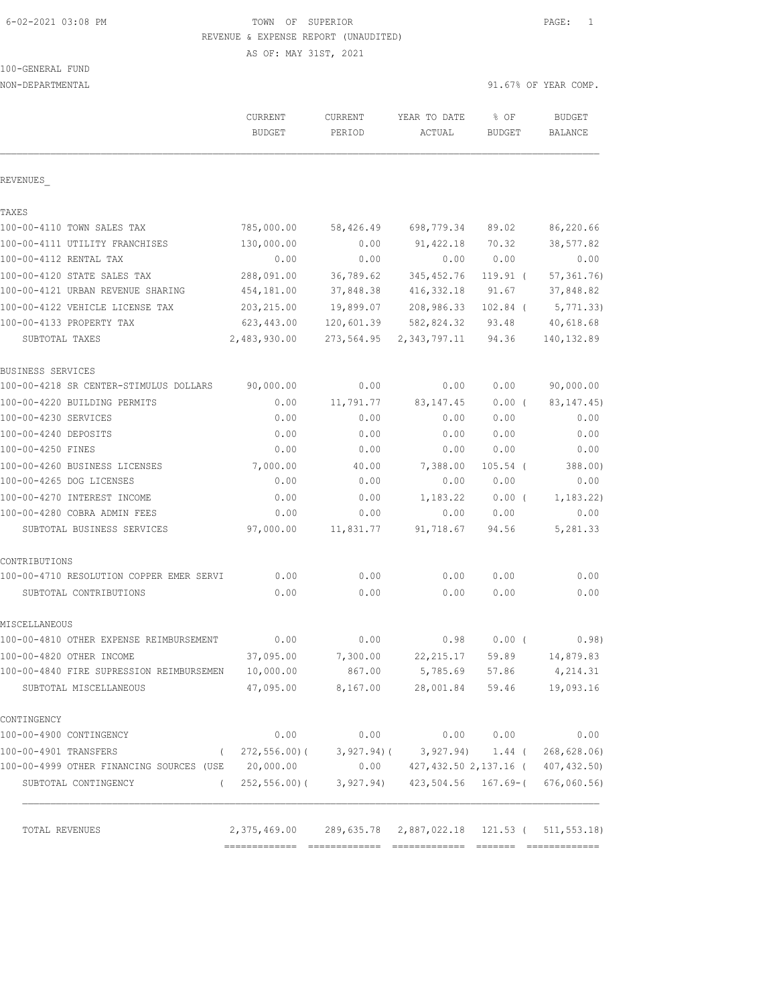6-02-2021 03:08 PM TOWN OF SUPERIOR PAGE: 1 REVENUE & EXPENSE REPORT (UNAUDITED)

AS OF: MAY 31ST, 2021

100-GENERAL FUND

| NON-DEPARTMENTAL                                   |                                 |                   |                                                 | 91.67% OF YEAR COMP.  |                          |
|----------------------------------------------------|---------------------------------|-------------------|-------------------------------------------------|-----------------------|--------------------------|
|                                                    | <b>CURRENT</b><br><b>BUDGET</b> | CURRENT<br>PERIOD | YEAR TO DATE<br>ACTUAL                          | % OF<br><b>BUDGET</b> | <b>BUDGET</b><br>BALANCE |
| REVENUES                                           |                                 |                   |                                                 |                       |                          |
| TAXES                                              |                                 |                   |                                                 |                       |                          |
| 100-00-4110 TOWN SALES TAX                         | 785,000.00                      | 58,426.49         | 698,779.34                                      | 89.02                 | 86,220.66                |
| 100-00-4111 UTILITY FRANCHISES                     | 130,000.00                      | 0.00              | 91, 422.18                                      | 70.32                 | 38,577.82                |
| 100-00-4112 RENTAL TAX                             | 0.00                            | 0.00              | 0.00                                            | 0.00                  | 0.00                     |
| 100-00-4120 STATE SALES TAX                        | 288,091.00                      | 36,789.62         | 345, 452.76                                     | $119.91$ (            | 57, 361.76               |
| 100-00-4121 URBAN REVENUE SHARING                  | 454,181.00                      | 37,848.38         | 416,332.18                                      | 91.67                 | 37,848.82                |
| 100-00-4122 VEHICLE LICENSE TAX                    | 203,215.00                      | 19,899.07         | 208,986.33                                      | $102.84$ (            | 5,771.33)                |
| 100-00-4133 PROPERTY TAX                           | 623,443.00                      | 120,601.39        | 582,824.32                                      | 93.48                 | 40,618.68                |
| SUBTOTAL TAXES                                     | 2,483,930.00                    | 273,564.95        | 2,343,797.11                                    | 94.36                 | 140, 132.89              |
| BUSINESS SERVICES                                  |                                 |                   |                                                 |                       |                          |
| 100-00-4218 SR CENTER-STIMULUS DOLLARS             | 90,000.00                       | 0.00              | 0.00                                            | 0.00                  | 90,000.00                |
| 100-00-4220 BUILDING PERMITS                       | 0.00                            | 11,791.77         | 83, 147. 45                                     | $0.00$ (              | 83, 147.45)              |
| 100-00-4230 SERVICES                               | 0.00                            | 0.00              | 0.00                                            | 0.00                  | 0.00                     |
| 100-00-4240 DEPOSITS                               | 0.00                            | 0.00              | 0.00                                            | 0.00                  | 0.00                     |
| 100-00-4250 FINES                                  | 0.00                            | 0.00              | 0.00                                            | 0.00                  | 0.00                     |
| 100-00-4260 BUSINESS LICENSES                      | 7,000.00                        | 40.00             | 7,388.00                                        | $105.54$ (            | 388.00)                  |
| 100-00-4265 DOG LICENSES                           | 0.00                            | 0.00              | 0.00                                            | 0.00                  | 0.00                     |
| 100-00-4270 INTEREST INCOME                        | 0.00                            | 0.00              | 1,183.22                                        | $0.00$ (              | 1, 183.22)               |
| 100-00-4280 COBRA ADMIN FEES                       | 0.00                            | 0.00              | 0.00                                            | 0.00                  | 0.00                     |
| SUBTOTAL BUSINESS SERVICES                         | 97,000.00                       | 11,831.77         | 91,718.67                                       | 94.56                 | 5,281.33                 |
| CONTRIBUTIONS                                      |                                 |                   |                                                 |                       |                          |
| 100-00-4710 RESOLUTION COPPER EMER SERVI           | 0.00                            | 0.00              | 0.00                                            | 0.00                  | 0.00                     |
| SUBTOTAL CONTRIBUTIONS                             | 0.00                            | 0.00              | 0.00                                            | 0.00                  | 0.00                     |
| MISCELLANEOUS                                      |                                 |                   |                                                 |                       |                          |
| 100-00-4810 OTHER EXPENSE REIMBURSEMENT            | 0.00                            | 0.00              | 0.98                                            | 0.00(                 | 0.98)                    |
| 100-00-4820 OTHER INCOME                           | 37,095.00                       | 7,300.00          | 22, 215.17                                      | 59.89                 | 14,879.83                |
| 100-00-4840 FIRE SUPRESSION REIMBURSEMEN           | 10,000.00                       | 867.00            | 5,785.69                                        | 57.86                 | 4,214.31                 |
| SUBTOTAL MISCELLANEOUS                             | 47,095.00                       | 8,167.00          | 28,001.84                                       | 59.46                 | 19,093.16                |
| CONTINGENCY                                        |                                 |                   |                                                 |                       |                          |
| 100-00-4900 CONTINGENCY                            | 0.00                            | 0.00              | 0.00                                            | 0.00                  | 0.00                     |
| 100-00-4901 TRANSFERS<br>$\left($                  | 272,556.00)(                    | $3,927.94$ ) (    |                                                 | $3,927.94$ 1.44 (     | 268,628.06)              |
| 100-00-4999 OTHER FINANCING SOURCES (USE 20,000.00 |                                 | 0.00              | 427,432.50 2,137.16 (                           |                       | 407, 432.50)             |
| SUBTOTAL CONTINGENCY<br>$\left($                   | 252,556.00)(                    |                   | $3,927.94$ $423,504.56$ $167.69 -$              |                       | 676,060.56               |
| TOTAL REVENUES                                     | 2,375,469.00                    |                   | 289, 635.78 2, 887, 022.18 121.53 (511, 553.18) |                       |                          |
|                                                    |                                 |                   |                                                 |                       |                          |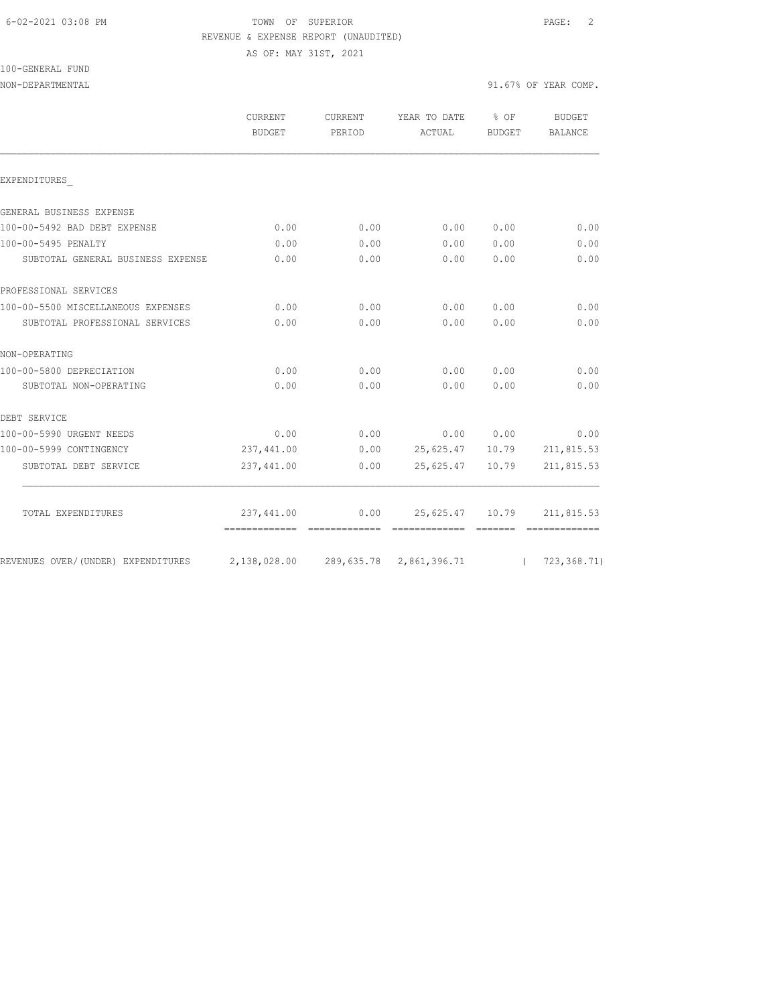### 6-02-2021 03:08 PM TOWN OF SUPERIOR PAGE: 2 REVENUE & EXPENSE REPORT (UNAUDITED)

AS OF: MAY 31ST, 2021

|  | 100-GENERAL FUND |  |
|--|------------------|--|
|  |                  |  |

|                                    | <b>CURRENT</b><br><b>BUDGET</b> | <b>CURRENT</b><br>PERIOD | YEAR TO DATE<br>ACTUAL | % OF<br>BUDGET | <b>BUDGET</b><br><b>BALANCE</b> |
|------------------------------------|---------------------------------|--------------------------|------------------------|----------------|---------------------------------|
| EXPENDITURES                       |                                 |                          |                        |                |                                 |
|                                    |                                 |                          |                        |                |                                 |
| GENERAL BUSINESS EXPENSE           |                                 |                          |                        |                |                                 |
| 100-00-5492 BAD DEBT EXPENSE       | 0.00                            | 0.00                     | 0.00                   | 0.00           | 0.00                            |
| 100-00-5495 PENALTY                | 0.00                            | 0.00                     | 0.00                   | 0.00           | 0.00                            |
| SUBTOTAL GENERAL BUSINESS EXPENSE  | 0.00                            | 0.00                     | 0.00                   | 0.00           | 0.00                            |
| PROFESSIONAL SERVICES              |                                 |                          |                        |                |                                 |
| 100-00-5500 MISCELLANEOUS EXPENSES | 0.00                            | 0.00                     | 0.00                   | 0.00           | 0.00                            |
| SUBTOTAL PROFESSIONAL SERVICES     | 0.00                            | 0.00                     | 0.00                   | 0.00           | 0.00                            |
| NON-OPERATING                      |                                 |                          |                        |                |                                 |
| 100-00-5800 DEPRECIATION           | 0.00                            | 0.00                     | 0.00                   | 0.00           | 0.00                            |
| SUBTOTAL NON-OPERATING             | 0.00                            | 0.00                     | 0.00                   | 0.00           | 0.00                            |
| DEBT SERVICE                       |                                 |                          |                        |                |                                 |
| 100-00-5990 URGENT NEEDS           | 0.00                            | 0.00                     |                        | 0.00 0.00      | 0.00                            |
| 100-00-5999 CONTINGENCY            | 237,441.00                      | 0.00                     | 25,625.47 10.79        |                | 211,815.53                      |
| SUBTOTAL DEBT SERVICE              | 237,441.00                      | 0.00                     | 25,625.47              | 10.79          | 211,815.53                      |
|                                    |                                 |                          |                        |                |                                 |
| TOTAL EXPENDITURES                 | 237,441.00                      | 0.00                     | 25,625.47 10.79        |                | 211,815.53                      |

REVENUES OVER/(UNDER) EXPENDITURES 2,138,028.00 289,635.78 2,861,396.71 ( 723,368.71)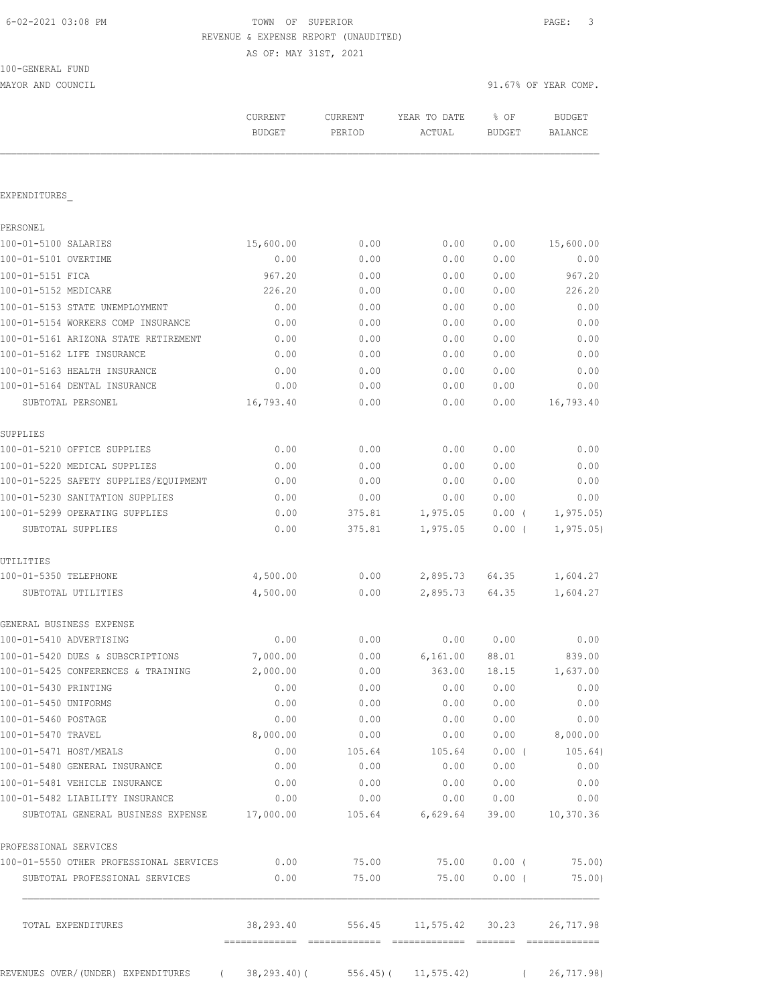100-GENERAL FUND

# TOWN OF SUPERIOR **Example 2021** PAGE: 3 REVENUE & EXPENSE REPORT (UNAUDITED)

AS OF: MAY 31ST, 2021

| MAYOR AND COUNCIL                               |                          |                   |                          | 91.67% OF YEAR COMP.             |                                 |
|-------------------------------------------------|--------------------------|-------------------|--------------------------|----------------------------------|---------------------------------|
|                                                 | CURRENT<br><b>BUDGET</b> | CURRENT<br>PERIOD | YEAR TO DATE<br>ACTUAL   | % OF<br>BUDGET                   | <b>BUDGET</b><br><b>BALANCE</b> |
|                                                 |                          |                   |                          |                                  |                                 |
| EXPENDITURES                                    |                          |                   |                          |                                  |                                 |
| PERSONEL                                        |                          |                   |                          |                                  |                                 |
| 100-01-5100 SALARIES                            | 15,600.00                | 0.00              | 0.00                     | 0.00                             | 15,600.00                       |
| 100-01-5101 OVERTIME                            | 0.00                     | 0.00              | 0.00                     | 0.00                             | 0.00                            |
| 100-01-5151 FICA                                | 967.20                   | 0.00              | 0.00                     | 0.00                             | 967.20                          |
| 100-01-5152 MEDICARE                            | 226.20                   | 0.00              | 0.00                     | 0.00                             | 226.20                          |
| 100-01-5153 STATE UNEMPLOYMENT                  | 0.00                     | 0.00              | 0.00                     | 0.00                             | 0.00                            |
| 100-01-5154 WORKERS COMP INSURANCE              | 0.00                     | 0.00              | 0.00                     | 0.00                             | 0.00                            |
| 100-01-5161 ARIZONA STATE RETIREMENT            | 0.00                     | 0.00              | 0.00                     | 0.00                             | 0.00                            |
| 100-01-5162 LIFE INSURANCE                      | 0.00                     | 0.00              | 0.00                     | 0.00                             | 0.00                            |
| 100-01-5163 HEALTH INSURANCE                    | 0.00                     | 0.00              | 0.00                     | 0.00                             | 0.00                            |
| 100-01-5164 DENTAL INSURANCE                    | 0.00                     | 0.00              | 0.00                     | 0.00                             | 0.00                            |
| SUBTOTAL PERSONEL                               | 16,793.40                | 0.00              | 0.00                     | 0.00                             | 16,793.40                       |
| SUPPLIES                                        |                          |                   |                          |                                  |                                 |
| 100-01-5210 OFFICE SUPPLIES                     | 0.00                     | 0.00              | 0.00                     | 0.00                             | 0.00                            |
| 100-01-5220 MEDICAL SUPPLIES                    | 0.00                     | 0.00              | 0.00                     | 0.00                             | 0.00                            |
| 100-01-5225 SAFETY SUPPLIES/EQUIPMENT           | 0.00                     | 0.00              | 0.00                     | 0.00                             | 0.00                            |
| 100-01-5230 SANITATION SUPPLIES                 | 0.00                     | 0.00              | 0.00                     | 0.00                             | 0.00                            |
| 100-01-5299 OPERATING SUPPLIES                  | 0.00                     | 375.81            | 1,975.05                 | $0.00$ (                         | 1, 975.05)                      |
| SUBTOTAL SUPPLIES                               | 0.00                     | 375.81            | 1,975.05                 | $0.00$ (                         | 1, 975.05)                      |
| UTILITIES                                       |                          |                   |                          |                                  |                                 |
| 100-01-5350 TELEPHONE                           | 4,500.00                 | 0.00              | 2,895.73                 | 64.35                            | 1,604.27                        |
| SUBTOTAL UTILITIES                              | 4,500.00                 | 0.00              | 2,895.73                 | 64.35                            | 1,604.27                        |
| GENERAL BUSINESS EXPENSE                        |                          |                   |                          |                                  |                                 |
| 100-01-5410 ADVERTISING                         | 0.00                     | 0.00              | 0.00                     | 0.00                             | 0.00                            |
| 100-01-5420 DUES & SUBSCRIPTIONS                | 7,000.00                 | 0.00              | 6,161.00                 | 88.01                            | 839.00                          |
| 100-01-5425 CONFERENCES & TRAINING              | 2,000.00                 | 0.00              | 363.00                   | 18.15                            | 1,637.00                        |
| 100-01-5430 PRINTING<br>100-01-5450 UNIFORMS    | 0.00<br>0.00             | 0.00<br>0.00      | 0.00<br>0.00             | 0.00<br>0.00                     | 0.00<br>0.00                    |
| 100-01-5460 POSTAGE                             | 0.00                     | 0.00              | 0.00                     | 0.00                             | 0.00                            |
| 100-01-5470 TRAVEL                              | 8,000.00                 | 0.00              | 0.00                     | 0.00                             | 8,000.00                        |
| 100-01-5471 HOST/MEALS                          | 0.00                     | 105.64            | 105.64                   | $0.00$ (                         | 105.64)                         |
| 100-01-5480 GENERAL INSURANCE                   | 0.00                     | 0.00              | 0.00                     | 0.00                             | 0.00                            |
| 100-01-5481 VEHICLE INSURANCE                   | 0.00                     | 0.00              | 0.00                     | 0.00                             | 0.00                            |
| 100-01-5482 LIABILITY INSURANCE                 | 0.00                     | 0.00              | 0.00                     | 0.00                             | 0.00                            |
| SUBTOTAL GENERAL BUSINESS EXPENSE               | 17,000.00                | 105.64            | 6,629.64                 | 39.00                            | 10,370.36                       |
| PROFESSIONAL SERVICES                           |                          |                   |                          |                                  |                                 |
| 100-01-5550 OTHER PROFESSIONAL SERVICES         | 0.00                     | 75.00             | 75.00                    | $0.00$ (                         | 75.00)                          |
| SUBTOTAL PROFESSIONAL SERVICES                  | 0.00                     | 75.00             | 75.00                    | $0.00$ (                         | 75.00)                          |
| TOTAL EXPENDITURES                              | 38,293.40                | 556.45            | 11,575.42 30.23          |                                  | 26,717.98                       |
|                                                 |                          |                   |                          |                                  |                                 |
| REVENUES OVER/(UNDER) EXPENDITURES (38,293.40)( |                          |                   | $556.45$ ( $11,575.42$ ) | $\sim$ 0.000 $\sim$ 0.000 $\sim$ | 26,717.98)                      |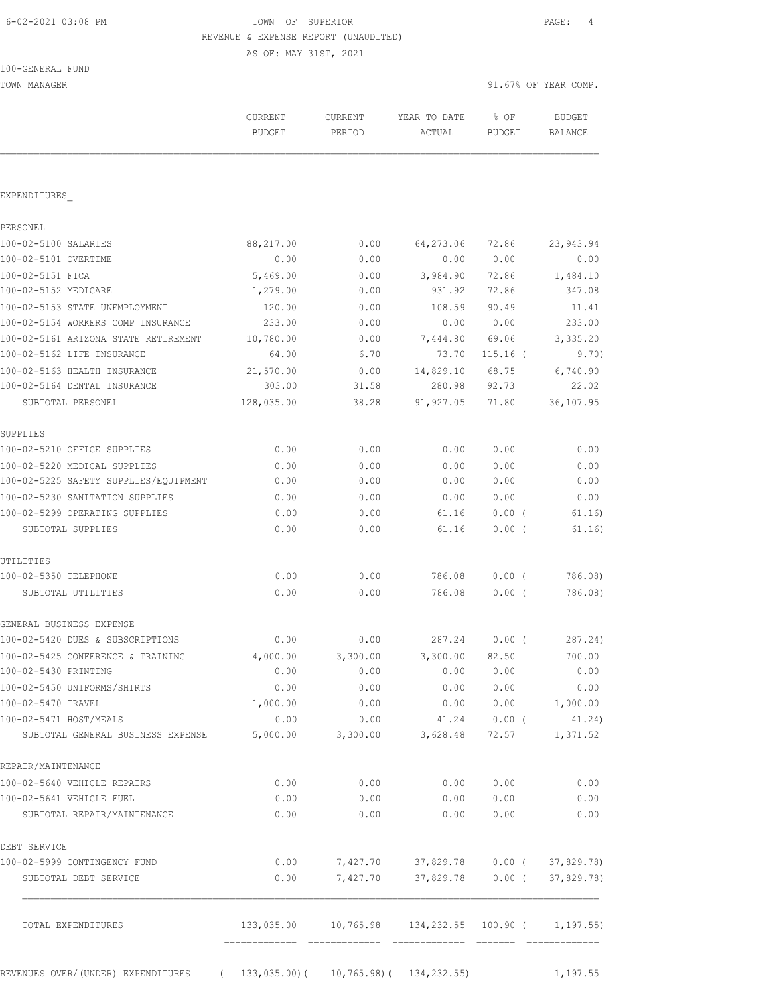# 6-02-2021 03:08 PM TOWN OF SUPERIOR PAGE: 4 REVENUE & EXPENSE REPORT (UNAUDITED)

AS OF: MAY 31ST, 2021

TOWN MANAGER 91.67% OF YEAR COMP.

|                                       | CURRENT<br><b>BUDGET</b>   | CURRENT<br>PERIOD                                             | YEAR TO DATE<br>ACTUAL         | % OF<br><b>BUDGET</b> | <b>BUDGET</b><br><b>BALANCE</b> |
|---------------------------------------|----------------------------|---------------------------------------------------------------|--------------------------------|-----------------------|---------------------------------|
|                                       |                            |                                                               |                                |                       |                                 |
| EXPENDITURES                          |                            |                                                               |                                |                       |                                 |
| PERSONEL                              |                            |                                                               |                                |                       |                                 |
| 100-02-5100 SALARIES                  | 88,217.00                  | 0.00                                                          | 64,273.06                      | 72.86                 | 23,943.94                       |
| 100-02-5101 OVERTIME                  | 0.00                       | 0.00                                                          | 0.00                           | 0.00                  | 0.00                            |
| 100-02-5151 FICA                      | 5,469.00                   | 0.00                                                          | 3,984.90                       | 72.86                 | 1,484.10                        |
| 100-02-5152 MEDICARE                  | 1,279.00                   | 0.00                                                          | 931.92                         | 72.86                 | 347.08                          |
| 100-02-5153 STATE UNEMPLOYMENT        | 120.00                     | 0.00                                                          | 108.59                         | 90.49                 | 11.41                           |
| 100-02-5154 WORKERS COMP INSURANCE    | 233.00                     | 0.00                                                          | 0.00                           | 0.00                  | 233.00                          |
| 100-02-5161 ARIZONA STATE RETIREMENT  | 10,780.00                  | 0.00                                                          | 7,444.80                       | 69.06                 | 3,335.20                        |
| 100-02-5162 LIFE INSURANCE            | 64.00                      | 6.70                                                          | 73.70                          | $115.16$ (            | 9.70)                           |
| 100-02-5163 HEALTH INSURANCE          | 21,570.00                  | 0.00                                                          | 14,829.10                      | 68.75                 | 6,740.90                        |
| 100-02-5164 DENTAL INSURANCE          | 303.00                     | 31.58                                                         | 280.98                         | 92.73                 | 22.02                           |
| SUBTOTAL PERSONEL                     | 128,035.00                 | 38.28                                                         | 91, 927.05                     | 71.80                 | 36,107.95                       |
| SUPPLIES                              |                            |                                                               |                                |                       |                                 |
| 100-02-5210 OFFICE SUPPLIES           | 0.00                       | 0.00                                                          | 0.00                           | 0.00                  | 0.00                            |
| 100-02-5220 MEDICAL SUPPLIES          | 0.00                       | 0.00                                                          | 0.00                           | 0.00                  | 0.00                            |
| 100-02-5225 SAFETY SUPPLIES/EQUIPMENT | 0.00                       | 0.00                                                          | 0.00                           | 0.00                  | 0.00                            |
| 100-02-5230 SANITATION SUPPLIES       | 0.00                       | 0.00                                                          | 0.00                           | 0.00                  | 0.00                            |
| 100-02-5299 OPERATING SUPPLIES        | 0.00                       | 0.00                                                          | 61.16                          | 0.00(                 | 61.16)                          |
| SUBTOTAL SUPPLIES                     | 0.00                       | 0.00                                                          | 61.16                          | 0.00(                 | 61.16)                          |
| UTILITIES                             |                            |                                                               |                                |                       |                                 |
| 100-02-5350 TELEPHONE                 | 0.00                       | 0.00                                                          | 786.08                         | $0.00$ (              | 786.08)                         |
| SUBTOTAL UTILITIES                    | 0.00                       | 0.00                                                          | 786.08                         | 0.00(                 | 786.08)                         |
| GENERAL BUSINESS EXPENSE              |                            |                                                               |                                |                       |                                 |
| 100-02-5420 DUES & SUBSCRIPTIONS      | 0.00                       | 0.00                                                          | 287.24                         | $0.00$ (              | 287.24)                         |
| 100-02-5425 CONFERENCE & TRAINING     | 4,000.00                   | 3,300.00                                                      | 3,300.00                       | 82.50                 | 700.00                          |
| 100-02-5430 PRINTING                  | 0.00                       | 0.00                                                          | 0.00                           | 0.00                  | 0.00                            |
| 100-02-5450 UNIFORMS/SHIRTS           | 0.00                       | 0.00                                                          | 0.00                           | 0.00                  | 0.00                            |
| 100-02-5470 TRAVEL                    | 1,000.00                   | 0.00                                                          | 0.00                           | 0.00                  | 1,000.00                        |
| 100-02-5471 HOST/MEALS                | 0.00                       | 0.00                                                          | 41.24                          | $0.00$ (              | 41.24)                          |
| SUBTOTAL GENERAL BUSINESS EXPENSE     | 5,000.00                   | 3,300.00                                                      | 3,628.48                       | 72.57                 | 1,371.52                        |
| REPAIR/MAINTENANCE                    |                            |                                                               |                                |                       |                                 |
| 100-02-5640 VEHICLE REPAIRS           | 0.00                       | 0.00                                                          | 0.00                           | 0.00                  | 0.00                            |
| 100-02-5641 VEHICLE FUEL              | 0.00                       | 0.00                                                          | 0.00                           | 0.00                  | 0.00                            |
| SUBTOTAL REPAIR/MAINTENANCE           | 0.00                       | 0.00                                                          | 0.00                           | 0.00                  | 0.00                            |
| DEBT SERVICE                          |                            |                                                               |                                |                       |                                 |
| 100-02-5999 CONTINGENCY FUND          | 0.00                       | 7,427.70                                                      | 37,829.78                      | $0.00$ (              | 37,829.78)                      |
| SUBTOTAL DEBT SERVICE                 | 0.00                       | 7,427.70                                                      | 37,829.78                      | $0.00$ (              | 37,829.78)                      |
| TOTAL EXPENDITURES                    |                            | $133,035.00$ $10,765.98$ $134,232.55$ $100.90$ ( $1,197.55$ ) |                                |                       |                                 |
|                                       |                            |                                                               |                                |                       |                                 |
| REVENUES OVER/ (UNDER) EXPENDITURES   | 133,035.00)(<br>$\sqrt{2}$ |                                                               | $10, 765.98$ ( $134, 232.55$ ) |                       | 1,197.55                        |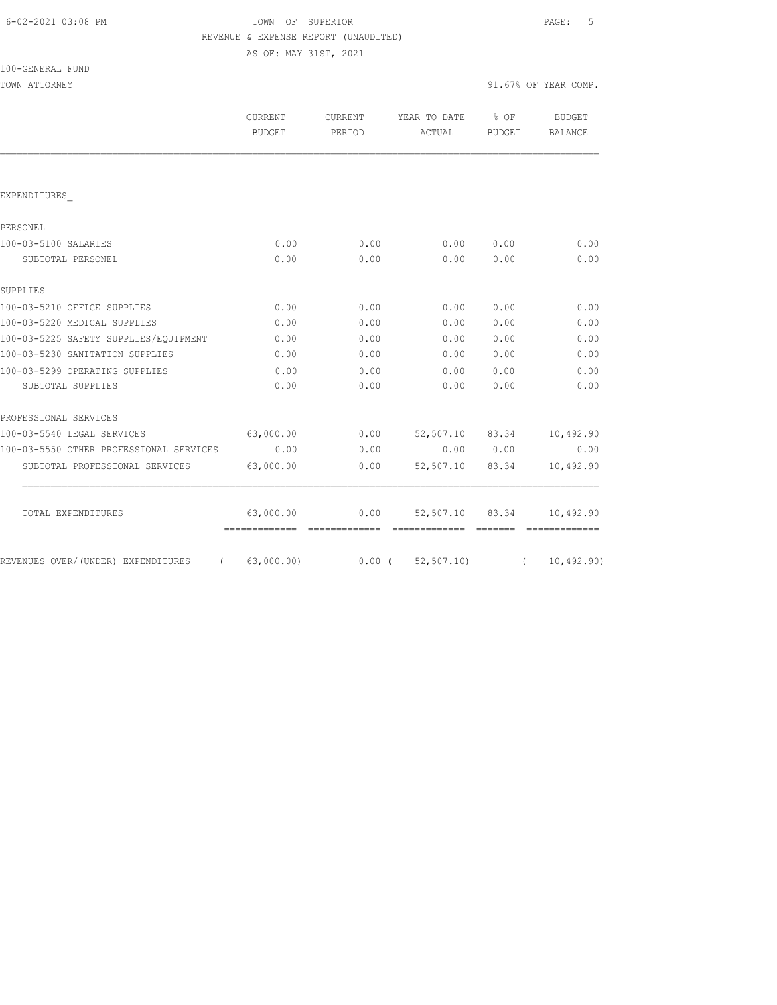# FOWN OF SUPERIOR **Example 20:08 PAGE:** 5 REVENUE & EXPENSE REPORT (UNAUDITED)

AS OF: MAY 31ST, 2021

|                                         | <b>CURRENT</b><br><b>BUDGET</b> | <b>CURRENT</b><br>PERIOD | YEAR TO DATE<br>ACTUAL | $8$ OF<br>BUDGET                                                 | <b>BUDGET</b><br>BALANCE |
|-----------------------------------------|---------------------------------|--------------------------|------------------------|------------------------------------------------------------------|--------------------------|
|                                         |                                 |                          |                        |                                                                  |                          |
| EXPENDITURES                            |                                 |                          |                        |                                                                  |                          |
| PERSONEL                                |                                 |                          |                        |                                                                  |                          |
| 100-03-5100 SALARIES                    | 0.00                            | 0.00                     | 0.00                   | 0.00                                                             | 0.00                     |
| SUBTOTAL PERSONEL                       | 0.00                            | 0.00                     | 0.00                   | 0.00                                                             | 0.00                     |
| SUPPLIES                                |                                 |                          |                        |                                                                  |                          |
| 100-03-5210 OFFICE SUPPLIES             | 0.00                            | 0.00                     | 0.00                   | 0.00                                                             | 0.00                     |
| 100-03-5220 MEDICAL SUPPLIES            | 0.00                            | 0.00                     | 0.00                   | 0.00                                                             | 0.00                     |
| 100-03-5225 SAFETY SUPPLIES/EOUIPMENT   | 0.00                            | 0.00                     | 0.00                   | 0.00                                                             | 0.00                     |
| 100-03-5230 SANITATION SUPPLIES         | 0.00                            | 0.00                     | 0.00                   | 0.00                                                             | 0.00                     |
| 100-03-5299 OPERATING SUPPLIES          | 0.00                            | 0.00                     | 0.00                   | 0.00                                                             | 0.00                     |
| SUBTOTAL SUPPLIES                       | 0.00                            | 0.00                     | 0.00                   | 0.00                                                             | 0.00                     |
| PROFESSIONAL SERVICES                   |                                 |                          |                        |                                                                  |                          |
| 100-03-5540 LEGAL SERVICES              | 63,000.00                       | 0.00                     | 52,507.10 83.34        |                                                                  | 10,492.90                |
| 100-03-5550 OTHER PROFESSIONAL SERVICES | 0.00                            | 0.00                     |                        | 0.00 0.00                                                        | 0.00                     |
| SUBTOTAL PROFESSIONAL SERVICES          | 63,000.00                       | 0.00                     | 52,507.10 83.34        |                                                                  | 10,492.90                |
| TOTAL EXPENDITURES                      | 63,000.00                       | 0.00                     | 52,507.10 83.34        |                                                                  | 10,492.90                |
|                                         |                                 |                          |                        | $\qquad \qquad \equiv \equiv \equiv \equiv \equiv \equiv \equiv$ | - =============          |
| REVENUES OVER/(UNDER) EXPENDITURES      | (63,000.00)                     |                          | 0.00(52,507.10)        | $\sqrt{2}$                                                       | 10, 492, 90)             |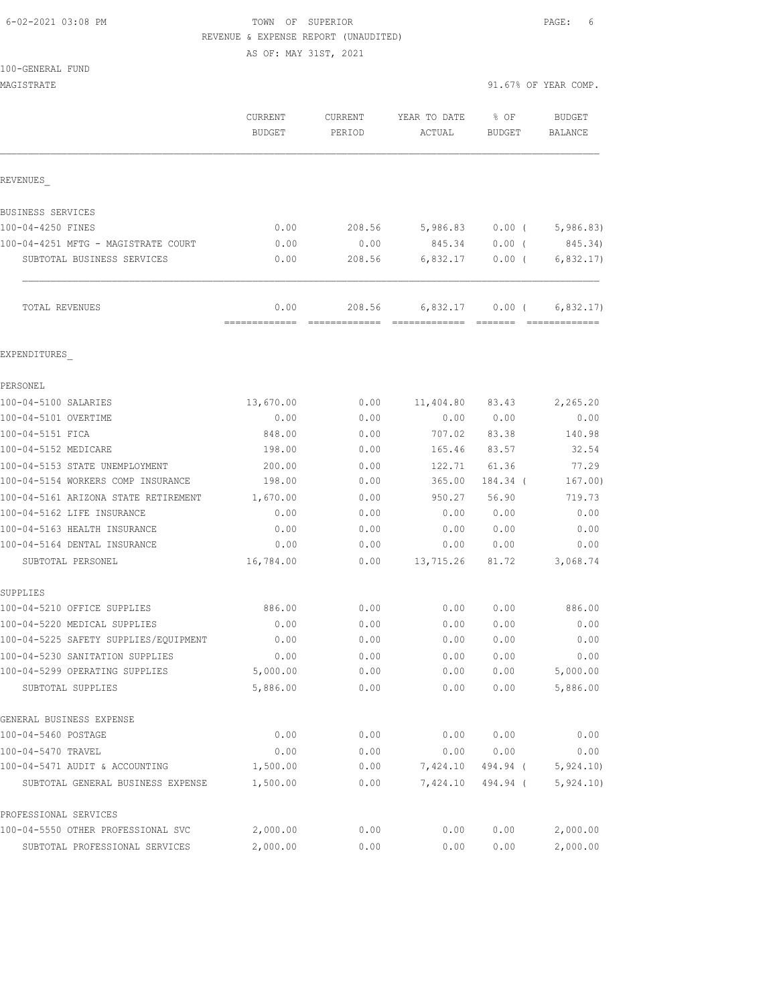### 6-02-2021 03:08 PM TOWN OF SUPERIOR PAGE: 6 REVENUE & EXPENSE REPORT (UNAUDITED)

AS OF: MAY 31ST, 2021

#### 100-GENERAL FUND

| MAGISTRATE                                                  |                                 |                   |                        | 91.67% OF YEAR COMP.  |                                 |
|-------------------------------------------------------------|---------------------------------|-------------------|------------------------|-----------------------|---------------------------------|
|                                                             | <b>CURRENT</b><br><b>BUDGET</b> | CURRENT<br>PERIOD | YEAR TO DATE<br>ACTUAL | % OF<br><b>BUDGET</b> | <b>BUDGET</b><br><b>BALANCE</b> |
| REVENUES                                                    |                                 |                   |                        |                       |                                 |
| BUSINESS SERVICES                                           |                                 |                   |                        |                       |                                 |
| 100-04-4250 FINES                                           | 0.00                            | 208.56            | 5,986.83               | $0.00$ (              | 5,986.83)                       |
| 100-04-4251 MFTG - MAGISTRATE COURT                         | 0.00                            | 0.00              | 845.34                 | $0.00$ (              | 845.34)                         |
| SUBTOTAL BUSINESS SERVICES                                  | 0.00                            | 208.56            | 6,832.17               | 0.00(                 | 6, 832.17)                      |
| TOTAL REVENUES                                              | 0.00<br>=============           | 208.56            | 6,832.17               | $0.00$ (              | 6,832.17)                       |
| EXPENDITURES                                                |                                 |                   |                        |                       |                                 |
| PERSONEL                                                    |                                 |                   |                        |                       |                                 |
| 100-04-5100 SALARIES                                        | 13,670.00                       | 0.00              | 11,404.80              | 83.43                 | 2,265.20                        |
| 100-04-5101 OVERTIME                                        | 0.00                            | 0.00              | 0.00                   | 0.00                  | 0.00                            |
| 100-04-5151 FICA                                            | 848.00                          | 0.00              | 707.02                 | 83.38                 | 140.98                          |
| 100-04-5152 MEDICARE                                        | 198.00                          | 0.00              | 165.46                 | 83.57                 | 32.54                           |
| 100-04-5153 STATE UNEMPLOYMENT                              | 200.00                          | 0.00              | 122.71                 | 61.36                 | 77.29                           |
| 100-04-5154 WORKERS COMP INSURANCE                          | 198.00                          | 0.00              | 365.00                 | 184.34 (              | 167.00)                         |
| 100-04-5161 ARIZONA STATE RETIREMENT                        | 1,670.00                        | 0.00              | 950.27                 | 56.90                 | 719.73                          |
| 100-04-5162 LIFE INSURANCE                                  | 0.00                            | 0.00              | 0.00                   | 0.00                  | 0.00                            |
| 100-04-5163 HEALTH INSURANCE                                | 0.00                            | 0.00              | 0.00                   | 0.00                  | 0.00                            |
| 100-04-5164 DENTAL INSURANCE                                | 0.00                            | 0.00              | 0.00                   | 0.00                  | 0.00                            |
| SUBTOTAL PERSONEL                                           | 16,784.00                       | 0.00              | 13,715.26              | 81.72                 | 3,068.74                        |
| SUPPLIES<br>100-04-5210 OFFICE SUPPLIES                     | 886.00                          | 0.00              | 0.00                   | 0.00                  | 886.00                          |
| 100-04-5220 MEDICAL SUPPLIES                                | 0.00                            | 0.00              | 0.00                   | 0.00                  | 0.00                            |
| 100-04-5225 SAFETY SUPPLIES/EQUIPMENT                       | 0.00                            | 0.00              | 0.00                   | 0.00                  | 0.00                            |
| 100-04-5230 SANITATION SUPPLIES                             | 0.00                            | 0.00              | 0.00                   | 0.00                  | 0.00                            |
| 100-04-5299 OPERATING SUPPLIES                              | 5,000.00                        | 0.00              | 0.00                   | 0.00                  | 5,000.00                        |
| SUBTOTAL SUPPLIES                                           | 5,886.00                        | 0.00              | 0.00                   | 0.00                  | 5,886.00                        |
| GENERAL BUSINESS EXPENSE                                    |                                 |                   |                        |                       |                                 |
| 100-04-5460 POSTAGE                                         | 0.00                            | 0.00              | 0.00                   | 0.00                  | 0.00                            |
| 100-04-5470 TRAVEL                                          | 0.00                            | 0.00              | 0.00                   | 0.00                  | 0.00                            |
| 100-04-5471 AUDIT & ACCOUNTING                              | 1,500.00                        | 0.00              | 7,424.10               | 494.94 (              | 5,924.10                        |
| SUBTOTAL GENERAL BUSINESS EXPENSE                           | 1,500.00                        | 0.00              | 7,424.10               | 494.94 (              | 5,924.10)                       |
| PROFESSIONAL SERVICES<br>100-04-5550 OTHER PROFESSIONAL SVC | 2,000.00                        | 0.00              | 0.00                   | 0.00                  | 2,000.00                        |
| SUBTOTAL PROFESSIONAL SERVICES                              | 2,000.00                        | 0.00              | 0.00                   | 0.00                  | 2,000.00                        |
|                                                             |                                 |                   |                        |                       |                                 |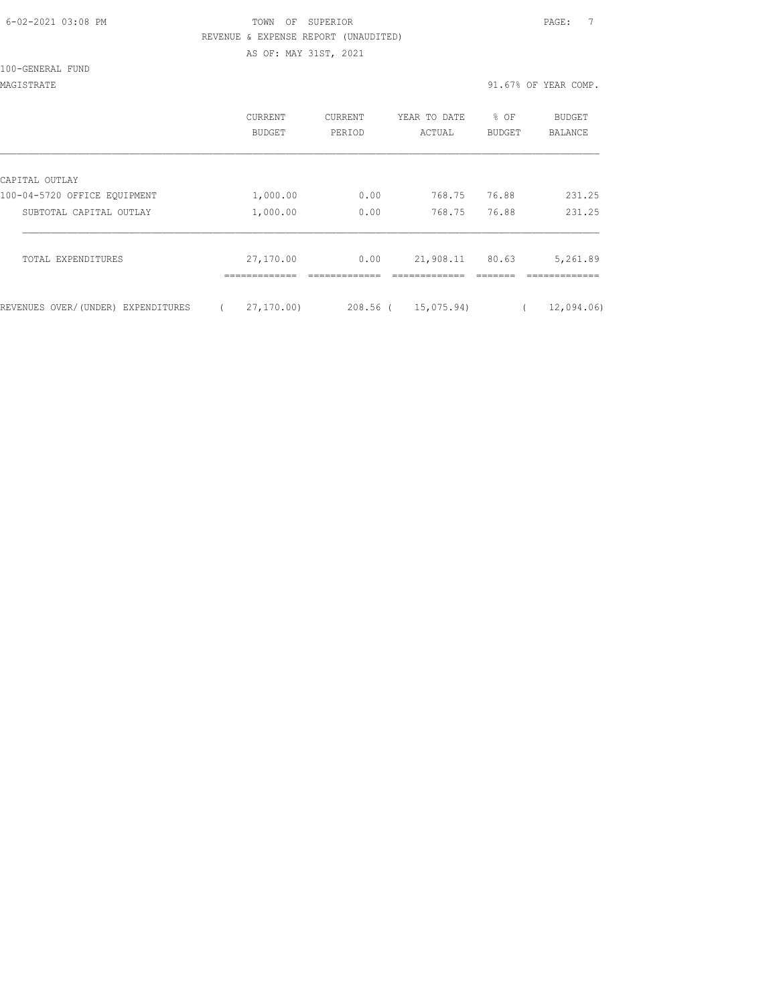| 6-02-2021 03:08 PM |  |
|--------------------|--|
|                    |  |

## FOWN OF SUPERIOR **Example 20:08 PAGE:** 7 REVENUE & EXPENSE REPORT (UNAUDITED) AS OF: MAY 31ST, 2021

100-GENERAL FUND

MAGISTRATE 91.67% OF YEAR COMP.

|                                    | CURRENT<br>BUDGET | CURRENT<br>PERIOD | YEAR TO DATE<br>ACTUAL | % OF<br><b>BUDGET</b> | BUDGET<br><b>BALANCE</b> |
|------------------------------------|-------------------|-------------------|------------------------|-----------------------|--------------------------|
| CAPITAL OUTLAY                     |                   |                   |                        |                       |                          |
| 100-04-5720 OFFICE EQUIPMENT       | 1,000.00          | 0.00              | 768.75                 | 76.88                 | 231.25                   |
| SUBTOTAL CAPITAL OUTLAY            | 1,000.00          | 0.00              | 768.75                 | 76.88                 | 231.25                   |
| TOTAL EXPENDITURES                 | 27,170.00         | 0.00              | 21,908.11              | 80.63                 | 5,261.89                 |
| REVENUES OVER/(UNDER) EXPENDITURES | 27, 170, 00       | $208.56$ (        | 15,075.94)             |                       | 12,094.06)               |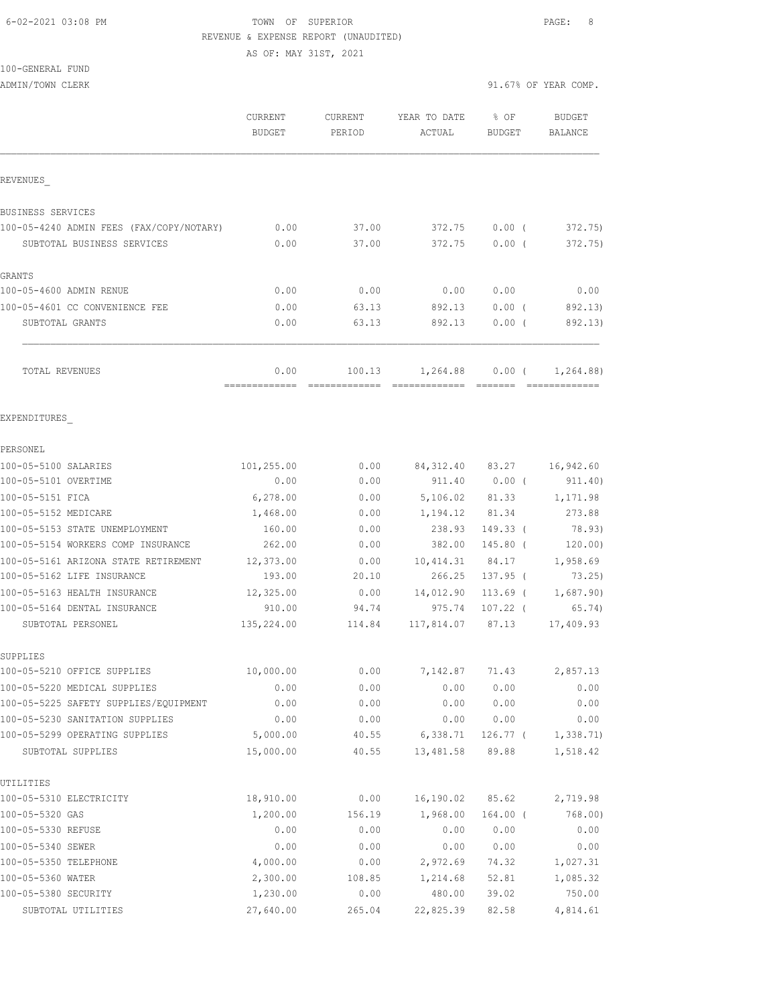## 6-02-2021 03:08 PM TOWN OF SUPERIOR PAGE: 8 REVENUE & EXPENSE REPORT (UNAUDITED)

AS OF: MAY 31ST, 2021

100-GENERAL FUND

ADMIN/TOWN CLERK 31.67% OF YEAR COMP.

|                                                     | CURRENT<br><b>BUDGET</b> | <b>CURRENT</b><br>PERIOD | YEAR TO DATE<br>ACTUAL | $\textdegree$ OF<br><b>BUDGET</b> | <b>BUDGET</b><br><b>BALANCE</b> |
|-----------------------------------------------------|--------------------------|--------------------------|------------------------|-----------------------------------|---------------------------------|
| REVENUES                                            |                          |                          |                        |                                   |                                 |
| BUSINESS SERVICES                                   |                          |                          |                        |                                   |                                 |
| 100-05-4240 ADMIN FEES (FAX/COPY/NOTARY)            | 0.00                     | 37.00                    | 372.75                 | $0.00$ (                          | 372.75)                         |
| SUBTOTAL BUSINESS SERVICES                          | 0.00                     | 37.00                    | 372.75                 | 0.00(                             | 372.75)                         |
| GRANTS                                              |                          |                          |                        |                                   |                                 |
| 100-05-4600 ADMIN RENUE                             | 0.00                     | 0.00                     | 0.00                   | 0.00                              | 0.00                            |
| 100-05-4601 CC CONVENIENCE FEE                      | 0.00                     | 63.13                    | 892.13                 | $0.00$ (                          | 892.13)                         |
| SUBTOTAL GRANTS                                     | 0.00                     | 63.13                    | 892.13                 | 0.00(                             | 892.13)                         |
| TOTAL REVENUES                                      | 0.00                     | 100.13                   | 1,264.88               | $0.00$ (                          | 1,264.88)                       |
| EXPENDITURES                                        |                          |                          |                        |                                   |                                 |
| PERSONEL                                            |                          |                          |                        |                                   |                                 |
| 100-05-5100 SALARIES                                | 101,255.00               | 0.00                     | 84, 312.40             | 83.27                             | 16,942.60                       |
| 100-05-5101 OVERTIME                                | 0.00                     | 0.00                     | 911.40                 | $0.00$ (                          | 911.40)                         |
| 100-05-5151 FICA                                    | 6,278.00                 | 0.00                     | 5,106.02               | 81.33                             | 1,171.98                        |
| 100-05-5152 MEDICARE                                | 1,468.00                 | 0.00                     | 1,194.12               | 81.34                             | 273.88                          |
| 100-05-5153 STATE UNEMPLOYMENT                      | 160.00                   | 0.00                     | 238.93                 | $149.33$ (                        | 78.93)                          |
| 100-05-5154 WORKERS COMP INSURANCE                  | 262.00                   | 0.00                     | 382.00                 | 145.80 (                          | 120.00)                         |
| 100-05-5161 ARIZONA STATE RETIREMENT                | 12,373.00                | 0.00                     | 10, 414.31             | 84.17                             | 1,958.69                        |
| 100-05-5162 LIFE INSURANCE                          | 193.00                   | 20.10                    | 266.25                 | $137.95$ (                        | 73.25)                          |
| 100-05-5163 HEALTH INSURANCE                        | 12,325.00                | 0.00                     | 14,012.90              | 113.69 (                          | 1,687.90)                       |
| 100-05-5164 DENTAL INSURANCE                        | 910.00                   | 94.74                    | 975.74                 | $107.22$ (                        | 65.74)                          |
| SUBTOTAL PERSONEL                                   | 135,224.00               | 114.84                   | 117,814.07             | 87.13                             | 17,409.93                       |
| SUPPLIES                                            |                          |                          |                        |                                   |                                 |
| 100-05-5210 OFFICE SUPPLIES                         | 10,000.00                | 0.00                     | 7,142.87               | 71.43                             | 2,857.13                        |
| 100-05-5220 MEDICAL SUPPLIES                        | 0.00                     | 0.00                     | 0.00                   | 0.00                              | 0.00                            |
| 100-05-5225 SAFETY SUPPLIES/EQUIPMENT               | 0.00                     | 0.00                     | 0.00                   | 0.00                              | 0.00                            |
| 100-05-5230 SANITATION SUPPLIES                     | 0.00                     | 0.00                     | 0.00                   | 0.00                              | 0.00                            |
| 100-05-5299 OPERATING SUPPLIES<br>SUBTOTAL SUPPLIES | 5,000.00<br>15,000.00    | 40.55<br>40.55           | 6,338.71<br>13,481.58  | 126.77 (<br>89.88                 | 1,338.71<br>1,518.42            |
| UTILITIES                                           |                          |                          |                        |                                   |                                 |
| 100-05-5310 ELECTRICITY                             | 18,910.00                | 0.00                     | 16,190.02              | 85.62                             | 2,719.98                        |
| 100-05-5320 GAS                                     | 1,200.00                 | 156.19                   | 1,968.00               | $164.00$ (                        | 768.00)                         |
| 100-05-5330 REFUSE                                  | 0.00                     | 0.00                     | 0.00                   | 0.00                              | 0.00                            |
| 100-05-5340 SEWER                                   | 0.00                     | 0.00                     | 0.00                   | 0.00                              | 0.00                            |
| 100-05-5350 TELEPHONE                               | 4,000.00                 | 0.00                     | 2,972.69               | 74.32                             | 1,027.31                        |
| 100-05-5360 WATER                                   | 2,300.00                 | 108.85                   | 1,214.68               | 52.81                             | 1,085.32                        |
| 100-05-5380 SECURITY                                | 1,230.00                 | 0.00                     | 480.00                 | 39.02                             | 750.00                          |
| SUBTOTAL UTILITIES                                  | 27,640.00                | 265.04                   | 22,825.39              | 82.58                             | 4,814.61                        |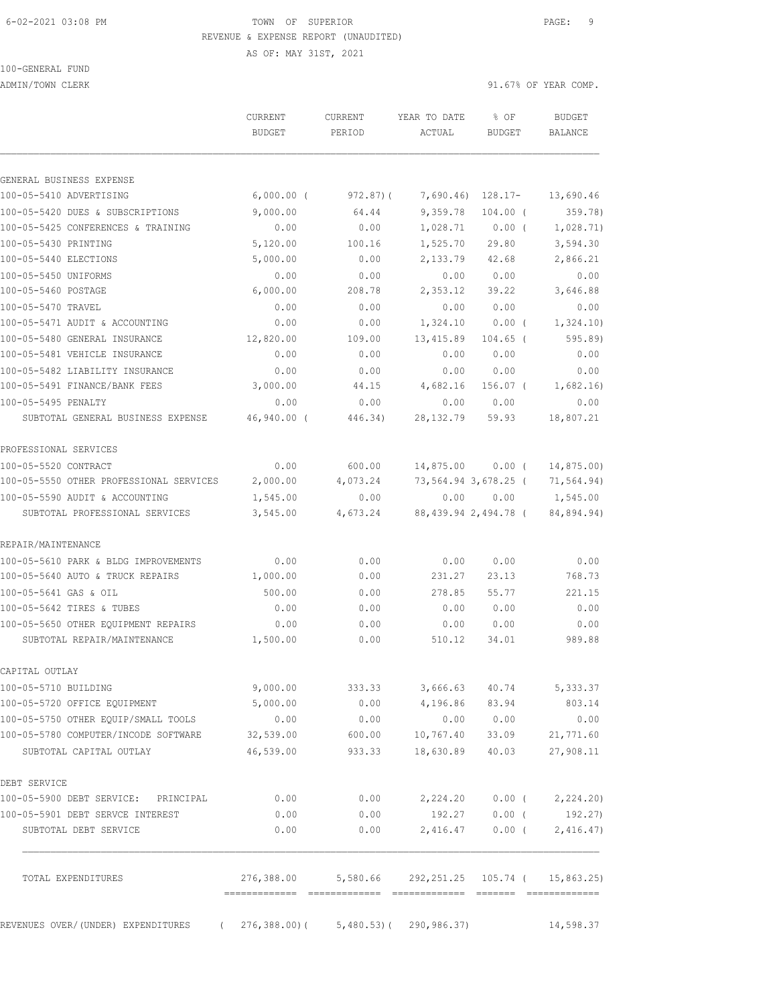## 6-02-2021 03:08 PM TOWN OF SUPERIOR PAGE: 9 REVENUE & EXPENSE REPORT (UNAUDITED)

AS OF: MAY 31ST, 2021

100-GENERAL FUND

ADMIN/TOWN CLERK 31.67% OF YEAR COMP.

|                                                                | <b>CURRENT</b><br><b>BUDGET</b> | <b>CURRENT</b><br>PERIOD | YEAR TO DATE<br>ACTUAL | % OF<br>BUDGET       | <b>BUDGET</b><br>BALANCE                |
|----------------------------------------------------------------|---------------------------------|--------------------------|------------------------|----------------------|-----------------------------------------|
| GENERAL BUSINESS EXPENSE                                       |                                 |                          |                        |                      |                                         |
| 100-05-5410 ADVERTISING                                        | $6,000.00$ (                    | 972.87(                  | 7,690.46)              | 128.17-              | 13,690.46                               |
| 100-05-5420 DUES & SUBSCRIPTIONS                               | 9,000.00                        | 64.44                    | 9,359.78               | $104.00$ (           | 359.78)                                 |
| 100-05-5425 CONFERENCES & TRAINING                             | 0.00                            | 0.00                     | 1,028.71               | 0.00(                | 1,028.71)                               |
| 100-05-5430 PRINTING                                           | 5,120.00                        | 100.16                   | 1,525.70               | 29.80                | 3,594.30                                |
| 100-05-5440 ELECTIONS                                          | 5,000.00                        | 0.00                     | 2,133.79               | 42.68                | 2,866.21                                |
| 100-05-5450 UNIFORMS                                           | 0.00                            | 0.00                     | 0.00                   | 0.00                 | 0.00                                    |
| 100-05-5460 POSTAGE                                            | 6,000.00                        | 208.78                   | 2,353.12               | 39.22                | 3,646.88                                |
| 100-05-5470 TRAVEL                                             | 0.00                            | 0.00                     | 0.00                   | 0.00                 | 0.00                                    |
| 100-05-5471 AUDIT & ACCOUNTING                                 | 0.00                            | 0.00                     | 1,324.10               | $0.00$ (             | 1,324.10)                               |
|                                                                |                                 |                          |                        |                      | 595.89                                  |
| 100-05-5480 GENERAL INSURANCE<br>100-05-5481 VEHICLE INSURANCE | 12,820.00<br>0.00               | 109.00<br>0.00           | 13,415.89<br>0.00      | $104.65$ (<br>0.00   | 0.00                                    |
|                                                                |                                 |                          |                        |                      |                                         |
| 100-05-5482 LIABILITY INSURANCE                                | 0.00                            | 0.00                     | 0.00                   | 0.00                 | 0.00                                    |
| 100-05-5491 FINANCE/BANK FEES                                  | 3,000.00                        | 44.15                    | 4,682.16               | $156.07$ (           | 1,682.16)                               |
| 100-05-5495 PENALTY                                            | 0.00                            | 0.00                     | 0.00                   | 0.00                 | 0.00                                    |
| SUBTOTAL GENERAL BUSINESS EXPENSE                              | 46,940.00 (                     | 446.34)                  | 28, 132.79             | 59.93                | 18,807.21                               |
| PROFESSIONAL SERVICES                                          |                                 |                          |                        |                      |                                         |
| 100-05-5520 CONTRACT                                           | 0.00                            | 600.00                   | 14,875.00              | $0.00$ (             | 14,875.00)                              |
| 100-05-5550 OTHER PROFESSIONAL SERVICES                        | 2,000.00                        | 4,073.24                 |                        | 73,564.94 3,678.25 ( | 71,564.94)                              |
| 100-05-5590 AUDIT & ACCOUNTING                                 | 1,545.00                        | 0.00                     | 0.00                   | 0.00                 | 1,545.00                                |
| SUBTOTAL PROFESSIONAL SERVICES                                 | 3,545.00                        | 4,673.24                 |                        | 88,439.94 2,494.78 ( | 84,894.94)                              |
| REPAIR/MAINTENANCE                                             |                                 |                          |                        |                      |                                         |
| 100-05-5610 PARK & BLDG IMPROVEMENTS                           | 0.00                            | 0.00                     | 0.00                   | 0.00                 | 0.00                                    |
| 100-05-5640 AUTO & TRUCK REPAIRS                               | 1,000.00                        | 0.00                     | 231.27                 | 23.13                | 768.73                                  |
| 100-05-5641 GAS & OIL                                          | 500.00                          | 0.00                     | 278.85                 | 55.77                | 221.15                                  |
| 100-05-5642 TIRES & TUBES                                      | 0.00                            | 0.00                     | 0.00                   | 0.00                 | 0.00                                    |
| 100-05-5650 OTHER EQUIPMENT REPAIRS                            | 0.00                            | 0.00                     | 0.00                   | 0.00                 | 0.00                                    |
| SUBTOTAL REPAIR/MAINTENANCE                                    | 1,500.00                        | 0.00                     | 510.12                 | 34.01                | 989.88                                  |
| CAPITAL OUTLAY                                                 |                                 |                          |                        |                      |                                         |
| 100-05-5710 BUILDING                                           | 9,000.00                        | 333.33                   | 3,666.63               | 40.74                | 5,333.37                                |
| 100-05-5720 OFFICE EOUIPMENT                                   | 5,000.00                        | 0.00                     | 4,196.86               | 83.94                | 803.14                                  |
| 100-05-5750 OTHER EQUIP/SMALL TOOLS                            | 0.00                            | 0.00                     | 0.00                   | 0.00                 | 0.00                                    |
| 100-05-5780 COMPUTER/INCODE SOFTWARE                           | 32,539.00                       | 600.00                   | 10,767.40              | 33.09                | 21,771.60                               |
| SUBTOTAL CAPITAL OUTLAY                                        | 46,539.00                       | 933.33                   | 18,630.89              | 40.03                | 27,908.11                               |
| DEBT SERVICE                                                   |                                 |                          |                        |                      |                                         |
| 100-05-5900 DEBT SERVICE: PRINCIPAL                            | 0.00                            | 0.00                     | 2,224.20               |                      | $0.00$ ( $2,224.20$ )                   |
| 100-05-5901 DEBT SERVCE INTEREST                               | 0.00                            | 0.00                     | 192.27                 | $0.00$ (             | 192.27)                                 |
| SUBTOTAL DEBT SERVICE                                          | 0.00                            | 0.00                     | 2,416.47               | $0.00$ (             | 2,416.47)                               |
| TOTAL EXPENDITURES                                             | 276,388.00                      |                          |                        |                      | 5,580.66 292,251.25 105.74 ( 15,863.25) |

REVENUES OVER/(UNDER) EXPENDITURES ( 276,388.00)( 5,480.53)( 290,986.37) 14,598.37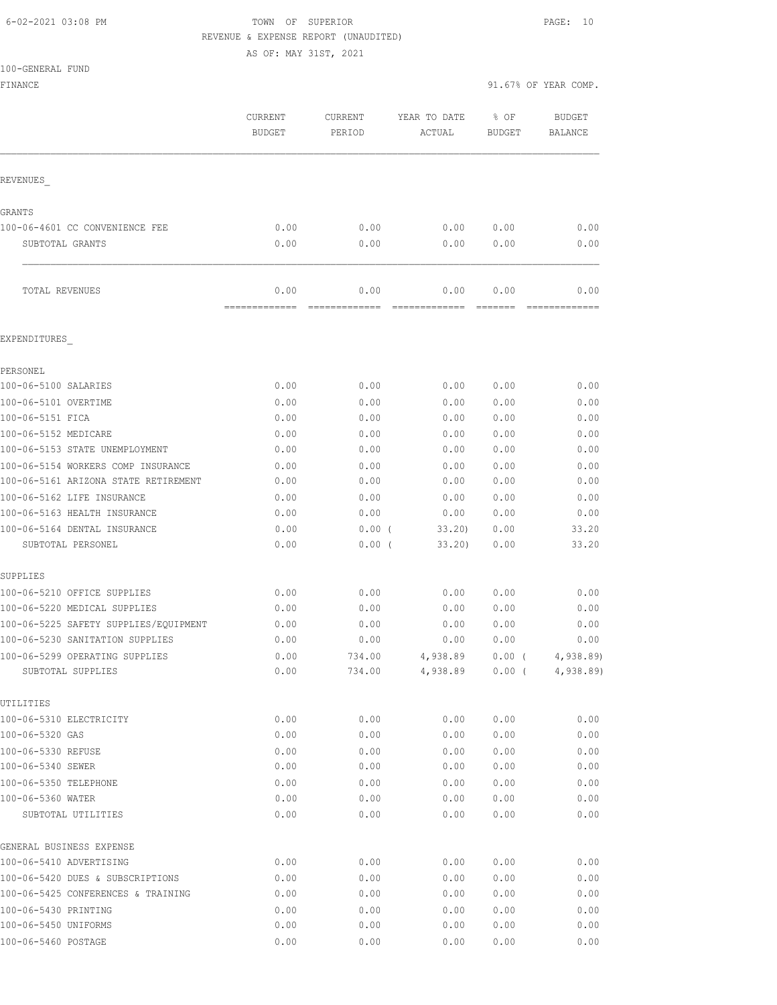### 6-02-2021 03:08 PM TOWN OF SUPERIOR PAGE: 10 REVENUE & EXPENSE REPORT (UNAUDITED)

AS OF: MAY 31ST, 2021

| 100-GENERAL FUND                      |                       |                     |                        |                                 |                                          |
|---------------------------------------|-----------------------|---------------------|------------------------|---------------------------------|------------------------------------------|
| FINANCE                               |                       |                     |                        |                                 | 91.67% OF YEAR COMP.                     |
|                                       | CURRENT<br>BUDGET     | CURRENT<br>PERIOD   | YEAR TO DATE<br>ACTUAL | % OF<br><b>BUDGET</b>           | BUDGET<br>BALANCE                        |
|                                       |                       |                     |                        |                                 |                                          |
| REVENUES                              |                       |                     |                        |                                 |                                          |
| GRANTS                                |                       |                     |                        |                                 |                                          |
| 100-06-4601 CC CONVENIENCE FEE        | 0.00                  | 0.00                | 0.00                   | 0.00                            | 0.00                                     |
| SUBTOTAL GRANTS                       | 0.00                  | 0.00                | 0.00                   | 0.00                            | 0.00                                     |
| TOTAL REVENUES                        | 0.00<br>============= | 0.00<br>----------- | 0.00<br>=============  | 0.00<br>$=$ $=$ $=$ $=$ $=$ $=$ | 0.00                                     |
| EXPENDITURES                          |                       |                     |                        |                                 |                                          |
| PERSONEL                              |                       |                     |                        |                                 |                                          |
| 100-06-5100 SALARIES                  | 0.00                  | 0.00                | 0.00                   | 0.00                            | 0.00                                     |
| 100-06-5101 OVERTIME                  | 0.00                  | 0.00                | 0.00                   | 0.00                            | 0.00                                     |
| 100-06-5151 FICA                      | 0.00                  | 0.00                | 0.00                   | 0.00                            | 0.00                                     |
| 100-06-5152 MEDICARE                  | 0.00                  | 0.00                | 0.00                   | 0.00                            | 0.00                                     |
| 100-06-5153 STATE UNEMPLOYMENT        | 0.00                  | 0.00                | 0.00                   | 0.00                            | 0.00                                     |
| 100-06-5154 WORKERS COMP INSURANCE    | 0.00                  | 0.00                | 0.00                   | 0.00                            | 0.00                                     |
| 100-06-5161 ARIZONA STATE RETIREMENT  | 0.00                  | 0.00                | 0.00                   | 0.00                            | 0.00                                     |
| 100-06-5162 LIFE INSURANCE            | 0.00                  | 0.00                | 0.00                   | 0.00                            | 0.00                                     |
| 100-06-5163 HEALTH INSURANCE          | 0.00                  | 0.00                | 0.00                   | 0.00                            | 0.00                                     |
| 100-06-5164 DENTAL INSURANCE          | 0.00                  | $0.00$ (            | 33.20                  | 0.00                            | 33.20                                    |
| SUBTOTAL PERSONEL                     | 0.00                  | $0.00$ (            | 33.20)                 | 0.00                            | 33.20                                    |
| SUPPLIES                              |                       |                     |                        |                                 |                                          |
| 100-06-5210 OFFICE SUPPLIES           | 0.00                  | 0.00                | 0.00                   | 0.00                            | 0.00                                     |
| 100-06-5220 MEDICAL SUPPLIES          | 0.00                  | 0.00                | 0.00                   | 0.00                            | 0.00                                     |
| 100-06-5225 SAFETY SUPPLIES/EQUIPMENT | 0.00                  | 0.00                | 0.00                   | 0.00                            | 0.00                                     |
| 100-06-5230 SANITATION SUPPLIES       | 0.00                  | 0.00                | 0.00                   | 0.00                            | 0.00                                     |
| 100-06-5299 OPERATING SUPPLIES        | 0.00                  | 734.00              | 4,938.89               | $0.00$ (                        | 4,938.89                                 |
| SUBTOTAL SUPPLIES                     | 0.00                  | 734.00              | 4,938.89               | $0.00$ (                        | 4,938.89                                 |
| UTILITIES                             |                       |                     |                        |                                 |                                          |
| 100-06-5310 ELECTRICITY               | 0.00                  | 0.00                | 0.00                   | 0.00                            | 0.00                                     |
| 100-06-5320 GAS                       | 0.00                  | 0.00                | 0.00                   | 0.00                            | 0.00                                     |
| 100-06-5330 REFUSE                    | 0.00                  | 0.00                | 0.00                   | 0.00                            | 0.00                                     |
| 100-06-5340 SEWER                     | 0.00                  | 0.00                | 0.00                   | 0.00                            | 0.00                                     |
| 100-06-5350 TELEPHONE                 | 0.00                  | 0.00                | 0.00                   | 0.00                            | 0.00                                     |
| 100-06-5360 WATER                     | 0.00                  | 0.00                | 0.00                   | 0.00                            | 0.00                                     |
| SUBTOTAL UTILITIES                    | 0.00                  | 0.00                | 0.00                   | 0.00                            | 0.00                                     |
| GENERAL BUSINESS EXPENSE              |                       |                     |                        |                                 |                                          |
| 100-06-5410 ADVERTISING               | 0.00                  | 0.00                | 0.00                   | 0.00                            | 0.00                                     |
| 100-06-5420 DUES & SUBSCRIPTIONS      | 0.00                  | 0.00                | 0.00                   | 0.00                            | 0.00                                     |
| 100-06-5425 CONFERENCES & TRAINING    | 0.00                  | 0.00                | 0.00                   | 0.00                            | 0.00                                     |
| 100-06-5430 PRINTING                  | 0.00                  | 0.00                | 0.00                   | 0.00                            | 0.00<br>${\bf 0}$ . ${\bf 0} \, {\bf 0}$ |
| 100-06-5450 UNIFORMS                  | 0.00                  | 0.00                | 0.00                   | 0.00                            |                                          |

100-06-5460 POSTAGE 0.00 0.00 0.00 0.00 0.00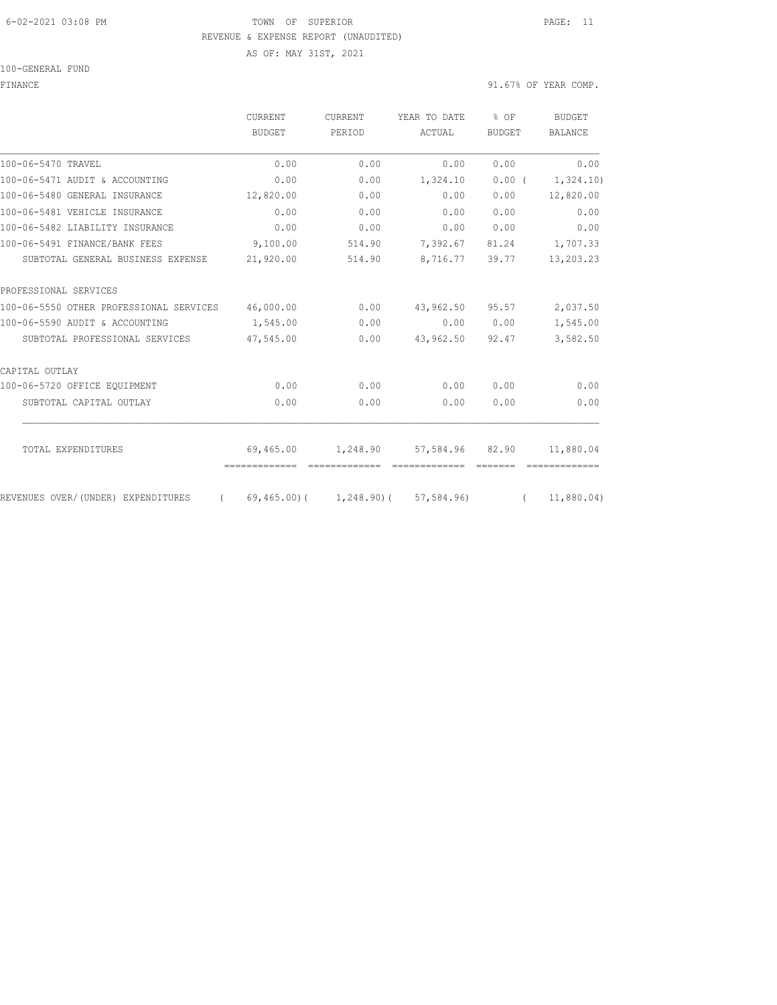#### 6-02-2021 03:08 PM TOWN OF SUPERIOR PAGE: 11 REVENUE & EXPENSE REPORT (UNAUDITED)

AS OF: MAY 31ST, 2021

#### 100-GENERAL FUND

#### FINANCE 91.67% OF YEAR COMP.

|                                         | <b>CURRENT</b><br><b>BUDGET</b> | <b>CURRENT</b><br>PERIOD | YEAR TO DATE                             | % OF<br><b>BUDGET</b> | <b>BUDGET</b><br><b>BALANCE</b> |
|-----------------------------------------|---------------------------------|--------------------------|------------------------------------------|-----------------------|---------------------------------|
|                                         |                                 |                          | ACTUAL                                   |                       |                                 |
| 100-06-5470 TRAVEL                      | 0.00                            | 0.00                     | 0.00                                     | 0.00                  | 0.00                            |
| 100-06-5471 AUDIT & ACCOUNTING          | 0.00                            | 0.00                     | 1,324.10                                 | $0.00$ (              | 1,324.10)                       |
| 100-06-5480 GENERAL INSURANCE           | 12,820.00                       | 0.00                     | 0.00                                     | 0.00                  | 12,820.00                       |
| 100-06-5481 VEHICLE INSURANCE           | 0.00                            | 0.00                     | 0.00                                     | 0.00                  | 0.00                            |
| 100-06-5482 LIABILITY INSURANCE         | 0.00                            | 0.00                     | 0.00                                     | 0.00                  | 0.00                            |
| 100-06-5491 FINANCE/BANK FEES           | 9,100.00                        | 514.90                   | 7,392.67                                 | 81.24                 | 1,707.33                        |
| SUBTOTAL GENERAL BUSINESS EXPENSE       | 21,920.00                       | 514.90                   | 8,716.77                                 | 39.77                 | 13,203.23                       |
| PROFESSIONAL SERVICES                   |                                 |                          |                                          |                       |                                 |
| 100-06-5550 OTHER PROFESSIONAL SERVICES | 46,000.00                       | 0.00                     | 43,962.50                                | 95.57                 | 2,037.50                        |
| 100-06-5590 AUDIT & ACCOUNTING          | 1,545.00                        | 0.00                     | 0.00                                     | 0.00                  | 1,545.00                        |
| SUBTOTAL PROFESSIONAL SERVICES          | 47,545.00                       | 0.00                     | 43,962.50                                | 92.47                 | 3,582.50                        |
| CAPITAL OUTLAY                          |                                 |                          |                                          |                       |                                 |
| 100-06-5720 OFFICE EQUIPMENT            | 0.00                            | 0.00                     | 0.00                                     | 0.00                  | 0.00                            |
| SUBTOTAL CAPITAL OUTLAY                 | 0.00                            | 0.00                     | 0.00                                     | 0.00                  | 0.00                            |
| TOTAL EXPENDITURES                      | 69,465.00                       | 1,248.90                 | 57,584.96 82.90                          |                       | 11,880.04                       |
|                                         | -------------                   | essessessesse            | -------------                            |                       |                                 |
| REVENUES OVER/(UNDER) EXPENDITURES      | $\left($                        |                          | $69,465,00$ ( $1,248,90$ ( $57,584,96$ ) |                       | (11,880.04)                     |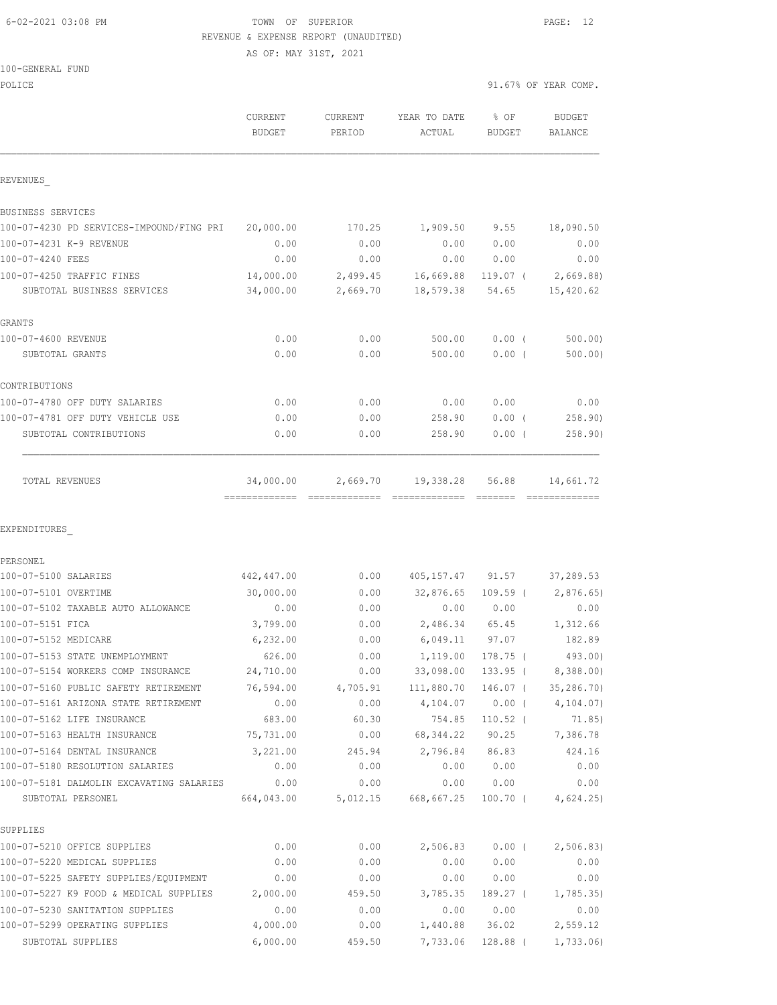### 6-02-2021 03:08 PM TOWN OF SUPERIOR PAGE: 12 REVENUE & EXPENSE REPORT (UNAUDITED)

AS OF: MAY 31ST, 2021

| 100-GENERAL FUND |  |
|------------------|--|
|                  |  |

| POLICE                                                          |                          |                          |                        | 91.67% OF YEAR COMP.  |                          |  |
|-----------------------------------------------------------------|--------------------------|--------------------------|------------------------|-----------------------|--------------------------|--|
|                                                                 | CURRENT<br><b>BUDGET</b> | <b>CURRENT</b><br>PERIOD | YEAR TO DATE<br>ACTUAL | % OF<br><b>BUDGET</b> | <b>BUDGET</b><br>BALANCE |  |
| REVENUES                                                        |                          |                          |                        |                       |                          |  |
| BUSINESS SERVICES                                               |                          |                          |                        |                       |                          |  |
| 100-07-4230 PD SERVICES-IMPOUND/FING PRI                        | 20,000.00                | 170.25                   | 1,909.50               | 9.55                  | 18,090.50                |  |
| 100-07-4231 K-9 REVENUE                                         | 0.00                     | 0.00                     | 0.00                   | 0.00                  | 0.00                     |  |
| 100-07-4240 FEES                                                | 0.00                     | 0.00                     | 0.00                   | 0.00                  | 0.00                     |  |
| 100-07-4250 TRAFFIC FINES                                       | 14,000.00                | 2,499.45                 | 16,669.88              | 119.07 (              | 2,669.88)                |  |
| SUBTOTAL BUSINESS SERVICES                                      | 34,000.00                | 2,669.70                 | 18,579.38              | 54.65                 | 15,420.62                |  |
| GRANTS                                                          |                          |                          |                        |                       |                          |  |
| 100-07-4600 REVENUE                                             | 0.00                     | 0.00                     | 500.00                 | $0.00$ (              | 500.00                   |  |
| SUBTOTAL GRANTS                                                 | 0.00                     | 0.00                     | 500.00                 | $0.00$ (              | 500.00)                  |  |
| CONTRIBUTIONS                                                   |                          |                          |                        |                       |                          |  |
| 100-07-4780 OFF DUTY SALARIES                                   | 0.00                     | 0.00                     | 0.00                   | 0.00                  | 0.00                     |  |
| 100-07-4781 OFF DUTY VEHICLE USE                                | 0.00                     | 0.00                     | 258.90                 | $0.00$ (              | 258.90)                  |  |
| SUBTOTAL CONTRIBUTIONS                                          | 0.00                     | 0.00                     | 258.90                 | 0.00(                 | 258.90)                  |  |
| TOTAL REVENUES                                                  | 34,000.00                | 2,669.70                 | 19,338.28              | 56.88<br>--------     | 14,661.72                |  |
| EXPENDITURES                                                    |                          |                          |                        |                       |                          |  |
| PERSONEL                                                        |                          |                          |                        |                       |                          |  |
| 100-07-5100 SALARIES                                            | 442,447.00               | 0.00                     | 405, 157. 47 91. 57    |                       | 37,289.53                |  |
| 100-07-5101 OVERTIME                                            | 30,000.00                | 0.00                     | 32,876.65              | $109.59$ (            | 2,876.65)                |  |
| 100-07-5102 TAXABLE AUTO ALLOWANCE                              | 0.00                     | 0.00                     | 0.00                   | 0.00                  | 0.00                     |  |
| 100-07-5151 FICA                                                | 3,799.00                 | 0.00                     | 2,486.34               | 65.45                 | 1,312.66                 |  |
| 100-07-5152 MEDICARE                                            | 6, 232.00                | 0.00                     | 6,049.11               | 97.07                 | 182.89                   |  |
| 100-07-5153 STATE UNEMPLOYMENT                                  | 626.00                   | 0.00                     | 1,119.00               | 178.75 (              | 493.00)                  |  |
| 100-07-5154 WORKERS COMP INSURANCE                              | 24,710.00                | 0.00                     | 33,098.00              | $133.95$ (            | 8,388.00                 |  |
| 100-07-5160 PUBLIC SAFETY RETIREMENT                            | 76,594.00                | 4,705.91                 | 111,880.70             | $146.07$ (            | 35, 286.70               |  |
| 100-07-5161 ARIZONA STATE RETIREMENT                            | 0.00                     | 0.00                     | 4,104.07               | $0.00$ (              | 4, 104.07                |  |
| 100-07-5162 LIFE INSURANCE                                      | 683.00                   | 60.30                    | 754.85                 | $110.52$ (            | 71.85)                   |  |
| 100-07-5163 HEALTH INSURANCE                                    | 75,731.00                | 0.00                     | 68, 344.22             | 90.25                 | 7,386.78                 |  |
| 100-07-5164 DENTAL INSURANCE<br>100-07-5180 RESOLUTION SALARIES | 3,221.00<br>0.00         | 245.94<br>0.00           | 2,796.84<br>0.00       | 86.83<br>0.00         | 424.16<br>0.00           |  |
| 100-07-5181 DALMOLIN EXCAVATING SALARIES                        | 0.00                     | 0.00                     | 0.00                   | 0.00                  | 0.00                     |  |
| SUBTOTAL PERSONEL                                               | 664,043.00               | 5,012.15                 | 668,667.25             | $100.70$ (            | 4,624.25                 |  |
| SUPPLIES                                                        |                          |                          |                        |                       |                          |  |
| 100-07-5210 OFFICE SUPPLIES                                     | 0.00                     | 0.00                     | 2,506.83               | $0.00$ (              | 2,506.83                 |  |
| 100-07-5220 MEDICAL SUPPLIES                                    | 0.00                     | 0.00                     | 0.00                   | 0.00                  | 0.00                     |  |
| 100-07-5225 SAFETY SUPPLIES/EQUIPMENT                           | 0.00                     | 0.00                     | 0.00                   | 0.00                  | 0.00                     |  |
| 100-07-5227 K9 FOOD & MEDICAL SUPPLIES                          | 2,000.00                 | 459.50                   | 3,785.35               | 189.27 (              | 1,785.35)                |  |

100-07-5230 SANITATION SUPPLIES 0.00 0.00 0.00 0.00 0.00 100-07-5299 OPERATING SUPPLIES 4,000.00 0.00 1,440.88 36.02 2,559.12 SUBTOTAL SUPPLIES 6,000.00 459.50 7,733.06 128.88 ( 1,733.06)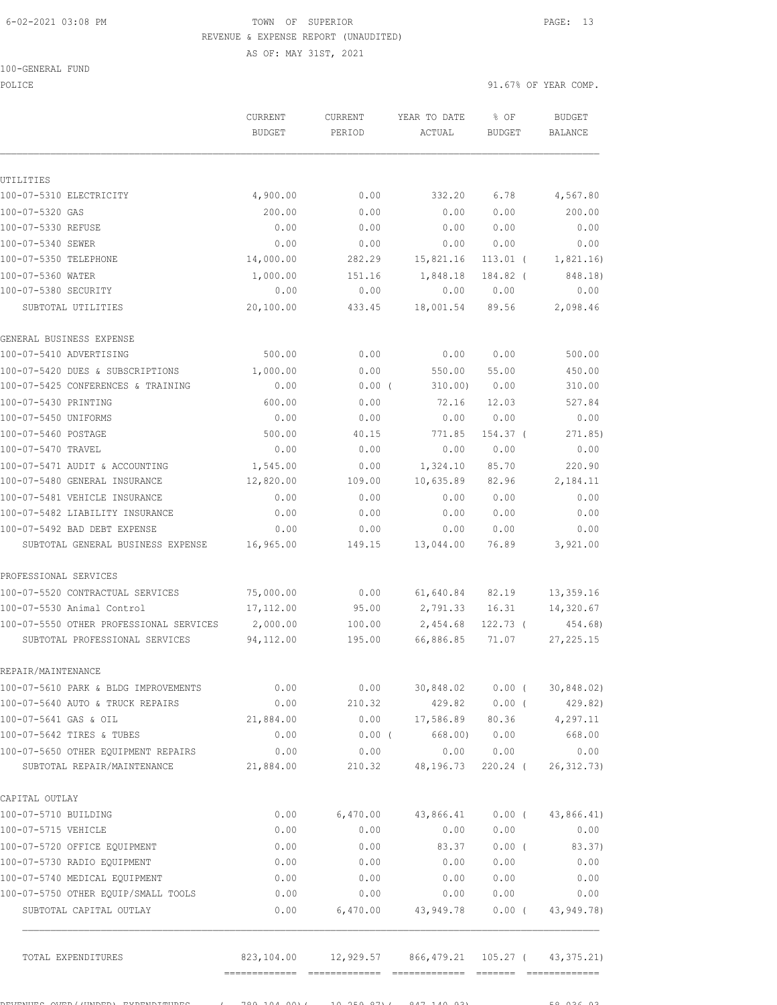### 6-02-2021 03:08 PM TOWN OF SUPERIOR PAGE: 13 REVENUE & EXPENSE REPORT (UNAUDITED)

100-GENERAL FUND

|                                         | <b>CURRENT</b><br><b>BUDGET</b> | <b>CURRENT</b><br>PERIOD | YEAR TO DATE<br>ACTUAL | % OF<br><b>BUDGET</b> | <b>BUDGET</b><br><b>BALANCE</b> |
|-----------------------------------------|---------------------------------|--------------------------|------------------------|-----------------------|---------------------------------|
|                                         |                                 |                          |                        |                       |                                 |
| UTILITIES                               |                                 |                          |                        |                       |                                 |
| 100-07-5310 ELECTRICITY                 | 4,900.00                        | 0.00                     | 332.20                 | 6.78                  | 4,567.80                        |
| 100-07-5320 GAS                         | 200.00                          | 0.00                     | 0.00                   | 0.00                  | 200.00                          |
| 100-07-5330 REFUSE                      | 0.00                            | 0.00                     | 0.00                   | 0.00                  | 0.00                            |
| 100-07-5340 SEWER                       | 0.00                            | 0.00                     | 0.00                   | 0.00                  | 0.00                            |
| 100-07-5350 TELEPHONE                   | 14,000.00                       | 282.29                   | 15,821.16              | $113.01$ (            | 1,821.16)                       |
| 100-07-5360 WATER                       | 1,000.00                        | 151.16                   | 1,848.18               | 184.82 (              | 848.18)                         |
| 100-07-5380 SECURITY                    | 0.00                            | 0.00                     | 0.00                   | 0.00                  | 0.00                            |
| SUBTOTAL UTILITIES                      | 20,100.00                       | 433.45                   | 18,001.54              | 89.56                 | 2,098.46                        |
| GENERAL BUSINESS EXPENSE                |                                 |                          |                        |                       |                                 |
| 100-07-5410 ADVERTISING                 | 500.00                          | 0.00                     | 0.00                   | 0.00                  | 500.00                          |
| 100-07-5420 DUES & SUBSCRIPTIONS        | 1,000.00                        | 0.00                     | 550.00                 | 55.00                 | 450.00                          |
| 100-07-5425 CONFERENCES & TRAINING      | 0.00                            | $0.00$ (                 | 310.00)                | 0.00                  | 310.00                          |
| 100-07-5430 PRINTING                    | 600.00                          | 0.00                     | 72.16                  | 12.03                 | 527.84                          |
| 100-07-5450 UNIFORMS                    | 0.00                            | 0.00                     | 0.00                   | 0.00                  | 0.00                            |
| 100-07-5460 POSTAGE                     | 500.00                          | 40.15                    | 771.85                 | 154.37 (              | 271.85)                         |
| 100-07-5470 TRAVEL                      | 0.00                            | 0.00                     | 0.00                   | 0.00                  | 0.00                            |
| 100-07-5471 AUDIT & ACCOUNTING          | 1,545.00                        | 0.00                     | 1,324.10               | 85.70                 | 220.90                          |
| 100-07-5480 GENERAL INSURANCE           | 12,820.00                       | 109.00                   | 10,635.89              | 82.96                 | 2,184.11                        |
| 100-07-5481 VEHICLE INSURANCE           | 0.00                            | 0.00                     | 0.00                   | 0.00                  | 0.00                            |
| 100-07-5482 LIABILITY INSURANCE         | 0.00                            | 0.00                     | 0.00                   | 0.00                  | 0.00                            |
| 100-07-5492 BAD DEBT EXPENSE            | 0.00                            | 0.00                     | 0.00                   | 0.00                  | 0.00                            |
| SUBTOTAL GENERAL BUSINESS EXPENSE       | 16,965.00                       | 149.15                   | 13,044.00              | 76.89                 | 3,921.00                        |
| PROFESSIONAL SERVICES                   |                                 |                          |                        |                       |                                 |
| 100-07-5520 CONTRACTUAL SERVICES        | 75,000.00                       | 0.00                     | 61,640.84              | 82.19                 | 13,359.16                       |
| 100-07-5530 Animal Control              | 17,112.00                       | 95.00                    | 2,791.33               | 16.31                 | 14,320.67                       |
| 100-07-5550 OTHER PROFESSIONAL SERVICES | 2,000.00                        | 100.00                   | 2,454.68               | $122.73$ (            | 454.68)                         |
| SUBTOTAL PROFESSIONAL SERVICES          | 94,112.00                       | 195.00                   | 66,886.85              | 71.07                 | 27, 225.15                      |
| REPAIR/MAINTENANCE                      |                                 |                          |                        |                       |                                 |
| 100-07-5610 PARK & BLDG IMPROVEMENTS    | 0.00                            | 0.00                     | 30,848.02              | $0.00$ (              | 30,848.02)                      |
| 100-07-5640 AUTO & TRUCK REPAIRS        | 0.00                            | 210.32                   | 429.82                 | $0.00$ (              | 429.82)                         |
| 100-07-5641 GAS & OIL                   | 21,884.00                       | 0.00                     | 17,586.89 80.36        |                       | 4,297.11                        |
| 100-07-5642 TIRES & TUBES               | 0.00                            | $0.00$ (                 |                        | 668.00) 0.00          | 668.00                          |
| 100-07-5650 OTHER EQUIPMENT REPAIRS     | 0.00                            | 0.00                     |                        | 0.00 0.00             | 0.00                            |
| SUBTOTAL REPAIR/MAINTENANCE             | 21,884.00                       | 210.32                   | 48,196.73              | 220.24 (              | 26, 312.73)                     |
| CAPITAL OUTLAY                          |                                 |                          |                        |                       |                                 |
| 100-07-5710 BUILDING                    | 0.00                            | 6,470.00                 | 43,866.41              | $0.00$ (              | 43,866.41)                      |
| 100-07-5715 VEHICLE                     | 0.00                            | 0.00                     | 0.00                   | 0.00                  | 0.00                            |
| 100-07-5720 OFFICE EQUIPMENT            | 0.00                            | 0.00                     | 83.37                  | $0.00$ (              | 83.37)                          |
| 100-07-5730 RADIO EQUIPMENT             | 0.00                            | 0.00                     | 0.00                   | 0.00                  | 0.00                            |
| 100-07-5740 MEDICAL EQUIPMENT           | 0.00                            | 0.00                     | 0.00                   | 0.00                  | 0.00                            |
| 100-07-5750 OTHER EQUIP/SMALL TOOLS     | 0.00                            | 0.00                     | 0.00                   | 0.00                  | 0.00                            |
| SUBTOTAL CAPITAL OUTLAY                 | 0.00                            | 6,470.00                 | 43,949.78              | $0.00$ (              | 43, 949. 78)                    |
| TOTAL EXPENDITURES                      |                                 |                          |                        |                       | 43, 375. 21)                    |
|                                         |                                 |                          |                        |                       |                                 |

REVENUES OVER/(UNDER) EXPENDITURES ( 789,104.00)( 10,259.87)( 847,140.93) 58,036.93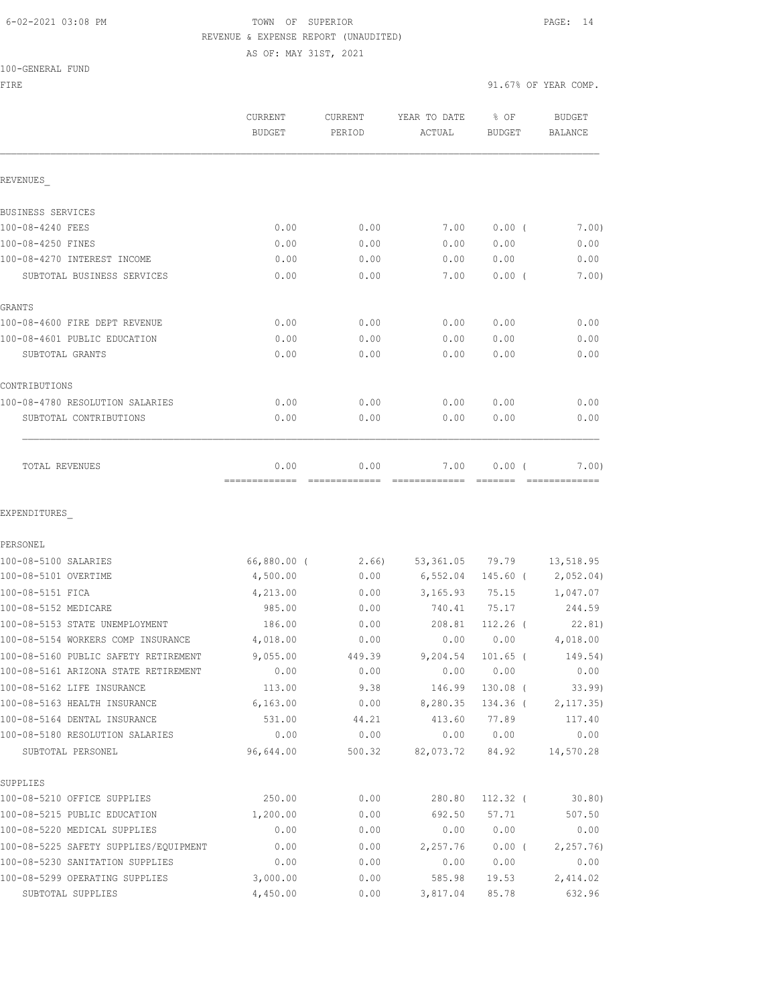### 6-02-2021 03:08 PM TOWN OF SUPERIOR PAGE: 14 REVENUE & EXPENSE REPORT (UNAUDITED)

AS OF: MAY 31ST, 2021

100-GENERAL FUND

|                                       | CURRENT<br><b>BUDGET</b> | CURRENT<br>PERIOD | YEAR TO DATE<br>ACTUAL | % OF<br><b>BUDGET</b> | <b>BUDGET</b><br><b>BALANCE</b> |
|---------------------------------------|--------------------------|-------------------|------------------------|-----------------------|---------------------------------|
| REVENUES                              |                          |                   |                        |                       |                                 |
| BUSINESS SERVICES                     |                          |                   |                        |                       |                                 |
| 100-08-4240 FEES                      | 0.00                     | 0.00              | 7.00                   | $0.00$ (              | 7.00)                           |
| 100-08-4250 FINES                     | 0.00                     | 0.00              | 0.00                   | 0.00                  | 0.00                            |
| 100-08-4270 INTEREST INCOME           | 0.00                     | 0.00              | 0.00                   | 0.00                  | 0.00                            |
| SUBTOTAL BUSINESS SERVICES            | 0.00                     | 0.00              | 7.00                   | $0.00$ (              | 7.00)                           |
| GRANTS                                |                          |                   |                        |                       |                                 |
| 100-08-4600 FIRE DEPT REVENUE         | 0.00                     | 0.00              | 0.00                   | 0.00                  | 0.00                            |
| 100-08-4601 PUBLIC EDUCATION          | 0.00                     | 0.00              | 0.00                   | 0.00                  | 0.00                            |
| SUBTOTAL GRANTS                       | 0.00                     | 0.00              | 0.00                   | 0.00                  | 0.00                            |
| CONTRIBUTIONS                         |                          |                   |                        |                       |                                 |
| 100-08-4780 RESOLUTION SALARIES       | 0.00                     | 0.00              | 0.00                   | 0.00                  | 0.00                            |
| SUBTOTAL CONTRIBUTIONS                | 0.00                     | 0.00              | 0.00                   | 0.00                  | 0.00                            |
| TOTAL REVENUES                        | 0.00<br>-------------    | 0.00              | 7.00                   | 0.00(                 | 7.00)                           |
| EXPENDITURES                          |                          |                   |                        |                       |                                 |
| PERSONEL                              |                          |                   |                        |                       |                                 |
| 100-08-5100 SALARIES                  | 66,880.00 (              | 2.66)             | 53,361.05              | 79.79                 | 13,518.95                       |
| 100-08-5101 OVERTIME                  | 4,500.00                 | 0.00              | 6,552.04               | 145.60 (              | 2,052.04)                       |
| 100-08-5151 FICA                      | 4,213.00                 | 0.00              | 3,165.93               | 75.15                 | 1,047.07                        |
| 100-08-5152 MEDICARE                  | 985.00                   | 0.00              | 740.41                 | 75.17                 | 244.59                          |
| 100-08-5153 STATE UNEMPLOYMENT        | 186.00                   | 0.00              | 208.81                 | $112.26$ (            | 22.81)                          |
| 100-08-5154 WORKERS COMP INSURANCE    | 4,018.00                 | 0.00              | 0.00                   | 0.00                  | 4,018.00                        |
| 100-08-5160 PUBLIC SAFETY RETIREMENT  | 9,055.00                 | 449.39            | 9,204.54               | $101.65$ (            | 149.54)                         |
| 100-08-5161 ARIZONA STATE RETIREMENT  | 0.00                     | 0.00              | 0.00                   | 0.00                  | 0.00                            |
| 100-08-5162 LIFE INSURANCE            | 113.00                   | 9.38              | 146.99                 | 130.08 (              | 33.99                           |
| 100-08-5163 HEALTH INSURANCE          | 6,163.00                 | 0.00              | 8,280.35               | 134.36 (              | 2, 117.35)                      |
| 100-08-5164 DENTAL INSURANCE          | 531.00                   | 44.21             | 413.60                 | 77.89                 | 117.40                          |
| 100-08-5180 RESOLUTION SALARIES       | 0.00                     | 0.00              | 0.00                   | 0.00                  | 0.00                            |
| SUBTOTAL PERSONEL                     | 96,644.00                | 500.32            | 82,073.72              | 84.92                 | 14,570.28                       |
| SUPPLIES                              |                          |                   |                        |                       |                                 |
| 100-08-5210 OFFICE SUPPLIES           | 250.00                   | 0.00              | 280.80                 | $112.32$ (            | 30.80)                          |
| 100-08-5215 PUBLIC EDUCATION          | 1,200.00                 | 0.00              | 692.50                 | 57.71                 | 507.50                          |
| 100-08-5220 MEDICAL SUPPLIES          | 0.00                     | 0.00              | 0.00                   | 0.00                  | 0.00                            |
| 100-08-5225 SAFETY SUPPLIES/EQUIPMENT | 0.00                     | 0.00              | 2,257.76               | $0.00$ (              | 2, 257.76                       |
| 100-08-5230 SANITATION SUPPLIES       | 0.00                     | 0.00              | 0.00                   | 0.00                  | 0.00                            |
| 100-08-5299 OPERATING SUPPLIES        | 3,000.00                 | 0.00              | 585.98                 | 19.53                 | 2,414.02                        |

SUBTOTAL SUPPLIES 4,450.00 0.00 3,817.04 85.78 632.96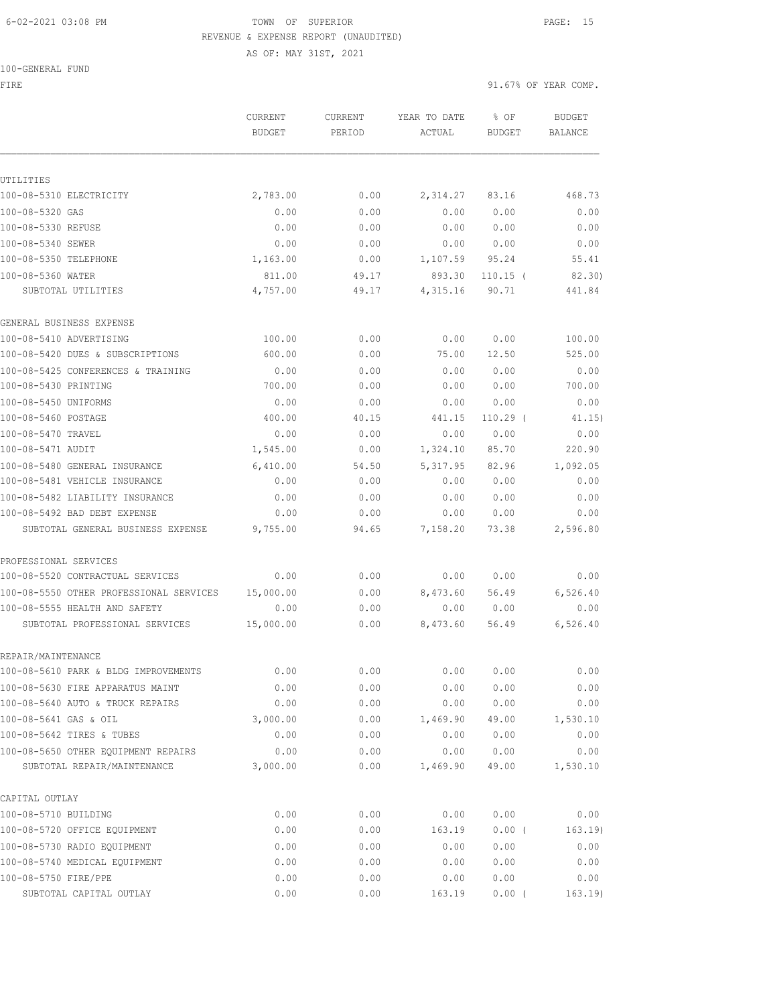## 6-02-2021 03:08 PM TOWN OF SUPERIOR PAGE: 15 REVENUE & EXPENSE REPORT (UNAUDITED) AS OF: MAY 31ST, 2021

100-GENERAL FUND

FIRE  $91.67$ % OF YEAR COMP.

|                                         | CURRENT<br><b>BUDGET</b> | <b>CURRENT</b><br>PERIOD | YEAR TO DATE<br>ACTUAL | % OF<br><b>BUDGET</b> | <b>BUDGET</b><br>BALANCE |
|-----------------------------------------|--------------------------|--------------------------|------------------------|-----------------------|--------------------------|
|                                         |                          |                          |                        |                       |                          |
| UTILITIES                               |                          |                          |                        |                       |                          |
| 100-08-5310 ELECTRICITY                 | 2,783.00                 | 0.00                     | 2,314.27               | 83.16                 | 468.73                   |
| 100-08-5320 GAS                         | 0.00                     | 0.00                     | 0.00                   | 0.00                  | 0.00                     |
| 100-08-5330 REFUSE                      | 0.00                     | 0.00                     | 0.00                   | 0.00                  | 0.00                     |
| 100-08-5340 SEWER                       | 0.00                     | 0.00                     | 0.00                   | 0.00                  | 0.00                     |
| 100-08-5350 TELEPHONE                   | 1,163.00                 | 0.00                     | 1,107.59               | 95.24                 | 55.41                    |
| 100-08-5360 WATER                       | 811.00                   | 49.17                    | 893.30                 | $110.15$ (            | 82.30)                   |
| SUBTOTAL UTILITIES                      | 4,757.00                 | 49.17                    | 4,315.16               | 90.71                 | 441.84                   |
| GENERAL BUSINESS EXPENSE                |                          |                          |                        |                       |                          |
| 100-08-5410 ADVERTISING                 | 100.00                   | 0.00                     | 0.00                   | 0.00                  | 100.00                   |
| 100-08-5420 DUES & SUBSCRIPTIONS        | 600.00                   | 0.00                     | 75.00                  | 12.50                 | 525.00                   |
| 100-08-5425 CONFERENCES & TRAINING      | 0.00                     | 0.00                     | 0.00                   | 0.00                  | 0.00                     |
| 100-08-5430 PRINTING                    | 700.00                   | 0.00                     | 0.00                   | 0.00                  | 700.00                   |
| 100-08-5450 UNIFORMS                    | 0.00                     | 0.00                     | 0.00                   | 0.00                  | 0.00                     |
| 100-08-5460 POSTAGE                     | 400.00                   | 40.15                    | 441.15                 | $110.29$ (            | 41.15)                   |
| 100-08-5470 TRAVEL                      | 0.00                     | 0.00                     | 0.00                   | 0.00                  | 0.00                     |
| 100-08-5471 AUDIT                       | 1,545.00                 | 0.00                     | 1,324.10               | 85.70                 | 220.90                   |
| 100-08-5480 GENERAL INSURANCE           | 6,410.00                 | 54.50                    | 5, 317.95              | 82.96                 | 1,092.05                 |
| 100-08-5481 VEHICLE INSURANCE           | 0.00                     | 0.00                     | 0.00                   | 0.00                  | 0.00                     |
| 100-08-5482 LIABILITY INSURANCE         | 0.00                     | 0.00                     | 0.00                   | 0.00                  | 0.00                     |
| 100-08-5492 BAD DEBT EXPENSE            | 0.00                     | 0.00                     | 0.00                   | 0.00                  | 0.00                     |
| SUBTOTAL GENERAL BUSINESS EXPENSE       | 9,755.00                 | 94.65                    | 7,158.20               | 73.38                 | 2,596.80                 |
| PROFESSIONAL SERVICES                   |                          |                          |                        |                       |                          |
| 100-08-5520 CONTRACTUAL SERVICES        | 0.00                     | 0.00                     | 0.00                   | 0.00                  | 0.00                     |
| 100-08-5550 OTHER PROFESSIONAL SERVICES | 15,000.00                | 0.00                     | 8,473.60               | 56.49                 | 6,526.40                 |
| 100-08-5555 HEALTH AND SAFETY           | 0.00                     | 0.00                     | 0.00                   | 0.00                  | 0.00                     |
| SUBTOTAL PROFESSIONAL SERVICES          | 15,000.00                | 0.00                     | 8,473.60               | 56.49                 | 6,526.40                 |
| REPAIR/MAINTENANCE                      |                          |                          |                        |                       |                          |
| 100-08-5610 PARK & BLDG IMPROVEMENTS    | 0.00                     | 0.00                     | 0.00                   | 0.00                  | 0.00                     |
| 100-08-5630 FIRE APPARATUS MAINT        | 0.00                     | 0.00                     | 0.00                   | 0.00                  | 0.00                     |
| 100-08-5640 AUTO & TRUCK REPAIRS        | 0.00                     | 0.00                     | 0.00                   | 0.00                  | 0.00                     |
| 100-08-5641 GAS & OIL                   | 3,000.00                 | 0.00                     | 1,469.90               | 49.00                 | 1,530.10                 |
| 100-08-5642 TIRES & TUBES               | 0.00                     | 0.00                     | 0.00                   | 0.00                  | 0.00                     |
| 100-08-5650 OTHER EOUIPMENT REPAIRS     | 0.00                     | 0.00                     | 0.00                   | 0.00                  | 0.00                     |
| SUBTOTAL REPAIR/MAINTENANCE             | 3,000.00                 | 0.00                     | 1,469.90               | 49.00                 | 1,530.10                 |
| CAPITAL OUTLAY                          |                          |                          |                        |                       |                          |
| 100-08-5710 BUILDING                    | 0.00                     | 0.00                     | 0.00                   | 0.00                  | 0.00                     |
| 100-08-5720 OFFICE EQUIPMENT            | 0.00                     | 0.00                     | 163.19                 | 0.00(                 | 163.19)                  |
| 100-08-5730 RADIO EQUIPMENT             | 0.00                     | 0.00                     | 0.00                   | 0.00                  | 0.00                     |
| 100-08-5740 MEDICAL EQUIPMENT           | 0.00                     | 0.00                     | 0.00                   | 0.00                  | 0.00                     |
| 100-08-5750 FIRE/PPE                    | 0.00                     | 0.00                     | 0.00                   | 0.00                  | 0.00                     |

SUBTOTAL CAPITAL OUTLAY 0.00 0.00 163.19 0.00 ( 163.19)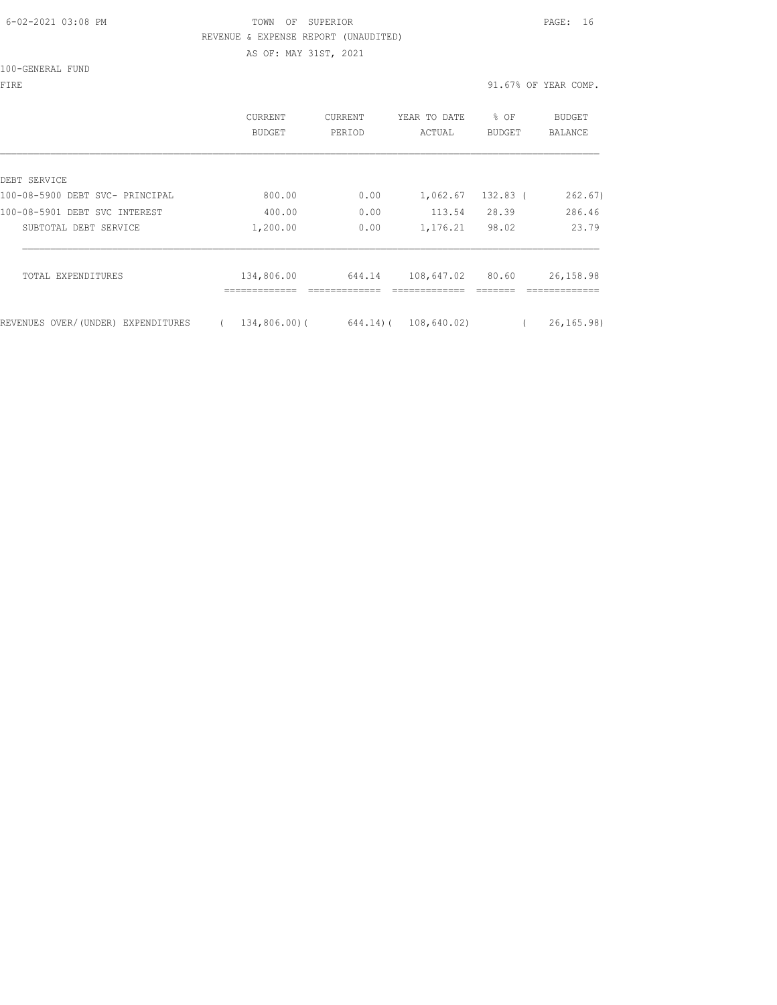### 6-02-2021 03:08 PM TOWN OF SUPERIOR PAGE: 16 REVENUE & EXPENSE REPORT (UNAUDITED) AS OF: MAY 31ST, 2021

100-GENERAL FUND

| FIRE | 91.67% OF YEAR COMP.<br>$\sim$ $\sim$<br>. |
|------|--------------------------------------------|
|      |                                            |

|                                       | <b>CURRENT</b><br><b>BUDGET</b> | <b>CURRENT</b><br>PERIOD | YEAR TO DATE<br>ACTUAL | % OF<br><b>BUDGET</b> | BUDGET<br><b>BALANCE</b> |
|---------------------------------------|---------------------------------|--------------------------|------------------------|-----------------------|--------------------------|
| DEBT SERVICE                          |                                 |                          |                        |                       |                          |
| 100-08-5900 DEBT SVC- PRINCIPAL       | 800.00                          | 0.00                     | 1,062.67               | $132.83$ (            | 262.67)                  |
| 100-08-5901 DEBT SVC INTEREST         | 400.00                          | 0.00                     | 113.54                 | 28.39                 | 286.46                   |
| SUBTOTAL DEBT SERVICE                 | 1,200.00                        | 0.00                     | 1,176.21               | 98.02                 | 23.79                    |
| TOTAL EXPENDITURES                    | 134,806.00                      | 644.14                   | 108,647.02             | 80.60                 | 26,158.98                |
| REVENUES OVER/(UNDER)<br>EXPENDITURES | $134,806,00)$ (                 | $644.14)$ (              | 108,640.02)            |                       | 26, 165, 98              |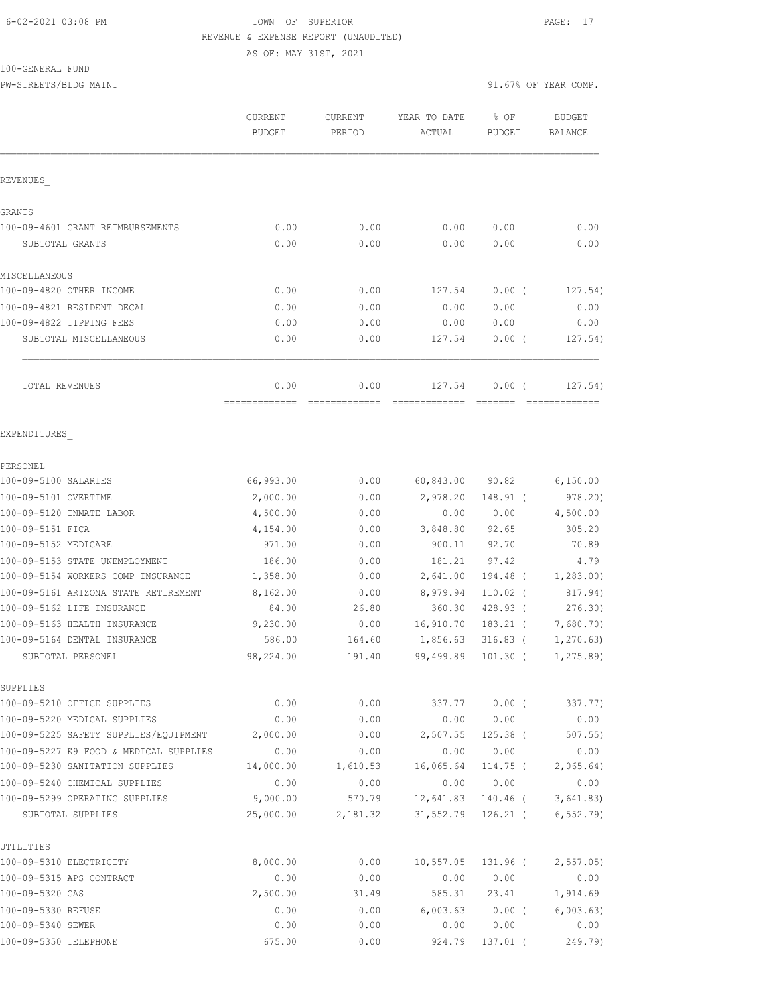## 6-02-2021 03:08 PM TOWN OF SUPERIOR PAGE: 17 REVENUE & EXPENSE REPORT (UNAUDITED)

AS OF: MAY 31ST, 2021

## 100-GENERAL FUND

PW-STREETS/BLDG MAINT 31.67% OF YEAR COMP.

|                                                                           | <b>CURRENT</b>    | CURRENT          | YEAR TO DATE      | % OF             | <b>BUDGET</b>     |
|---------------------------------------------------------------------------|-------------------|------------------|-------------------|------------------|-------------------|
|                                                                           | <b>BUDGET</b>     | PERIOD           | ACTUAL            | <b>BUDGET</b>    | <b>BALANCE</b>    |
| REVENUES                                                                  |                   |                  |                   |                  |                   |
| GRANTS                                                                    |                   |                  |                   |                  |                   |
| 100-09-4601 GRANT REIMBURSEMENTS                                          | 0.00              | 0.00             | 0.00              | 0.00             | 0.00              |
| SUBTOTAL GRANTS                                                           | 0.00              | 0.00             | 0.00              | 0.00             | 0.00              |
| MISCELLANEOUS                                                             |                   |                  |                   |                  |                   |
| 100-09-4820 OTHER INCOME                                                  | 0.00              | 0.00             | 127.54            | 0.00(            | 127.54)           |
| 100-09-4821 RESIDENT DECAL                                                | 0.00              | 0.00             | 0.00              | 0.00             | 0.00              |
| 100-09-4822 TIPPING FEES                                                  | 0.00              | 0.00             | 0.00              | 0.00             | 0.00              |
| SUBTOTAL MISCELLANEOUS                                                    | 0.00              | 0.00             | 127.54            | 0.00(            | 127.54)           |
| TOTAL REVENUES                                                            | 0.00              | 0.00             | 127.54            | $0.00$ (         | 127.54)           |
| EXPENDITURES                                                              |                   |                  |                   |                  |                   |
| PERSONEL                                                                  |                   |                  |                   |                  |                   |
| 100-09-5100 SALARIES                                                      | 66,993.00         | 0.00             | 60,843.00         | 90.82            | 6,150.00          |
| 100-09-5101 OVERTIME                                                      | 2,000.00          | 0.00             | 2,978.20          | 148.91 (         | 978.20)           |
| 100-09-5120 INMATE LABOR                                                  | 4,500.00          | 0.00             | 0.00              | 0.00             | 4,500.00          |
| 100-09-5151 FICA                                                          | 4,154.00          | 0.00             | 3,848.80          | 92.65            | 305.20            |
| 100-09-5152 MEDICARE                                                      | 971.00            | 0.00             | 900.11            | 92.70            | 70.89             |
| 100-09-5153 STATE UNEMPLOYMENT                                            | 186.00            | 0.00             | 181.21            | 97.42            | 4.79              |
| 100-09-5154 WORKERS COMP INSURANCE                                        | 1,358.00          | 0.00             | 2,641.00          | 194.48 (         | 1,283.00          |
| 100-09-5161 ARIZONA STATE RETIREMENT                                      | 8,162.00          | 0.00             | 8,979.94          | 110.02 (         | 817.94)           |
| 100-09-5162 LIFE INSURANCE                                                | 84.00             | 26.80            | 360.30            | 428.93 (         | 276.30)           |
| 100-09-5163 HEALTH INSURANCE                                              | 9,230.00          | 0.00             | 16,910.70         | $183.21$ (       | 7,680.70)         |
| 100-09-5164 DENTAL INSURANCE                                              | 586.00            | 164.60           | 1,856.63          | $316.83$ (       | 1, 270.63         |
| SUBTOTAL PERSONEL                                                         | 98,224.00         | 191.40           | 99,499.89         | $101.30$ (       | 1, 275.89         |
| SUPPLIES                                                                  |                   |                  |                   |                  |                   |
| 100-09-5210 OFFICE SUPPLIES                                               | 0.00              | 0.00             | 337.77            | $0.00$ (         | 337.77)           |
| 100-09-5220 MEDICAL SUPPLIES                                              | 0.00              | 0.00             | 0.00              | 0.00             | 0.00              |
| 100-09-5225 SAFETY SUPPLIES/EQUIPMENT                                     | 2,000.00          | 0.00             | 2,507.55          | $125.38$ (       | 507.55            |
| 100-09-5227 K9 FOOD & MEDICAL SUPPLIES<br>100-09-5230 SANITATION SUPPLIES | 0.00<br>14,000.00 | 0.00             | 0.00              | 0.00             | 0.00              |
| 100-09-5240 CHEMICAL SUPPLIES                                             | 0.00              | 1,610.53<br>0.00 | 16,065.64<br>0.00 | 114.75 (<br>0.00 | 2,065.64)<br>0.00 |
| 100-09-5299 OPERATING SUPPLIES                                            | 9,000.00          | 570.79           | 12,641.83         | 140.46 (         | 3,641.83)         |
| SUBTOTAL SUPPLIES                                                         | 25,000.00         | 2,181.32         | 31,552.79         | 126.21 (         | 6, 552.79         |
| UTILITIES                                                                 |                   |                  |                   |                  |                   |
| 100-09-5310 ELECTRICITY                                                   | 8,000.00          | 0.00             | 10,557.05         | 131.96 (         | 2, 557.05         |
| 100-09-5315 APS CONTRACT                                                  | 0.00              | 0.00             | 0.00              | 0.00             | 0.00              |
| 100-09-5320 GAS                                                           | 2,500.00          | 31.49            | 585.31            | 23.41            | 1,914.69          |
| 100-09-5330 REFUSE                                                        | 0.00              | 0.00             | 6,003.63          | $0.00$ (         | 6,003.63)         |
| 100-09-5340 SEWER                                                         | 0.00              | 0.00             | 0.00              | 0.00             | 0.00              |
| 100-09-5350 TELEPHONE                                                     | 675.00            | 0.00             | 924.79            | 137.01 (         | 249.79)           |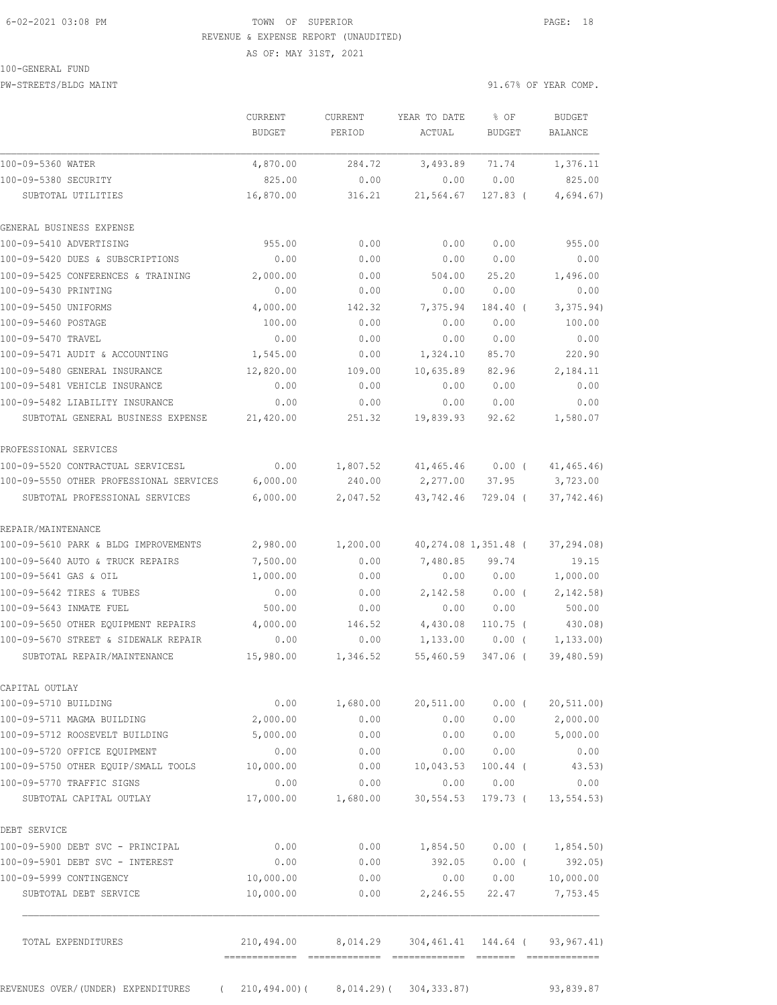## 6-02-2021 03:08 PM TOWN OF SUPERIOR PAGE: 18 REVENUE & EXPENSE REPORT (UNAUDITED) AS OF: MAY 31ST, 2021

#### 100-GENERAL FUND

PW-STREETS/BLDG MAINT 31.67% OF YEAR COMP.

|                                         | CURRENT                                   | <b>CURRENT</b>                                    | YEAR TO DATE       | % OF                 | <b>BUDGET</b>   |
|-----------------------------------------|-------------------------------------------|---------------------------------------------------|--------------------|----------------------|-----------------|
|                                         | <b>BUDGET</b>                             | PERIOD                                            | ACTUAL             | BUDGET               | BALANCE         |
| 100-09-5360 WATER                       | 4,870.00                                  | 284.72                                            | 3,493.89           | 71.74                | 1,376.11        |
| 100-09-5380 SECURITY                    | 825.00                                    | 0.00                                              | 0.00               | 0.00                 | 825.00          |
| SUBTOTAL UTILITIES                      | 16,870.00                                 | 316.21                                            | 21,564.67          | $127.83$ (           | 4,694.67)       |
| GENERAL BUSINESS EXPENSE                |                                           |                                                   |                    |                      |                 |
| 100-09-5410 ADVERTISING                 | 955.00                                    | 0.00                                              | 0.00               | 0.00                 | 955.00          |
| 100-09-5420 DUES & SUBSCRIPTIONS        | 0.00                                      | 0.00                                              | 0.00               | 0.00                 | 0.00            |
| 100-09-5425 CONFERENCES & TRAINING      | 2,000.00                                  | 0.00                                              | 504.00             | 25.20                | 1,496.00        |
| 100-09-5430 PRINTING                    | 0.00                                      | 0.00                                              | 0.00               | 0.00                 | 0.00            |
| 100-09-5450 UNIFORMS                    | 4,000.00                                  | 142.32                                            | 7,375.94           | 184.40 (             | 3,375.94)       |
| 100-09-5460 POSTAGE                     | 100.00                                    | 0.00                                              | 0.00               | 0.00                 | 100.00          |
| 100-09-5470 TRAVEL                      | 0.00                                      | 0.00                                              | 0.00               | 0.00                 | 0.00            |
| 100-09-5471 AUDIT & ACCOUNTING          | 1,545.00                                  | 0.00                                              | 1,324.10           | 85.70                | 220.90          |
| 100-09-5480 GENERAL INSURANCE           | 12,820.00                                 | 109.00                                            | 10,635.89          | 82.96                | 2,184.11        |
| 100-09-5481 VEHICLE INSURANCE           | 0.00                                      | 0.00                                              | 0.00               | 0.00                 | 0.00            |
| 100-09-5482 LIABILITY INSURANCE         | 0.00                                      | 0.00                                              | 0.00               | 0.00                 | 0.00            |
| SUBTOTAL GENERAL BUSINESS EXPENSE       | 21,420.00                                 | 251.32                                            | 19,839.93          | 92.62                | 1,580.07        |
| PROFESSIONAL SERVICES                   |                                           |                                                   |                    |                      |                 |
| 100-09-5520 CONTRACTUAL SERVICESL       | 0.00                                      | 1,807.52                                          | 41,465.46          | $0.00$ (             | 41, 465.46      |
| 100-09-5550 OTHER PROFESSIONAL SERVICES | 6,000.00                                  | 240.00                                            | 2,277.00           | 37.95                | 3,723.00        |
| SUBTOTAL PROFESSIONAL SERVICES          | 6,000.00                                  | 2,047.52                                          | 43,742.46          | 729.04 (             | 37,742.46       |
| REPAIR/MAINTENANCE                      |                                           |                                                   |                    |                      |                 |
| 100-09-5610 PARK & BLDG IMPROVEMENTS    | 2,980.00                                  | 1,200.00                                          |                    | 40,274.08 1,351.48 ( | 37,294.08)      |
| 100-09-5640 AUTO & TRUCK REPAIRS        | 7,500.00                                  | 0.00                                              | 7,480.85           | 99.74                | 19.15           |
| 100-09-5641 GAS & OIL                   | 1,000.00                                  | 0.00                                              | 0.00               | 0.00                 | 1,000.00        |
| 100-09-5642 TIRES & TUBES               | 0.00                                      | 0.00                                              | 2,142.58           | $0.00$ (             | 2, 142.58       |
| 100-09-5643 INMATE FUEL                 | 500.00                                    | 0.00                                              | 0.00               | 0.00                 | 500.00          |
| 100-09-5650 OTHER EQUIPMENT REPAIRS     | 4,000.00                                  | 146.52                                            | 4,430.08           | $110.75$ (           | 430.08)         |
| 100-09-5670 STREET & SIDEWALK REPAIR    | 0.00                                      | 0.00                                              | 1,133.00           | $0.00$ (             | 1, 133.00       |
| SUBTOTAL REPAIR/MAINTENANCE             | 15,980.00                                 | 1,346.52                                          | 55,460.59          | 347.06 (             | 39,480.59)      |
| CAPITAL OUTLAY                          |                                           |                                                   |                    |                      |                 |
| 100-09-5710 BUILDING                    | 0.00                                      |                                                   | 1,680.00 20,511.00 | $0.00$ (             | 20, 511.00)     |
| 100-09-5711 MAGMA BUILDING              | 2,000.00                                  | 0.00                                              | 0.00               | 0.00                 | 2,000.00        |
| 100-09-5712 ROOSEVELT BUILDING          | 5,000.00                                  | 0.00                                              | 0.00               |                      | $0.00$ 5,000.00 |
| 100-09-5720 OFFICE EQUIPMENT            | 0.00                                      | 0.00                                              | 0.00               | 0.00                 | 0.00            |
| 100-09-5750 OTHER EQUIP/SMALL TOOLS     | 10,000.00                                 | 0.00                                              | 10,043.53          | $100.44$ (           | 43.53)          |
| 100-09-5770 TRAFFIC SIGNS               | 0.00                                      | 0.00                                              | 0.00               | 0.00                 | 0.00            |
| SUBTOTAL CAPITAL OUTLAY                 | 17,000.00                                 | 1,680.00                                          | 30,554.53          | 179.73 (             | 13, 554.53)     |
| DEBT SERVICE                            |                                           |                                                   |                    |                      |                 |
| 100-09-5900 DEBT SVC - PRINCIPAL        | 0.00                                      | 0.00                                              |                    | 1,854.50 0.00 (      | 1,854.50)       |
| 100-09-5901 DEBT SVC - INTEREST         | 0.00                                      | 0.00                                              | 392.05             | $0.00$ (             | 392.05)         |
| 100-09-5999 CONTINGENCY                 | 10,000.00                                 | 0.00                                              | 0.00               | 0.00                 | 10,000.00       |
| SUBTOTAL DEBT SERVICE                   | 10,000.00                                 | 0.00                                              | 2,246.55           |                      | 22.47 7,753.45  |
| TOTAL EXPENDITURES                      |                                           | 210,494.00 8,014.29 304,461.41 144.64 (93,967.41) |                    |                      |                 |
| REVENUES OVER/(UNDER) EXPENDITURES      | $(210, 494.00) (8, 014.29) (304, 333.87)$ |                                                   |                    |                      | 93,839.87       |
|                                         |                                           |                                                   |                    |                      |                 |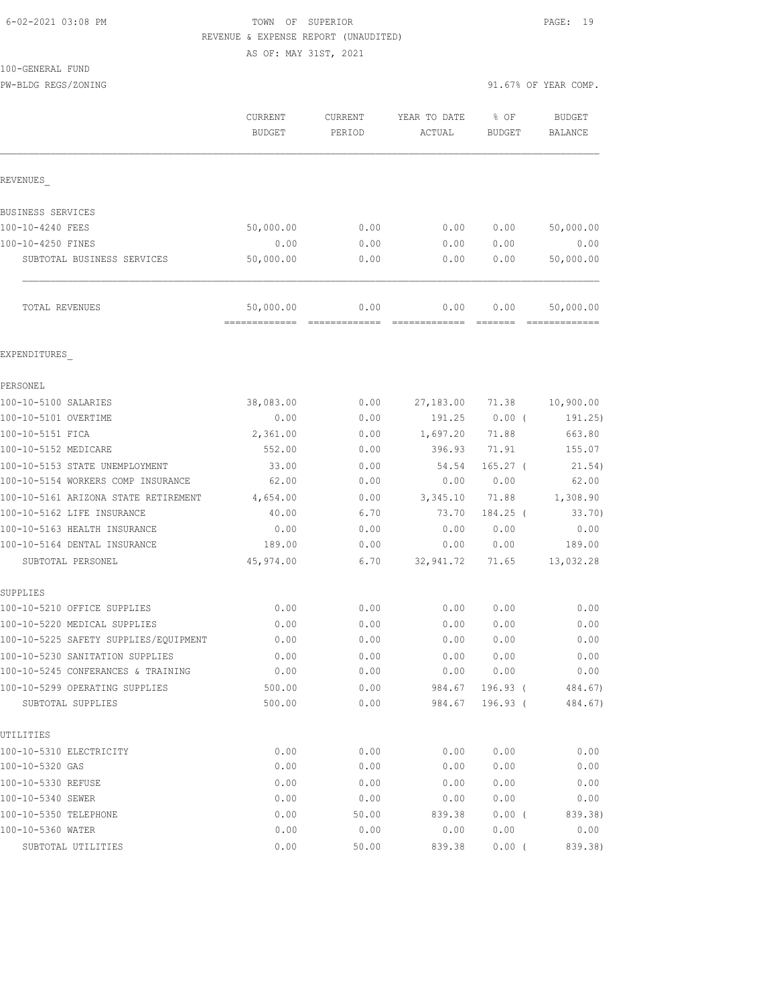## 6-02-2021 03:08 PM TOWN OF SUPERIOR PAGE: 19 REVENUE & EXPENSE REPORT (UNAUDITED)

AS OF: MAY 31ST, 2021

100-GENERAL FUND

|                                                     | CURRENT<br><b>BUDGET</b> | <b>CURRENT</b><br>PERIOD | YEAR TO DATE<br>ACTUAL | % OF<br><b>BUDGET</b>  | <b>BUDGET</b><br><b>BALANCE</b> |
|-----------------------------------------------------|--------------------------|--------------------------|------------------------|------------------------|---------------------------------|
| REVENUES                                            |                          |                          |                        |                        |                                 |
| BUSINESS SERVICES                                   |                          |                          |                        |                        |                                 |
| 100-10-4240 FEES                                    | 50,000.00                | 0.00                     | 0.00                   | 0.00                   | 50,000.00                       |
| 100-10-4250 FINES                                   | 0.00                     | 0.00                     | 0.00                   | 0.00                   | 0.00                            |
| SUBTOTAL BUSINESS SERVICES                          | 50,000.00                | 0.00                     | 0.00                   | 0.00                   | 50,000.00                       |
| TOTAL REVENUES                                      | 50,000.00                | 0.00                     | 0.00                   | 0.00                   | 50,000.00                       |
| EXPENDITURES                                        |                          |                          |                        |                        |                                 |
| PERSONEL                                            |                          |                          |                        |                        |                                 |
| 100-10-5100 SALARIES                                | 38,083.00                | 0.00                     | 27,183.00              | 71.38                  | 10,900.00                       |
| 100-10-5101 OVERTIME                                | 0.00                     | 0.00                     | 191.25                 | 0.00(                  | 191.25)                         |
| 100-10-5151 FICA                                    | 2,361.00                 | 0.00                     | 1,697.20               | 71.88                  | 663.80                          |
| 100-10-5152 MEDICARE                                | 552.00                   | 0.00                     | 396.93                 | 71.91                  | 155.07                          |
| 100-10-5153 STATE UNEMPLOYMENT                      | 33.00                    | 0.00                     | 54.54                  | $165.27$ (             | 21.54)                          |
| 100-10-5154 WORKERS COMP INSURANCE                  | 62.00                    | 0.00                     | 0.00                   | 0.00                   | 62.00                           |
| 100-10-5161 ARIZONA STATE RETIREMENT                | 4,654.00                 | 0.00                     | 3,345.10               | 71.88                  | 1,308.90                        |
| 100-10-5162 LIFE INSURANCE                          | 40.00                    | 6.70                     | 73.70                  | 184.25 (               | 33.70                           |
| 100-10-5163 HEALTH INSURANCE                        | 0.00                     | 0.00                     | 0.00                   | 0.00                   | 0.00                            |
| 100-10-5164 DENTAL INSURANCE                        | 189.00                   | 0.00                     | 0.00                   | 0.00                   | 189.00                          |
| SUBTOTAL PERSONEL                                   | 45,974.00                | 6.70                     | 32,941.72              | 71.65                  | 13,032.28                       |
| SUPPLIES                                            |                          |                          |                        |                        |                                 |
| 100-10-5210 OFFICE SUPPLIES                         | 0.00                     | 0.00                     | 0.00                   | 0.00                   | 0.00                            |
| 100-10-5220 MEDICAL SUPPLIES                        | 0.00                     | 0.00                     | 0.00                   | 0.00                   | 0.00                            |
| 100-10-5225 SAFETY SUPPLIES/EQUIPMENT               | 0.00                     | 0.00                     | 0.00                   | 0.00                   | 0.00                            |
| 100-10-5230 SANITATION SUPPLIES                     | 0.00                     | 0.00                     | 0.00                   | 0.00                   | 0.00                            |
| 100-10-5245 CONFERANCES & TRAINING                  | 0.00                     | 0.00                     | 0.00                   | 0.00                   | 0.00                            |
| 100-10-5299 OPERATING SUPPLIES<br>SUBTOTAL SUPPLIES | 500.00<br>500.00         | 0.00<br>0.00             | 984.67<br>984.67       | $196.93$ (<br>196.93 ( | 484.67)<br>484.67)              |
| UTILITIES                                           |                          |                          |                        |                        |                                 |
| 100-10-5310 ELECTRICITY                             | 0.00                     | 0.00                     | 0.00                   | 0.00                   | 0.00                            |
| 100-10-5320 GAS                                     | 0.00                     | 0.00                     | 0.00                   | 0.00                   | 0.00                            |
| 100-10-5330 REFUSE                                  | 0.00                     | 0.00                     | 0.00                   | 0.00                   | 0.00                            |

100-10-5340 SEWER 0.00 0.00 0.00 0.00 0.00 100-10-5350 TELEPHONE 0.00 50.00 839.38 0.00 ( 839.38) 100-10-5360 WATER 0.00 0.00 0.00 0.00 0.00 SUBTOTAL UTILITIES 0.00 50.00 839.38 0.00 ( 839.38)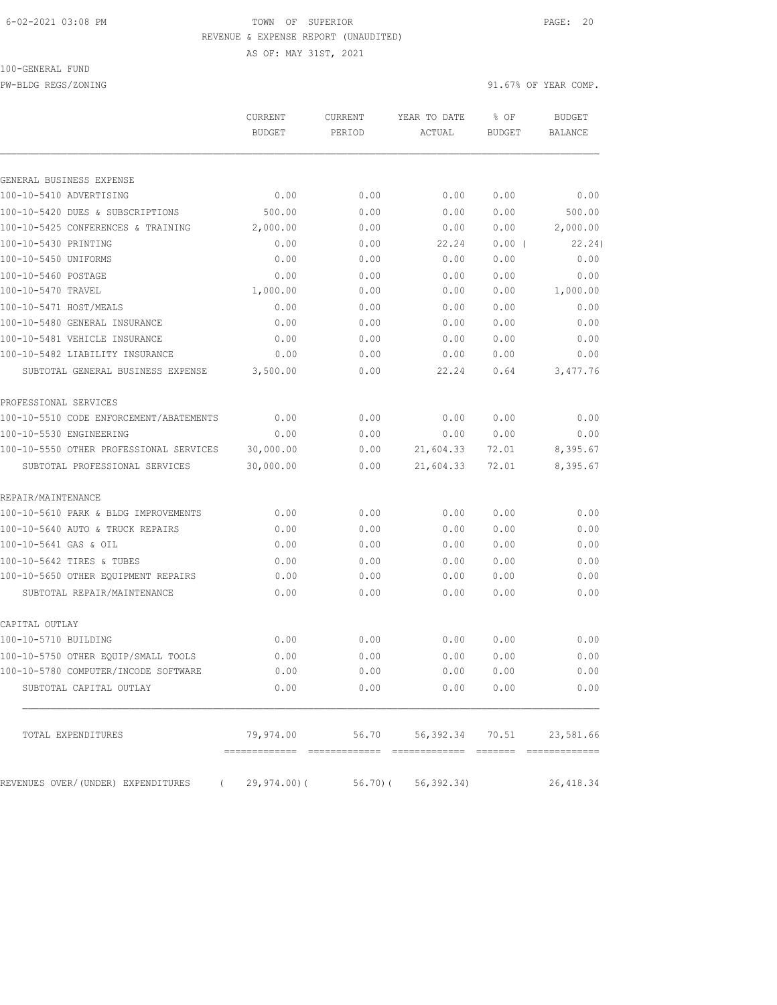#### 6-02-2021 03:08 PM TOWN OF SUPERIOR PAGE: 20 REVENUE & EXPENSE REPORT (UNAUDITED)

AS OF: MAY 31ST, 2021

## 100-GENERAL FUND

PW-BLDG REGS/ZONING 91.67% OF YEAR COMP.

|                                         | CURRENT<br><b>BUDGET</b>                        | <b>CURRENT</b><br>PERIOD | YEAR TO DATE<br>ACTUAL                 | % OF<br><b>BUDGET</b> | <b>BUDGET</b><br>BALANCE    |
|-----------------------------------------|-------------------------------------------------|--------------------------|----------------------------------------|-----------------------|-----------------------------|
|                                         |                                                 |                          |                                        |                       |                             |
| GENERAL BUSINESS EXPENSE                |                                                 |                          |                                        |                       |                             |
| 100-10-5410 ADVERTISING                 | 0.00                                            | 0.00                     | 0.00                                   | 0.00                  | 0.00                        |
| 100-10-5420 DUES & SUBSCRIPTIONS        | 500.00                                          | 0.00                     | 0.00                                   | 0.00                  | 500.00                      |
| 100-10-5425 CONFERENCES & TRAINING      | 2,000.00                                        | 0.00                     | 0.00                                   | 0.00                  | 2,000.00                    |
| 100-10-5430 PRINTING                    | 0.00                                            | 0.00                     | 22.24                                  | 0.00(                 | 22.24)                      |
| 100-10-5450 UNIFORMS                    | 0.00                                            | 0.00                     | 0.00                                   | 0.00                  | 0.00                        |
| 100-10-5460 POSTAGE                     | 0.00                                            | 0.00                     | 0.00                                   | 0.00                  | 0.00                        |
| 100-10-5470 TRAVEL                      | 1,000.00                                        | 0.00                     | 0.00                                   | 0.00                  | 1,000.00                    |
| 100-10-5471 HOST/MEALS                  | 0.00                                            | 0.00                     | 0.00                                   | 0.00                  | 0.00                        |
| 100-10-5480 GENERAL INSURANCE           | 0.00                                            | 0.00                     | 0.00                                   | 0.00                  | 0.00                        |
| 100-10-5481 VEHICLE INSURANCE           | 0.00                                            | 0.00                     | 0.00                                   | 0.00                  | 0.00                        |
| 100-10-5482 LIABILITY INSURANCE         | 0.00                                            | 0.00                     | 0.00                                   | 0.00                  | 0.00                        |
| SUBTOTAL GENERAL BUSINESS EXPENSE       | 3,500.00                                        | 0.00                     | 22.24                                  | 0.64                  | 3,477.76                    |
| PROFESSIONAL SERVICES                   |                                                 |                          |                                        |                       |                             |
| 100-10-5510 CODE ENFORCEMENT/ABATEMENTS | 0.00                                            | 0.00                     | 0.00                                   | 0.00                  | 0.00                        |
| 100-10-5530 ENGINEERING                 | 0.00                                            | 0.00                     | 0.00                                   | 0.00                  | 0.00                        |
| 100-10-5550 OTHER PROFESSIONAL SERVICES | 30,000.00                                       | 0.00                     | 21,604.33                              | 72.01                 | 8,395.67                    |
| SUBTOTAL PROFESSIONAL SERVICES          | 30,000.00                                       | 0.00                     | 21,604.33                              | 72.01                 | 8,395.67                    |
| REPAIR/MAINTENANCE                      |                                                 |                          |                                        |                       |                             |
| 100-10-5610 PARK & BLDG IMPROVEMENTS    | 0.00                                            | 0.00                     | 0.00                                   | 0.00                  | 0.00                        |
| 100-10-5640 AUTO & TRUCK REPAIRS        | 0.00                                            | 0.00                     | 0.00                                   | 0.00                  | 0.00                        |
| 100-10-5641 GAS & OIL                   | 0.00                                            | 0.00                     | 0.00                                   | 0.00                  | 0.00                        |
| 100-10-5642 TIRES & TUBES               | 0.00                                            | 0.00                     | 0.00                                   | 0.00                  | 0.00                        |
| 100-10-5650 OTHER EQUIPMENT REPAIRS     | 0.00                                            | 0.00                     | 0.00                                   | 0.00                  | 0.00                        |
| SUBTOTAL REPAIR/MAINTENANCE             | 0.00                                            | 0.00                     | 0.00                                   | 0.00                  | 0.00                        |
| CAPITAL OUTLAY                          |                                                 |                          |                                        |                       |                             |
| 100-10-5710 BUILDING                    | 0.00                                            | 0.00                     | 0.00                                   | 0.00                  | 0.00                        |
| 100-10-5750 OTHER EOUIP/SMALL TOOLS     | 0.00                                            | 0.00                     | 0.00                                   | 0.00                  | 0.00                        |
| 100-10-5780 COMPUTER/INCODE SOFTWARE    | 0.00                                            | 0.00                     | 0.00                                   | 0.00                  | 0.00                        |
| SUBTOTAL CAPITAL OUTLAY                 | 0.00                                            | 0.00                     | 0.00                                   | 0.00                  | 0.00                        |
| TOTAL EXPENDITURES                      | 79,974.00                                       | 56.70                    | 56,392.34 70.51                        |                       | 23,581.66                   |
| REVENUES OVER/(UNDER) EXPENDITURES      | -------------- --------------<br>$29, 974.00$ ( | 56.70) (                 | =======================<br>56, 392.34) |                       | =============<br>26, 418.34 |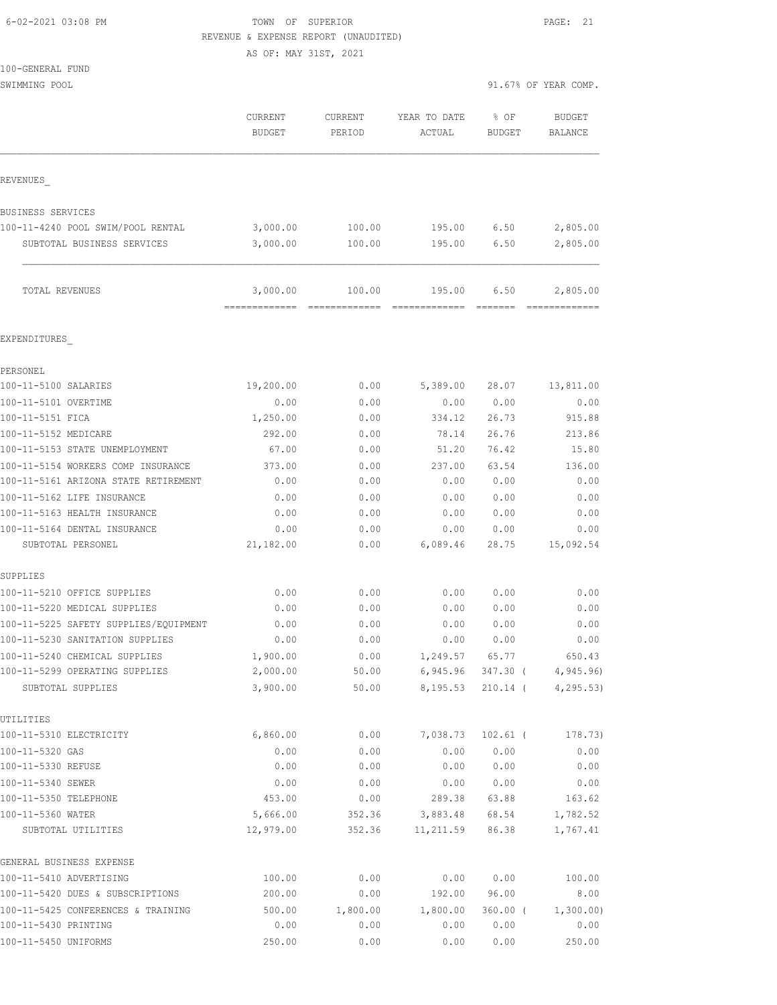| 6-02-2021 03:08 PM |  |
|--------------------|--|

TOWN OF SUPERIOR **PAGE:** 21 REVENUE & EXPENSE REPORT (UNAUDITED)

AS OF: MAY 31ST, 2021

SWIMMING POOL 91.67% OF YEAR COMP.

|                                                     | CURRENT<br><b>BUDGET</b>  | CURRENT<br>PERIOD | YEAR TO DATE<br>ACTUAL        | % OF<br><b>BUDGET</b> | <b>BUDGET</b><br>BALANCE |
|-----------------------------------------------------|---------------------------|-------------------|-------------------------------|-----------------------|--------------------------|
| REVENUES                                            |                           |                   |                               |                       |                          |
| BUSINESS SERVICES                                   |                           |                   |                               |                       |                          |
| 100-11-4240 POOL SWIM/POOL RENTAL                   | 3,000.00                  | 100.00            | 195.00                        | 6.50                  | 2,805.00                 |
| SUBTOTAL BUSINESS SERVICES                          | 3,000.00                  | 100.00            | 195.00                        | 6.50                  | 2,805.00                 |
| TOTAL REVENUES                                      | 3,000.00<br>============= | 100.00            | 195.00                        | 6.50                  | 2,805.00                 |
| EXPENDITURES                                        |                           |                   |                               |                       |                          |
| PERSONEL                                            |                           |                   |                               |                       |                          |
| 100-11-5100 SALARIES                                | 19,200.00                 | 0.00              | 5,389.00                      | 28.07                 | 13,811.00                |
| 100-11-5101 OVERTIME                                | 0.00                      | 0.00              | 0.00                          | 0.00                  | 0.00                     |
| 100-11-5151 FICA                                    | 1,250.00                  | 0.00              | 334.12                        | 26.73                 | 915.88                   |
| 100-11-5152 MEDICARE                                | 292.00                    | 0.00              | 78.14                         | 26.76                 | 213.86                   |
| 100-11-5153 STATE UNEMPLOYMENT                      | 67.00                     | 0.00              | 51.20                         | 76.42                 | 15.80                    |
| 100-11-5154 WORKERS COMP INSURANCE                  | 373.00                    | 0.00              | 237.00                        | 63.54                 | 136.00                   |
| 100-11-5161 ARIZONA STATE RETIREMENT                | 0.00                      | 0.00              | 0.00                          | 0.00                  | 0.00                     |
| 100-11-5162 LIFE INSURANCE                          | 0.00                      | 0.00              | 0.00                          | 0.00                  | 0.00                     |
| 100-11-5163 HEALTH INSURANCE                        | 0.00                      | 0.00              | 0.00                          | 0.00                  | 0.00                     |
| 100-11-5164 DENTAL INSURANCE                        | 0.00                      | 0.00              | 0.00                          | 0.00                  | 0.00                     |
| SUBTOTAL PERSONEL                                   | 21,182.00                 | 0.00              | 6,089.46                      | 28.75                 | 15,092.54                |
| SUPPLIES                                            |                           |                   |                               |                       |                          |
| 100-11-5210 OFFICE SUPPLIES                         | 0.00                      | 0.00              | 0.00                          | 0.00                  | 0.00                     |
| 100-11-5220 MEDICAL SUPPLIES                        | 0.00                      | 0.00              | 0.00                          | 0.00                  | 0.00                     |
| 100-11-5225 SAFETY SUPPLIES/EQUIPMENT               | 0.00                      | 0.00              | 0.00                          | 0.00                  | 0.00                     |
| 100-11-5230 SANITATION SUPPLIES                     | 0.00                      | 0.00              | 0.00                          | 0.00                  | 0.00                     |
| 100-11-5240 CHEMICAL SUPPLIES                       | 1,900.00                  | 0.00<br>50.00     | 1,249.57                      | 65.77                 | 650.43                   |
| 100-11-5299 OPERATING SUPPLIES<br>SUBTOTAL SUPPLIES | 2,000.00<br>3,900.00      | 50.00             | 6,945.96 347.30 (<br>8,195.53 | 210.14 (              | 4,945.96)<br>4, 295.53   |
| UTILITIES                                           |                           |                   |                               |                       |                          |
| 100-11-5310 ELECTRICITY                             | 6,860.00                  | 0.00              | 7,038.73                      | $102.61$ (            | 178.73)                  |
| 100-11-5320 GAS                                     | 0.00                      | 0.00              | 0.00                          | 0.00                  | 0.00                     |
| 100-11-5330 REFUSE                                  | 0.00                      | 0.00              | 0.00                          | 0.00                  | 0.00                     |
| 100-11-5340 SEWER                                   | 0.00                      | 0.00              | 0.00                          | 0.00                  | 0.00                     |
| 100-11-5350 TELEPHONE                               | 453.00                    | 0.00              | 289.38                        | 63.88                 | 163.62                   |
| 100-11-5360 WATER                                   | 5,666.00                  | 352.36            | 3,883.48                      | 68.54                 | 1,782.52                 |
| SUBTOTAL UTILITIES                                  | 12,979.00                 | 352.36            | 11,211.59                     | 86.38                 | 1,767.41                 |
| GENERAL BUSINESS EXPENSE                            |                           |                   |                               |                       |                          |
| 100-11-5410 ADVERTISING                             | 100.00                    | 0.00              | 0.00                          | 0.00                  | 100.00                   |
| 100-11-5420 DUES & SUBSCRIPTIONS                    | 200.00                    | 0.00              | 192.00                        | 96.00                 | 8.00                     |
| 100-11-5425 CONFERENCES & TRAINING                  | 500.00                    | 1,800.00          | 1,800.00                      | $360.00$ (            | 1,300.00)                |
| 100-11-5430 PRINTING                                | 0.00                      | 0.00              | 0.00                          | 0.00                  | 0.00                     |
| 100-11-5450 UNIFORMS                                | 250.00                    | 0.00              | 0.00                          | 0.00                  | 250.00                   |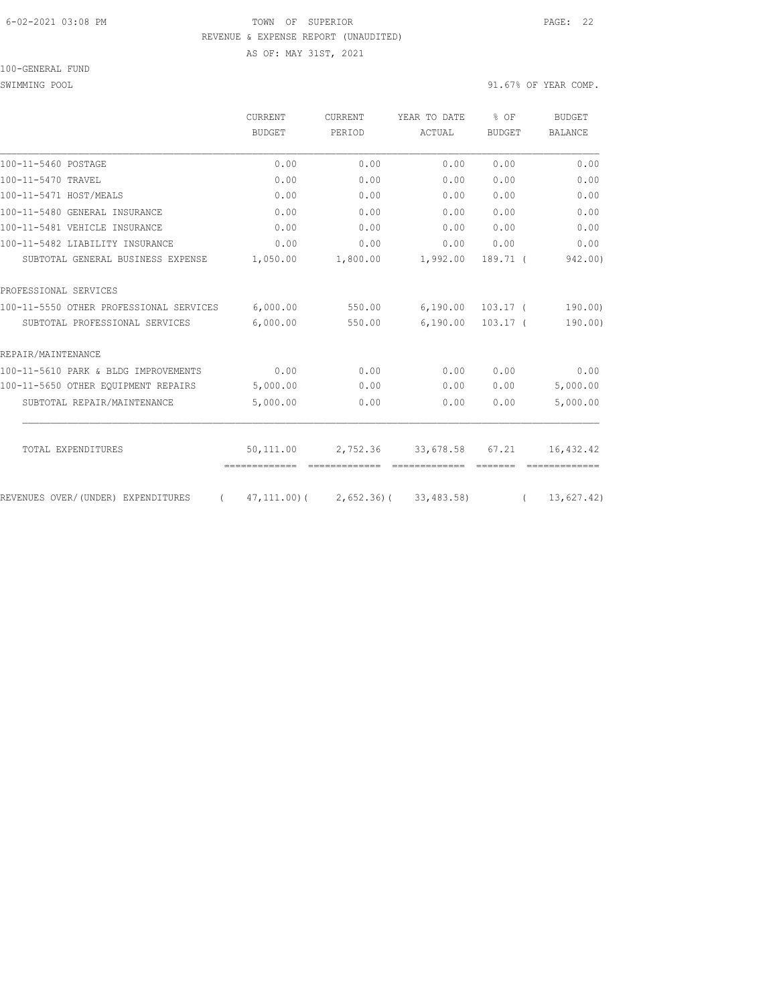### 6-02-2021 03:08 PM TOWN OF SUPERIOR PAGE: 22 REVENUE & EXPENSE REPORT (UNAUDITED)

AS OF: MAY 31ST, 2021

### 100-GENERAL FUND

|                                                | CURRENT<br><b>BUDGET</b> | <b>CURRENT</b><br>PERIOD | YEAR TO DATE                      | % OF<br><b>BUDGET</b> | <b>BUDGET</b><br><b>BALANCE</b> |
|------------------------------------------------|--------------------------|--------------------------|-----------------------------------|-----------------------|---------------------------------|
|                                                |                          |                          | ACTUAL                            |                       |                                 |
| 100-11-5460 POSTAGE                            | 0.00                     | 0.00                     | 0.00                              | 0.00                  | 0.00                            |
| 100-11-5470 TRAVEL                             | 0.00                     | 0.00                     | 0.00                              | 0.00                  | 0.00                            |
| 100-11-5471 HOST/MEALS                         | 0.00                     | 0.00                     | 0.00                              | 0.00                  | 0.00                            |
| 100-11-5480 GENERAL INSURANCE                  | 0.00                     | 0.00                     | 0.00                              | 0.00                  | 0.00                            |
| 100-11-5481 VEHICLE INSURANCE                  | 0.00                     | 0.00                     | 0.00                              | 0.00                  | 0.00                            |
| 100-11-5482 LIABILITY INSURANCE                | 0.00                     | 0.00                     | 0.00                              | 0.00                  | 0.00                            |
| SUBTOTAL GENERAL BUSINESS EXPENSE              | 1,050.00                 | 1,800.00                 | 1,992.00                          | 189.71 (              | 942.00)                         |
| PROFESSIONAL SERVICES                          |                          |                          |                                   |                       |                                 |
| 100-11-5550 OTHER PROFESSIONAL SERVICES        | 6,000.00                 | 550.00                   | 6,190.00                          | $103.17$ (            | 190.00                          |
| SUBTOTAL PROFESSIONAL SERVICES                 | 6,000.00                 | 550.00                   | 6,190.00                          | $103.17$ (            | 190.00)                         |
| REPAIR/MAINTENANCE                             |                          |                          |                                   |                       |                                 |
| 100-11-5610 PARK & BLDG IMPROVEMENTS           | 0.00                     | 0.00                     | 0.00                              | 0.00                  | 0.00                            |
| 100-11-5650 OTHER EQUIPMENT REPAIRS            | 5,000.00                 | 0.00                     | 0.00                              | 0.00                  | 5,000.00                        |
| SUBTOTAL REPAIR/MAINTENANCE                    | 5,000.00                 | 0.00                     | 0.00                              | 0.00                  | 5,000.00                        |
| TOTAL EXPENDITURES                             | 50,111.00                |                          | 2,752.36 33,678.58                | 67.21                 | 16, 432.42                      |
|                                                |                          |                          |                                   |                       |                                 |
| REVENUES OVER/(UNDER) EXPENDITURES<br>$\left($ |                          |                          | 47,111.00)( 2,652.36)( 33,483.58) | $\sqrt{2}$            | 13,627.42)                      |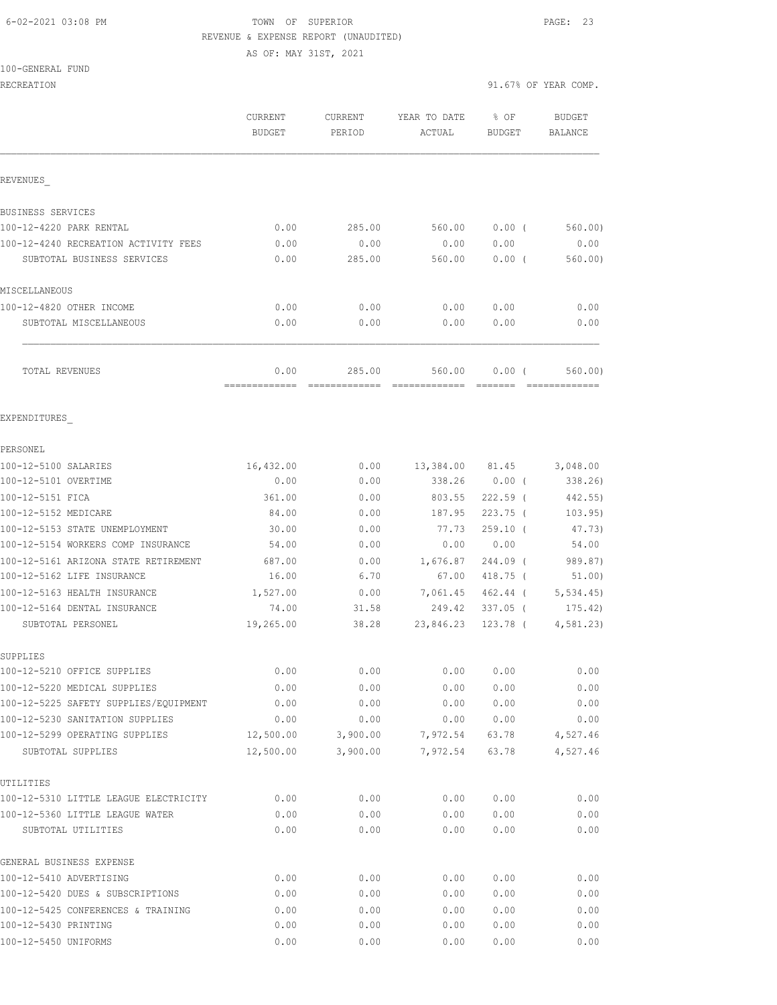#### 6-02-2021 03:08 PM TOWN OF SUPERIOR PAGE: 23 REVENUE & EXPENSE REPORT (UNAUDITED)

AS OF: MAY 31ST, 2021

100-GENERAL FUND

|                                                     | CURRENT<br><b>BUDGET</b> | <b>CURRENT</b><br>PERIOD                                                                                                                                                                                                                                                                                                                                                                                                                                                                         | YEAR TO DATE<br>ACTUAL | % OF<br>BUDGET  | <b>BUDGET</b><br>BALANCE |
|-----------------------------------------------------|--------------------------|--------------------------------------------------------------------------------------------------------------------------------------------------------------------------------------------------------------------------------------------------------------------------------------------------------------------------------------------------------------------------------------------------------------------------------------------------------------------------------------------------|------------------------|-----------------|--------------------------|
| REVENUES                                            |                          |                                                                                                                                                                                                                                                                                                                                                                                                                                                                                                  |                        |                 |                          |
| BUSINESS SERVICES                                   |                          |                                                                                                                                                                                                                                                                                                                                                                                                                                                                                                  |                        |                 |                          |
| 100-12-4220 PARK RENTAL                             | 0.00                     | 285.00                                                                                                                                                                                                                                                                                                                                                                                                                                                                                           | 560.00                 | $0.00$ (        | 560.00)                  |
| 100-12-4240 RECREATION ACTIVITY FEES                | 0.00                     | 0.00                                                                                                                                                                                                                                                                                                                                                                                                                                                                                             | 0.00                   | 0.00            | 0.00                     |
| SUBTOTAL BUSINESS SERVICES                          | 0.00                     | 285.00                                                                                                                                                                                                                                                                                                                                                                                                                                                                                           | 560.00                 | $0.00$ (        | 560.00)                  |
| MISCELLANEOUS                                       |                          |                                                                                                                                                                                                                                                                                                                                                                                                                                                                                                  |                        |                 |                          |
| 100-12-4820 OTHER INCOME                            | 0.00                     | 0.00                                                                                                                                                                                                                                                                                                                                                                                                                                                                                             | 0.00                   | 0.00            | 0.00                     |
| SUBTOTAL MISCELLANEOUS                              | 0.00                     | 0.00                                                                                                                                                                                                                                                                                                                                                                                                                                                                                             | 0.00                   | 0.00            | 0.00                     |
| TOTAL REVENUES                                      | 0.00<br>=============    | 285.00<br>$\begin{array}{cccccccccccccc} \multicolumn{2}{c}{} & \multicolumn{2}{c}{} & \multicolumn{2}{c}{} & \multicolumn{2}{c}{} & \multicolumn{2}{c}{} & \multicolumn{2}{c}{} & \multicolumn{2}{c}{} & \multicolumn{2}{c}{} & \multicolumn{2}{c}{} & \multicolumn{2}{c}{} & \multicolumn{2}{c}{} & \multicolumn{2}{c}{} & \multicolumn{2}{c}{} & \multicolumn{2}{c}{} & \multicolumn{2}{c}{} & \multicolumn{2}{c}{} & \multicolumn{2}{c}{} & \multicolumn{2}{c}{} & \multicolumn{2}{c}{} & \$ | 560.00                 | 0.00(           | 560.00)<br>============= |
| EXPENDITURES                                        |                          |                                                                                                                                                                                                                                                                                                                                                                                                                                                                                                  |                        |                 |                          |
| PERSONEL                                            |                          |                                                                                                                                                                                                                                                                                                                                                                                                                                                                                                  |                        |                 |                          |
| 100-12-5100 SALARIES                                | 16,432.00                | 0.00                                                                                                                                                                                                                                                                                                                                                                                                                                                                                             |                        | 13,384.00 81.45 | 3,048.00                 |
| 100-12-5101 OVERTIME                                | 0.00                     | 0.00                                                                                                                                                                                                                                                                                                                                                                                                                                                                                             |                        | 338.26 0.00 (   | 338.26                   |
| 100-12-5151 FICA                                    | 361.00                   | 0.00                                                                                                                                                                                                                                                                                                                                                                                                                                                                                             | 803.55                 | $222.59$ (      | 442.55)                  |
| 100-12-5152 MEDICARE                                | 84.00                    | 0.00                                                                                                                                                                                                                                                                                                                                                                                                                                                                                             | 187.95                 | $223.75$ (      | 103.95)                  |
| 100-12-5153 STATE UNEMPLOYMENT                      | 30.00                    | 0.00                                                                                                                                                                                                                                                                                                                                                                                                                                                                                             | 77.73                  | $259.10$ (      | 47.73)                   |
| 100-12-5154 WORKERS COMP INSURANCE                  | 54.00                    | 0.00                                                                                                                                                                                                                                                                                                                                                                                                                                                                                             | 0.00                   | 0.00            | 54.00                    |
| 100-12-5161 ARIZONA STATE RETIREMENT                | 687.00                   | 0.00                                                                                                                                                                                                                                                                                                                                                                                                                                                                                             | 1,676.87               | 244.09 (        | 989.87)                  |
| 100-12-5162 LIFE INSURANCE                          | 16.00                    | 6.70                                                                                                                                                                                                                                                                                                                                                                                                                                                                                             | 67.00                  | 418.75 (        | 51.00)                   |
| 100-12-5163 HEALTH INSURANCE                        | 1,527.00                 | 0.00                                                                                                                                                                                                                                                                                                                                                                                                                                                                                             | 7,061.45               | 462.44 (        | 5, 534.45                |
| 100-12-5164 DENTAL INSURANCE                        | 74.00                    | 31.58                                                                                                                                                                                                                                                                                                                                                                                                                                                                                            | 249.42                 | $337.05$ (      | 175.42)                  |
| SUBTOTAL PERSONEL                                   | 19,265.00                | 38.28                                                                                                                                                                                                                                                                                                                                                                                                                                                                                            | 23,846.23              | 123.78 (        | 4,581.23                 |
| SUPPLIES                                            |                          |                                                                                                                                                                                                                                                                                                                                                                                                                                                                                                  |                        |                 |                          |
| 100-12-5210 OFFICE SUPPLIES                         | 0.00                     | 0.00                                                                                                                                                                                                                                                                                                                                                                                                                                                                                             | 0.00                   | 0.00            | 0.00                     |
| 100-12-5220 MEDICAL SUPPLIES                        | 0.00                     | 0.00                                                                                                                                                                                                                                                                                                                                                                                                                                                                                             | 0.00                   | 0.00            | 0.00                     |
| 100-12-5225 SAFETY SUPPLIES/EQUIPMENT               | 0.00                     | 0.00                                                                                                                                                                                                                                                                                                                                                                                                                                                                                             | 0.00                   | 0.00            | 0.00                     |
| 100-12-5230 SANITATION SUPPLIES                     | 0.00                     | 0.00                                                                                                                                                                                                                                                                                                                                                                                                                                                                                             | 0.00                   | 0.00            | 0.00                     |
| 100-12-5299 OPERATING SUPPLIES<br>SUBTOTAL SUPPLIES | 12,500.00<br>12,500.00   | 3,900.00<br>3,900.00                                                                                                                                                                                                                                                                                                                                                                                                                                                                             | 7,972.54<br>7,972.54   | 63.78<br>63.78  | 4,527.46<br>4,527.46     |
| UTILITIES                                           |                          |                                                                                                                                                                                                                                                                                                                                                                                                                                                                                                  |                        |                 |                          |
| 100-12-5310 LITTLE LEAGUE ELECTRICITY               | 0.00                     | 0.00                                                                                                                                                                                                                                                                                                                                                                                                                                                                                             | 0.00                   | 0.00            | 0.00                     |
| 100-12-5360 LITTLE LEAGUE WATER                     | 0.00                     | 0.00                                                                                                                                                                                                                                                                                                                                                                                                                                                                                             | 0.00                   | 0.00            | 0.00                     |
| SUBTOTAL UTILITIES                                  | 0.00                     | 0.00                                                                                                                                                                                                                                                                                                                                                                                                                                                                                             | 0.00                   | 0.00            | 0.00                     |
| GENERAL BUSINESS EXPENSE                            |                          |                                                                                                                                                                                                                                                                                                                                                                                                                                                                                                  |                        |                 |                          |
| 100-12-5410 ADVERTISING                             | 0.00                     | 0.00                                                                                                                                                                                                                                                                                                                                                                                                                                                                                             | 0.00                   | 0.00            | 0.00                     |
| 100-12-5420 DUES & SUBSCRIPTIONS                    | 0.00                     | 0.00                                                                                                                                                                                                                                                                                                                                                                                                                                                                                             | 0.00                   | 0.00            | 0.00                     |
| 100-12-5425 CONFERENCES & TRAINING                  | 0.00                     | 0.00                                                                                                                                                                                                                                                                                                                                                                                                                                                                                             | 0.00                   | 0.00            | 0.00                     |
| 100-12-5430 PRINTING                                | 0.00                     | 0.00                                                                                                                                                                                                                                                                                                                                                                                                                                                                                             | 0.00                   | 0.00            | 0.00                     |
| 100-12-5450 UNIFORMS                                | 0.00                     | 0.00                                                                                                                                                                                                                                                                                                                                                                                                                                                                                             | 0.00                   | 0.00            | 0.00                     |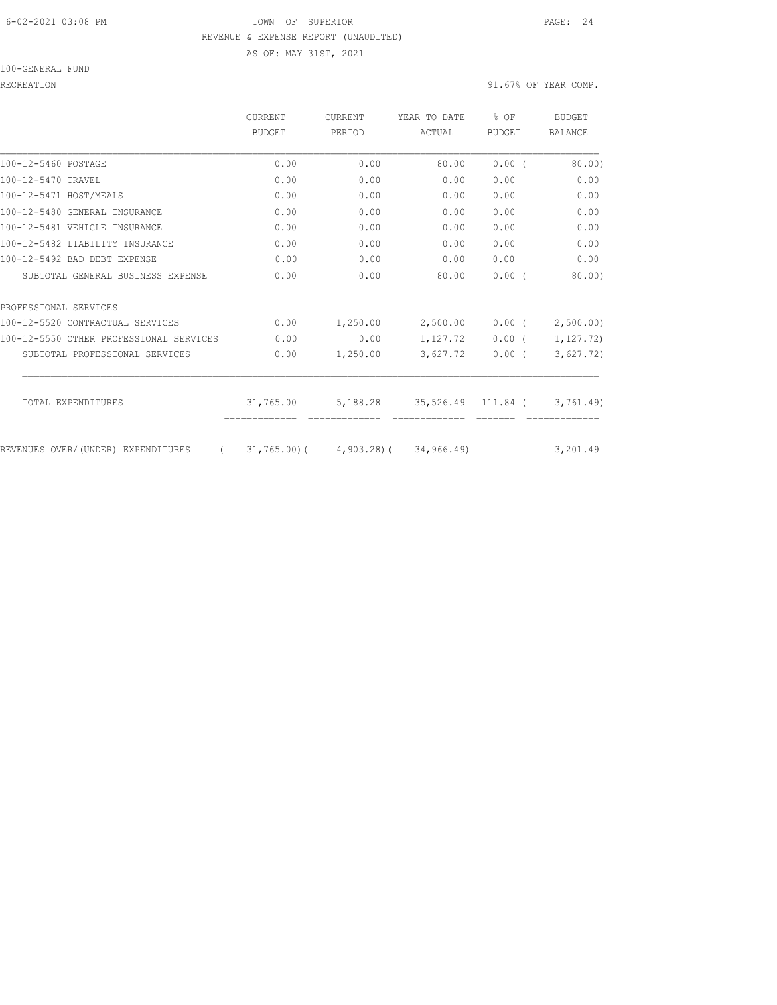## 6-02-2021 03:08 PM TOWN OF SUPERIOR PAGE: 24 REVENUE & EXPENSE REPORT (UNAUDITED)

AS OF: MAY 31ST, 2021

RECREATION 91.67% OF YEAR COMP.

|                                                | <b>CURRENT</b><br>BUDGET | CURRENT<br>PERTOD                          | YEAR TO DATE<br>ACTUAL                  | % OF<br><b>BUDGET</b> | BUDGET<br><b>BALANCE</b> |
|------------------------------------------------|--------------------------|--------------------------------------------|-----------------------------------------|-----------------------|--------------------------|
|                                                |                          |                                            |                                         |                       |                          |
| 100-12-5460 POSTAGE                            | 0.00                     | 0.00                                       | 80.00                                   | 0.00(                 | 80.00                    |
| 100-12-5470 TRAVEL                             | 0.00                     | 0.00                                       | 0.00                                    | 0.00                  | 0.00                     |
| 100-12-5471 HOST/MEALS                         | 0.00                     | 0.00                                       | 0.00                                    | 0.00                  | 0.00                     |
| 100-12-5480 GENERAL INSURANCE                  | 0.00                     | 0.00                                       | 0.00                                    | 0.00                  | 0.00                     |
| 100-12-5481 VEHICLE INSURANCE                  | 0.00                     | 0.00                                       | 0.00                                    | 0.00                  | 0.00                     |
| 100-12-5482 LIABILITY INSURANCE                | 0.00                     | 0.00                                       | 0.00                                    | 0.00                  | 0.00                     |
| 100-12-5492 BAD DEBT EXPENSE                   | 0.00                     | 0.00                                       | 0.00                                    | 0.00                  | 0.00                     |
| SUBTOTAL GENERAL BUSINESS EXPENSE              | 0.00                     | 0.00                                       | 80.00                                   | 0.00(                 | 80.00                    |
| PROFESSIONAL SERVICES                          |                          |                                            |                                         |                       |                          |
| 100-12-5520 CONTRACTUAL SERVICES               | 0.00                     | 1,250.00                                   | 2,500.00                                | 0.00(                 | 2,500.00                 |
| 100-12-5550 OTHER PROFESSIONAL SERVICES        | 0.00                     | 0.00                                       | 1,127.72                                | $0.00$ (              | 1, 127.72)               |
| SUBTOTAL PROFESSIONAL SERVICES                 | 0.00                     | 1,250.00                                   | 3,627.72                                | $0.00$ (              | 3,627.72)                |
| TOTAL EXPENDITURES                             | 31,765.00                |                                            | 5, 188.28 35, 526.49 111.84 (3, 761.49) |                       |                          |
|                                                |                          |                                            |                                         |                       |                          |
| REVENUES OVER/(UNDER) EXPENDITURES<br>$\left($ |                          | $31,765,00$ ( $4,903,28$ ) ( $34,966,49$ ) |                                         |                       | 3,201.49                 |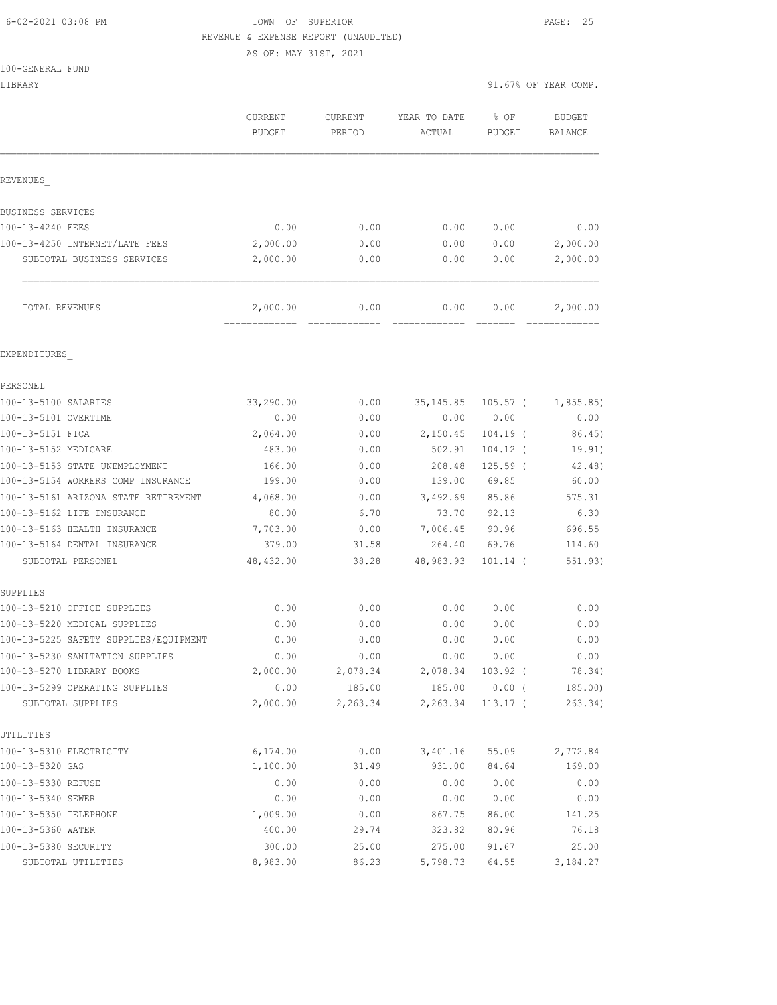## 6-02-2021 03:08 PM TOWN OF SUPERIOR PAGE: 25 REVENUE & EXPENSE REPORT (UNAUDITED)

AS OF: MAY 31ST, 2021

|                                                     | CURRENT<br><b>BUDGET</b> | <b>CURRENT</b><br>PERIOD | YEAR TO DATE<br>ACTUAL | % OF<br>BUDGET         | <b>BUDGET</b><br><b>BALANCE</b> |
|-----------------------------------------------------|--------------------------|--------------------------|------------------------|------------------------|---------------------------------|
| REVENUES                                            |                          |                          |                        |                        |                                 |
| BUSINESS SERVICES                                   |                          |                          |                        |                        |                                 |
| 100-13-4240 FEES                                    | 0.00                     | 0.00                     | 0.00                   | 0.00                   | 0.00                            |
| 100-13-4250 INTERNET/LATE FEES                      | 2,000.00                 | 0.00                     | 0.00                   | 0.00                   | 2,000.00                        |
| SUBTOTAL BUSINESS SERVICES                          | 2,000.00                 | 0.00                     | 0.00                   | 0.00                   | 2,000.00                        |
| TOTAL REVENUES                                      | 2,000.00                 | 0.00                     | 0.00                   | 0.00                   | 2,000.00                        |
| EXPENDITURES                                        |                          |                          |                        |                        |                                 |
| PERSONEL                                            |                          |                          |                        |                        |                                 |
| 100-13-5100 SALARIES                                | 33,290.00                | 0.00                     | 35, 145.85             | 105.57 (               | 1,855.85)                       |
| 100-13-5101 OVERTIME                                | 0.00                     | 0.00                     | 0.00                   | 0.00                   | 0.00                            |
| 100-13-5151 FICA                                    | 2,064.00                 | 0.00                     | 2,150.45               | $104.19$ (             | 86.45)                          |
| 100-13-5152 MEDICARE                                | 483.00                   | 0.00                     | 502.91                 | 104.12 (               | 19.91)                          |
| 100-13-5153 STATE UNEMPLOYMENT                      | 166.00                   | 0.00                     | 208.48                 | $125.59$ (             | 42.48)                          |
| 100-13-5154 WORKERS COMP INSURANCE                  | 199.00                   | 0.00                     | 139.00                 | 69.85                  | 60.00                           |
| 100-13-5161 ARIZONA STATE RETIREMENT                | 4,068.00                 | 0.00                     | 3,492.69               | 85.86                  | 575.31                          |
| 100-13-5162 LIFE INSURANCE                          | 80.00                    | 6.70                     | 73.70                  | 92.13                  | 6.30                            |
| 100-13-5163 HEALTH INSURANCE                        | 7,703.00                 | 0.00                     | 7,006.45               | 90.96                  | 696.55                          |
| 100-13-5164 DENTAL INSURANCE                        | 379.00                   | 31.58                    | 264.40                 | 69.76                  | 114.60                          |
| SUBTOTAL PERSONEL                                   | 48,432.00                | 38.28                    | 48,983.93              | $101.14$ (             | 551.93)                         |
| SUPPLIES                                            |                          |                          |                        |                        |                                 |
| 100-13-5210 OFFICE SUPPLIES                         | 0.00                     | 0.00                     | 0.00                   | 0.00                   | 0.00                            |
| 100-13-5220 MEDICAL SUPPLIES                        | 0.00                     | 0.00                     | 0.00                   | 0.00                   | 0.00                            |
| 100-13-5225 SAFETY SUPPLIES/EQUIPMENT               | 0.00                     | 0.00                     | 0.00                   | 0.00                   | 0.00                            |
| 100-13-5230 SANITATION SUPPLIES                     | 0.00                     | 0.00                     | 0.00                   | 0.00                   | 0.00                            |
| 100-13-5270 LIBRARY BOOKS                           | 2,000.00                 | 2,078.34                 | 2,078.34               | $103.92$ (             | 78.34)                          |
| 100-13-5299 OPERATING SUPPLIES<br>SUBTOTAL SUPPLIES | 0.00<br>2,000.00         | 185.00<br>2,263.34       | 185.00<br>2,263.34     | $0.00$ (<br>$113.17$ ( | 185.00)<br>263.34)              |
| UTILITIES                                           |                          |                          |                        |                        |                                 |
| 100-13-5310 ELECTRICITY                             | 6,174.00                 | 0.00                     | 3,401.16               | 55.09                  | 2,772.84                        |
| 100-13-5320 GAS                                     | 1,100.00                 | 31.49                    | 931.00                 | 84.64                  | 169.00                          |
| 100-13-5330 REFUSE                                  | 0.00                     | 0.00                     | 0.00                   | 0.00                   | 0.00                            |
| 100-13-5340 SEWER                                   | 0.00                     | 0.00                     | 0.00                   | 0.00                   | 0.00                            |
| 100-13-5350 TELEPHONE                               | 1,009.00                 | 0.00                     | 867.75                 | 86.00                  | 141.25                          |
| 100-13-5360 WATER                                   | 400.00                   | 29.74                    | 323.82                 | 80.96                  | 76.18                           |
| 100-13-5380 SECURITY                                | 300.00                   | 25.00                    | 275.00                 | 91.67                  | 25.00                           |
| SUBTOTAL UTILITIES                                  | 8,983.00                 | 86.23                    | 5,798.73               | 64.55                  | 3,184.27                        |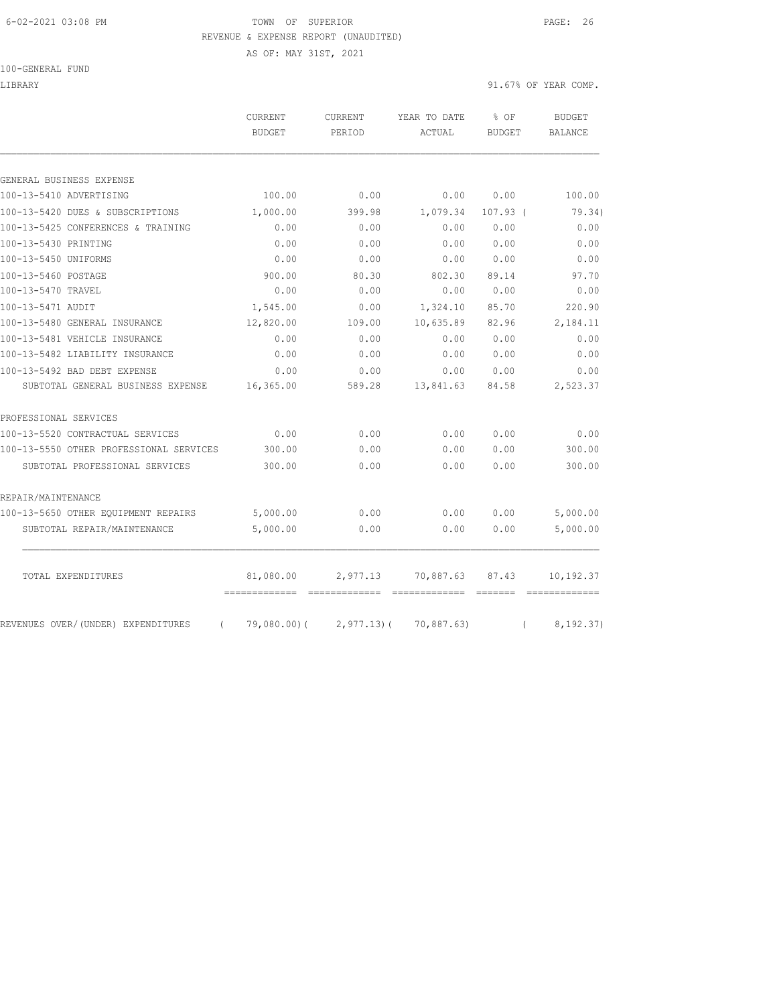### 6-02-2021 03:08 PM TOWN OF SUPERIOR PAGE: 26 REVENUE & EXPENSE REPORT (UNAUDITED)

AS OF: MAY 31ST, 2021

100-GENERAL FUND

LIBRARY 91.67% OF YEAR COMP.

| 0.00<br>399.98<br>0.00<br>0.00<br>0.00<br>80.30<br>0.00<br>0.00<br>109.00<br>0.00<br>0.00<br>0.00 | 0.00<br>1,079.34<br>0.00<br>0.00<br>0.00<br>802.30<br>0.00<br>1,324.10<br>10,635.89<br>0.00<br>0.00<br>0.00 | 0.00<br>$107.93$ (<br>0.00<br>0.00<br>0.00<br>89.14<br>0.00<br>85.70<br>82.96<br>0.00<br>0.00<br>0.00 | 100.00<br>0.00<br>0.00<br>0.00<br>97.70<br>0.00<br>220.90<br>2,184.11<br>0.00<br>0.00<br>0.00                                                                                                                                                                                                                                                                                                                                                                                                   |
|---------------------------------------------------------------------------------------------------|-------------------------------------------------------------------------------------------------------------|-------------------------------------------------------------------------------------------------------|-------------------------------------------------------------------------------------------------------------------------------------------------------------------------------------------------------------------------------------------------------------------------------------------------------------------------------------------------------------------------------------------------------------------------------------------------------------------------------------------------|
|                                                                                                   |                                                                                                             |                                                                                                       |                                                                                                                                                                                                                                                                                                                                                                                                                                                                                                 |
|                                                                                                   |                                                                                                             |                                                                                                       | 79.34)                                                                                                                                                                                                                                                                                                                                                                                                                                                                                          |
|                                                                                                   |                                                                                                             |                                                                                                       |                                                                                                                                                                                                                                                                                                                                                                                                                                                                                                 |
|                                                                                                   |                                                                                                             |                                                                                                       |                                                                                                                                                                                                                                                                                                                                                                                                                                                                                                 |
|                                                                                                   |                                                                                                             |                                                                                                       |                                                                                                                                                                                                                                                                                                                                                                                                                                                                                                 |
|                                                                                                   |                                                                                                             |                                                                                                       |                                                                                                                                                                                                                                                                                                                                                                                                                                                                                                 |
|                                                                                                   |                                                                                                             |                                                                                                       |                                                                                                                                                                                                                                                                                                                                                                                                                                                                                                 |
|                                                                                                   |                                                                                                             |                                                                                                       |                                                                                                                                                                                                                                                                                                                                                                                                                                                                                                 |
|                                                                                                   |                                                                                                             |                                                                                                       |                                                                                                                                                                                                                                                                                                                                                                                                                                                                                                 |
|                                                                                                   |                                                                                                             |                                                                                                       |                                                                                                                                                                                                                                                                                                                                                                                                                                                                                                 |
|                                                                                                   |                                                                                                             |                                                                                                       |                                                                                                                                                                                                                                                                                                                                                                                                                                                                                                 |
|                                                                                                   |                                                                                                             |                                                                                                       |                                                                                                                                                                                                                                                                                                                                                                                                                                                                                                 |
|                                                                                                   |                                                                                                             |                                                                                                       |                                                                                                                                                                                                                                                                                                                                                                                                                                                                                                 |
|                                                                                                   |                                                                                                             |                                                                                                       |                                                                                                                                                                                                                                                                                                                                                                                                                                                                                                 |
| 589.28                                                                                            | 13,841.63                                                                                                   | 84.58                                                                                                 | 2,523.37                                                                                                                                                                                                                                                                                                                                                                                                                                                                                        |
|                                                                                                   |                                                                                                             |                                                                                                       |                                                                                                                                                                                                                                                                                                                                                                                                                                                                                                 |
| 0.00                                                                                              | 0.00                                                                                                        | 0.00                                                                                                  | 0.00                                                                                                                                                                                                                                                                                                                                                                                                                                                                                            |
| 0.00                                                                                              | 0.00                                                                                                        | 0.00                                                                                                  | 300.00                                                                                                                                                                                                                                                                                                                                                                                                                                                                                          |
| 0.00                                                                                              | 0.00                                                                                                        | 0.00                                                                                                  | 300.00                                                                                                                                                                                                                                                                                                                                                                                                                                                                                          |
|                                                                                                   |                                                                                                             |                                                                                                       |                                                                                                                                                                                                                                                                                                                                                                                                                                                                                                 |
| 0.00                                                                                              | 0.00                                                                                                        | 0.00                                                                                                  | 5,000.00                                                                                                                                                                                                                                                                                                                                                                                                                                                                                        |
| 0.00                                                                                              | 0.00                                                                                                        | 0.00                                                                                                  | 5,000.00                                                                                                                                                                                                                                                                                                                                                                                                                                                                                        |
|                                                                                                   |                                                                                                             |                                                                                                       | 10,192.37                                                                                                                                                                                                                                                                                                                                                                                                                                                                                       |
|                                                                                                   | 2,977.13                                                                                                    | 70,887.63                                                                                             | 87.43<br>$\begin{array}{cccccccccc} \multicolumn{2}{c}{} & \multicolumn{2}{c}{} & \multicolumn{2}{c}{} & \multicolumn{2}{c}{} & \multicolumn{2}{c}{} & \multicolumn{2}{c}{} & \multicolumn{2}{c}{} & \multicolumn{2}{c}{} & \multicolumn{2}{c}{} & \multicolumn{2}{c}{} & \multicolumn{2}{c}{} & \multicolumn{2}{c}{} & \multicolumn{2}{c}{} & \multicolumn{2}{c}{} & \multicolumn{2}{c}{} & \multicolumn{2}{c}{} & \multicolumn{2}{c}{} & \multicolumn{2}{c}{} & \multicolumn{2}{c}{} & \mult$ |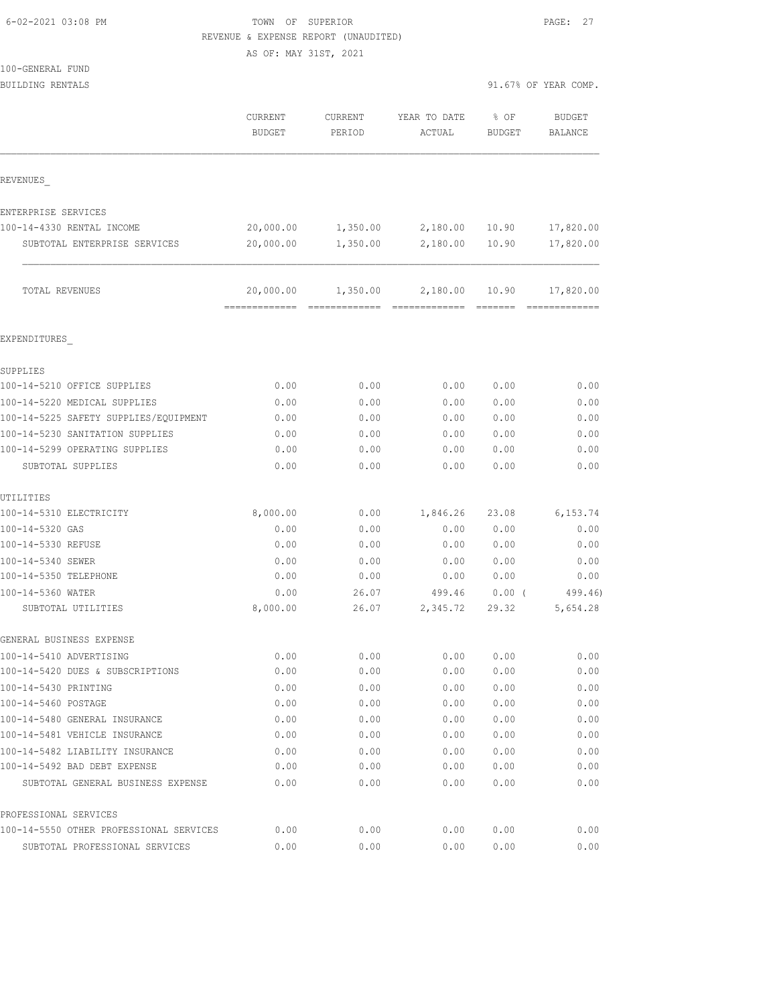## TOWN OF SUPERIOR PAGE: 27 REVENUE & EXPENSE REPORT (UNAUDITED)

AS OF: MAY 31ST, 2021

 $100 -$ 

| 100-GENERAL FUND<br>BUILDING RENTALS             |                          |                   |                        |                       | 91.67% OF YEAR COMP.       |
|--------------------------------------------------|--------------------------|-------------------|------------------------|-----------------------|----------------------------|
|                                                  |                          |                   |                        |                       |                            |
|                                                  | CURRENT<br><b>BUDGET</b> | CURRENT<br>PERIOD | YEAR TO DATE<br>ACTUAL | % OF<br><b>BUDGET</b> | <b>BUDGET</b><br>BALANCE   |
| REVENUES                                         |                          |                   |                        |                       |                            |
|                                                  |                          |                   |                        |                       |                            |
| ENTERPRISE SERVICES<br>100-14-4330 RENTAL INCOME | 20,000.00                | 1,350.00          | 2,180.00               | 10.90                 | 17,820.00                  |
| SUBTOTAL ENTERPRISE SERVICES                     | 20,000.00                | 1,350.00          | 2,180.00               | 10.90                 | 17,820.00                  |
|                                                  |                          |                   |                        |                       |                            |
| TOTAL REVENUES                                   | 20,000.00                | 1,350.00          | 2,180.00               | 10.90                 | 17,820.00<br>============= |
| EXPENDITURES                                     |                          |                   |                        |                       |                            |
| SUPPLIES                                         |                          |                   |                        |                       |                            |
| 100-14-5210 OFFICE SUPPLIES                      | 0.00                     | 0.00              | 0.00                   | 0.00                  | 0.00                       |
| 100-14-5220 MEDICAL SUPPLIES                     | 0.00                     | 0.00              | 0.00                   | 0.00                  | 0.00                       |
| 100-14-5225 SAFETY SUPPLIES/EQUIPMENT            | 0.00                     | 0.00              | 0.00                   | 0.00                  | 0.00                       |
| 100-14-5230 SANITATION SUPPLIES                  | 0.00                     | 0.00              | 0.00                   | 0.00                  | 0.00                       |
| 100-14-5299 OPERATING SUPPLIES                   | 0.00                     | 0.00              | 0.00                   | 0.00                  | 0.00                       |
| SUBTOTAL SUPPLIES                                | 0.00                     | 0.00              | 0.00                   | 0.00                  | 0.00                       |
| UTILITIES                                        |                          |                   |                        |                       |                            |
| 100-14-5310 ELECTRICITY                          | 8,000.00                 | 0.00              | 1,846.26               | 23.08                 | 6, 153.74                  |
| 100-14-5320 GAS                                  | 0.00                     | 0.00              | 0.00                   | 0.00                  | 0.00                       |
| 100-14-5330 REFUSE                               | 0.00                     | 0.00              | 0.00                   | 0.00                  | 0.00                       |
| 100-14-5340 SEWER                                | 0.00                     | 0.00              | 0.00                   | 0.00                  | 0.00                       |
| 100-14-5350 TELEPHONE                            | 0.00                     | 0.00              | 0.00                   | 0.00                  | 0.00                       |
| 100-14-5360 WATER                                | 0.00                     | 26.07             | 499.46                 | $0.00$ (              | 499.46)                    |
| SUBTOTAL UTILITIES                               | 8,000.00                 | 26.07             | 2,345.72               | 29.32                 | 5,654.28                   |
| GENERAL BUSINESS EXPENSE                         |                          |                   |                        |                       |                            |
| 100-14-5410 ADVERTISING                          | 0.00                     | 0.00              | 0.00                   | 0.00                  | 0.00                       |
| 100-14-5420 DUES & SUBSCRIPTIONS                 | 0.00                     | 0.00              | 0.00                   | 0.00                  | 0.00                       |
| 100-14-5430 PRINTING                             | 0.00                     | 0.00              | 0.00                   | 0.00                  | 0.00                       |
| 100-14-5460 POSTAGE                              | 0.00                     | 0.00              | 0.00                   | 0.00                  | 0.00                       |
| 100-14-5480 GENERAL INSURANCE                    | 0.00                     | 0.00              | 0.00                   | 0.00                  | 0.00                       |
| 100-14-5481 VEHICLE INSURANCE                    | 0.00                     | 0.00              | 0.00                   | 0.00                  | 0.00                       |
| 100-14-5482 LIABILITY INSURANCE                  | 0.00                     | 0.00              | 0.00                   | 0.00                  | 0.00                       |
| 100-14-5492 BAD DEBT EXPENSE                     | 0.00                     | 0.00              | 0.00                   | 0.00                  | 0.00                       |
| SUBTOTAL GENERAL BUSINESS EXPENSE                | 0.00                     | 0.00              | 0.00                   | 0.00                  | 0.00                       |
| PROFESSIONAL SERVICES                            |                          |                   |                        |                       |                            |
| 100-14-5550 OTHER PROFESSIONAL SERVICES          | 0.00                     | 0.00              | 0.00                   | 0.00                  | 0.00                       |

SUBTOTAL PROFESSIONAL SERVICES 0.00 0.00 0.00 0.00 0.00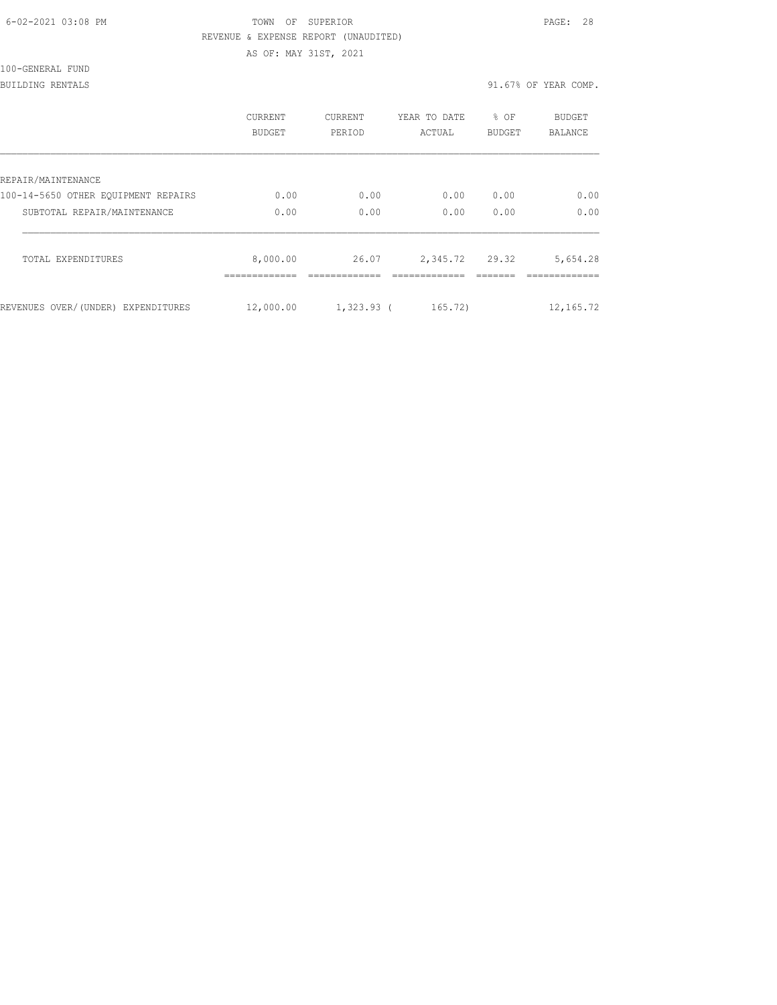| 6-02-2021 03:08 PM |  |
|--------------------|--|
|                    |  |

## TOWN OF SUPERIOR **Example 28** PAGE: 28 REVENUE & EXPENSE REPORT (UNAUDITED)

AS OF: MAY 31ST, 2021

| 100-GENERAL FUND |
|------------------|
|------------------|

BUILDING RENTALS 91.67% OF YEAR COMP.

|                                     | CURRENT<br>BUDGET | <b>CURRENT</b><br>PERIOD | YEAR TO DATE<br>ACTUAL | $8$ OF<br><b>BUDGET</b> | <b>BUDGET</b><br>BALANCE |
|-------------------------------------|-------------------|--------------------------|------------------------|-------------------------|--------------------------|
| REPAIR/MAINTENANCE                  |                   |                          |                        |                         |                          |
| 100-14-5650 OTHER EOUIPMENT REPAIRS | 0.00              | 0.00                     | 0.00                   | 0.00                    | 0.00                     |
| SUBTOTAL REPAIR/MAINTENANCE         | 0.00              | 0.00                     | 0.00                   | 0.00                    | 0.00                     |
| TOTAL EXPENDITURES                  | 8,000.00          | 26.07                    | 2,345.72               | 29.32                   | 5,654.28                 |
| REVENUES OVER/(UNDER) EXPENDITURES  | 12,000.00         | $1,323.93$ (             | 165.72                 |                         | 12, 165.72               |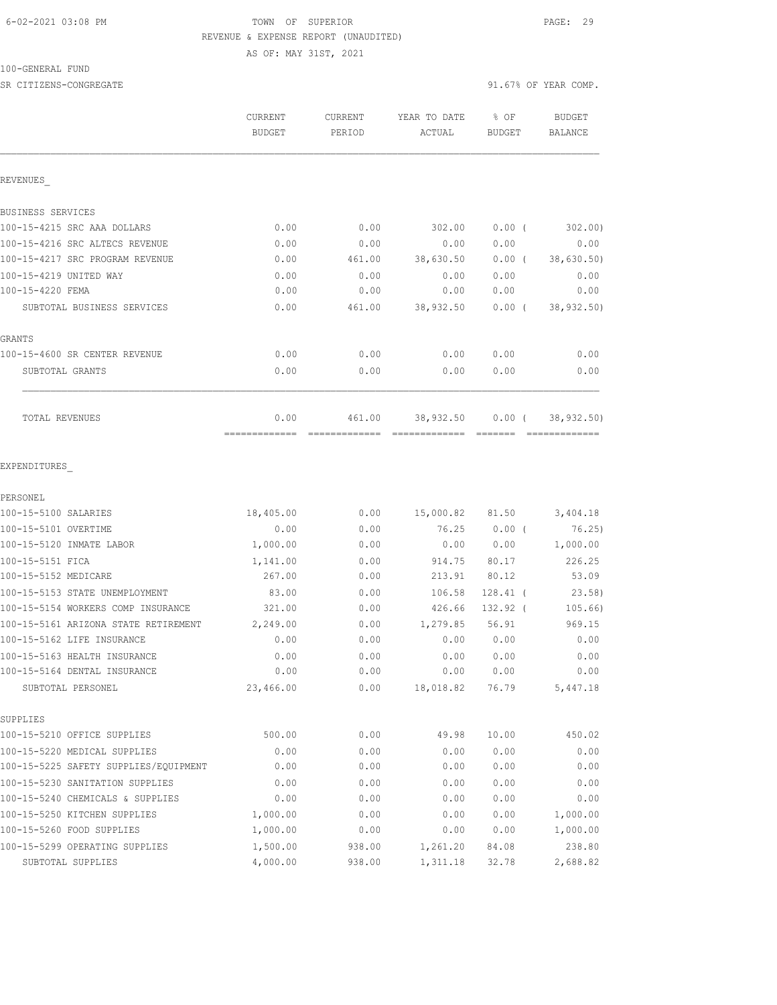## 6-02-2021 03:08 PM TOWN OF SUPERIOR PAGE: 29 REVENUE & EXPENSE REPORT (UNAUDITED) AS OF: MAY 31ST, 2021

100-GENERAL FUND

SR CITIZENS-CONGREGATE 91.67% OF YEAR COMP.

|                                                                    | CURRENT<br><b>BUDGET</b> | <b>CURRENT</b><br>PERIOD | YEAR TO DATE<br>ACTUAL     | % OF<br>BUDGET       | <b>BUDGET</b><br>BALANCE                                                                                                                                                                                                                                                                                                                                                                                                                                                                              |
|--------------------------------------------------------------------|--------------------------|--------------------------|----------------------------|----------------------|-------------------------------------------------------------------------------------------------------------------------------------------------------------------------------------------------------------------------------------------------------------------------------------------------------------------------------------------------------------------------------------------------------------------------------------------------------------------------------------------------------|
| REVENUES                                                           |                          |                          |                            |                      |                                                                                                                                                                                                                                                                                                                                                                                                                                                                                                       |
| BUSINESS SERVICES                                                  |                          |                          |                            |                      |                                                                                                                                                                                                                                                                                                                                                                                                                                                                                                       |
| 100-15-4215 SRC AAA DOLLARS                                        | 0.00                     | 0.00                     | 302.00                     | $0.00$ (             | 302.00                                                                                                                                                                                                                                                                                                                                                                                                                                                                                                |
| 100-15-4216 SRC ALTECS REVENUE                                     | 0.00                     | 0.00                     | 0.00                       | 0.00                 | 0.00                                                                                                                                                                                                                                                                                                                                                                                                                                                                                                  |
| 100-15-4217 SRC PROGRAM REVENUE                                    | 0.00                     | 461.00                   | 38,630.50                  | $0.00$ (             | 38,630.50)                                                                                                                                                                                                                                                                                                                                                                                                                                                                                            |
| 100-15-4219 UNITED WAY                                             | 0.00                     | 0.00                     | 0.00                       | 0.00                 | 0.00                                                                                                                                                                                                                                                                                                                                                                                                                                                                                                  |
| 100-15-4220 FEMA                                                   | 0.00                     | 0.00                     | 0.00                       | 0.00                 | 0.00                                                                                                                                                                                                                                                                                                                                                                                                                                                                                                  |
| SUBTOTAL BUSINESS SERVICES                                         | 0.00                     | 461.00                   | 38,932.50                  | $0.00$ (             | 38,932.50)                                                                                                                                                                                                                                                                                                                                                                                                                                                                                            |
| GRANTS                                                             |                          |                          |                            |                      |                                                                                                                                                                                                                                                                                                                                                                                                                                                                                                       |
| 100-15-4600 SR CENTER REVENUE                                      | 0.00                     | 0.00                     | 0.00                       | 0.00                 | 0.00                                                                                                                                                                                                                                                                                                                                                                                                                                                                                                  |
| SUBTOTAL GRANTS                                                    | 0.00                     | 0.00                     | 0.00                       | 0.00                 | 0.00                                                                                                                                                                                                                                                                                                                                                                                                                                                                                                  |
| TOTAL REVENUES                                                     | 0.00<br>=============    | 461.00<br>=============  | 38,932.50<br>============= | $0.00$ (<br>-------- | 38, 932.50)<br>$\begin{array}{cccccccccccccc} \multicolumn{2}{c}{} & \multicolumn{2}{c}{} & \multicolumn{2}{c}{} & \multicolumn{2}{c}{} & \multicolumn{2}{c}{} & \multicolumn{2}{c}{} & \multicolumn{2}{c}{} & \multicolumn{2}{c}{} & \multicolumn{2}{c}{} & \multicolumn{2}{c}{} & \multicolumn{2}{c}{} & \multicolumn{2}{c}{} & \multicolumn{2}{c}{} & \multicolumn{2}{c}{} & \multicolumn{2}{c}{} & \multicolumn{2}{c}{} & \multicolumn{2}{c}{} & \multicolumn{2}{c}{} & \multicolumn{2}{c}{} & \$ |
| EXPENDITURES                                                       |                          |                          |                            |                      |                                                                                                                                                                                                                                                                                                                                                                                                                                                                                                       |
| PERSONEL                                                           |                          |                          |                            |                      |                                                                                                                                                                                                                                                                                                                                                                                                                                                                                                       |
| 100-15-5100 SALARIES                                               | 18,405.00                | 0.00                     | 15,000.82                  | 81.50                | 3,404.18                                                                                                                                                                                                                                                                                                                                                                                                                                                                                              |
| 100-15-5101 OVERTIME                                               | 0.00                     | 0.00                     | 76.25                      | $0.00$ (             | 76.25)                                                                                                                                                                                                                                                                                                                                                                                                                                                                                                |
| 100-15-5120 INMATE LABOR                                           | 1,000.00                 | 0.00                     | 0.00                       | 0.00                 | 1,000.00                                                                                                                                                                                                                                                                                                                                                                                                                                                                                              |
| 100-15-5151 FICA                                                   | 1,141.00                 | 0.00                     | 914.75                     | 80.17                | 226.25                                                                                                                                                                                                                                                                                                                                                                                                                                                                                                |
| 100-15-5152 MEDICARE                                               | 267.00                   | 0.00                     | 213.91                     | 80.12                | 53.09                                                                                                                                                                                                                                                                                                                                                                                                                                                                                                 |
| 100-15-5153 STATE UNEMPLOYMENT                                     | 83.00                    | 0.00                     | 106.58                     | $128.41$ (           | 23.58)                                                                                                                                                                                                                                                                                                                                                                                                                                                                                                |
| 100-15-5154 WORKERS COMP INSURANCE                                 | 321.00                   | 0.00                     | 426.66                     | 132.92 (             | 105.66)                                                                                                                                                                                                                                                                                                                                                                                                                                                                                               |
| 100-15-5161 ARIZONA STATE RETIREMENT<br>100-15-5162 LIFE INSURANCE | 2,249.00<br>0.00         | 0.00<br>0.00             | 1,279.85<br>0.00           | 56.91<br>0.00        | 969.15<br>0.00                                                                                                                                                                                                                                                                                                                                                                                                                                                                                        |
| 100-15-5163 HEALTH INSURANCE                                       | 0.00                     | 0.00                     | 0.00                       | 0.00                 | 0.00                                                                                                                                                                                                                                                                                                                                                                                                                                                                                                  |
| 100-15-5164 DENTAL INSURANCE                                       | 0.00                     | 0.00                     | 0.00                       | 0.00                 | 0.00                                                                                                                                                                                                                                                                                                                                                                                                                                                                                                  |
| SUBTOTAL PERSONEL                                                  | 23,466.00                | 0.00                     | 18,018.82                  | 76.79                | 5,447.18                                                                                                                                                                                                                                                                                                                                                                                                                                                                                              |
| SUPPLIES                                                           |                          |                          |                            |                      |                                                                                                                                                                                                                                                                                                                                                                                                                                                                                                       |
| 100-15-5210 OFFICE SUPPLIES                                        | 500.00                   | 0.00                     | 49.98                      | 10.00                | 450.02                                                                                                                                                                                                                                                                                                                                                                                                                                                                                                |
| 100-15-5220 MEDICAL SUPPLIES                                       | 0.00                     | 0.00                     | 0.00                       | 0.00                 | 0.00                                                                                                                                                                                                                                                                                                                                                                                                                                                                                                  |
| 100-15-5225 SAFETY SUPPLIES/EQUIPMENT                              | 0.00                     | 0.00                     | 0.00                       | 0.00                 | 0.00                                                                                                                                                                                                                                                                                                                                                                                                                                                                                                  |
| 100-15-5230 SANITATION SUPPLIES                                    | 0.00                     | 0.00                     | 0.00                       | 0.00                 | 0.00                                                                                                                                                                                                                                                                                                                                                                                                                                                                                                  |
| 100-15-5240 CHEMICALS & SUPPLIES                                   | 0.00                     | 0.00                     | 0.00                       | 0.00                 | 0.00                                                                                                                                                                                                                                                                                                                                                                                                                                                                                                  |
| 100-15-5250 KITCHEN SUPPLIES                                       | 1,000.00                 | 0.00                     | 0.00                       | 0.00                 | 1,000.00                                                                                                                                                                                                                                                                                                                                                                                                                                                                                              |
| 100-15-5260 FOOD SUPPLIES                                          | 1,000.00                 | 0.00                     | 0.00                       | 0.00                 | 1,000.00                                                                                                                                                                                                                                                                                                                                                                                                                                                                                              |
| 100-15-5299 OPERATING SUPPLIES                                     | 1,500.00                 | 938.00                   | 1,261.20                   | 84.08                | 238.80                                                                                                                                                                                                                                                                                                                                                                                                                                                                                                |

SUBTOTAL SUPPLIES 4,000.00 938.00 1,311.18 32.78 2,688.82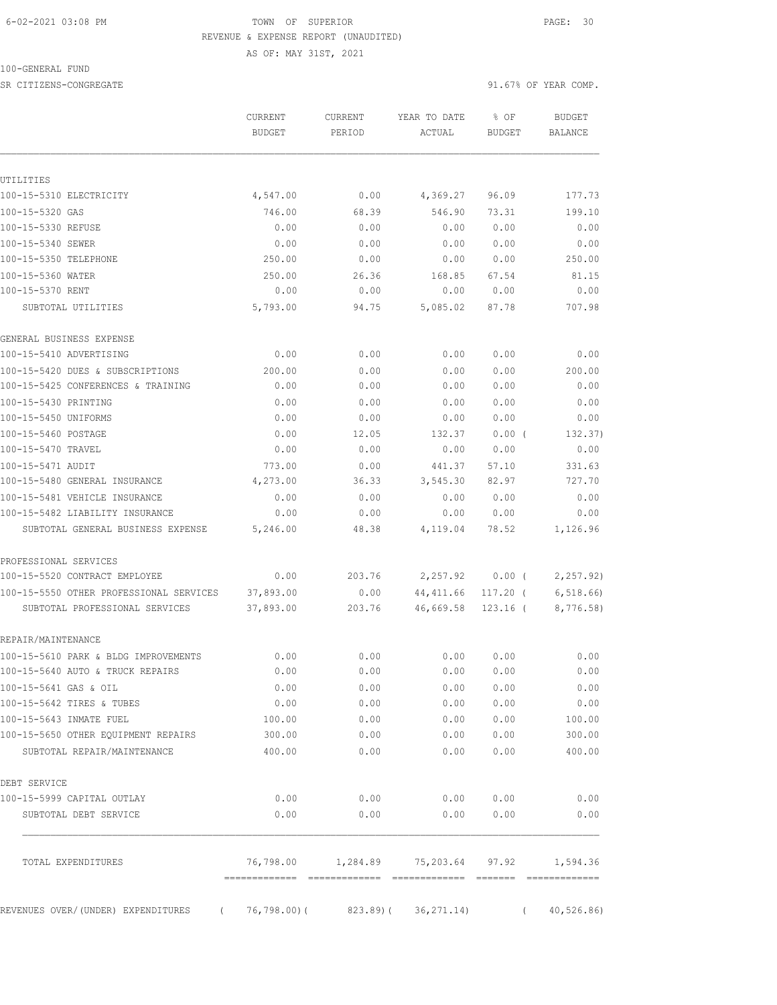#### 6-02-2021 03:08 PM TOWN OF SUPERIOR PAGE: 30 REVENUE & EXPENSE REPORT (UNAUDITED)

AS OF: MAY 31ST, 2021

100-GENERAL FUND

SR CITIZENS-CONGREGATE 91.67% OF YEAR COMP.

|                                                                           | <b>CURRENT</b><br><b>BUDGET</b> | CURRENT<br>PERIOD | YEAR TO DATE<br>ACTUAL       | % OF<br><b>BUDGET</b>  | <b>BUDGET</b><br><b>BALANCE</b> |
|---------------------------------------------------------------------------|---------------------------------|-------------------|------------------------------|------------------------|---------------------------------|
| UTILITIES                                                                 |                                 |                   |                              |                        |                                 |
| 100-15-5310 ELECTRICITY                                                   | 4,547.00                        | 0.00              | 4,369.27                     | 96.09                  | 177.73                          |
| 100-15-5320 GAS                                                           | 746.00                          | 68.39             | 546.90                       | 73.31                  | 199.10                          |
| 100-15-5330 REFUSE                                                        | 0.00                            | 0.00              | 0.00                         | 0.00                   | 0.00                            |
| 100-15-5340 SEWER                                                         | 0.00                            | 0.00              | 0.00                         | 0.00                   | 0.00                            |
| 100-15-5350 TELEPHONE                                                     | 250.00                          | 0.00              | 0.00                         | 0.00                   | 250.00                          |
| 100-15-5360 WATER                                                         | 250.00                          | 26.36             | 168.85                       | 67.54                  | 81.15                           |
| 100-15-5370 RENT                                                          | 0.00                            | 0.00              | 0.00                         | 0.00                   | 0.00                            |
| SUBTOTAL UTILITIES                                                        | 5,793.00                        | 94.75             | 5,085.02                     | 87.78                  | 707.98                          |
| GENERAL BUSINESS EXPENSE                                                  |                                 |                   |                              |                        |                                 |
| 100-15-5410 ADVERTISING                                                   | 0.00                            | 0.00              | 0.00                         | 0.00                   | 0.00                            |
| 100-15-5420 DUES & SUBSCRIPTIONS                                          | 200.00                          | 0.00              | 0.00                         | 0.00                   | 200.00                          |
| 100-15-5425 CONFERENCES & TRAINING                                        | 0.00                            | 0.00              | 0.00                         | 0.00                   | 0.00                            |
| 100-15-5430 PRINTING                                                      | 0.00                            | 0.00              | 0.00                         | 0.00                   | 0.00                            |
| 100-15-5450 UNIFORMS                                                      | 0.00                            | 0.00              | 0.00                         | 0.00                   | 0.00                            |
| 100-15-5460 POSTAGE                                                       | 0.00                            | 12.05             | 132.37                       | $0.00$ (               | 132.37)                         |
| 100-15-5470 TRAVEL                                                        | 0.00                            | 0.00              | 0.00                         | 0.00                   | 0.00                            |
| 100-15-5471 AUDIT                                                         | 773.00                          | 0.00              | 441.37                       | 57.10                  | 331.63                          |
| 100-15-5480 GENERAL INSURANCE                                             | 4,273.00                        | 36.33             | 3,545.30                     | 82.97                  | 727.70                          |
| 100-15-5481 VEHICLE INSURANCE                                             | 0.00                            | 0.00              | 0.00                         | 0.00                   | 0.00                            |
| 100-15-5482 LIABILITY INSURANCE                                           | 0.00                            | 0.00              | 0.00                         | 0.00                   | 0.00                            |
| SUBTOTAL GENERAL BUSINESS EXPENSE                                         | 5,246.00                        | 48.38             | 4,119.04                     | 78.52                  | 1,126.96                        |
| PROFESSIONAL SERVICES                                                     |                                 |                   |                              |                        |                                 |
| 100-15-5520 CONTRACT EMPLOYEE                                             | 0.00                            | 203.76            | 2,257.92                     | $0.00$ (               | 2, 257.92)                      |
| 100-15-5550 OTHER PROFESSIONAL SERVICES<br>SUBTOTAL PROFESSIONAL SERVICES | 37,893.00<br>37,893.00          | 0.00<br>203.76    | 44, 411.66<br>46,669.58      | 117.20 (<br>$123.16$ ( | 6, 518.66<br>8,776.58)          |
| REPAIR/MAINTENANCE                                                        |                                 |                   |                              |                        |                                 |
| 100-15-5610 PARK & BLDG IMPROVEMENTS                                      | 0.00                            | 0.00              | 0.00                         | 0.00                   | 0.00                            |
| 100-15-5640 AUTO & TRUCK REPAIRS                                          | 0.00                            | 0.00              | 0.00                         | 0.00                   | 0.00                            |
| 100-15-5641 GAS & OIL                                                     | 0.00                            | 0.00              | 0.00                         | 0.00                   | 0.00                            |
| 100-15-5642 TIRES & TUBES                                                 | 0.00                            | 0.00              | 0.00                         | 0.00                   | 0.00                            |
| 100-15-5643 INMATE FUEL                                                   | 100.00                          | 0.00              | 0.00                         | 0.00                   | 100.00                          |
| 100-15-5650 OTHER EOUIPMENT REPAIRS                                       | 300.00                          | 0.00              | 0.00                         | 0.00                   | 300.00                          |
| SUBTOTAL REPAIR/MAINTENANCE                                               | 400.00                          | 0.00              | 0.00                         | 0.00                   | 400.00                          |
| DEBT SERVICE                                                              |                                 |                   |                              |                        |                                 |
| 100-15-5999 CAPITAL OUTLAY                                                | 0.00                            | 0.00              | 0.00                         | 0.00                   | 0.00                            |
| SUBTOTAL DEBT SERVICE                                                     | 0.00                            | 0.00              | 0.00                         | 0.00                   | 0.00                            |
| TOTAL EXPENDITURES                                                        |                                 |                   | 76,798.00 1,284.89 75,203.64 | 97.92                  | 1,594.36                        |
| REVENUES OVER/(UNDER) EXPENDITURES<br>$\left($                            | $76, 798.00$ (                  | 823.89(           | 36, 271.14)                  | $\left($               | 40, 526.86                      |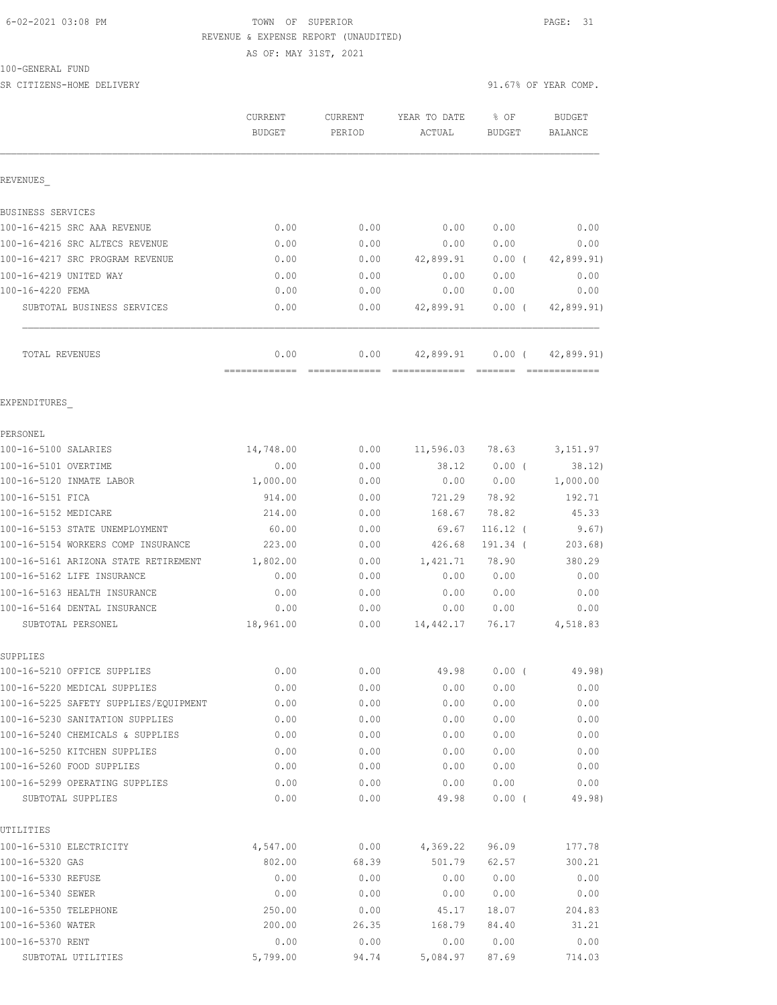#### 6-02-2021 03:08 PM TOWN OF SUPERIOR PAGE: 31 REVENUE & EXPENSE REPORT (UNAUDITED)

AS OF: MAY 31ST, 2021

#### 100-GENERAL FUND

SR CITIZENS-HOME DELIVERY 91.67% OF YEAR COMP.

|                                                                       | CURRENT<br><b>BUDGET</b> | CURRENT<br>PERIOD | YEAR TO DATE<br>ACTUAL | % OF<br><b>BUDGET</b> | <b>BUDGET</b><br><b>BALANCE</b> |
|-----------------------------------------------------------------------|--------------------------|-------------------|------------------------|-----------------------|---------------------------------|
| REVENUES                                                              |                          |                   |                        |                       |                                 |
| BUSINESS SERVICES                                                     |                          |                   |                        |                       |                                 |
| 100-16-4215 SRC AAA REVENUE                                           | 0.00                     | 0.00              | 0.00                   | 0.00                  | 0.00                            |
| 100-16-4216 SRC ALTECS REVENUE                                        | 0.00                     | 0.00              | 0.00                   | 0.00                  | 0.00                            |
| 100-16-4217 SRC PROGRAM REVENUE                                       | 0.00                     | 0.00              | 42,899.91              | $0.00$ (              | 42,899.91)                      |
| 100-16-4219 UNITED WAY                                                | 0.00                     | 0.00              | 0.00                   | 0.00                  | 0.00                            |
| 100-16-4220 FEMA                                                      | 0.00                     | 0.00              | 0.00                   | 0.00                  | 0.00                            |
| SUBTOTAL BUSINESS SERVICES                                            | 0.00                     | 0.00              | 42,899.91              | $0.00$ (              | 42,899.91)                      |
| TOTAL REVENUES                                                        | 0.00<br>=============    | 0.00              | 42,899.91              | $0.00$ (              | 42,899.91)                      |
| EXPENDITURES                                                          |                          |                   |                        |                       |                                 |
| PERSONEL                                                              |                          |                   |                        |                       |                                 |
| 100-16-5100 SALARIES                                                  | 14,748.00                | 0.00              | 11,596.03 78.63        |                       | 3, 151.97                       |
| 100-16-5101 OVERTIME                                                  | 0.00                     | 0.00              | 38.12                  | $0.00$ (              | 38.12)                          |
| 100-16-5120 INMATE LABOR                                              | 1,000.00                 | 0.00              | 0.00                   | 0.00                  | 1,000.00                        |
| 100-16-5151 FICA                                                      | 914.00                   | 0.00              | 721.29                 | 78.92                 | 192.71                          |
| 100-16-5152 MEDICARE                                                  | 214.00                   | 0.00              | 168.67                 | 78.82                 | 45.33                           |
| 100-16-5153 STATE UNEMPLOYMENT                                        | 60.00                    | 0.00              | 69.67                  | $116.12$ (            | 9.67)                           |
| 100-16-5154 WORKERS COMP INSURANCE                                    | 223.00                   | 0.00              | 426.68                 | 191.34 (              | 203.68)                         |
| 100-16-5161 ARIZONA STATE RETIREMENT                                  | 1,802.00                 | 0.00              | 1,421.71               | 78.90                 | 380.29                          |
| 100-16-5162 LIFE INSURANCE                                            | 0.00                     | 0.00              | 0.00                   | 0.00                  | 0.00                            |
| 100-16-5163 HEALTH INSURANCE                                          | 0.00                     | 0.00              | 0.00                   | 0.00                  | 0.00                            |
| 100-16-5164 DENTAL INSURANCE                                          | 0.00                     | 0.00              | 0.00                   | 0.00                  | 0.00                            |
| SUBTOTAL PERSONEL                                                     | 18,961.00                | 0.00              | 14,442.17              | 76.17                 | 4,518.83                        |
| SUPPLIES                                                              |                          |                   |                        |                       |                                 |
| 100-16-5210 OFFICE SUPPLIES                                           | 0.00                     | 0.00              | 49.98                  | $0.00$ (              | 49.98)                          |
| 100-16-5220 MEDICAL SUPPLIES<br>100-16-5225 SAFETY SUPPLIES/EQUIPMENT | 0.00<br>0.00             | 0.00<br>0.00      | 0.00<br>0.00           | 0.00<br>0.00          | 0.00<br>0.00                    |
| 100-16-5230 SANITATION SUPPLIES                                       | 0.00                     | 0.00              | 0.00                   | 0.00                  | 0.00                            |
| 100-16-5240 CHEMICALS & SUPPLIES                                      | 0.00                     | 0.00              | 0.00                   | 0.00                  | 0.00                            |
| 100-16-5250 KITCHEN SUPPLIES                                          | 0.00                     | 0.00              | 0.00                   | 0.00                  | 0.00                            |
| 100-16-5260 FOOD SUPPLIES                                             | 0.00                     | 0.00              | 0.00                   | 0.00                  | 0.00                            |
| 100-16-5299 OPERATING SUPPLIES                                        | 0.00                     | 0.00              | 0.00                   | 0.00                  | 0.00                            |
| SUBTOTAL SUPPLIES                                                     | 0.00                     | 0.00              | 49.98                  | 0.00(                 | 49.98)                          |
| UTILITIES                                                             |                          |                   |                        |                       |                                 |
| 100-16-5310 ELECTRICITY                                               | 4,547.00                 | 0.00              | 4,369.22               | 96.09                 | 177.78                          |
| 100-16-5320 GAS                                                       | 802.00                   | 68.39             | 501.79                 | 62.57                 | 300.21                          |
| 100-16-5330 REFUSE                                                    | 0.00                     | 0.00              | 0.00                   | 0.00                  | 0.00                            |
| 100-16-5340 SEWER                                                     | 0.00                     | 0.00              | 0.00                   | 0.00                  | 0.00                            |
| 100-16-5350 TELEPHONE                                                 | 250.00                   | 0.00              | 45.17                  | 18.07                 | 204.83                          |
| 100-16-5360 WATER                                                     | 200.00                   | 26.35             | 168.79                 | 84.40                 | 31.21                           |
| 100-16-5370 RENT                                                      | 0.00                     | 0.00              | 0.00                   | 0.00                  | 0.00                            |
| SUBTOTAL UTILITIES                                                    | 5,799.00                 | 94.74             | 5,084.97               | 87.69                 | 714.03                          |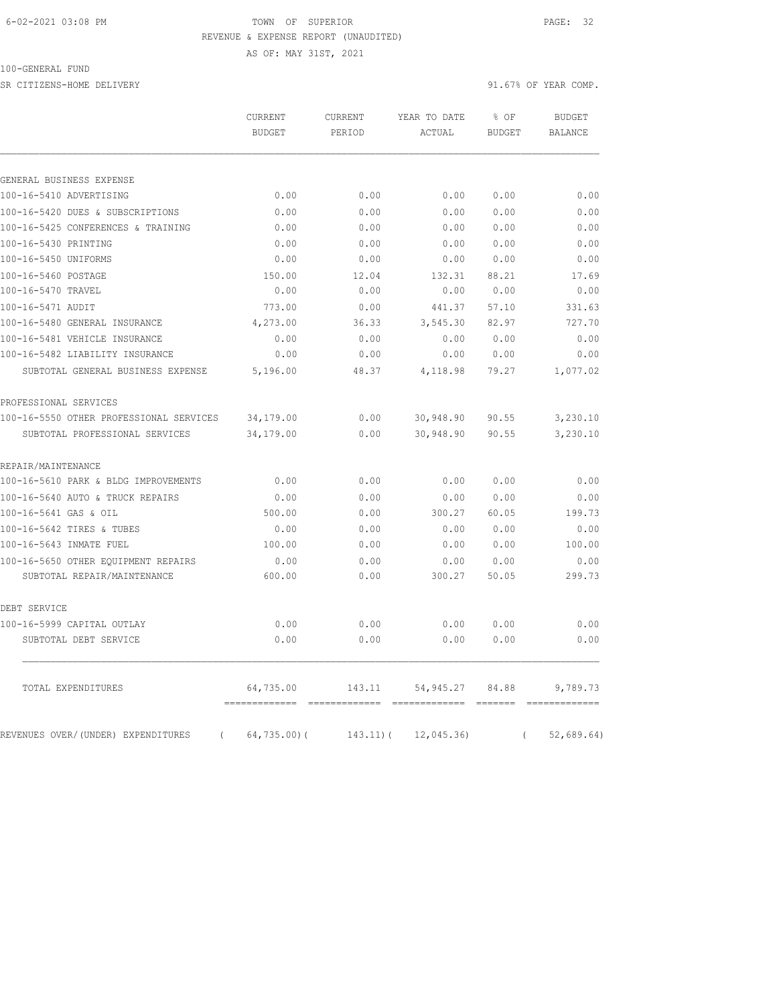### 6-02-2021 03:08 PM TOWN OF SUPERIOR PAGE: 32 REVENUE & EXPENSE REPORT (UNAUDITED)

AS OF: MAY 31ST, 2021

100-GENERAL FUND

SR CITIZENS-HOME DELIVERY 91.67% OF YEAR COMP.

|                                                     | CURRENT<br><b>BUDGET</b> | CURRENT<br>PERIOD | YEAR TO DATE<br>ACTUAL | % OF<br><b>BUDGET</b>                                                                                                                                                                                                                                                                                                                                                                                                                                                                                                            | <b>BUDGET</b><br><b>BALANCE</b> |
|-----------------------------------------------------|--------------------------|-------------------|------------------------|----------------------------------------------------------------------------------------------------------------------------------------------------------------------------------------------------------------------------------------------------------------------------------------------------------------------------------------------------------------------------------------------------------------------------------------------------------------------------------------------------------------------------------|---------------------------------|
|                                                     |                          |                   |                        |                                                                                                                                                                                                                                                                                                                                                                                                                                                                                                                                  |                                 |
| GENERAL BUSINESS EXPENSE<br>100-16-5410 ADVERTISING | 0.00                     | 0.00              | 0.00                   | 0.00                                                                                                                                                                                                                                                                                                                                                                                                                                                                                                                             | 0.00                            |
| 100-16-5420 DUES & SUBSCRIPTIONS                    | 0.00                     | 0.00              | 0.00                   | 0.00                                                                                                                                                                                                                                                                                                                                                                                                                                                                                                                             | 0.00                            |
| 100-16-5425 CONFERENCES & TRAINING                  | 0.00                     | 0.00              | 0.00                   | 0.00                                                                                                                                                                                                                                                                                                                                                                                                                                                                                                                             | 0.00                            |
| 100-16-5430 PRINTING                                | 0.00                     | 0.00              | 0.00                   | 0.00                                                                                                                                                                                                                                                                                                                                                                                                                                                                                                                             | 0.00                            |
| 100-16-5450 UNIFORMS                                | 0.00                     | 0.00              | 0.00                   | 0.00                                                                                                                                                                                                                                                                                                                                                                                                                                                                                                                             | 0.00                            |
| 100-16-5460 POSTAGE                                 | 150.00                   | 12.04             | 132.31                 | 88.21                                                                                                                                                                                                                                                                                                                                                                                                                                                                                                                            | 17.69                           |
| 100-16-5470 TRAVEL                                  | 0.00                     | 0.00              | 0.00                   | 0.00                                                                                                                                                                                                                                                                                                                                                                                                                                                                                                                             | 0.00                            |
| 100-16-5471 AUDIT                                   | 773.00                   | 0.00              | 441.37                 | 57.10                                                                                                                                                                                                                                                                                                                                                                                                                                                                                                                            | 331.63                          |
| 100-16-5480 GENERAL INSURANCE                       | 4,273.00                 | 36.33             | 3,545.30               | 82.97                                                                                                                                                                                                                                                                                                                                                                                                                                                                                                                            | 727.70                          |
| 100-16-5481 VEHICLE INSURANCE                       | 0.00                     | 0.00              | 0.00                   | 0.00                                                                                                                                                                                                                                                                                                                                                                                                                                                                                                                             | 0.00                            |
| 100-16-5482 LIABILITY INSURANCE                     | 0.00                     | 0.00              | 0.00                   | 0.00                                                                                                                                                                                                                                                                                                                                                                                                                                                                                                                             | 0.00                            |
| SUBTOTAL GENERAL BUSINESS EXPENSE                   | 5,196.00                 | 48.37             | 4,118.98               | 79.27                                                                                                                                                                                                                                                                                                                                                                                                                                                                                                                            | 1,077.02                        |
| PROFESSIONAL SERVICES                               |                          |                   |                        |                                                                                                                                                                                                                                                                                                                                                                                                                                                                                                                                  |                                 |
| 100-16-5550 OTHER PROFESSIONAL SERVICES             | 34,179.00                | 0.00              | 30,948.90              | 90.55                                                                                                                                                                                                                                                                                                                                                                                                                                                                                                                            | 3,230.10                        |
| SUBTOTAL PROFESSIONAL SERVICES                      | 34,179.00                | 0.00              | 30,948.90              | 90.55                                                                                                                                                                                                                                                                                                                                                                                                                                                                                                                            | 3,230.10                        |
| REPAIR/MAINTENANCE                                  |                          |                   |                        |                                                                                                                                                                                                                                                                                                                                                                                                                                                                                                                                  |                                 |
| 100-16-5610 PARK & BLDG IMPROVEMENTS                | 0.00                     | 0.00              | 0.00                   | 0.00                                                                                                                                                                                                                                                                                                                                                                                                                                                                                                                             | 0.00                            |
| 100-16-5640 AUTO & TRUCK REPAIRS                    | 0.00                     | 0.00              | 0.00                   | 0.00                                                                                                                                                                                                                                                                                                                                                                                                                                                                                                                             | 0.00                            |
| 100-16-5641 GAS & OIL                               | 500.00                   | 0.00              | 300.27                 | 60.05                                                                                                                                                                                                                                                                                                                                                                                                                                                                                                                            | 199.73                          |
| 100-16-5642 TIRES & TUBES                           | 0.00                     | 0.00              | 0.00                   | 0.00                                                                                                                                                                                                                                                                                                                                                                                                                                                                                                                             | 0.00                            |
| 100-16-5643 INMATE FUEL                             | 100.00                   | 0.00              | 0.00                   | 0.00                                                                                                                                                                                                                                                                                                                                                                                                                                                                                                                             | 100.00                          |
| 100-16-5650 OTHER EQUIPMENT REPAIRS                 | 0.00                     | 0.00              | 0.00                   | 0.00                                                                                                                                                                                                                                                                                                                                                                                                                                                                                                                             | 0.00                            |
| SUBTOTAL REPAIR/MAINTENANCE                         | 600.00                   | 0.00              | 300.27                 | 50.05                                                                                                                                                                                                                                                                                                                                                                                                                                                                                                                            | 299.73                          |
| DEBT SERVICE                                        |                          |                   |                        |                                                                                                                                                                                                                                                                                                                                                                                                                                                                                                                                  |                                 |
| 100-16-5999 CAPITAL OUTLAY                          | 0.00                     | 0.00              | 0.00                   | 0.00                                                                                                                                                                                                                                                                                                                                                                                                                                                                                                                             | 0.00                            |
| SUBTOTAL DEBT SERVICE                               | 0.00                     | 0.00              | 0.00                   | 0.00                                                                                                                                                                                                                                                                                                                                                                                                                                                                                                                             | 0.00                            |
| TOTAL EXPENDITURES                                  | 64,735.00                | 143.11            | 54,945.27              | 84.88<br>$\qquad \qquad = \qquad \qquad = \qquad \qquad = \qquad \qquad = \qquad \qquad = \qquad \qquad = \qquad \qquad = \qquad \qquad = \qquad \qquad = \qquad \qquad = \qquad \qquad = \qquad \qquad = \qquad \qquad = \qquad \qquad = \qquad \qquad = \qquad \qquad = \qquad \qquad = \qquad \qquad = \qquad \qquad = \qquad \qquad = \qquad \qquad = \qquad \qquad = \qquad \qquad = \qquad \qquad = \qquad \qquad = \qquad \qquad = \qquad \qquad \qquad = \qquad \qquad \qquad = \qquad \qquad \qquad = \qquad \qquad \q$ | 9,789.73                        |
| REVENUES OVER/(UNDER) EXPENDITURES<br>$\left($      | $64, 735.00$ (           | $143.11)$ (       | 12,045.36              | $\left($                                                                                                                                                                                                                                                                                                                                                                                                                                                                                                                         | 52,689.64)                      |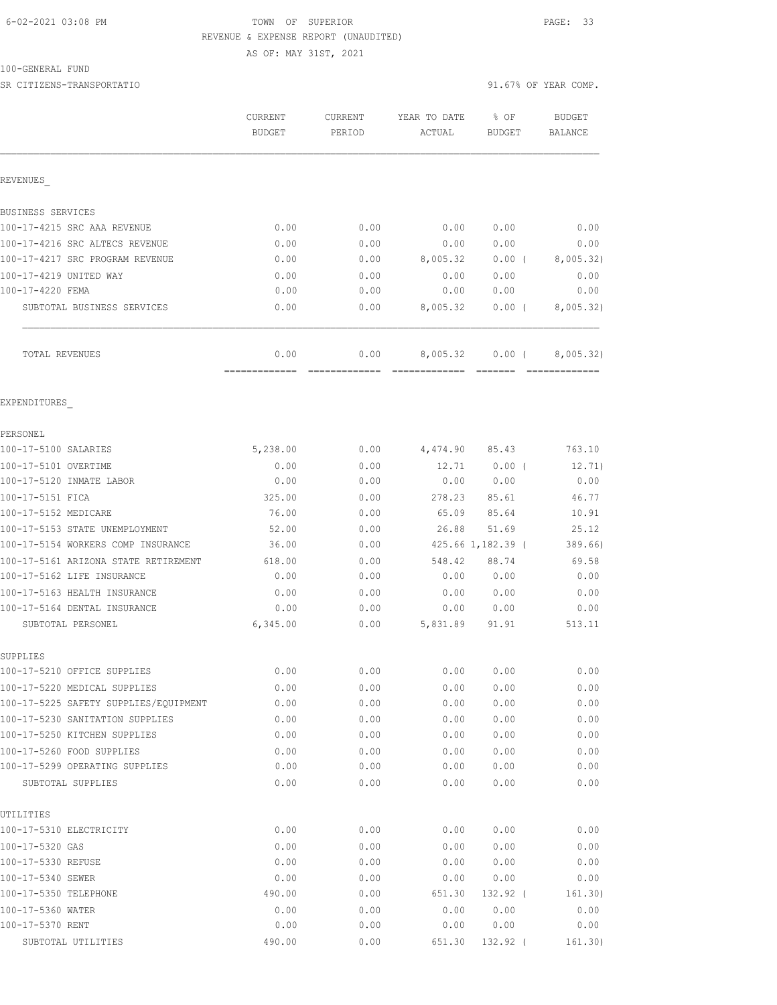## 6-02-2021 03:08 PM TOWN OF SUPERIOR PAGE: 33 REVENUE & EXPENSE REPORT (UNAUDITED)

100-GENERAL FUND

SR CITIZENS-TRANSPORTATIO 91.67% OF YEAR COMP.

AS OF: MAY 31ST, 2021

|                                                                       | CURRENT       | CURRENT      | YEAR TO DATE | % OF              | <b>BUDGET</b>  |
|-----------------------------------------------------------------------|---------------|--------------|--------------|-------------------|----------------|
|                                                                       | <b>BUDGET</b> | PERIOD       | ACTUAL       | <b>BUDGET</b>     | <b>BALANCE</b> |
| REVENUES                                                              |               |              |              |                   |                |
| BUSINESS SERVICES                                                     |               |              |              |                   |                |
| 100-17-4215 SRC AAA REVENUE                                           | 0.00          | 0.00         | 0.00         | 0.00              | 0.00           |
| 100-17-4216 SRC ALTECS REVENUE                                        | 0.00          | 0.00         | 0.00         | 0.00              | 0.00           |
| 100-17-4217 SRC PROGRAM REVENUE                                       | 0.00          | 0.00         | 8,005.32     | $0.00$ (          | 8,005.32)      |
| 100-17-4219 UNITED WAY                                                | 0.00          | 0.00         | 0.00         | 0.00              | 0.00           |
| 100-17-4220 FEMA                                                      | 0.00          | 0.00         | 0.00         | 0.00              | 0.00           |
| SUBTOTAL BUSINESS SERVICES                                            | 0.00          | 0.00         | 8,005.32     | $0.00$ (          | 8,005.32)      |
| TOTAL REVENUES                                                        | 0.00          | 0.00         | 8,005.32     | $0.00$ (          | 8,005.32)      |
| EXPENDITURES                                                          |               |              |              |                   |                |
| PERSONEL                                                              |               |              |              |                   |                |
| 100-17-5100 SALARIES                                                  | 5,238.00      | 0.00         | 4,474.90     | 85.43             | 763.10         |
| 100-17-5101 OVERTIME                                                  | 0.00          | 0.00         | 12.71        | 0.00(             | 12.71)         |
| 100-17-5120 INMATE LABOR                                              | 0.00          | 0.00         | 0.00         | 0.00              | 0.00           |
| 100-17-5151 FICA                                                      | 325.00        | 0.00         | 278.23       | 85.61             | 46.77          |
| 100-17-5152 MEDICARE                                                  | 76.00         | 0.00         | 65.09        | 85.64             | 10.91          |
| 100-17-5153 STATE UNEMPLOYMENT                                        | 52.00         | 0.00         | 26.88        | 51.69             | 25.12          |
| 100-17-5154 WORKERS COMP INSURANCE                                    | 36.00         | 0.00         |              | 425.66 1,182.39 ( | 389.66)        |
| 100-17-5161 ARIZONA STATE RETIREMENT                                  | 618.00        | 0.00         | 548.42       | 88.74             | 69.58          |
| 100-17-5162 LIFE INSURANCE                                            | 0.00          | 0.00         | 0.00         | 0.00              | 0.00           |
| 100-17-5163 HEALTH INSURANCE                                          | 0.00          | 0.00         | 0.00         | 0.00              | 0.00           |
| 100-17-5164 DENTAL INSURANCE                                          | 0.00          | 0.00         | 0.00         | 0.00              | 0.00           |
| SUBTOTAL PERSONEL                                                     | 6,345.00      | 0.00         | 5,831.89     | 91.91             | 513.11         |
| SUPPLIES                                                              | 0.00          | 0.00         | 0.00         | 0.00              | 0.00           |
| 100-17-5210 OFFICE SUPPLIES                                           |               |              |              |                   |                |
| 100-17-5220 MEDICAL SUPPLIES<br>100-17-5225 SAFETY SUPPLIES/EQUIPMENT | 0.00<br>0.00  | 0.00<br>0.00 | 0.00<br>0.00 | 0.00<br>0.00      | 0.00<br>0.00   |
| 100-17-5230 SANITATION SUPPLIES                                       | 0.00          | 0.00         | 0.00         | 0.00              | 0.00           |
| 100-17-5250 KITCHEN SUPPLIES                                          | 0.00          | 0.00         | 0.00         | 0.00              | 0.00           |
| 100-17-5260 FOOD SUPPLIES                                             | 0.00          | 0.00         | 0.00         | 0.00              | 0.00           |
| 100-17-5299 OPERATING SUPPLIES                                        | 0.00          | 0.00         | 0.00         | 0.00              | 0.00           |
| SUBTOTAL SUPPLIES                                                     | 0.00          | 0.00         | 0.00         | 0.00              | 0.00           |
| UTILITIES                                                             |               |              |              |                   |                |
| 100-17-5310 ELECTRICITY                                               | 0.00          | 0.00         | 0.00         | 0.00              | 0.00           |
| 100-17-5320 GAS                                                       | 0.00          | 0.00         | 0.00         | 0.00              | 0.00           |
| 100-17-5330 REFUSE                                                    | 0.00          | 0.00         | 0.00         | 0.00              | 0.00           |
| 100-17-5340 SEWER                                                     | 0.00          | 0.00         | 0.00         | 0.00              | 0.00           |
| 100-17-5350 TELEPHONE                                                 | 490.00        | 0.00         | 651.30       | 132.92 (          | 161.30)        |
| 100-17-5360 WATER                                                     | 0.00          | 0.00         | 0.00         | 0.00              | 0.00           |
| 100-17-5370 RENT                                                      | 0.00          | 0.00         | 0.00         | 0.00              | 0.00           |
| SUBTOTAL UTILITIES                                                    | 490.00        | 0.00         | 651.30       | 132.92 (          | 161.30)        |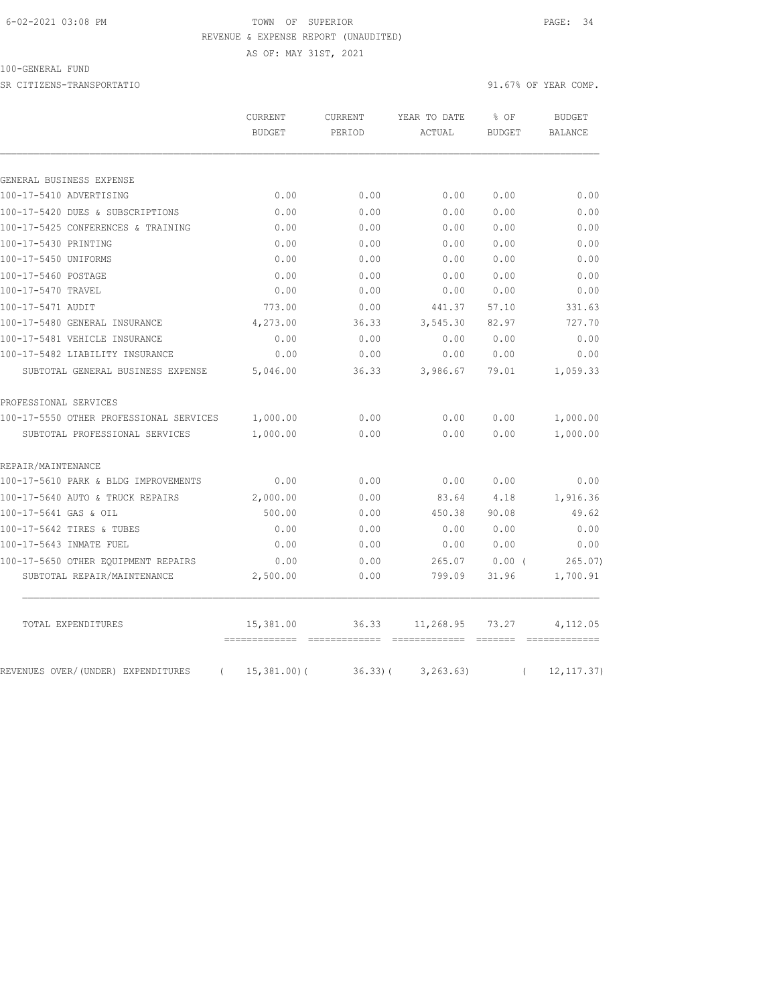### 6-02-2021 03:08 PM TOWN OF SUPERIOR PAGE: 34 REVENUE & EXPENSE REPORT (UNAUDITED)

AS OF: MAY 31ST, 2021

100-GENERAL FUND

SR CITIZENS-TRANSPORTATIO 91.67% OF YEAR COMP.

|                                         | <b>CURRENT</b><br><b>BUDGET</b> | <b>CURRENT</b><br>PERIOD | YEAR TO DATE<br>ACTUAL | % OF<br><b>BUDGET</b> | BUDGET<br><b>BALANCE</b> |
|-----------------------------------------|---------------------------------|--------------------------|------------------------|-----------------------|--------------------------|
|                                         |                                 |                          |                        |                       |                          |
| GENERAL BUSINESS EXPENSE                |                                 |                          |                        |                       |                          |
| 100-17-5410 ADVERTISING                 | 0.00                            | 0.00                     | 0.00                   | 0.00                  | 0.00                     |
| 100-17-5420 DUES & SUBSCRIPTIONS        | 0.00                            | 0.00                     | 0.00                   | 0.00                  | 0.00                     |
| 100-17-5425 CONFERENCES & TRAINING      | 0.00                            | 0.00                     | 0.00                   | 0.00                  | 0.00                     |
| 100-17-5430 PRINTING                    | 0.00                            | 0.00                     | 0.00                   | 0.00                  | 0.00                     |
| 100-17-5450 UNIFORMS                    | 0.00                            | 0.00                     | 0.00                   | 0.00                  | 0.00                     |
| 100-17-5460 POSTAGE                     | 0.00                            | 0.00                     | 0.00                   | 0.00                  | 0.00                     |
| 100-17-5470 TRAVEL                      | 0.00                            | 0.00                     | 0.00                   | 0.00                  | 0.00                     |
| 100-17-5471 AUDIT                       | 773.00                          | 0.00                     | 441.37                 | 57.10                 | 331.63                   |
| 100-17-5480 GENERAL INSURANCE           | 4,273.00                        | 36.33                    | 3,545.30               | 82.97                 | 727.70                   |
| 100-17-5481 VEHICLE INSURANCE           | 0.00                            | 0.00                     | 0.00                   | 0.00                  | 0.00                     |
| 100-17-5482 LIABILITY INSURANCE         | 0.00                            | 0.00                     | 0.00                   | 0.00                  | 0.00                     |
| SUBTOTAL GENERAL BUSINESS EXPENSE       | 5,046.00                        | 36.33                    | 3,986.67               | 79.01                 | 1,059.33                 |
| PROFESSIONAL SERVICES                   |                                 |                          |                        |                       |                          |
| 100-17-5550 OTHER PROFESSIONAL SERVICES | 1,000.00                        | 0.00                     | 0.00                   | 0.00                  | 1,000.00                 |
| SUBTOTAL PROFESSIONAL SERVICES          | 1,000.00                        | 0.00                     | 0.00                   | 0.00                  | 1,000.00                 |
| REPAIR/MAINTENANCE                      |                                 |                          |                        |                       |                          |
| 100-17-5610 PARK & BLDG IMPROVEMENTS    | 0.00                            | 0.00                     | 0.00                   | 0.00                  | 0.00                     |
| 100-17-5640 AUTO & TRUCK REPAIRS        | 2,000.00                        | 0.00                     | 83.64                  | 4.18                  | 1,916.36                 |
| 100-17-5641 GAS & OIL                   | 500.00                          | 0.00                     | 450.38                 | 90.08                 | 49.62                    |
| 100-17-5642 TIRES & TUBES               | 0.00                            | 0.00                     | 0.00                   | 0.00                  | 0.00                     |
| 100-17-5643 INMATE FUEL                 | 0.00                            | 0.00                     | 0.00                   | 0.00                  | 0.00                     |
| 100-17-5650 OTHER EOUIPMENT REPAIRS     | 0.00                            | 0.00                     | 265.07                 | 0.00(                 | 265.07                   |
| SUBTOTAL REPAIR/MAINTENANCE             | 2,500.00                        | 0.00                     | 799.09                 | 31.96                 | 1,700.91                 |

TOTAL EXPENDITURES 15,381.00 36.33 11,268.95 73.27 4,112.05

REVENUES OVER/(UNDER) EXPENDITURES ( 15,381.00)( 36.33)( 3,263.63) ( 12,117.37)

 $=$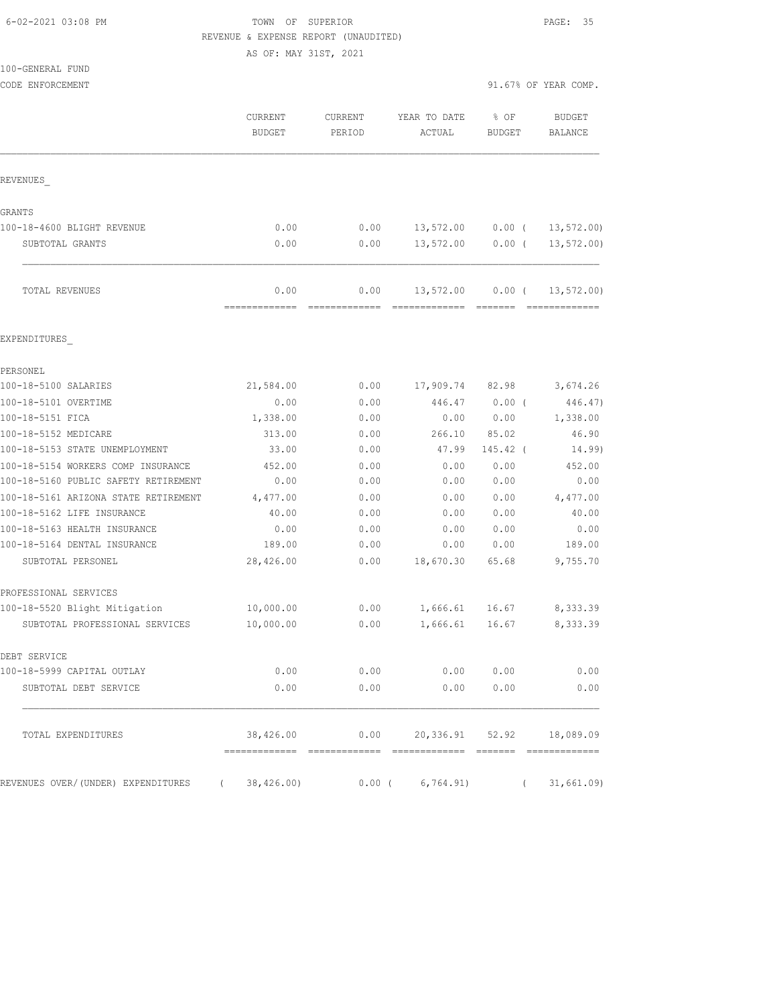100-GENERAL FUND

## TOWN OF SUPERIOR **Example 20:08 PAGE:** 35 REVENUE & EXPENSE REPORT (UNAUDITED)

AS OF: MAY 31ST, 2021

| CODE ENFORCEMENT                     |                          |                   |                                  | 91.67% OF YEAR COMP.  |                          |
|--------------------------------------|--------------------------|-------------------|----------------------------------|-----------------------|--------------------------|
|                                      | CURRENT<br><b>BUDGET</b> | CURRENT<br>PERIOD | YEAR TO DATE<br>ACTUAL           | % OF<br><b>BUDGET</b> | <b>BUDGET</b><br>BALANCE |
| REVENUES                             |                          |                   |                                  |                       |                          |
| GRANTS                               |                          |                   |                                  |                       |                          |
| 100-18-4600 BLIGHT REVENUE           | 0.00                     | 0.00              | 13,572.00                        | $0.00$ (              | 13, 572.00               |
| SUBTOTAL GRANTS                      | 0.00                     | 0.00              | 13,572.00                        | 0.00(                 | $13, 572.00$ )           |
| TOTAL REVENUES                       | 0.00<br>-------------    | 0.00              | 13,572.00                        | $0.00$ (              | 13, 572.00               |
| EXPENDITURES                         |                          |                   |                                  |                       |                          |
| PERSONEL                             |                          |                   |                                  |                       |                          |
| 100-18-5100 SALARIES                 | 21,584.00                | 0.00              | 17,909.74                        | 82.98                 | 3,674.26                 |
| 100-18-5101 OVERTIME                 | 0.00                     | 0.00              | 446.47                           | 0.00(                 | 446.47)                  |
| 100-18-5151 FICA                     | 1,338.00                 | 0.00              | 0.00                             | 0.00                  | 1,338.00                 |
| 100-18-5152 MEDICARE                 | 313.00                   | 0.00              | 266.10                           | 85.02                 | 46.90                    |
| 100-18-5153 STATE UNEMPLOYMENT       | 33.00                    | 0.00              | 47.99                            | $145.42$ (            | 14.99)                   |
| 100-18-5154 WORKERS COMP INSURANCE   | 452.00                   | 0.00              | 0.00                             | 0.00                  | 452.00                   |
| 100-18-5160 PUBLIC SAFETY RETIREMENT | 0.00                     | 0.00              | 0.00                             | 0.00                  | 0.00                     |
| 100-18-5161 ARIZONA STATE RETIREMENT | 4,477.00                 | 0.00              | 0.00                             | 0.00                  | 4,477.00                 |
| 100-18-5162 LIFE INSURANCE           | 40.00                    | 0.00              | 0.00                             | 0.00                  | 40.00                    |
| 100-18-5163 HEALTH INSURANCE         | 0.00                     | 0.00              | 0.00                             | 0.00                  | 0.00                     |
| 100-18-5164 DENTAL INSURANCE         | 189.00                   | 0.00              | 0.00                             | 0.00                  | 189.00                   |
| SUBTOTAL PERSONEL                    | 28,426.00                | 0.00              | 18,670.30                        | 65.68                 | 9,755.70                 |
| PROFESSIONAL SERVICES                |                          |                   |                                  |                       |                          |
| 100-18-5520 Blight Mitigation        | 10,000.00                | 0.00              | 1,666.61                         | 16.67                 | 8,333.39                 |
| SUBTOTAL PROFESSIONAL SERVICES       | 10,000.00                | 0.00              | 1,666.61                         | 16.67                 | 8,333.39                 |
| DEBT SERVICE                         |                          |                   |                                  |                       |                          |
| 100-18-5999 CAPITAL OUTLAY           | 0.00                     | 0.00              | 0.00                             | 0.00                  | 0.00                     |
| SUBTOTAL DEBT SERVICE                | 0.00                     | 0.00              | 0.00                             | 0.00                  | 0.00                     |
| TOTAL EXPENDITURES                   | 38,426.00                |                   | $0.00$ 20,336.91 52.92 18,089.09 |                       |                          |
| REVENUES OVER/(UNDER) EXPENDITURES   | 38,426.00)               | $0.00$ (          | 6,764.91)                        |                       | 31,661.09                |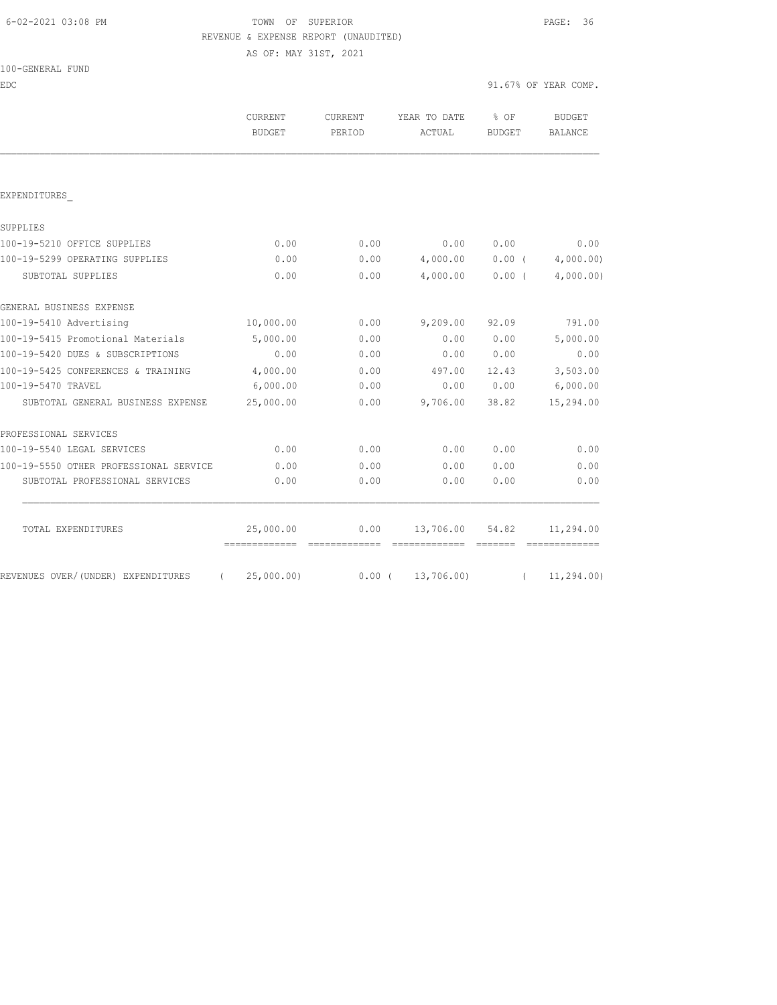| 6-02-2021 03:08 PM |  |  |
|--------------------|--|--|
|                    |  |  |

# TOWN OF SUPERIOR **Example 2018** PAGE: 36 REVENUE & EXPENSE REPORT (UNAUDITED)

AS OF: MAY 31ST, 2021

| 100-GENERAL FUND |
|------------------|
|------------------|

| EDC                                            |                                               |                   |                                                                                                                                                                                                                                                                                                                                                                                                                                                                                                               | 91.67% OF YEAR COMP.                |                                 |
|------------------------------------------------|-----------------------------------------------|-------------------|---------------------------------------------------------------------------------------------------------------------------------------------------------------------------------------------------------------------------------------------------------------------------------------------------------------------------------------------------------------------------------------------------------------------------------------------------------------------------------------------------------------|-------------------------------------|---------------------------------|
|                                                | <b>CURRENT</b><br><b>BUDGET</b>               | CURRENT<br>PERIOD | YEAR TO DATE<br>ACTUAL                                                                                                                                                                                                                                                                                                                                                                                                                                                                                        | $8$ OF<br><b>BUDGET</b>             | <b>BUDGET</b><br><b>BALANCE</b> |
|                                                |                                               |                   |                                                                                                                                                                                                                                                                                                                                                                                                                                                                                                               |                                     |                                 |
| EXPENDITURES                                   |                                               |                   |                                                                                                                                                                                                                                                                                                                                                                                                                                                                                                               |                                     |                                 |
| SUPPLIES                                       |                                               |                   |                                                                                                                                                                                                                                                                                                                                                                                                                                                                                                               |                                     |                                 |
| 100-19-5210 OFFICE SUPPLIES                    | 0.00                                          | 0.00              | 0.00                                                                                                                                                                                                                                                                                                                                                                                                                                                                                                          | 0.00                                | 0.00                            |
| 100-19-5299 OPERATING SUPPLIES                 | 0.00                                          | 0.00              | 4,000.00                                                                                                                                                                                                                                                                                                                                                                                                                                                                                                      |                                     | $0.00$ ( $4,000.00$ )           |
| SUBTOTAL SUPPLIES                              | 0.00                                          | 0.00              | 4,000.00                                                                                                                                                                                                                                                                                                                                                                                                                                                                                                      | 0.00(                               | 4,000.00)                       |
| GENERAL BUSINESS EXPENSE                       |                                               |                   |                                                                                                                                                                                                                                                                                                                                                                                                                                                                                                               |                                     |                                 |
| 100-19-5410 Advertising                        | 10,000.00                                     | 0.00              | 9,209.00                                                                                                                                                                                                                                                                                                                                                                                                                                                                                                      | 92.09                               | 791.00                          |
| 100-19-5415 Promotional Materials              | 5,000.00                                      | 0.00              | 0.00                                                                                                                                                                                                                                                                                                                                                                                                                                                                                                          | 0.00                                | 5,000.00                        |
| 100-19-5420 DUES & SUBSCRIPTIONS               | 0.00                                          | 0.00              | 0.00                                                                                                                                                                                                                                                                                                                                                                                                                                                                                                          | 0.00                                | 0.00                            |
| 100-19-5425 CONFERENCES & TRAINING             | 4,000.00                                      | 0.00              | 497.00                                                                                                                                                                                                                                                                                                                                                                                                                                                                                                        | 12.43                               | 3,503.00                        |
| 100-19-5470 TRAVEL                             | 6,000.00                                      | 0.00              | 0.00                                                                                                                                                                                                                                                                                                                                                                                                                                                                                                          | 0.00                                | 6,000.00                        |
| SUBTOTAL GENERAL BUSINESS EXPENSE              | 25,000.00                                     | 0.00              | 9,706.00                                                                                                                                                                                                                                                                                                                                                                                                                                                                                                      | 38.82                               | 15,294.00                       |
| PROFESSIONAL SERVICES                          |                                               |                   |                                                                                                                                                                                                                                                                                                                                                                                                                                                                                                               |                                     |                                 |
| 100-19-5540 LEGAL SERVICES                     | 0.00                                          | 0.00              | 0.00                                                                                                                                                                                                                                                                                                                                                                                                                                                                                                          | 0.00                                | 0.00                            |
| 100-19-5550 OTHER PROFESSIONAL SERVICE         | 0.00                                          | 0.00              | 0.00                                                                                                                                                                                                                                                                                                                                                                                                                                                                                                          | 0.00                                | 0.00                            |
| SUBTOTAL PROFESSIONAL SERVICES                 | 0.00                                          | 0.00              | 0.00                                                                                                                                                                                                                                                                                                                                                                                                                                                                                                          | 0.00                                | 0.00                            |
| TOTAL EXPENDITURES                             | 25,000.00                                     | 0.00              | 13,706.00 54.82                                                                                                                                                                                                                                                                                                                                                                                                                                                                                               |                                     | 11,294.00                       |
| REVENUES OVER/(UNDER) EXPENDITURES<br>$\left($ | ===============================<br>25,000.00) |                   | $\begin{array}{cccccccccc} \multicolumn{2}{c}{} & \multicolumn{2}{c}{} & \multicolumn{2}{c}{} & \multicolumn{2}{c}{} & \multicolumn{2}{c}{} & \multicolumn{2}{c}{} & \multicolumn{2}{c}{} & \multicolumn{2}{c}{} & \multicolumn{2}{c}{} & \multicolumn{2}{c}{} & \multicolumn{2}{c}{} & \multicolumn{2}{c}{} & \multicolumn{2}{c}{} & \multicolumn{2}{c}{} & \multicolumn{2}{c}{} & \multicolumn{2}{c}{} & \multicolumn{2}{c}{} & \multicolumn{2}{c}{} & \multicolumn{2}{c}{} & \mult$<br>$0.00$ ( 13,706.00) | $=$ $=$ $=$ $=$ $=$ $=$<br>$\left($ | -------------<br>11,294.00)     |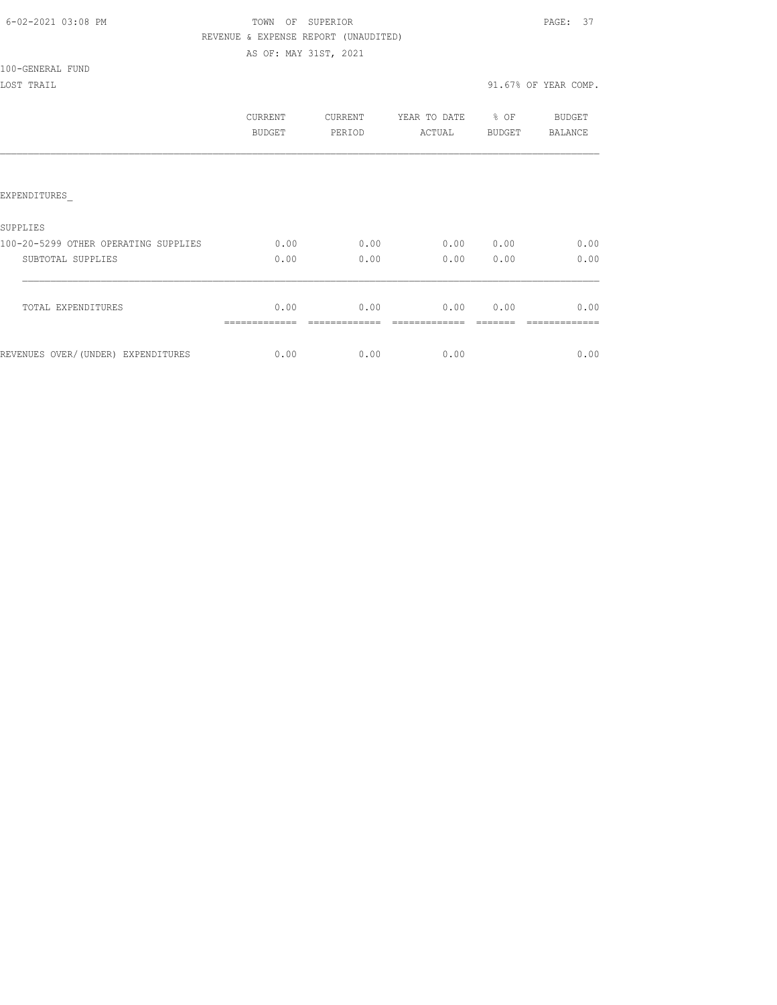| 6-02-2021 03:08 PM |  |
|--------------------|--|
|                    |  |

# TOWN OF SUPERIOR **Example 20:08 PAGE: 37** REVENUE & EXPENSE REPORT (UNAUDITED)

AS OF: MAY 31ST, 2021

100-GENERAL FUND

|                                      | CURRENT<br>BUDGET | <b>CURRENT</b><br>PERIOD | YEAR TO DATE<br>ACTUAL | % OF<br><b>BUDGET</b> | BUDGET<br><b>BALANCE</b> |
|--------------------------------------|-------------------|--------------------------|------------------------|-----------------------|--------------------------|
|                                      |                   |                          |                        |                       |                          |
| <b>EXPENDITURES</b>                  |                   |                          |                        |                       |                          |
| SUPPLIES                             |                   |                          |                        |                       |                          |
| 100-20-5299 OTHER OPERATING SUPPLIES | 0.00              | 0.00                     | 0.00                   | 0.00                  | 0.00                     |
| SUBTOTAL SUPPLIES                    | 0.00              | 0.00                     | 0.00                   | 0.00                  | 0.00                     |
| TOTAL EXPENDITURES                   | 0.00              | 0.00                     | 0.00                   | 0.00                  | 0.00                     |
| REVENUES OVER/(UNDER) EXPENDITURES   | 0.00              | 0.00                     | 0.00                   |                       | 0.00                     |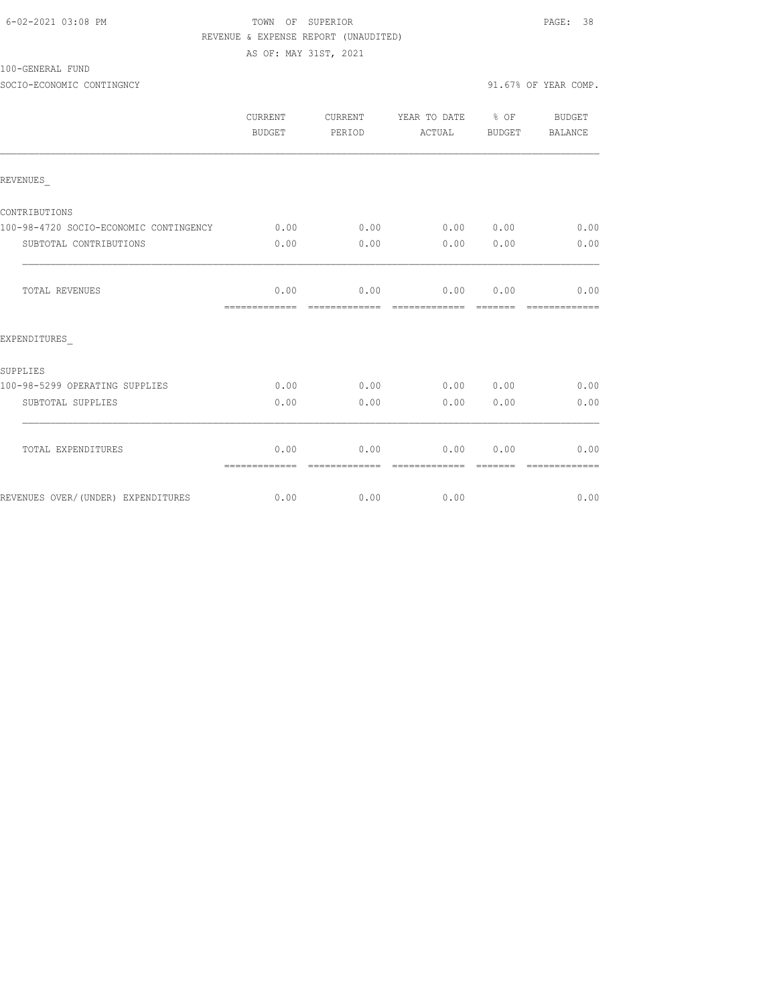| 6-02-2021 03:08 PM |  |
|--------------------|--|
|                    |  |

# TOWN OF SUPERIOR **Example 20:08 PAGE:** 38 REVENUE & EXPENSE REPORT (UNAUDITED)

AS OF: MAY 31ST, 2021

100-GENERAL FUND

SOCIO-ECONOMIC CONTINGNCY 91.67% OF YEAR COMP.

|                                        | CURRENT<br>BUDGET     | CURRENT<br>PERIOD     | YEAR TO DATE 8 OF<br>ACTUAL | BUDGET          | BUDGET<br>BALANCE     |
|----------------------------------------|-----------------------|-----------------------|-----------------------------|-----------------|-----------------------|
| REVENUES                               |                       |                       |                             |                 |                       |
| CONTRIBUTIONS                          |                       |                       |                             |                 |                       |
| 100-98-4720 SOCIO-ECONOMIC CONTINGENCY | 0.00                  | 0.00                  | 0.00                        | 0.00            | 0.00                  |
| SUBTOTAL CONTRIBUTIONS                 | 0.00                  | 0.00                  | 0.00                        | 0.00            | 0.00                  |
| <b>TOTAL REVENUES</b>                  | 0.00<br>============= | 0.00                  | 0.00                        | 0.00            | 0.00<br>============= |
| EXPENDITURES                           |                       |                       |                             |                 |                       |
| SUPPLIES                               |                       |                       |                             |                 |                       |
| 100-98-5299 OPERATING SUPPLIES         | 0.00                  | 0.00                  | 0.00                        | 0.00            | 0.00                  |
| SUBTOTAL SUPPLIES                      | 0.00                  | 0.00                  | 0.00                        | 0.00            | 0.00                  |
| TOTAL EXPENDITURES                     | 0.00<br>============= | 0.00<br>============= | 0.00<br>=============       | 0.00<br>======= | 0.00<br>============= |
| REVENUES OVER/(UNDER) EXPENDITURES     | 0.00                  | 0.00                  | 0.00                        |                 | 0.00                  |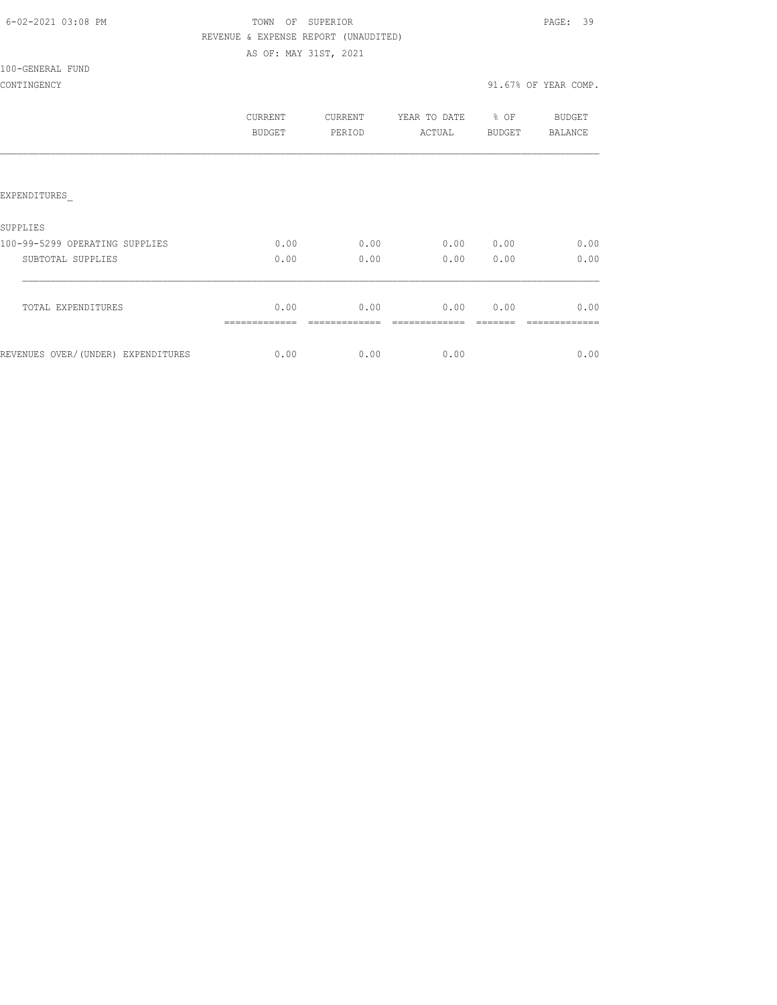| 6-02-2021 03:08 PM |  |
|--------------------|--|
|                    |  |

# TOWN OF SUPERIOR **Example 20:08 PAGE: 39** REVENUE & EXPENSE REPORT (UNAUDITED)

AS OF: MAY 31ST, 2021

## 100-GENERAL FUND

|                                    | CURRENT<br><b>BUDGET</b> | <b>CURRENT</b><br>PERIOD | YEAR TO DATE<br>ACTUAL | % OF<br><b>BUDGET</b> | BUDGET<br>BALANCE |
|------------------------------------|--------------------------|--------------------------|------------------------|-----------------------|-------------------|
|                                    |                          |                          |                        |                       |                   |
| <b>EXPENDITURES</b>                |                          |                          |                        |                       |                   |
| <b>SUPPLIES</b>                    |                          |                          |                        |                       |                   |
| 100-99-5299 OPERATING SUPPLIES     | 0.00                     | 0.00                     | 0.00                   | 0.00                  | 0.00              |
| SUBTOTAL SUPPLIES                  | 0.00                     | 0.00                     | 0.00                   | 0.00                  | 0.00              |
| TOTAL EXPENDITURES                 | 0.00                     | 0.00                     | 0.00                   | 0.00                  | 0.00              |
| REVENUES OVER/(UNDER) EXPENDITURES | 0.00                     | 0.00                     | 0.00                   |                       | 0.00              |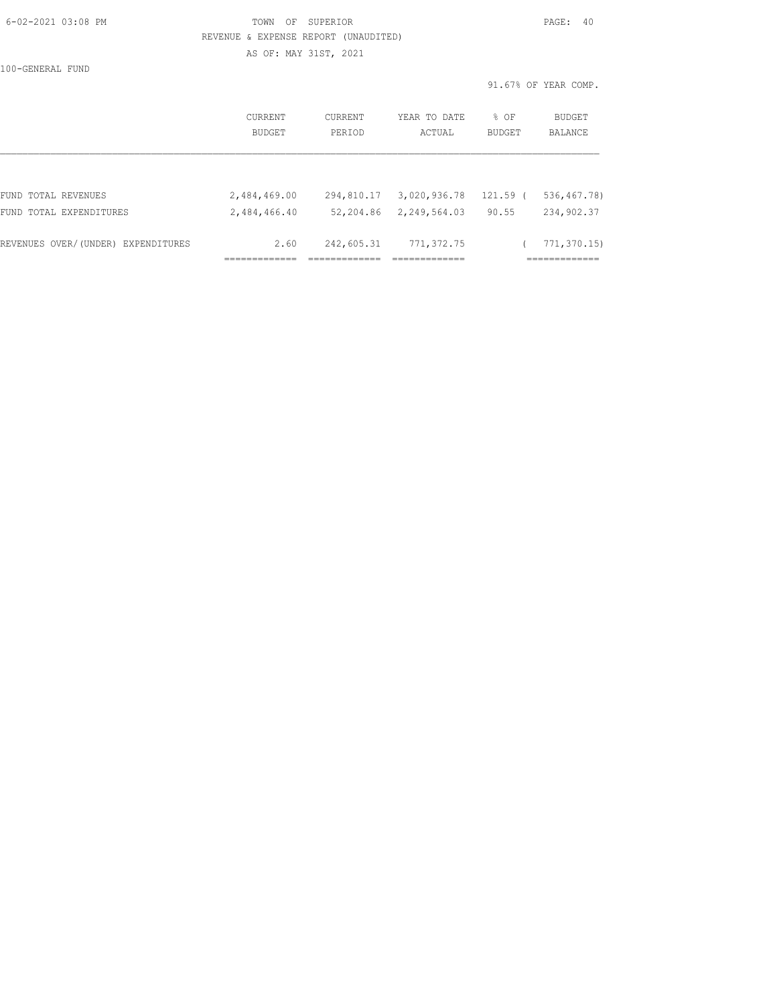| 6-02-2021 03:08 PM |  |
|--------------------|--|

## TOWN OF SUPERIOR **PAGE: 40**  REVENUE & EXPENSE REPORT (UNAUDITED) AS OF: MAY 31ST, 2021

100-GENERAL FUND

|                                                |                              |                         |                              | 91.67% OF YEAR COMP. |                            |  |
|------------------------------------------------|------------------------------|-------------------------|------------------------------|----------------------|----------------------------|--|
|                                                | CURRENT                      | CURRENT                 | YEAR TO DATE                 | % OF                 | BUDGET                     |  |
|                                                | BUDGET                       | PERIOD                  | ACTUAL                       | BUDGET               | BALANCE                    |  |
|                                                |                              |                         |                              |                      |                            |  |
| FUND TOTAL REVENUES<br>FUND TOTAL EXPENDITURES | 2,484,469.00<br>2,484,466.40 | 294,810.17<br>52,204.86 | 3,020,936.78<br>2,249,564.03 | 121.59 (<br>90.55    | 536, 467.78)<br>234,902.37 |  |
| REVENUES OVER/(UNDER) EXPENDITURES             | 2.60                         | 242,605.31              | 771, 372.75                  |                      | 771, 370.15<br>=========== |  |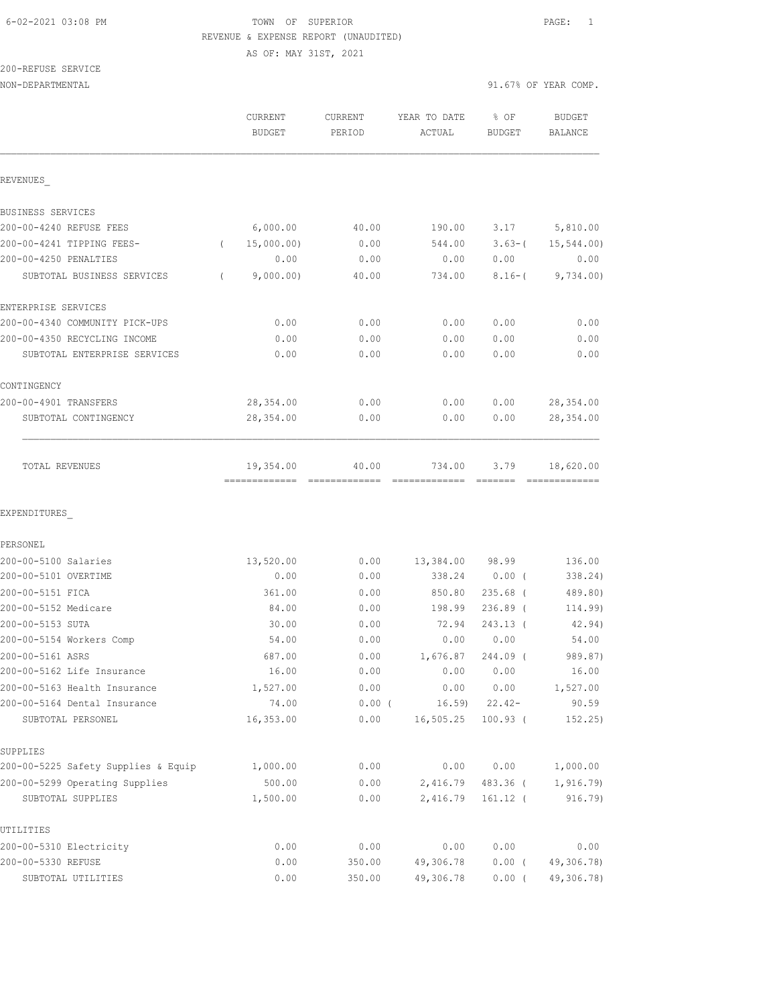AS OF: MAY 31ST, 2021

200-REFUSE SERVICE

| NON-DEPARTMENTAL                    |                                            |                   |                         |                                                                                                                                                                                                                                                                                                                                                                                                                                                                                                                                                                                                       | 91.67% OF YEAR COMP.            |  |
|-------------------------------------|--------------------------------------------|-------------------|-------------------------|-------------------------------------------------------------------------------------------------------------------------------------------------------------------------------------------------------------------------------------------------------------------------------------------------------------------------------------------------------------------------------------------------------------------------------------------------------------------------------------------------------------------------------------------------------------------------------------------------------|---------------------------------|--|
|                                     | <b>CURRENT</b><br><b>BUDGET</b>            | CURRENT<br>PERIOD | YEAR TO DATE<br>ACTUAL  | % OF<br><b>BUDGET</b>                                                                                                                                                                                                                                                                                                                                                                                                                                                                                                                                                                                 | <b>BUDGET</b><br><b>BALANCE</b> |  |
| REVENUES                            |                                            |                   |                         |                                                                                                                                                                                                                                                                                                                                                                                                                                                                                                                                                                                                       |                                 |  |
| BUSINESS SERVICES                   |                                            |                   |                         |                                                                                                                                                                                                                                                                                                                                                                                                                                                                                                                                                                                                       |                                 |  |
| 200-00-4240 REFUSE FEES             | 6,000.00                                   | 40.00             | 190.00                  | 3.17                                                                                                                                                                                                                                                                                                                                                                                                                                                                                                                                                                                                  | 5,810.00                        |  |
| 200-00-4241 TIPPING FEES-           | 15,000.00)<br>$\left($                     | 0.00              | 544.00                  | $3.63 - ($                                                                                                                                                                                                                                                                                                                                                                                                                                                                                                                                                                                            | 15,544.00)                      |  |
| 200-00-4250 PENALTIES               | 0.00                                       | 0.00              | 0.00                    | 0.00                                                                                                                                                                                                                                                                                                                                                                                                                                                                                                                                                                                                  | 0.00                            |  |
| SUBTOTAL BUSINESS SERVICES          | 9,000.00)<br>$\left($                      | 40.00             | 734.00                  | $8.16 - ($                                                                                                                                                                                                                                                                                                                                                                                                                                                                                                                                                                                            | 9,734.00)                       |  |
| ENTERPRISE SERVICES                 |                                            |                   |                         |                                                                                                                                                                                                                                                                                                                                                                                                                                                                                                                                                                                                       |                                 |  |
| 200-00-4340 COMMUNITY PICK-UPS      | 0.00                                       | 0.00              | 0.00                    | 0.00                                                                                                                                                                                                                                                                                                                                                                                                                                                                                                                                                                                                  | 0.00                            |  |
| 200-00-4350 RECYCLING INCOME        | 0.00                                       | 0.00              | 0.00                    | 0.00                                                                                                                                                                                                                                                                                                                                                                                                                                                                                                                                                                                                  | 0.00                            |  |
| SUBTOTAL ENTERPRISE SERVICES        | 0.00                                       | 0.00              | 0.00                    | 0.00                                                                                                                                                                                                                                                                                                                                                                                                                                                                                                                                                                                                  | 0.00                            |  |
| CONTINGENCY                         |                                            |                   |                         |                                                                                                                                                                                                                                                                                                                                                                                                                                                                                                                                                                                                       |                                 |  |
| 200-00-4901 TRANSFERS               | 28, 354.00                                 | 0.00              | 0.00                    | 0.00                                                                                                                                                                                                                                                                                                                                                                                                                                                                                                                                                                                                  | 28, 354.00                      |  |
| SUBTOTAL CONTINGENCY                | 28,354.00                                  | 0.00              | 0.00                    | 0.00                                                                                                                                                                                                                                                                                                                                                                                                                                                                                                                                                                                                  | 28, 354.00                      |  |
| TOTAL REVENUES                      | 19,354.00<br>-------------- -------------- | 40.00             | 734.00<br>============= | 3.79<br>$\qquad \qquad \overline{\qquad \qquad }=\overline{\qquad \qquad }=\overline{\qquad \qquad }=\overline{\qquad \qquad }=\overline{\qquad \qquad }=\overline{\qquad \qquad }=\overline{\qquad \qquad }=\overline{\qquad \qquad }=\overline{\qquad \qquad }=\overline{\qquad \qquad }=\overline{\qquad \qquad }=\overline{\qquad \qquad }=\overline{\qquad \qquad }=\overline{\qquad \qquad }=\overline{\qquad \qquad }=\overline{\qquad \qquad }=\overline{\qquad \qquad }=\overline{\qquad \qquad }=\overline{\qquad \qquad }=\overline{\qquad \qquad }=\overline{\qquad \qquad }=\overline{\$ | 18,620.00<br>--------------     |  |
| EXPENDITURES                        |                                            |                   |                         |                                                                                                                                                                                                                                                                                                                                                                                                                                                                                                                                                                                                       |                                 |  |
| PERSONEL                            |                                            |                   |                         |                                                                                                                                                                                                                                                                                                                                                                                                                                                                                                                                                                                                       |                                 |  |
| 200-00-5100 Salaries                | 13,520.00                                  | 0.00              | 13,384.00               | 98.99                                                                                                                                                                                                                                                                                                                                                                                                                                                                                                                                                                                                 | 136.00                          |  |
| 200-00-5101 OVERTIME                | 0.00                                       | 0.00              | 338.24                  | $0.00$ (                                                                                                                                                                                                                                                                                                                                                                                                                                                                                                                                                                                              | 338.24)                         |  |
| 200-00-5151 FICA                    | 361.00                                     | 0.00              | 850.80                  | $235.68$ (                                                                                                                                                                                                                                                                                                                                                                                                                                                                                                                                                                                            | 489.80)                         |  |
| 200-00-5152 Medicare                | 84.00                                      | 0.00              | 198.99                  | $236.89$ (                                                                                                                                                                                                                                                                                                                                                                                                                                                                                                                                                                                            | 114.99)                         |  |
| 200-00-5153 SUTA                    | 30.00                                      | 0.00              | 72.94                   | 243.13 (                                                                                                                                                                                                                                                                                                                                                                                                                                                                                                                                                                                              | 42.94)                          |  |
| 200-00-5154 Workers Comp            | 54.00                                      | 0.00              | 0.00                    | 0.00                                                                                                                                                                                                                                                                                                                                                                                                                                                                                                                                                                                                  | 54.00                           |  |
| 200-00-5161 ASRS                    | 687.00                                     | 0.00              | 1,676.87                | 244.09 (                                                                                                                                                                                                                                                                                                                                                                                                                                                                                                                                                                                              | 989.87)                         |  |
| 200-00-5162 Life Insurance          | 16.00                                      | 0.00              | 0.00                    | 0.00                                                                                                                                                                                                                                                                                                                                                                                                                                                                                                                                                                                                  | 16.00                           |  |
| 200-00-5163 Health Insurance        | 1,527.00                                   | 0.00              | 0.00                    | 0.00                                                                                                                                                                                                                                                                                                                                                                                                                                                                                                                                                                                                  | 1,527.00                        |  |
| 200-00-5164 Dental Insurance        | 74.00                                      | $0.00$ (          | 16.59                   | $22.42-$                                                                                                                                                                                                                                                                                                                                                                                                                                                                                                                                                                                              | 90.59                           |  |
| SUBTOTAL PERSONEL                   | 16,353.00                                  | 0.00              | 16, 505.25              | $100.93$ (                                                                                                                                                                                                                                                                                                                                                                                                                                                                                                                                                                                            | 152.25)                         |  |
| SUPPLIES                            |                                            |                   |                         |                                                                                                                                                                                                                                                                                                                                                                                                                                                                                                                                                                                                       |                                 |  |
| 200-00-5225 Safety Supplies & Equip | 1,000.00                                   | 0.00              | 0.00                    | 0.00                                                                                                                                                                                                                                                                                                                                                                                                                                                                                                                                                                                                  | 1,000.00                        |  |
| 200-00-5299 Operating Supplies      | 500.00                                     | 0.00              | 2,416.79                | 483.36 (                                                                                                                                                                                                                                                                                                                                                                                                                                                                                                                                                                                              | 1, 916.79                       |  |
| SUBTOTAL SUPPLIES                   | 1,500.00                                   | 0.00              | 2,416.79                | $161.12$ (                                                                                                                                                                                                                                                                                                                                                                                                                                                                                                                                                                                            | 916.79)                         |  |
| UTILITIES                           |                                            |                   |                         |                                                                                                                                                                                                                                                                                                                                                                                                                                                                                                                                                                                                       |                                 |  |
| 200-00-5310 Electricity             | 0.00                                       | 0.00              | 0.00                    | 0.00                                                                                                                                                                                                                                                                                                                                                                                                                                                                                                                                                                                                  | 0.00                            |  |
| 200-00-5330 REFUSE                  | 0.00                                       | 350.00            | 49,306.78               | $0.00$ (                                                                                                                                                                                                                                                                                                                                                                                                                                                                                                                                                                                              | 49,306.78)                      |  |
| SUBTOTAL UTILITIES                  | 0.00                                       | 350.00            | 49,306.78               | $0.00$ (                                                                                                                                                                                                                                                                                                                                                                                                                                                                                                                                                                                              | 49,306.78)                      |  |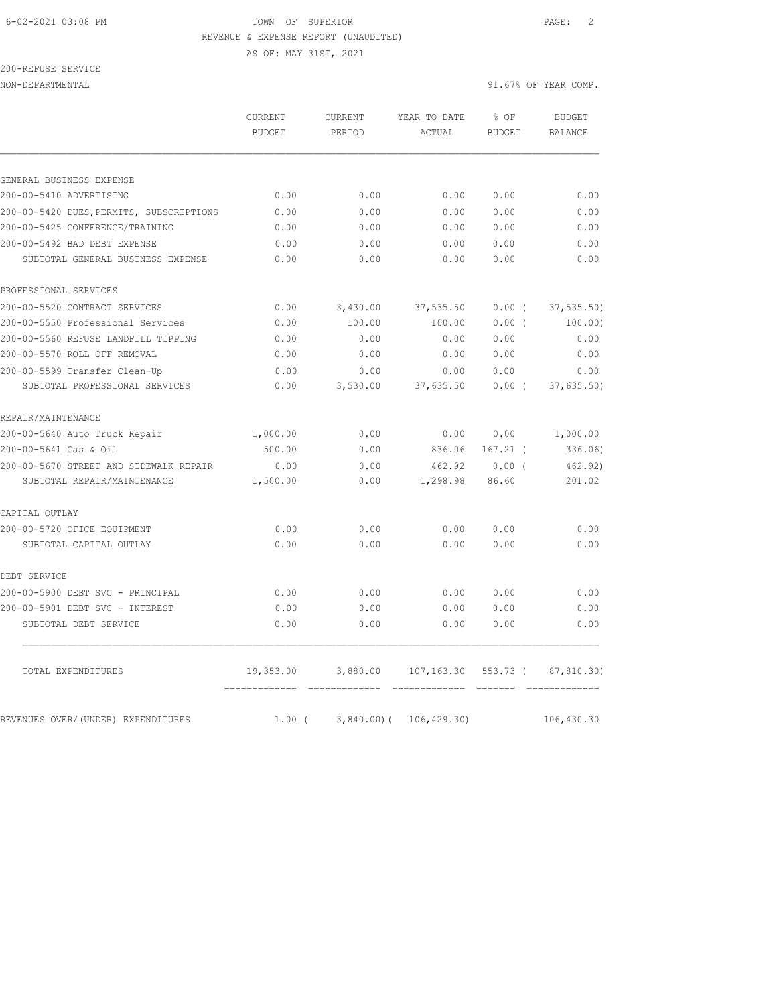AS OF: MAY 31ST, 2021

200-REFUSE SERVICE

|                                          | CURRENT<br>BUDGET | <b>CURRENT</b><br>PERIOD | YEAR TO DATE<br>ACTUAL | % OF<br><b>BUDGET</b> | <b>BUDGET</b><br>BALANCE |
|------------------------------------------|-------------------|--------------------------|------------------------|-----------------------|--------------------------|
|                                          |                   |                          |                        |                       |                          |
| GENERAL BUSINESS EXPENSE                 |                   |                          |                        |                       |                          |
| 200-00-5410 ADVERTISING                  | 0.00              | 0.00                     | 0.00                   | 0.00                  | 0.00                     |
| 200-00-5420 DUES, PERMITS, SUBSCRIPTIONS | 0.00              | 0.00                     | 0.00                   | 0.00                  | 0.00                     |
| 200-00-5425 CONFERENCE/TRAINING          | 0.00              | 0.00                     | 0.00                   | 0.00                  | 0.00                     |
| 200-00-5492 BAD DEBT EXPENSE             | 0.00              | 0.00                     | 0.00                   | 0.00                  | 0.00                     |
| SUBTOTAL GENERAL BUSINESS EXPENSE        | 0.00              | 0.00                     | 0.00                   | 0.00                  | 0.00                     |
| PROFESSIONAL SERVICES                    |                   |                          |                        |                       |                          |
| 200-00-5520 CONTRACT SERVICES            | 0.00              | 3,430.00                 | 37,535.50              | 0.00(                 | 37, 535.50               |
| 200-00-5550 Professional Services        | 0.00              | 100.00                   | 100.00                 | 0.00(                 | 100.00)                  |
| 200-00-5560 REFUSE LANDFILL TIPPING      | 0.00              | 0.00                     | 0.00                   | 0.00                  | 0.00                     |
| 200-00-5570 ROLL OFF REMOVAL             | 0.00              | 0.00                     | 0.00                   | 0.00                  | 0.00                     |
| 200-00-5599 Transfer Clean-Up            | 0.00              | 0.00                     | 0.00                   | 0.00                  | 0.00                     |
| SUBTOTAL PROFESSIONAL SERVICES           | 0.00              | 3,530.00                 | 37,635.50              | $0.00$ (              | 37,635.50)               |
| REPAIR/MAINTENANCE                       |                   |                          |                        |                       |                          |
| 200-00-5640 Auto Truck Repair            | 1,000.00          | 0.00                     | 0.00                   | 0.00                  | 1,000.00                 |
| 200-00-5641 Gas & Oil                    | 500.00            | 0.00                     | 836.06                 | $167.21$ (            | 336.06)                  |
| 200-00-5670 STREET AND SIDEWALK REPAIR   | 0.00              | 0.00                     | 462.92                 | 0.00(                 | 462.92)                  |
| SUBTOTAL REPAIR/MAINTENANCE              | 1,500.00          | 0.00                     | 1,298.98               | 86.60                 | 201.02                   |
| CAPITAL OUTLAY                           |                   |                          |                        |                       |                          |
| 200-00-5720 OFICE EQUIPMENT              | 0.00              | 0.00                     | 0.00                   | 0.00                  | 0.00                     |
| SUBTOTAL CAPITAL OUTLAY                  | 0.00              | 0.00                     | 0.00                   | 0.00                  | 0.00                     |
| DEBT SERVICE                             |                   |                          |                        |                       |                          |
| 200-00-5900 DEBT SVC - PRINCIPAL         | 0.00              | 0.00                     | 0.00                   | 0.00                  | 0.00                     |
| 200-00-5901 DEBT SVC - INTEREST          | 0.00              | 0.00                     | 0.00                   | 0.00                  | 0.00                     |
| SUBTOTAL DEBT SERVICE                    | 0.00              | 0.00                     | 0.00                   | 0.00                  | 0.00                     |
| TOTAL EXPENDITURES                       | 19,353.00         | 3,880.00                 | 107,163.30             | 553.73 (              | 87,810.30)               |
|                                          |                   |                          |                        |                       |                          |
| REVENUES OVER/(UNDER) EXPENDITURES       | $1.00$ (          | $3,840.00)$ (            | 106, 429.30)           |                       | 106,430.30               |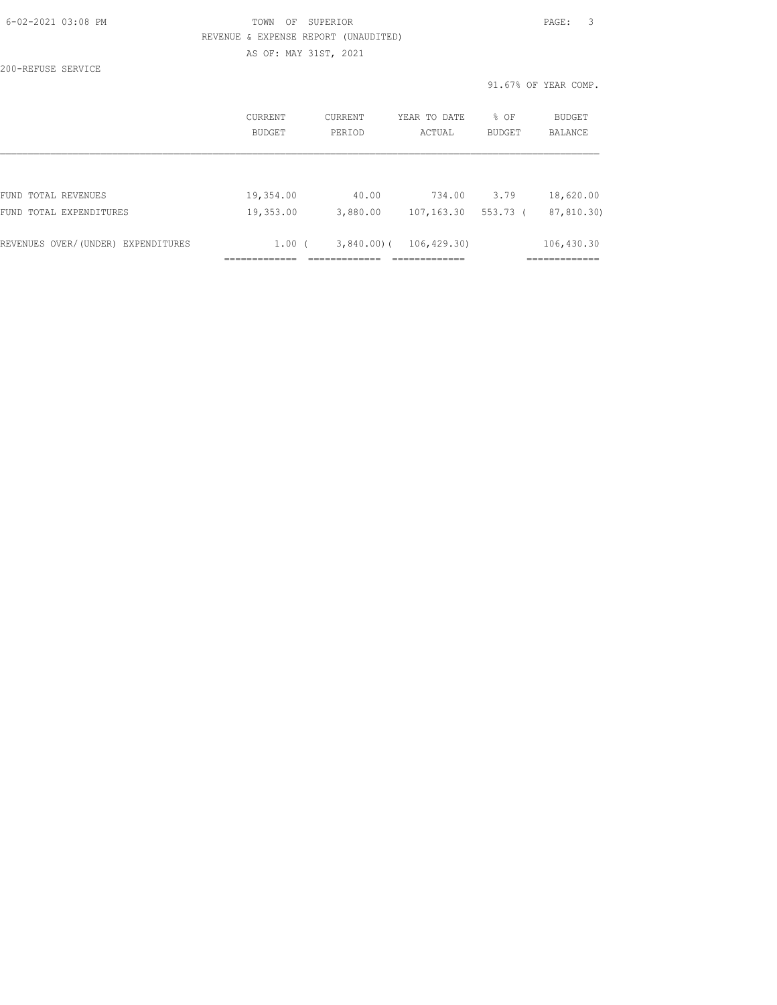| $6 - 02 - 2021$ $03:08$ PM         | TOWN<br>OF                           | SUPERIOR                         |                     |             | PAGE:<br>3           |
|------------------------------------|--------------------------------------|----------------------------------|---------------------|-------------|----------------------|
|                                    | REVENUE & EXPENSE REPORT (UNAUDITED) |                                  |                     |             |                      |
|                                    | AS OF: MAY 31ST, 2021                |                                  |                     |             |                      |
| 200-REFUSE SERVICE                 |                                      |                                  |                     |             |                      |
|                                    |                                      |                                  |                     |             | 91.67% OF YEAR COMP. |
|                                    | CURRENT                              | CURRENT                          | YEAR TO DATE        | $8$ OF      | BUDGET               |
|                                    | BUDGET                               | PERIOD                           | ACTUAL              | BUDGET      | BALANCE              |
|                                    |                                      |                                  |                     |             |                      |
| FUND TOTAL REVENUES                | 19,354.00                            | 40.00                            |                     | 734.00 3.79 | 18,620.00            |
| FUND TOTAL EXPENDITURES            | 19,353.00                            |                                  | 3,880.00 107,163.30 | 553.73 (    | 87,810.30)           |
| REVENUES OVER/(UNDER) EXPENDITURES |                                      | $1.00$ ( 3,840.00) ( 106,429.30) |                     |             | 106,430.30           |
|                                    |                                      |                                  | =============       |             | =============        |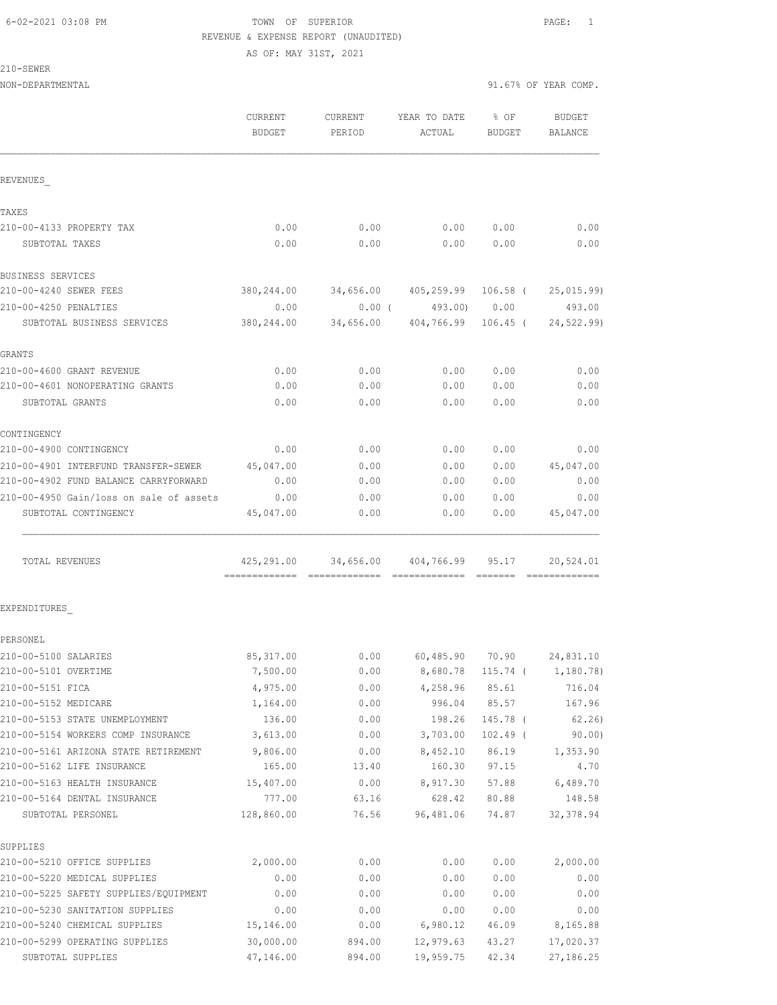AS OF: MAY 31ST, 2021

210-SEWER

|                                                                  | CURRENT<br><b>BUDGET</b>                     | CURRENT<br>PERIOD | YEAR TO DATE<br>ACTUAL          | % OF<br><b>BUDGET</b> | <b>BUDGET</b><br>BALANCE |
|------------------------------------------------------------------|----------------------------------------------|-------------------|---------------------------------|-----------------------|--------------------------|
| REVENUES                                                         |                                              |                   |                                 |                       |                          |
| TAXES                                                            |                                              |                   |                                 |                       |                          |
| 210-00-4133 PROPERTY TAX                                         | 0.00                                         | 0.00              | 0.00                            | 0.00                  | 0.00                     |
| SUBTOTAL TAXES                                                   | 0.00                                         | 0.00              | 0.00                            | 0.00                  | 0.00                     |
| <b>BUSINESS SERVICES</b>                                         |                                              |                   |                                 |                       |                          |
| 210-00-4240 SEWER FEES                                           | 380,244.00                                   |                   | 34,656.00  405,259.99  106.58 ( |                       | 25,015.99)               |
| 210-00-4250 PENALTIES                                            | 0.00                                         |                   | $0.00$ ( 493.00) 0.00           |                       | 493.00                   |
| SUBTOTAL BUSINESS SERVICES                                       | 380,244.00                                   | 34,656.00         | 404,766.99 106.45 (             |                       | 24,522.99)               |
| <b>GRANTS</b>                                                    |                                              |                   |                                 |                       |                          |
| 210-00-4600 GRANT REVENUE                                        | 0.00                                         | 0.00              | 0.00                            | 0.00                  | 0.00                     |
| 210-00-4601 NONOPERATING GRANTS                                  | 0.00                                         | 0.00              | 0.00                            | 0.00                  | 0.00                     |
| SUBTOTAL GRANTS                                                  | 0.00                                         | 0.00              | 0.00                            | 0.00                  | 0.00                     |
| CONTINGENCY                                                      |                                              |                   |                                 |                       |                          |
| 210-00-4900 CONTINGENCY                                          | 0.00                                         | 0.00              | 0.00                            | 0.00                  | 0.00                     |
| 210-00-4901 INTERFUND TRANSFER-SEWER                             | 45,047.00                                    | 0.00              | 0.00                            | 0.00                  | 45,047.00                |
| 210-00-4902 FUND BALANCE CARRYFORWARD                            | 0.00                                         | 0.00              | 0.00                            | 0.00                  | 0.00                     |
| 210-00-4950 Gain/loss on sale of assets                          | 0.00                                         | 0.00              | 0.00                            | 0.00                  | 0.00                     |
| SUBTOTAL CONTINGENCY                                             | 45,047.00                                    | 0.00              | 0.00                            | 0.00                  | 45,047.00                |
| TOTAL REVENUES                                                   | 425,291.00<br>============================== |                   | 34,656.00 404,766.99 95.17      |                       | 20,524.01                |
| EXPENDITURES                                                     |                                              |                   |                                 |                       |                          |
| PERSONEL                                                         |                                              |                   |                                 |                       |                          |
| 210-00-5100 SALARIES                                             | 85, 317.00                                   | 0.00              |                                 | 60,485.90 70.90       | 24,831.10                |
| 210-00-5101 OVERTIME                                             | 7,500.00                                     | 0.00              | 8,680.78 115.74 (               |                       | 1,180.78)                |
| 210-00-5151 FICA                                                 | 4,975.00                                     | 0.00              | 4,258.96                        | 85.61                 | 716.04                   |
| 210-00-5152 MEDICARE                                             | 1,164.00                                     | 0.00              | 996.04                          | 85.57                 | 167.96                   |
| 210-00-5153 STATE UNEMPLOYMENT                                   | 136.00                                       | 0.00              | 198.26                          | 145.78 (              | 62, 26)                  |
| 210-00-5154 WORKERS COMP INSURANCE                               | 3,613.00                                     | 0.00              | 3,703.00                        | $102.49$ (            | 90.00)                   |
| 210-00-5161 ARIZONA STATE RETIREMENT 9,806.00                    |                                              | 0.00              | 8,452.10                        | 86.19                 | 1,353.90                 |
| 210-00-5162 LIFE INSURANCE                                       | 165.00                                       | 13.40             | 160.30                          | 97.15                 | 4.70                     |
| 210-00-5163 HEALTH INSURANCE                                     | 15,407.00                                    | 0.00              | 8,917.30                        | 57.88                 | 6,489.70                 |
| 210-00-5164 DENTAL INSURANCE                                     | 777.00                                       | 63.16             | 628.42                          | 80.88                 | 148.58                   |
| SUBTOTAL PERSONEL                                                | 128,860.00                                   | 76.56             | 96,481.06                       | 74.87                 | 32, 378.94               |
| SUPPLIES                                                         |                                              |                   |                                 |                       |                          |
| 210-00-5210 OFFICE SUPPLIES                                      | 2,000.00                                     | 0.00              | 0.00                            | 0.00                  | 2,000.00                 |
| 210-00-5220 MEDICAL SUPPLIES                                     | 0.00                                         | 0.00              | 0.00                            | 0.00                  | 0.00                     |
| 210-00-5225 SAFETY SUPPLIES/EQUIPMENT                            | 0.00                                         | 0.00              | 0.00                            | 0.00                  | 0.00                     |
| 210-00-5230 SANITATION SUPPLIES<br>210-00-5240 CHEMICAL SUPPLIES | 0.00<br>15,146.00                            | 0.00<br>0.00      | 0.00<br>6,980.12                | 0.00<br>46.09         | 0.00<br>8,165.88         |
| 210-00-5299 OPERATING SUPPLIES                                   | 30,000.00                                    | 894.00            | 12,979.63                       | 43.27                 | 17,020.37                |
| SUBTOTAL SUPPLIES                                                | 47,146.00                                    | 894.00            | 19,959.75                       | 42.34                 | 27,186.25                |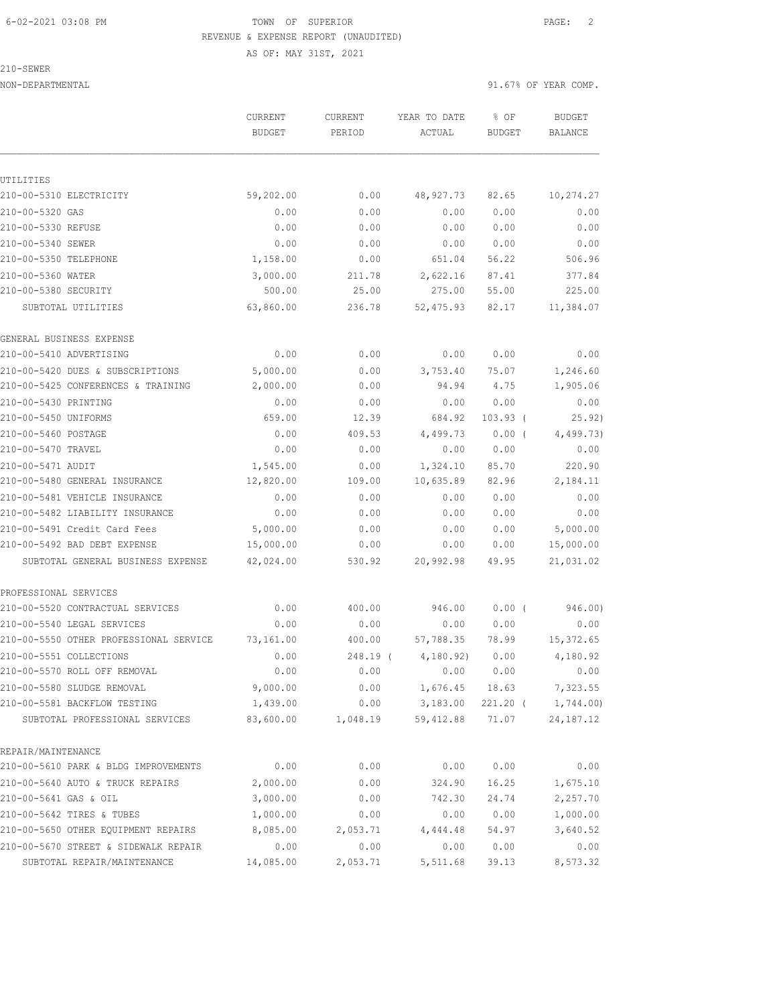AS OF: MAY 31ST, 2021

210-SEWER

UTILITIES

NON-DEPARTMENTAL 91.67% OF YEAR COMP.

 CURRENT CURRENT YEAR TO DATE % OF BUDGET BUDGET PERIOD ACTUAL BUDGET BALANCE 210-00-5310 ELECTRICITY 59,202.00 0.00 48,927.73 82.65 10,274.27 210-00-5320 GAS 0.00 0.00 0.00 0.00 0.00 210-00-5330 REFUSE 0.00 0.00 0.00 0.00 0.00 210-00-5340 SEWER 0.00 0.00 0.00 0.00 0.00 210-00-5350 TELEPHONE 1,158.00 0.00 651.04 56.22 506.96 210-00-5360 WATER 3,000.00 211.78 2,622.16 87.41 377.84 210-00-5380 SECURITY 500.00 25.00 275.00 55.00 225.00 SUBTOTAL UTILITIES 63,860.00 236.78 52,475.93 82.17 11,384.07 GENERAL BUSINESS EXPENSE 210-00-5410 ADVERTISING 0.00 0.00 0.00 0.00 0.00 210-00-5420 DUES & SUBSCRIPTIONS 5,000.00 0.00 3,753.40 75.07 1,246.60 210-00-5425 CONFERENCES & TRAINING 2,000.00 0.00 94.94 4.75 1,905.06 210-00-5430 PRINTING 0.00 0.00 0.00 0.00 0.00 210-00-5450 UNIFORMS 659.00 12.39 684.92 103.93 ( 25.92) 210-00-5460 POSTAGE 0.00 409.53 4,499.73 0.00 ( 4,499.73) 210-00-5470 TRAVEL 0.00 0.00 0.00 0.00 0.00 210-00-5471 AUDIT 1,545.00 0.00 1,324.10 85.70 220.90 210-00-5480 GENERAL INSURANCE 12,820.00 109.00 10,635.89 82.96 2,184.11 210-00-5481 VEHICLE INSURANCE 0.00 0.00 0.00 0.00 0.00 210-00-5482 LIABILITY INSURANCE 0.00 0.00 0.00 0.00 0.00 210-00-5491 Credit Card Fees 5,000.00 0.00 0.00 0.00 0.00 5,000.00<br>210-00-5492 BAD DEBT EXPENSE 15,000.00 0.00 0.00 0.00 0.00 15,000.00 210-00-5492 BAD DEBT EXPENSE 15,000.00 0.00 0.00 0.00 15,000.00 SUBTOTAL GENERAL BUSINESS EXPENSE 42,024.00 530.92 20,992.98 49.95 21,031.02 PROFESSIONAL SERVICES 210-00-5520 CONTRACTUAL SERVICES 0.00 400.00 946.00 0.00 ( 946.00) 210-00-5540 LEGAL SERVICES 0.00 0.00 0.00 0.00 0.00 210-00-5550 OTHER PROFESSIONAL SERVICE 73,161.00 400.00 57,788.35 78.99 15,372.65<br>210-00-5551 COLLECTIONS 0.00 248.19 (4,180.92) 0.00 4,180.92 210-00-5551 COLLECTIONS 0.00 248.19 ( 4,180.92) 0.00 4,180.92 210-00-5570 ROLL OFF REMOVAL 0.00 0.00 0.00 0.00 0.00 210-00-5580 SLUDGE REMOVAL 9,000.00 0.00 1,676.45 18.63 7,323.55 210-00-5581 BACKFLOW TESTING 1,439.00 0.00 3,183.00 221.20 ( 1,744.00) SUBTOTAL PROFESSIONAL SERVICES 83,600.00 1,048.19 59,412.88 71.07 24,187.12 REPAIR/MAINTENANCE 210-00-5610 PARK & BLDG IMPROVEMENTS 0.00 0.00 0.00 0.00 0.00 210-00-5640 AUTO & TRUCK REPAIRS 2,000.00 0.00 324.90 16.25 1,675.10 210-00-5641 GAS & OIL 3,000.00 0.00 742.30 24.74 2,257.70 210-00-5642 TIRES & TUBES 1,000.00 0.00 0.00 0.00 1,000.00 210-00-5650 OTHER EQUIPMENT REPAIRS 8,085.00 2,053.71 4,444.48 54.97 3,640.52

210-00-5670 STREET & SIDEWALK REPAIR 0.00 0.00 0.00 0.00 0.00 SUBTOTAL REPAIR/MAINTENANCE 14,085.00 2,053.71 5,511.68 39.13 8,573.32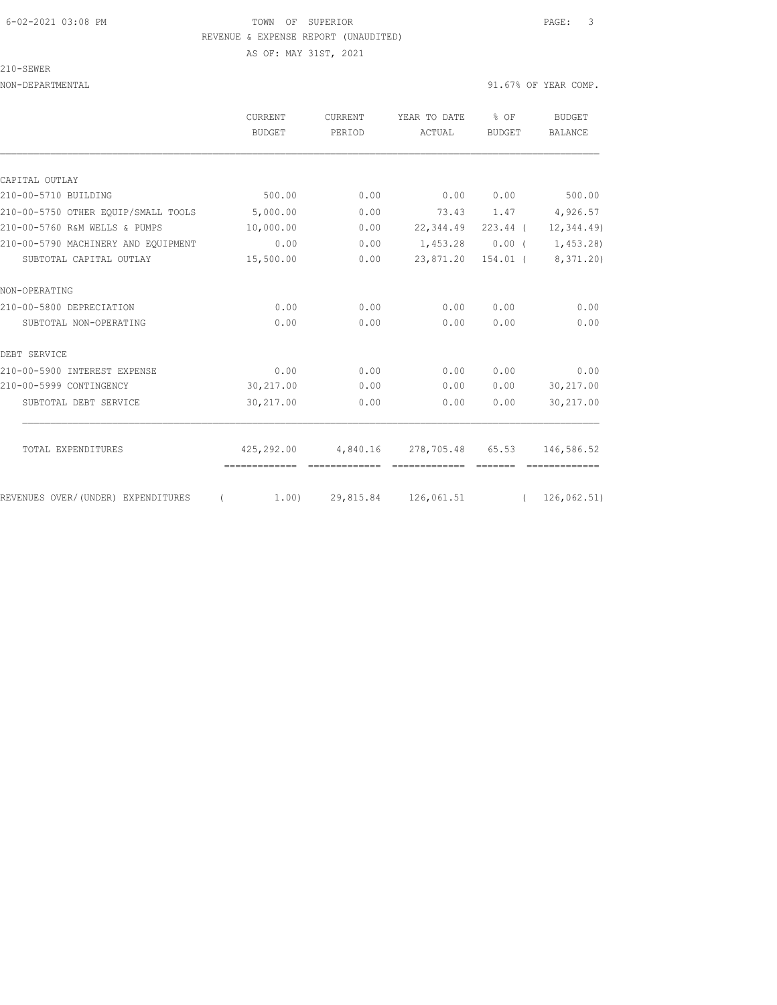## 6-02-2021 03:08 PM TOWN OF SUPERIOR PAGE: 3 REVENUE & EXPENSE REPORT (UNAUDITED) AS OF: MAY 31ST, 2021

210-SEWER

|                                     | CURRENT<br><b>BUDGET</b>      | <b>CURRENT</b><br>PERIOD | YEAR TO DATE<br>ACTUAL          | % OF<br><b>BUDGET</b> | <b>BUDGET</b><br><b>BALANCE</b> |
|-------------------------------------|-------------------------------|--------------------------|---------------------------------|-----------------------|---------------------------------|
| CAPITAL OUTLAY                      |                               |                          |                                 |                       |                                 |
| 210-00-5710 BUILDING                | 500.00                        | 0.00                     | 0.00                            | 0.00                  | 500.00                          |
| 210-00-5750 OTHER EOUIP/SMALL TOOLS | 5,000.00                      | 0.00                     |                                 |                       | 73.43 1.47 4,926.57             |
| 210-00-5760 R&M WELLS & PUMPS       | 10,000.00                     | 0.00                     | 22,344.49 223.44 (              |                       | 12, 344.49                      |
| 210-00-5790 MACHINERY AND EOUIPMENT | 0.00                          | 0.00                     | 1,453.28                        | 0.00(                 | 1,453.28)                       |
| SUBTOTAL CAPITAL OUTLAY             | 15,500.00                     | 0.00                     | 23,871.20                       | 154.01 (              | 8,371.20)                       |
| NON-OPERATING                       |                               |                          |                                 |                       |                                 |
| 210-00-5800 DEPRECIATION            | 0.00                          | 0.00                     | 0.00                            | 0.00                  | 0.00                            |
| SUBTOTAL NON-OPERATING              | 0.00                          | 0.00                     | 0.00                            | 0.00                  | 0.00                            |
| DEBT SERVICE                        |                               |                          |                                 |                       |                                 |
| 210-00-5900 INTEREST EXPENSE        | 0.00                          | 0.00                     | 0.00                            | 0.00                  | 0.00                            |
| 210-00-5999 CONTINGENCY             | 30,217.00                     | 0.00                     | 0.00                            | 0.00                  | 30,217.00                       |
| SUBTOTAL DEBT SERVICE               | 30,217.00                     | 0.00                     | 0.00                            | 0.00                  | 30,217.00                       |
| TOTAL EXPENDITURES                  | 425,292.00                    | 4,840.16                 | 278,705.48 65.53                |                       | 146,586.52                      |
|                                     | -------------- -------------- |                          | --------------                  |                       |                                 |
| REVENUES OVER/(UNDER) EXPENDITURES  | $\left($                      |                          | $1.00$ $29,815.84$ $126,061.51$ |                       | (126, 062.51)                   |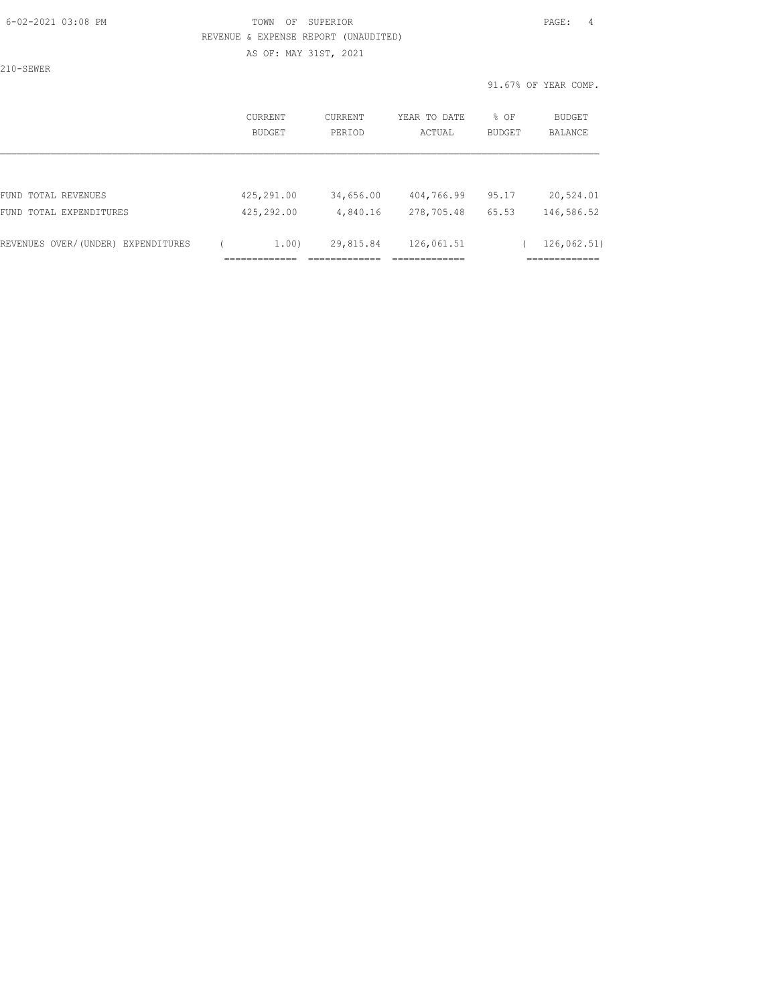#### 6-02-2021 03:08 PM TOWN OF SUPERIOR PAGE: 4 REVENUE & EXPENSE REPORT (UNAUDITED) AS OF: MAY 31ST, 2021

210-SEWER

|                                    | CURRENT<br>BUDGET | <b>CURRENT</b><br>PERIOD | YEAR TO DATE<br>ACTUAL | % OF<br><b>BUDGET</b> | BUDGET<br>BALANCE |
|------------------------------------|-------------------|--------------------------|------------------------|-----------------------|-------------------|
|                                    |                   |                          |                        |                       |                   |
| FUND TOTAL REVENUES                | 425,291.00        | 34,656.00                | 404,766.99             | 95.17                 | 20,524.01         |
| FUND TOTAL EXPENDITURES            | 425,292.00        | 4,840.16                 | 278,705.48             | 65.53                 | 146,586.52        |
| REVENUES OVER/(UNDER) EXPENDITURES | 1.00)             | 29,815.84                | 126,061.51             |                       | 126,062.51)       |
|                                    |                   |                          |                        |                       |                   |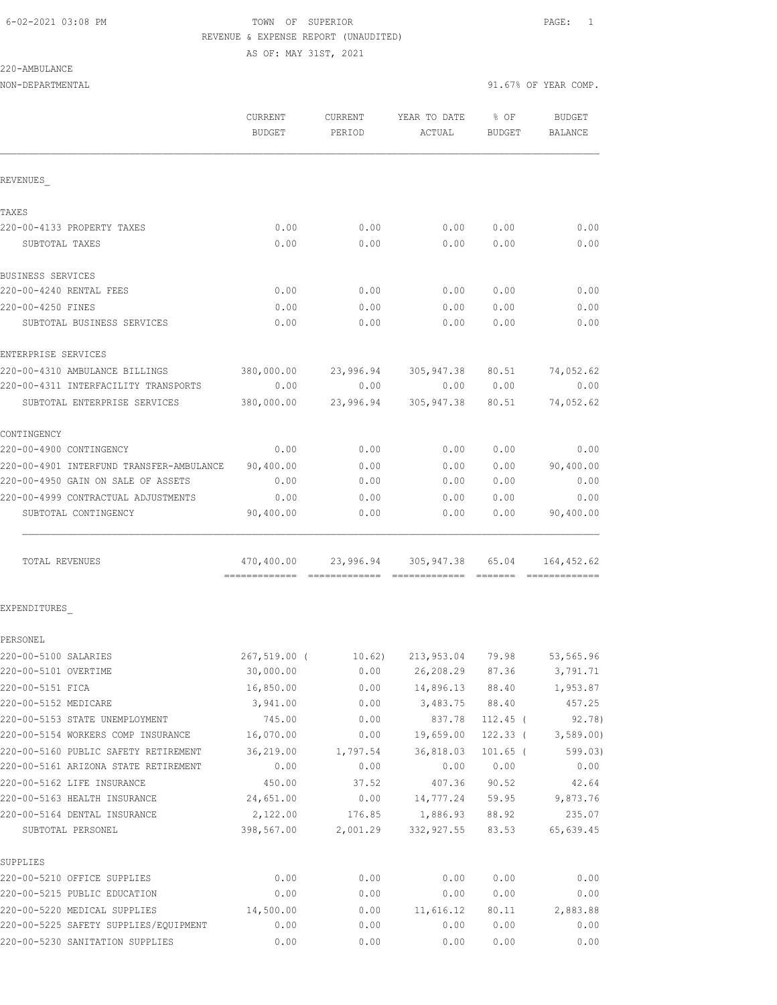AS OF: MAY 31ST, 2021

220-AMBULANCE

|                                          | <b>CURRENT</b><br><b>BUDGET</b> | CURRENT<br>PERIOD | YEAR TO DATE<br>ACTUAL     | % OF<br><b>BUDGET</b> | <b>BUDGET</b><br>BALANCE |
|------------------------------------------|---------------------------------|-------------------|----------------------------|-----------------------|--------------------------|
| REVENUES                                 |                                 |                   |                            |                       |                          |
| TAXES                                    |                                 |                   |                            |                       |                          |
| 220-00-4133 PROPERTY TAXES               | 0.00                            | 0.00              | 0.00                       | 0.00                  | 0.00                     |
| SUBTOTAL TAXES                           | 0.00                            | 0.00              | 0.00                       | 0.00                  | 0.00                     |
| BUSINESS SERVICES                        |                                 |                   |                            |                       |                          |
| 220-00-4240 RENTAL FEES                  | 0.00                            | 0.00              | 0.00                       | 0.00                  | 0.00                     |
| 220-00-4250 FINES                        | 0.00                            | 0.00              | 0.00                       | 0.00                  | 0.00                     |
| SUBTOTAL BUSINESS SERVICES               | 0.00                            | 0.00              | 0.00                       | 0.00                  | 0.00                     |
| ENTERPRISE SERVICES                      |                                 |                   |                            |                       |                          |
| 220-00-4310 AMBULANCE BILLINGS           | 380,000.00                      |                   | 23,996.94 305,947.38       | 80.51                 | 74,052.62                |
| 220-00-4311 INTERFACILITY TRANSPORTS     | 0.00                            | 0.00              | 0.00                       | 0.00                  | 0.00                     |
| SUBTOTAL ENTERPRISE SERVICES             | 380,000.00                      | 23,996.94         | 305,947.38                 | 80.51                 | 74,052.62                |
| CONTINGENCY                              |                                 |                   |                            |                       |                          |
| 220-00-4900 CONTINGENCY                  | 0.00                            | 0.00              | 0.00                       | 0.00                  | 0.00                     |
| 220-00-4901 INTERFUND TRANSFER-AMBULANCE | 90,400.00                       | 0.00              | 0.00                       | 0.00                  | 90,400.00                |
| 220-00-4950 GAIN ON SALE OF ASSETS       | 0.00                            | 0.00              | 0.00                       | 0.00                  | 0.00                     |
| 220-00-4999 CONTRACTUAL ADJUSTMENTS      | 0.00                            | 0.00              | 0.00                       | 0.00                  | 0.00                     |
| SUBTOTAL CONTINGENCY                     | 90,400.00                       | 0.00              | 0.00                       | 0.00                  | 90,400.00                |
| TOTAL REVENUES                           | 470,400.00                      |                   | 23,996.94 305,947.38 65.04 |                       | 164,452.62               |
| EXPENDITURES                             |                                 |                   |                            |                       |                          |
| PERSONEL                                 |                                 |                   |                            |                       |                          |
| 220-00-5100 SALARIES                     | 267,519.00 (                    | 10.62)            | 213,953.04 79.98           |                       | 53,565.96                |
| 220-00-5101 OVERTIME                     | 30,000.00                       | 0.00              | 26,208.29 87.36            |                       | 3,791.71                 |
| 220-00-5151 FICA                         | 16,850.00                       | 0.00              | 14,896.13                  | 88.40                 | 1,953.87                 |
| 220-00-5152 MEDICARE                     | 3,941.00                        | 0.00              | 3,483.75                   | 88.40                 | 457.25                   |
| 220-00-5153 STATE UNEMPLOYMENT           | 745.00                          | 0.00              | 837.78                     | $112.45$ (            | 92.78)                   |
| 220-00-5154 WORKERS COMP INSURANCE       | 16,070.00                       | 0.00              | 19,659.00                  | $122.33$ (            | 3,589.00                 |
| 220-00-5160 PUBLIC SAFETY RETIREMENT     | 36,219.00                       | 1,797.54          | 36,818.03                  | $101.65$ (            | 599.03)                  |
| 220-00-5161 ARIZONA STATE RETIREMENT     | 0.00                            | 0.00              | 0.00                       | 0.00                  | 0.00                     |
| 220-00-5162 LIFE INSURANCE               | 450.00                          | 37.52             | 407.36                     | 90.52                 | 42.64                    |
| 220-00-5163 HEALTH INSURANCE             | 24,651.00                       | 0.00              | 14,777.24                  | 59.95                 | 9,873.76                 |
| 220-00-5164 DENTAL INSURANCE             | 2,122.00                        | 176.85            | 1,886.93                   | 88.92                 | 235.07                   |
| SUBTOTAL PERSONEL                        | 398,567.00                      | 2,001.29          | 332, 927.55                | 83.53                 | 65,639.45                |
| SUPPLIES                                 |                                 |                   |                            |                       |                          |
| 220-00-5210 OFFICE SUPPLIES              | 0.00                            | 0.00              | 0.00                       | 0.00                  | 0.00                     |
| 220-00-5215 PUBLIC EDUCATION             | 0.00                            | 0.00              | 0.00                       | 0.00                  | 0.00                     |
| 220-00-5220 MEDICAL SUPPLIES             | 14,500.00                       | 0.00              | 11,616.12                  | 80.11                 | 2,883.88                 |
| 220-00-5225 SAFETY SUPPLIES/EQUIPMENT    | 0.00                            | 0.00              | 0.00                       | 0.00                  | 0.00                     |
| 220-00-5230 SANITATION SUPPLIES          | 0.00                            | 0.00              | 0.00                       | 0.00                  | 0.00                     |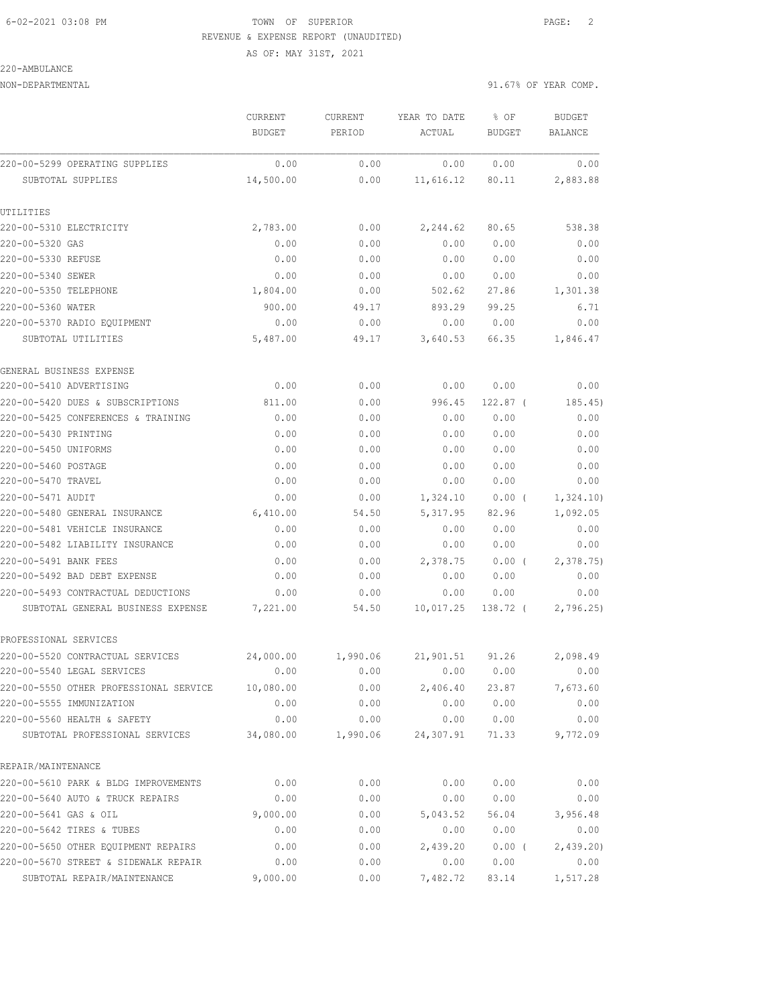AS OF: MAY 31ST, 2021

#### 220-AMBULANCE

|                                        | CURRENT<br><b>BUDGET</b> | CURRENT<br>PERIOD | YEAR TO DATE<br>ACTUAL | % OF<br>BUDGET | <b>BUDGET</b><br>BALANCE |
|----------------------------------------|--------------------------|-------------------|------------------------|----------------|--------------------------|
| 220-00-5299 OPERATING SUPPLIES         | 0.00                     | 0.00              | 0.00                   | 0.00           | 0.00                     |
|                                        | 14,500.00                | 0.00              | 11,616.12              | 80.11          | 2,883.88                 |
| SUBTOTAL SUPPLIES                      |                          |                   |                        |                |                          |
| UTILITIES                              |                          |                   |                        |                |                          |
| 220-00-5310 ELECTRICITY                | 2,783.00                 | 0.00              | 2,244.62               | 80.65          | 538.38                   |
| 220-00-5320 GAS                        | 0.00                     | 0.00              | 0.00                   | 0.00           | 0.00                     |
| 220-00-5330 REFUSE                     | 0.00                     | 0.00              | 0.00                   | 0.00           | 0.00                     |
| 220-00-5340 SEWER                      | 0.00                     | 0.00              | 0.00                   | 0.00           | 0.00                     |
| 220-00-5350 TELEPHONE                  | 1,804.00                 | 0.00              | 502.62                 | 27.86          | 1,301.38                 |
| 220-00-5360 WATER                      | 900.00                   | 49.17             | 893.29                 | 99.25          | 6.71                     |
| 220-00-5370 RADIO EQUIPMENT            | 0.00                     | 0.00              | 0.00                   | 0.00           | 0.00                     |
| SUBTOTAL UTILITIES                     | 5,487.00                 | 49.17             | 3,640.53               | 66.35          | 1,846.47                 |
| GENERAL BUSINESS EXPENSE               |                          |                   |                        |                |                          |
| 220-00-5410 ADVERTISING                | 0.00                     | 0.00              | 0.00                   | 0.00           | 0.00                     |
| 220-00-5420 DUES & SUBSCRIPTIONS       | 811.00                   | 0.00              | 996.45                 | $122.87$ (     | 185.45)                  |
| 220-00-5425 CONFERENCES & TRAINING     | 0.00                     | 0.00              | 0.00                   | 0.00           | 0.00                     |
| 220-00-5430 PRINTING                   | 0.00                     | 0.00              | 0.00                   | 0.00           | 0.00                     |
| 220-00-5450 UNIFORMS                   | 0.00                     | 0.00              | 0.00                   | 0.00           | 0.00                     |
| 220-00-5460 POSTAGE                    | 0.00                     | 0.00              | 0.00                   | 0.00           | 0.00                     |
| 220-00-5470 TRAVEL                     | 0.00                     | 0.00              | 0.00                   | 0.00           | 0.00                     |
| 220-00-5471 AUDIT                      | 0.00                     | 0.00              | 1,324.10               | $0.00$ (       | 1,324.10)                |
| 220-00-5480 GENERAL INSURANCE          | 6,410.00                 | 54.50             | 5, 317.95              | 82.96          | 1,092.05                 |
| 220-00-5481 VEHICLE INSURANCE          | 0.00                     | 0.00              | 0.00                   | 0.00           | 0.00                     |
| 220-00-5482 LIABILITY INSURANCE        | 0.00                     | 0.00              | 0.00                   | 0.00           | 0.00                     |
| 220-00-5491 BANK FEES                  | 0.00                     | 0.00              | 2,378.75               | $0.00$ (       | 2,378.75                 |
| 220-00-5492 BAD DEBT EXPENSE           | 0.00                     | 0.00              | 0.00                   | 0.00           | 0.00                     |
| 220-00-5493 CONTRACTUAL DEDUCTIONS     | 0.00                     | 0.00              | 0.00                   | 0.00           | 0.00                     |
| SUBTOTAL GENERAL BUSINESS EXPENSE      | 7,221.00                 | 54.50             | 10,017.25              | 138.72 (       | 2,796.25                 |
| PROFESSIONAL SERVICES                  |                          |                   |                        |                |                          |
| 220-00-5520 CONTRACTUAL SERVICES       | 24,000.00                | 1,990.06          | 21,901.51              | 91.26          | 2,098.49                 |
| 220-00-5540 LEGAL SERVICES             | 0.00                     | 0.00              | 0.00                   | 0.00           | 0.00                     |
| 220-00-5550 OTHER PROFESSIONAL SERVICE | 10,080.00                | 0.00              | 2,406.40               | 23.87          | 7,673.60                 |
| 220-00-5555 IMMUNIZATION               | 0.00                     | 0.00              | 0.00                   | 0.00           | 0.00                     |
| 220-00-5560 HEALTH & SAFETY            | 0.00                     | 0.00              | 0.00                   | 0.00           | 0.00                     |
| SUBTOTAL PROFESSIONAL SERVICES         | 34,080.00                | 1,990.06          | 24,307.91              | 71.33          | 9,772.09                 |
| REPAIR/MAINTENANCE                     |                          |                   |                        |                |                          |
| 220-00-5610 PARK & BLDG IMPROVEMENTS   | 0.00                     | 0.00              | 0.00                   | 0.00           | 0.00                     |
| 220-00-5640 AUTO & TRUCK REPAIRS       | 0.00                     | 0.00              | 0.00                   | 0.00           | 0.00                     |
| 220-00-5641 GAS & OIL                  | 9,000.00                 | 0.00              | 5,043.52               | 56.04          | 3,956.48                 |
| 220-00-5642 TIRES & TUBES              | 0.00                     | 0.00              | 0.00                   | 0.00           | 0.00                     |
| 220-00-5650 OTHER EQUIPMENT REPAIRS    | 0.00                     | 0.00              | 2,439.20               | 0.00(          | 2,439.20                 |
| 220-00-5670 STREET & SIDEWALK REPAIR   | 0.00                     | 0.00              | 0.00                   | 0.00           | 0.00                     |
| SUBTOTAL REPAIR/MAINTENANCE            | 9,000.00                 | 0.00              | 7,482.72               | 83.14          | 1,517.28                 |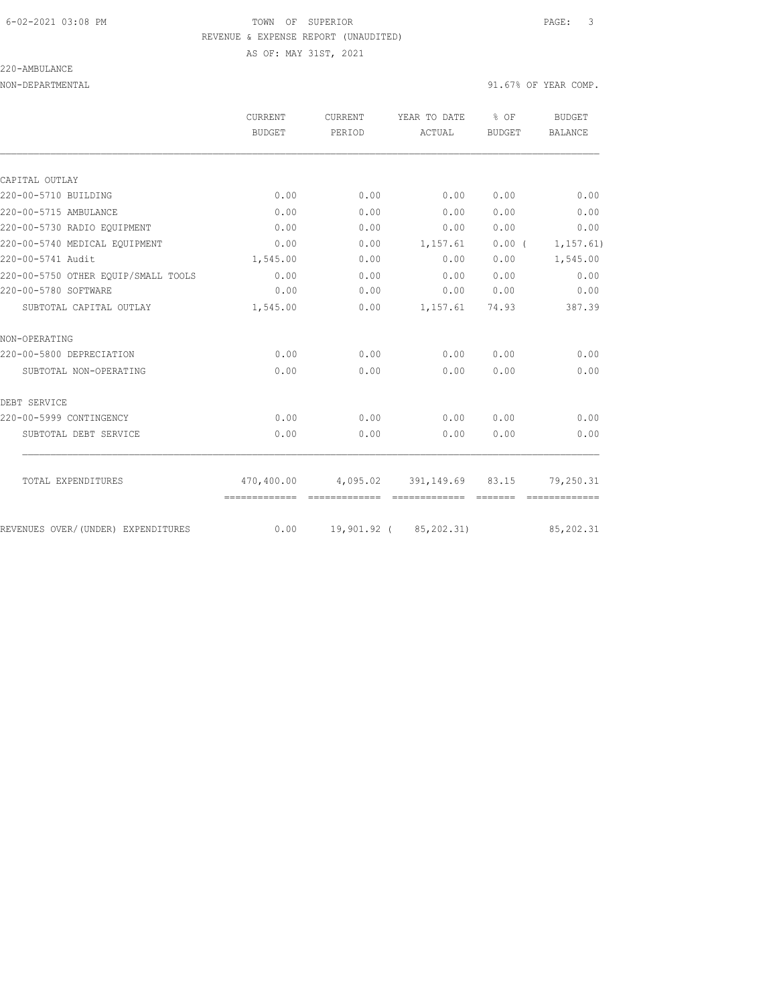220-AMBULANCE

AS OF: MAY 31ST, 2021

|                                     | CURRENT<br>BUDGET             | <b>CURRENT</b><br>PERIOD | YEAR TO DATE                                             | % OF<br><b>BUDGET</b> | BUDGET                     |
|-------------------------------------|-------------------------------|--------------------------|----------------------------------------------------------|-----------------------|----------------------------|
|                                     |                               |                          | ACTUAL                                                   |                       | <b>BALANCE</b>             |
|                                     |                               |                          |                                                          |                       |                            |
| CAPITAL OUTLAY                      |                               |                          |                                                          |                       |                            |
| 220-00-5710 BUILDING                | 0.00                          | 0.00                     | 0.00                                                     | 0.00                  | 0.00                       |
| 220-00-5715 AMBULANCE               | 0.00                          | 0.00                     | 0.00                                                     | 0.00                  | 0.00                       |
| 220-00-5730 RADIO EQUIPMENT         | 0.00                          | 0.00                     | 0.00                                                     | 0.00                  | 0.00                       |
| 220-00-5740 MEDICAL EQUIPMENT       | 0.00                          | 0.00                     | 1,157.61                                                 | 0.00(                 | 1, 157.61)                 |
| 220-00-5741 Audit                   | 1,545.00                      | 0.00                     | 0.00                                                     | 0.00                  | 1,545.00                   |
| 220-00-5750 OTHER EOUIP/SMALL TOOLS | 0.00                          | 0.00                     | 0.00                                                     | 0.00                  | 0.00                       |
| 220-00-5780 SOFTWARE                | 0.00                          | 0.00                     | 0.00                                                     | 0.00                  | 0.00                       |
| SUBTOTAL CAPITAL OUTLAY             | 1,545.00                      | 0.00                     | 1,157.61                                                 | 74.93                 | 387.39                     |
| NON-OPERATING                       |                               |                          |                                                          |                       |                            |
| 220-00-5800 DEPRECIATION            | 0.00                          | 0.00                     | 0.00                                                     | 0.00                  | 0.00                       |
| SUBTOTAL NON-OPERATING              | 0.00                          | 0.00                     | 0.00                                                     | 0.00                  | 0.00                       |
| DEBT SERVICE                        |                               |                          |                                                          |                       |                            |
| 220-00-5999 CONTINGENCY             | 0.00                          | 0.00                     | 0.00                                                     | 0.00                  | 0.00                       |
| SUBTOTAL DEBT SERVICE               | 0.00                          | 0.00                     | 0.00                                                     | 0.00                  | 0.00                       |
|                                     |                               |                          |                                                          |                       |                            |
| TOTAL EXPENDITURES                  | -------------- -------------- |                          | 470,400.00  4,095.02  391,149.69  83.15<br>============= |                       | 79,250.31<br>============= |
| REVENUES OVER/(UNDER) EXPENDITURES  | 0.00                          |                          | 19,901.92 ( 85,202.31)                                   |                       | 85, 202.31                 |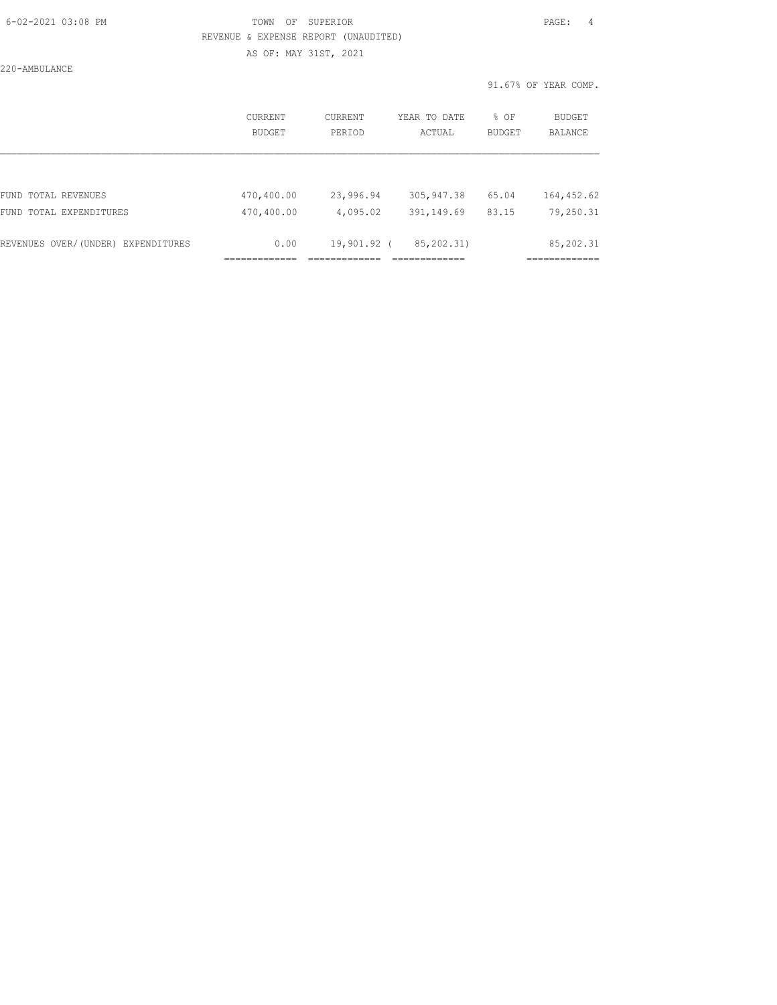### 6-02-2021 03:08 PM TOWN OF SUPERIOR PAGE: 4 REVENUE & EXPENSE REPORT (UNAUDITED) AS OF: MAY 31ST, 2021

220-AMBULANCE

|                                    | CURRENT<br>BUDGET | CURRENT<br>PERTOD | YEAR TO DATE<br>ACTUAL | % OF<br><b>BUDGET</b> | BUDGET<br>BALANCE |
|------------------------------------|-------------------|-------------------|------------------------|-----------------------|-------------------|
|                                    |                   |                   |                        |                       |                   |
| FUND TOTAL REVENUES                | 470,400.00        | 23,996.94         | 305, 947.38            | 65.04                 | 164, 452.62       |
| FUND TOTAL EXPENDITURES            | 470,400.00        | 4,095.02          | 391,149.69             | 83.15                 | 79,250.31         |
| REVENUES OVER/(UNDER) EXPENDITURES | 0.00              | 19,901.92 (       | 85, 202.31)            |                       | 85, 202.31        |
|                                    |                   |                   |                        |                       |                   |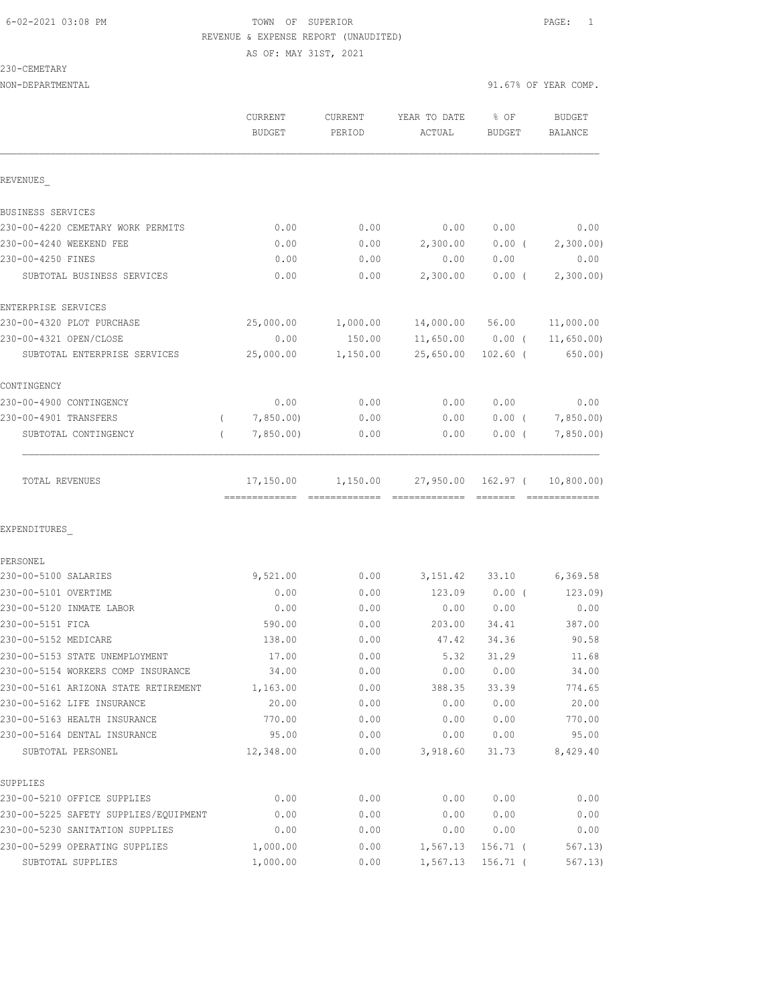AS OF: MAY 31ST, 2021

230-CEMETARY

| NON-DEPARTMENTAL                      |                                           |                   |                        | 91.67% OF YEAR COMP.  |                          |
|---------------------------------------|-------------------------------------------|-------------------|------------------------|-----------------------|--------------------------|
|                                       | <b>CURRENT</b><br><b>BUDGET</b>           | CURRENT<br>PERIOD | YEAR TO DATE<br>ACTUAL | % OF<br><b>BUDGET</b> | <b>BUDGET</b><br>BALANCE |
| REVENUES                              |                                           |                   |                        |                       |                          |
| BUSINESS SERVICES                     |                                           |                   |                        |                       |                          |
| 230-00-4220 CEMETARY WORK PERMITS     | 0.00                                      | 0.00              | 0.00                   | 0.00                  | 0.00                     |
| 230-00-4240 WEEKEND FEE               | 0.00                                      | 0.00              | 2,300.00               | $0.00$ (              | 2,300.00)                |
| 230-00-4250 FINES                     | 0.00                                      | 0.00              | 0.00                   | 0.00                  | 0.00                     |
| SUBTOTAL BUSINESS SERVICES            | 0.00                                      | 0.00              | 2,300.00               | $0.00$ (              | 2,300.00)                |
| ENTERPRISE SERVICES                   |                                           |                   |                        |                       |                          |
| 230-00-4320 PLOT PURCHASE             | 25,000.00                                 | 1,000.00          |                        | 14,000.00 56.00       | 11,000.00                |
| 230-00-4321 OPEN/CLOSE                | 0.00                                      | 150.00            | 11,650.00              | $0.00$ (              | 11,650.00                |
| SUBTOTAL ENTERPRISE SERVICES          | 25,000.00                                 | 1,150.00          | 25,650.00              | $102.60$ (            | 650.00                   |
| CONTINGENCY                           |                                           |                   |                        |                       |                          |
| 230-00-4900 CONTINGENCY               | 0.00                                      | 0.00              | 0.00                   | 0.00                  | 0.00                     |
| 230-00-4901 TRANSFERS<br>$\left($     | 7,850.00)                                 | 0.00              | 0.00                   | $0.00$ (              | 7,850.00)                |
| SUBTOTAL CONTINGENCY<br>$\left($      | 7,850.00                                  | 0.00              | 0.00                   | $0.00$ (              | 7,850.00                 |
| TOTAL REVENUES                        | 17,150.00<br>-------------- ------------- | 1,150.00          | 27,950.00              | 162.97 (              | 10,800.00)               |
| EXPENDITURES                          |                                           |                   |                        |                       |                          |
| PERSONEL                              |                                           |                   |                        |                       |                          |
| 230-00-5100 SALARIES                  | 9,521.00                                  | 0.00              | 3,151.42               | 33.10                 | 6,369.58                 |
| 230-00-5101 OVERTIME                  | 0.00                                      | 0.00              | 123.09                 | $0.00$ (              | 123.09)                  |
| 230-00-5120 INMATE LABOR              | 0.00                                      | 0.00              | 0.00                   | 0.00                  | 0.00                     |
| 230-00-5151 FICA                      | 590.00                                    | 0.00              | 203.00                 | 34.41                 | 387.00                   |
| 230-00-5152 MEDICARE                  | 138.00                                    | 0.00              | 47.42                  | 34.36                 | 90.58                    |
| 230-00-5153 STATE UNEMPLOYMENT        | 17.00                                     | 0.00              | 5.32                   | 31.29                 | 11.68                    |
| 230-00-5154 WORKERS COMP INSURANCE    | 34.00                                     | 0.00              | 0.00                   | 0.00                  | 34.00                    |
| 230-00-5161 ARIZONA STATE RETIREMENT  | 1,163.00                                  | 0.00              | 388.35                 | 33.39                 | 774.65                   |
| 230-00-5162 LIFE INSURANCE            | 20.00                                     | 0.00              | 0.00                   | 0.00                  | 20.00                    |
| 230-00-5163 HEALTH INSURANCE          | 770.00                                    | 0.00              | 0.00                   | 0.00                  | 770.00                   |
| 230-00-5164 DENTAL INSURANCE          | 95.00                                     | 0.00              | 0.00                   | 0.00                  | 95.00                    |
| SUBTOTAL PERSONEL                     | 12,348.00                                 | 0.00              | 3,918.60               | 31.73                 | 8,429.40                 |
| SUPPLIES                              |                                           |                   |                        |                       |                          |
| 230-00-5210 OFFICE SUPPLIES           | 0.00                                      | 0.00              | 0.00                   | 0.00                  | 0.00                     |
| 230-00-5225 SAFETY SUPPLIES/EQUIPMENT | 0.00                                      | 0.00              | 0.00                   | 0.00                  | 0.00                     |
| 230-00-5230 SANITATION SUPPLIES       | 0.00                                      | 0.00              | 0.00                   | 0.00                  | 0.00                     |
| 230-00-5299 OPERATING SUPPLIES        | 1,000.00                                  | 0.00              | 1,567.13               | $156.71$ (            | 567.13)                  |
| SUBTOTAL SUPPLIES                     | 1,000.00                                  | 0.00              | 1,567.13               | $156.71$ (            | 567.13)                  |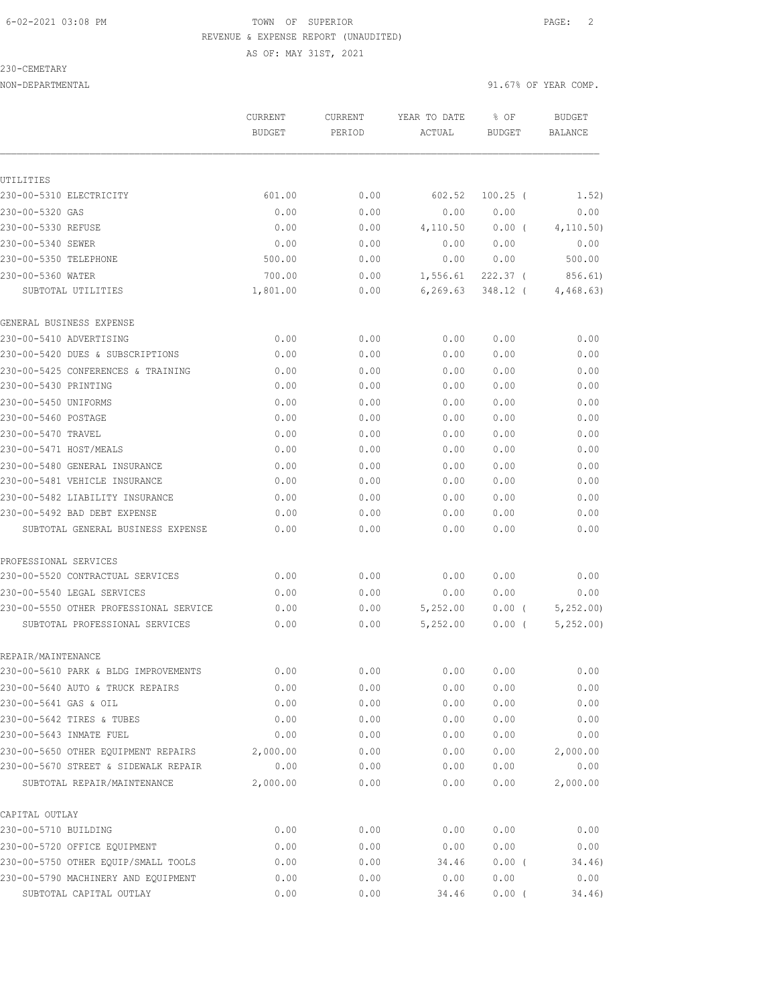AS OF: MAY 31ST, 2021

230-CEMETARY

|                                        | <b>CURRENT</b><br><b>BUDGET</b> | CURRENT<br>PERIOD | YEAR TO DATE<br>ACTUAL | % OF<br><b>BUDGET</b> | <b>BUDGET</b><br><b>BALANCE</b> |
|----------------------------------------|---------------------------------|-------------------|------------------------|-----------------------|---------------------------------|
| UTILITIES                              |                                 |                   |                        |                       |                                 |
| 230-00-5310 ELECTRICITY                | 601.00                          | 0.00              | 602.52                 | $100.25$ (            | 1.52)                           |
| 230-00-5320 GAS                        | 0.00                            | 0.00              | 0.00                   | 0.00                  | 0.00                            |
| 230-00-5330 REFUSE                     | 0.00                            | 0.00              | 4,110.50               | $0.00$ (              | 4, 110.50)                      |
| 230-00-5340 SEWER                      | 0.00                            | 0.00              | 0.00                   | 0.00                  | 0.00                            |
| 230-00-5350 TELEPHONE                  | 500.00                          | 0.00              | 0.00                   | 0.00                  | 500.00                          |
| 230-00-5360 WATER                      | 700.00                          | 0.00              | 1,556.61               | $222.37$ (            | 856.61)                         |
| SUBTOTAL UTILITIES                     | 1,801.00                        | 0.00              | 6, 269.63              | 348.12 (              | 4,468.63)                       |
| GENERAL BUSINESS EXPENSE               |                                 |                   |                        |                       |                                 |
| 230-00-5410 ADVERTISING                | 0.00                            | 0.00              | 0.00                   | 0.00                  | 0.00                            |
| 230-00-5420 DUES & SUBSCRIPTIONS       | 0.00                            | 0.00              | 0.00                   | 0.00                  | 0.00                            |
| 230-00-5425 CONFERENCES & TRAINING     | 0.00                            | 0.00              | 0.00                   | 0.00                  | 0.00                            |
| 230-00-5430 PRINTING                   | 0.00                            | 0.00              | 0.00                   | 0.00                  | 0.00                            |
| 230-00-5450 UNIFORMS                   | 0.00                            | 0.00              | 0.00                   | 0.00                  | 0.00                            |
| 230-00-5460 POSTAGE                    | 0.00                            | 0.00              | 0.00                   | 0.00                  | 0.00                            |
| 230-00-5470 TRAVEL                     | 0.00                            | 0.00              | 0.00                   | 0.00                  | 0.00                            |
| 230-00-5471 HOST/MEALS                 | 0.00                            | 0.00              | 0.00                   | 0.00                  | 0.00                            |
| 230-00-5480 GENERAL INSURANCE          | 0.00                            | 0.00              | 0.00                   | 0.00                  | 0.00                            |
| 230-00-5481 VEHICLE INSURANCE          | 0.00                            | 0.00              | 0.00                   | 0.00                  | 0.00                            |
| 230-00-5482 LIABILITY INSURANCE        | 0.00                            | 0.00              | 0.00                   | 0.00                  | 0.00                            |
| 230-00-5492 BAD DEBT EXPENSE           | 0.00                            | 0.00              | 0.00                   | 0.00                  | 0.00                            |
| SUBTOTAL GENERAL BUSINESS EXPENSE      | 0.00                            | 0.00              | 0.00                   | 0.00                  | 0.00                            |
| PROFESSIONAL SERVICES                  |                                 |                   |                        |                       |                                 |
| 230-00-5520 CONTRACTUAL SERVICES       | 0.00                            | 0.00              | 0.00                   | 0.00                  | 0.00                            |
| 230-00-5540 LEGAL SERVICES             | 0.00                            | 0.00              | 0.00                   | 0.00                  | 0.00                            |
| 230-00-5550 OTHER PROFESSIONAL SERVICE | 0.00                            | 0.00              | 5,252.00               | $0.00$ (              | 5, 252.00                       |
| SUBTOTAL PROFESSIONAL SERVICES         | 0.00                            | 0.00              | 5,252.00               | 0.00(                 | 5,252.00                        |
| REPAIR/MAINTENANCE                     |                                 |                   |                        |                       |                                 |
| 230-00-5610 PARK & BLDG IMPROVEMENTS   | 0.00                            | 0.00              | 0.00                   | 0.00                  | 0.00                            |
| 230-00-5640 AUTO & TRUCK REPAIRS       | 0.00                            | 0.00              | 0.00                   | 0.00                  | 0.00                            |
| 230-00-5641 GAS & OIL                  | 0.00                            | 0.00              | 0.00                   | 0.00                  | 0.00                            |
| 230-00-5642 TIRES & TUBES              | 0.00                            | 0.00              | 0.00                   | 0.00                  | 0.00                            |
| 230-00-5643 INMATE FUEL                | 0.00                            | 0.00              | 0.00                   | 0.00                  | 0.00                            |
| 230-00-5650 OTHER EQUIPMENT REPAIRS    | 2,000.00                        | 0.00              | 0.00                   | 0.00                  | 2,000.00                        |
| 230-00-5670 STREET & SIDEWALK REPAIR   | 0.00                            | 0.00              | 0.00                   | 0.00                  | 0.00                            |
| SUBTOTAL REPAIR/MAINTENANCE            | 2,000.00                        | 0.00              | 0.00                   | 0.00                  | 2,000.00                        |
| CAPITAL OUTLAY                         |                                 |                   |                        |                       |                                 |
| 230-00-5710 BUILDING                   | 0.00                            | 0.00              | 0.00                   | 0.00                  | 0.00                            |
| 230-00-5720 OFFICE EQUIPMENT           | 0.00                            | 0.00              | 0.00                   | 0.00                  | 0.00                            |
| 230-00-5750 OTHER EQUIP/SMALL TOOLS    | 0.00                            | 0.00              | 34.46                  | 0.00(                 | 34.46)                          |
| 230-00-5790 MACHINERY AND EQUIPMENT    | 0.00                            | 0.00              | 0.00                   | 0.00                  | 0.00                            |
| SUBTOTAL CAPITAL OUTLAY                | 0.00                            | 0.00              | 34.46                  | 0.00(                 | 34.46)                          |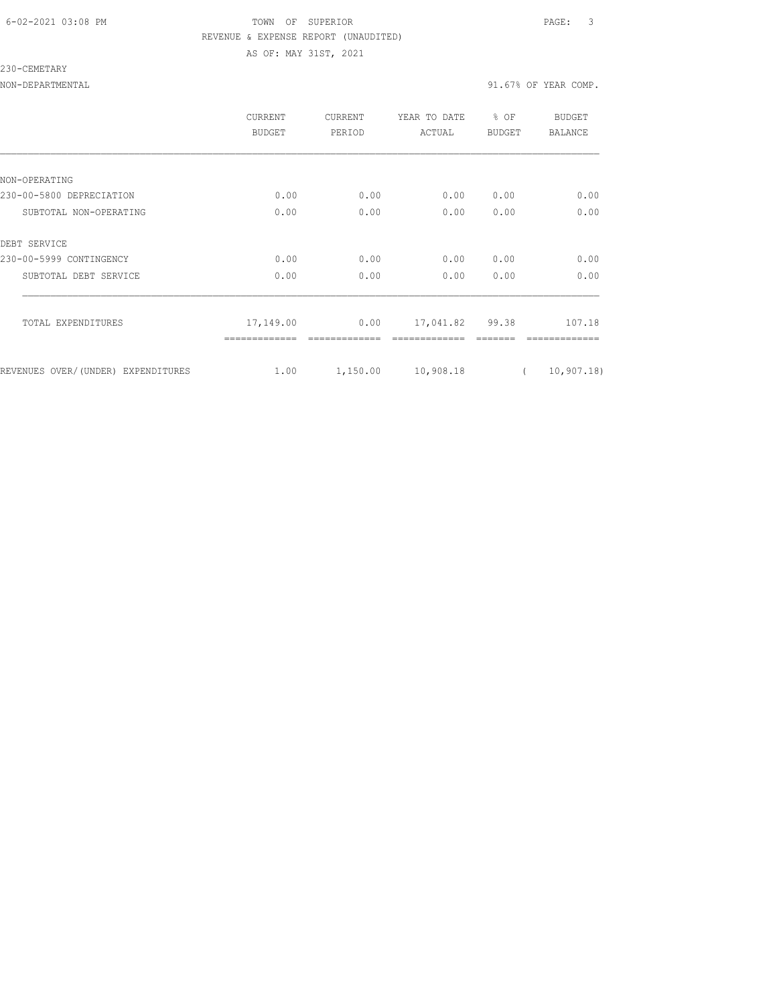#### 6-02-2021 03:08 PM TOWN OF SUPERIOR PAGE: 3 REVENUE & EXPENSE REPORT (UNAUDITED) AS OF: MAY 31ST, 2021

230-CEMETARY

|                                    | <b>CURRENT</b><br>BUDGET | <b>CURRENT</b><br>PERIOD | YEAR TO DATE<br>ACTUAL | % OF<br><b>BUDGET</b> | BUDGET<br><b>BALANCE</b> |
|------------------------------------|--------------------------|--------------------------|------------------------|-----------------------|--------------------------|
|                                    |                          |                          |                        |                       |                          |
| NON-OPERATING                      |                          |                          |                        |                       |                          |
| 230-00-5800 DEPRECIATION           | 0.00                     | 0.00                     | 0.00                   | 0.00                  | 0.00                     |
| SUBTOTAL NON-OPERATING             | 0.00                     | 0.00                     | 0.00                   | 0.00                  | 0.00                     |
| DEBT SERVICE                       |                          |                          |                        |                       |                          |
| 230-00-5999 CONTINGENCY            | 0.00                     | 0.00                     | 0.00                   | 0.00                  | 0.00                     |
| SUBTOTAL DEBT SERVICE              | 0.00                     | 0.00                     | 0.00                   | 0.00                  | 0.00                     |
| TOTAL EXPENDITURES                 | 17,149.00                | 0.00                     | 17,041.82 99.38        |                       | 107.18                   |
| REVENUES OVER/(UNDER) EXPENDITURES | 1.00                     | 1,150.00                 | 10,908.18              | $\left($              | 10, 907.18               |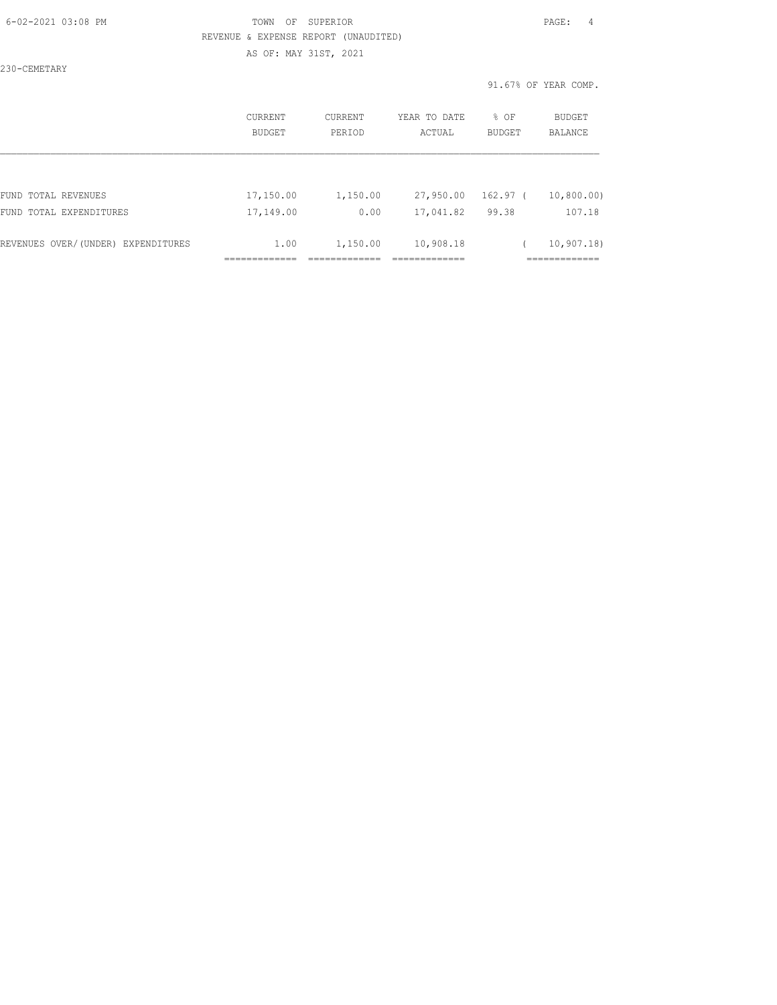| 6-02-2021 03:08 PM |  |
|--------------------|--|
|                    |  |

## FOWN OF SUPERIOR **Example 20:08 PAGE:** 4 REVENUE & EXPENSE REPORT (UNAUDITED) AS OF: MAY 31ST, 2021

230-CEMETARY

| CURRENT<br>BUDGET | CURRENT<br>PERIOD | YEAR TO DATE<br>ACTUAL | % OF<br>BUDGET | <b>BUDGET</b><br><b>BALANCE</b> |
|-------------------|-------------------|------------------------|----------------|---------------------------------|
|                   |                   |                        |                |                                 |
| 17,150.00         | 1,150.00          | 27,950.00              | 162.97 (       | 10,800.00)                      |
| 17,149.00         | 0.00              | 17,041.82              | 99.38          | 107.18                          |
| 1.00              | 1,150.00          | 10,908.18              |                | 10, 907, 18<br>------------     |
|                   |                   |                        |                |                                 |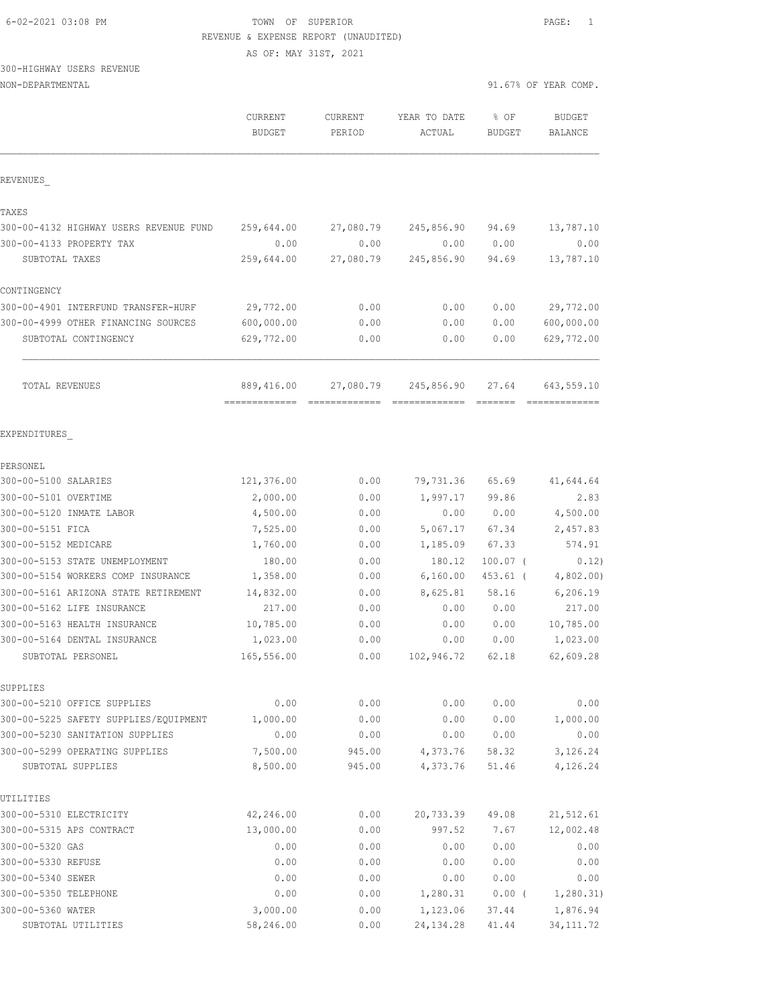AS OF: MAY 31ST, 2021

# 300-HIGHWAY USERS REVENUE

| NON-DEPARTMENTAL                                |                          |                   |                        |                | 91.67% OF YEAR COMP. |
|-------------------------------------------------|--------------------------|-------------------|------------------------|----------------|----------------------|
|                                                 | CURRENT<br><b>BUDGET</b> | CURRENT<br>PERIOD | YEAR TO DATE<br>ACTUAL | % OF<br>BUDGET | BUDGET<br>BALANCE    |
| REVENUES                                        |                          |                   |                        |                |                      |
| TAXES<br>300-00-4132 HIGHWAY USERS REVENUE FUND | 259,644.00               | 27,080.79         | 245,856.90             | 94.69          | 13,787.10            |

| 300-00-4133 PROPERTY TAX            | 0.00       | 0.00      | 0.00       | 0.00  | 0.00       |
|-------------------------------------|------------|-----------|------------|-------|------------|
| SUBTOTAL TAXES                      | 259,644.00 | 27,080.79 | 245,856.90 | 94.69 | 13,787.10  |
| CONTINGENCY                         |            |           |            |       |            |
| 300-00-4901 INTERFUND TRANSFER-HURF | 29,772.00  | 0.00      | 0.00       | 0.00  | 29,772.00  |
| 300-00-4999 OTHER FINANCING SOURCES | 600,000.00 | 0.00      | 0.00       | 0.00  | 600,000.00 |
| SUBTOTAL CONTINGENCY                | 629,772.00 | 0.00      | 0.00       | 0.00  | 629,772.00 |
|                                     |            |           |            |       |            |
| TOTAL REVENUES                      | 889,416.00 | 27,080.79 | 245,856.90 | 27.64 | 643,559.10 |
|                                     |            |           |            |       |            |

#### EXPENDITURES\_

| PERSONEL                              |            |        |            |            |            |
|---------------------------------------|------------|--------|------------|------------|------------|
| 300-00-5100 SALARIES                  | 121,376.00 | 0.00   | 79,731.36  | 65.69      | 41,644.64  |
| 300-00-5101 OVERTIME                  | 2,000.00   | 0.00   | 1,997.17   | 99.86      | 2.83       |
| 300-00-5120 INMATE LABOR              | 4,500.00   | 0.00   | 0.00       | 0.00       | 4,500.00   |
| 300-00-5151 FICA                      | 7,525.00   | 0.00   | 5,067.17   | 67.34      | 2,457.83   |
| 300-00-5152 MEDICARE                  | 1,760.00   | 0.00   | 1,185.09   | 67.33      | 574.91     |
| 300-00-5153 STATE UNEMPLOYMENT        | 180.00     | 0.00   | 180.12     | $100.07$ ( | 0.12)      |
| 300-00-5154 WORKERS COMP INSURANCE    | 1,358.00   | 0.00   | 6,160.00   | $453.61$ ( | 4,802.00   |
| 300-00-5161 ARIZONA STATE RETIREMENT  | 14,832.00  | 0.00   | 8,625.81   | 58.16      | 6,206.19   |
| 300-00-5162 LIFE INSURANCE            | 217.00     | 0.00   | 0.00       | 0.00       | 217.00     |
| 300-00-5163 HEALTH INSURANCE          | 10,785.00  | 0.00   | 0.00       | 0.00       | 10,785.00  |
| 300-00-5164 DENTAL INSURANCE          | 1,023.00   | 0.00   | 0.00       | 0.00       | 1,023.00   |
| SUBTOTAL PERSONEL                     | 165,556.00 | 0.00   | 102,946.72 | 62.18      | 62,609.28  |
| SUPPLIES                              |            |        |            |            |            |
| 300-00-5210 OFFICE SUPPLIES           | 0.00       | 0.00   | 0.00       | 0.00       | 0.00       |
| 300-00-5225 SAFETY SUPPLIES/EQUIPMENT | 1,000.00   | 0.00   | 0.00       | 0.00       | 1,000.00   |
| 300-00-5230 SANITATION SUPPLIES       | 0.00       | 0.00   | 0.00       | 0.00       | 0.00       |
| 300-00-5299 OPERATING SUPPLIES        | 7,500.00   | 945.00 | 4,373.76   | 58.32      | 3,126.24   |
| SUBTOTAL SUPPLIES                     | 8,500.00   | 945.00 | 4,373.76   | 51.46      | 4,126.24   |
| UTILITIES                             |            |        |            |            |            |
| 300-00-5310 ELECTRICITY               | 42,246.00  | 0.00   | 20,733.39  | 49.08      | 21,512.61  |
| 300-00-5315 APS CONTRACT              | 13,000.00  | 0.00   | 997.52     | 7.67       | 12,002.48  |
| 300-00-5320 GAS                       | 0.00       | 0.00   | 0.00       | 0.00       | 0.00       |
| 300-00-5330 REFUSE                    | 0.00       | 0.00   | 0.00       | 0.00       | 0.00       |
| 300-00-5340 SEWER                     | 0.00       | 0.00   | 0.00       | 0.00       | 0.00       |
| 300-00-5350 TELEPHONE                 | 0.00       | 0.00   | 1,280.31   | $0.00$ (   | 1, 280.31) |
| 300-00-5360 WATER                     | 3,000.00   | 0.00   | 1,123.06   | 37.44      | 1,876.94   |
| SUBTOTAL UTILITIES                    | 58,246.00  | 0.00   | 24, 134.28 | 41.44      | 34, 111.72 |
|                                       |            |        |            |            |            |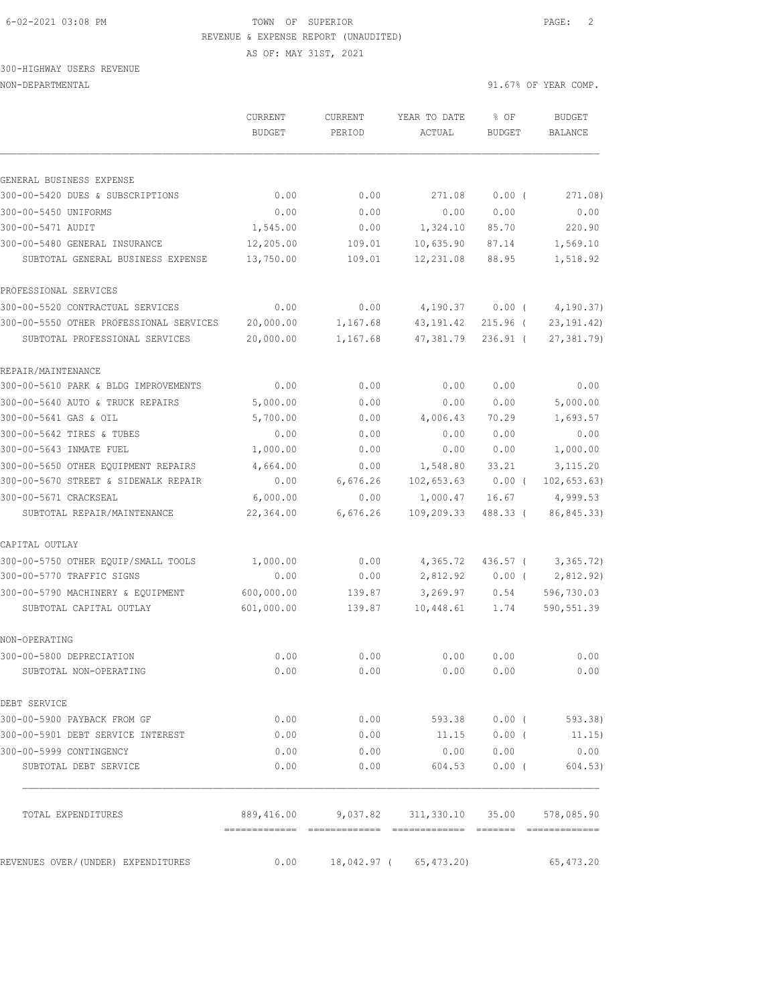AS OF: MAY 31ST, 2021

# 300-HIGHWAY USERS REVENUE

|                                           | CURRENT<br><b>BUDGET</b>                    | CURRENT<br>PERIOD | YEAR TO DATE<br>ACTUAL    | % OF<br>BUDGET | <b>BUDGET</b><br>BALANCE    |
|-------------------------------------------|---------------------------------------------|-------------------|---------------------------|----------------|-----------------------------|
|                                           |                                             |                   |                           |                |                             |
| GENERAL BUSINESS EXPENSE                  |                                             |                   |                           |                |                             |
| 300-00-5420 DUES & SUBSCRIPTIONS          | 0.00                                        | 0.00              | 271.08                    | $0.00$ (       | 271.08)                     |
| 300-00-5450 UNIFORMS<br>300-00-5471 AUDIT | 0.00<br>1,545.00                            | 0.00<br>0.00      | 0.00<br>1,324.10          | 0.00<br>85.70  | 0.00<br>220.90              |
| 300-00-5480 GENERAL INSURANCE             | 12,205.00                                   |                   | 10,635.90                 |                | 1,569.10                    |
| SUBTOTAL GENERAL BUSINESS EXPENSE         | 13,750.00                                   | 109.01<br>109.01  | 12,231.08                 | 87.14<br>88.95 | 1,518.92                    |
| PROFESSIONAL SERVICES                     |                                             |                   |                           |                |                             |
| 300-00-5520 CONTRACTUAL SERVICES          | 0.00                                        | 0.00              | 4,190.37                  | $0.00$ (       | 4,190.37)                   |
| 300-00-5550 OTHER PROFESSIONAL SERVICES   | 20,000.00                                   | 1,167.68          | 43,191.42                 | $215.96$ (     | 23, 191.42)                 |
| SUBTOTAL PROFESSIONAL SERVICES            | 20,000.00                                   | 1,167.68          | 47,381.79                 | $236.91$ (     | 27, 381.79)                 |
| REPAIR/MAINTENANCE                        |                                             |                   |                           |                |                             |
| 300-00-5610 PARK & BLDG IMPROVEMENTS      | 0.00                                        | 0.00              | 0.00                      | 0.00           | 0.00                        |
| 300-00-5640 AUTO & TRUCK REPAIRS          | 5,000.00                                    | 0.00              | 0.00                      | 0.00           | 5,000.00                    |
| 300-00-5641 GAS & OIL                     | 5,700.00                                    | 0.00              | 4,006.43                  | 70.29          | 1,693.57                    |
| 300-00-5642 TIRES & TUBES                 | 0.00                                        | 0.00              | 0.00                      | 0.00           | 0.00                        |
| 300-00-5643 INMATE FUEL                   | 1,000.00                                    | 0.00              | 0.00                      | 0.00           | 1,000.00                    |
| 300-00-5650 OTHER EQUIPMENT REPAIRS       | 4,664.00                                    | 0.00              | 1,548.80                  | 33.21          | 3, 115.20                   |
| 300-00-5670 STREET & SIDEWALK REPAIR      | 0.00                                        | 6,676.26          | 102,653.63                | $0.00$ (       | 102, 653.63)                |
| 300-00-5671 CRACKSEAL                     | 6,000.00                                    | 0.00              | 1,000.47                  | 16.67          | 4,999.53                    |
| SUBTOTAL REPAIR/MAINTENANCE               | 22,364.00                                   | 6,676.26          | 109,209.33                | 488.33 (       | 86,845.33)                  |
| CAPITAL OUTLAY                            |                                             |                   |                           |                |                             |
| 300-00-5750 OTHER EQUIP/SMALL TOOLS       | 1,000.00                                    | 0.00              | 4,365.72                  | 436.57 (       | 3,365.72)                   |
| 300-00-5770 TRAFFIC SIGNS                 | 0.00                                        | 0.00              | 2,812.92                  | $0.00$ (       | 2,812.92)                   |
| 300-00-5790 MACHINERY & EQUIPMENT         | 600,000.00                                  | 139.87            | 3,269.97                  | 0.54           | 596,730.03                  |
| SUBTOTAL CAPITAL OUTLAY                   | 601,000.00                                  | 139.87            | 10,448.61                 | 1.74           | 590,551.39                  |
| NON-OPERATING                             |                                             |                   |                           |                |                             |
| 300-00-5800 DEPRECIATION                  | 0.00                                        | 0.00              | 0.00                      | 0.00           | 0.00                        |
| SUBTOTAL NON-OPERATING                    | 0.00                                        | 0.00              | 0.00                      | 0.00           | 0.00                        |
| DEBT SERVICE                              |                                             |                   |                           |                |                             |
| 300-00-5900 PAYBACK FROM GF               | 0.00                                        | 0.00              |                           |                | 593.38 0.00 (593.38)        |
| 300-00-5901 DEBT SERVICE INTEREST         | 0.00                                        | 0.00              | 11.15                     | $0.00$ (       | 11.15)                      |
| 300-00-5999 CONTINGENCY                   | 0.00                                        | 0.00              | 0.00                      | 0.00           | 0.00                        |
| SUBTOTAL DEBT SERVICE                     | 0.00                                        | 0.00              | 604.53                    | $0.00$ (       | 604.53)                     |
| TOTAL EXPENDITURES                        | 889,416.00<br>-------------- -------------- |                   | 9,037.82 311,330.10 35.00 |                | 578,085.90<br>============= |
| REVENUES OVER/(UNDER) EXPENDITURES        | 0.00                                        |                   | 18,042.97 ( 65,473.20)    |                | 65,473.20                   |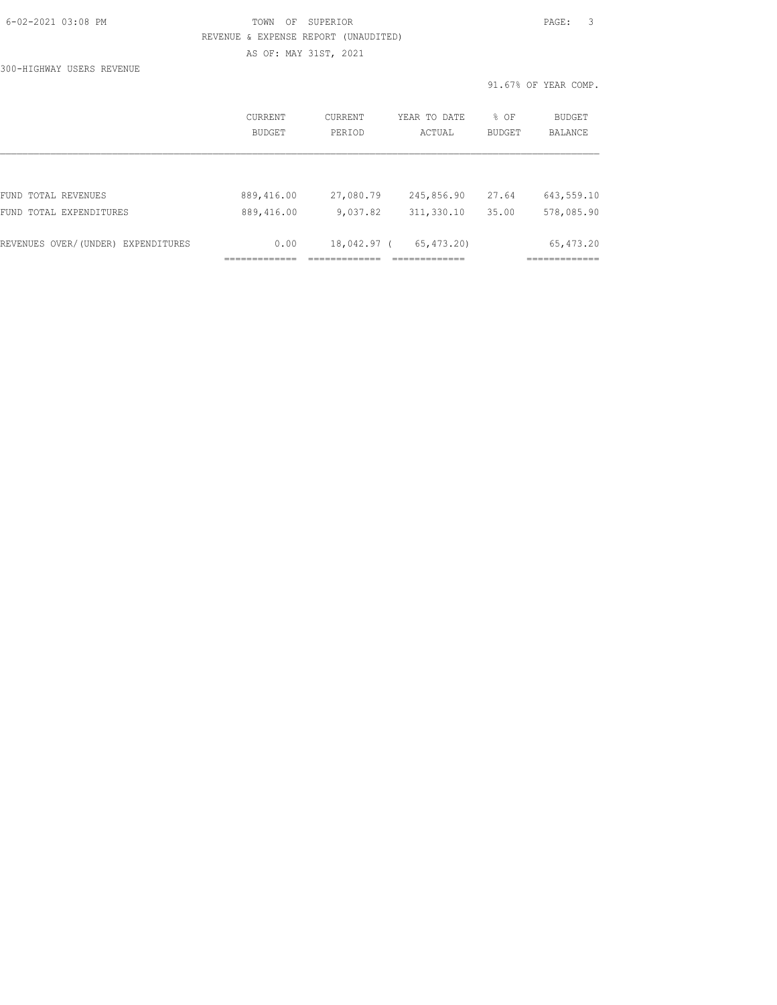| 6-02-2021 03:08 PM |  |
|--------------------|--|
|                    |  |

## TOWN OF SUPERIOR **Example 2021** PAGE: 3 REVENUE & EXPENSE REPORT (UNAUDITED) AS OF: MAY 31ST, 2021

300-HIGHWAY USERS REVENUE

|                     |                   |                   |                        |                  | 91.67% OF YEAR COMP.     |
|---------------------|-------------------|-------------------|------------------------|------------------|--------------------------|
|                     | CURRENT<br>BUDGET | CURRENT<br>PERIOD | YEAR TO DATE<br>ACTUAL | $8$ OF<br>BUDGET | <b>BUDGET</b><br>BALANCE |
|                     |                   |                   |                        |                  |                          |
|                     |                   |                   |                        |                  |                          |
| FUND TOTAL REVENUES | 889,416.00        | 27,080.79         | 245,856.90             | 27.64            | 643,559.10               |

| REVENUES OVER/(UNDER) EXPENDITURES |  | 0.00       |          | 18,042.97 (65,473.20) |                  | 65,473.20  |
|------------------------------------|--|------------|----------|-----------------------|------------------|------------|
| FUND TOTAL EXPENDITURES            |  | 889,416.00 | 9,037.82 |                       | 311,330.10 35.00 | 578,085.90 |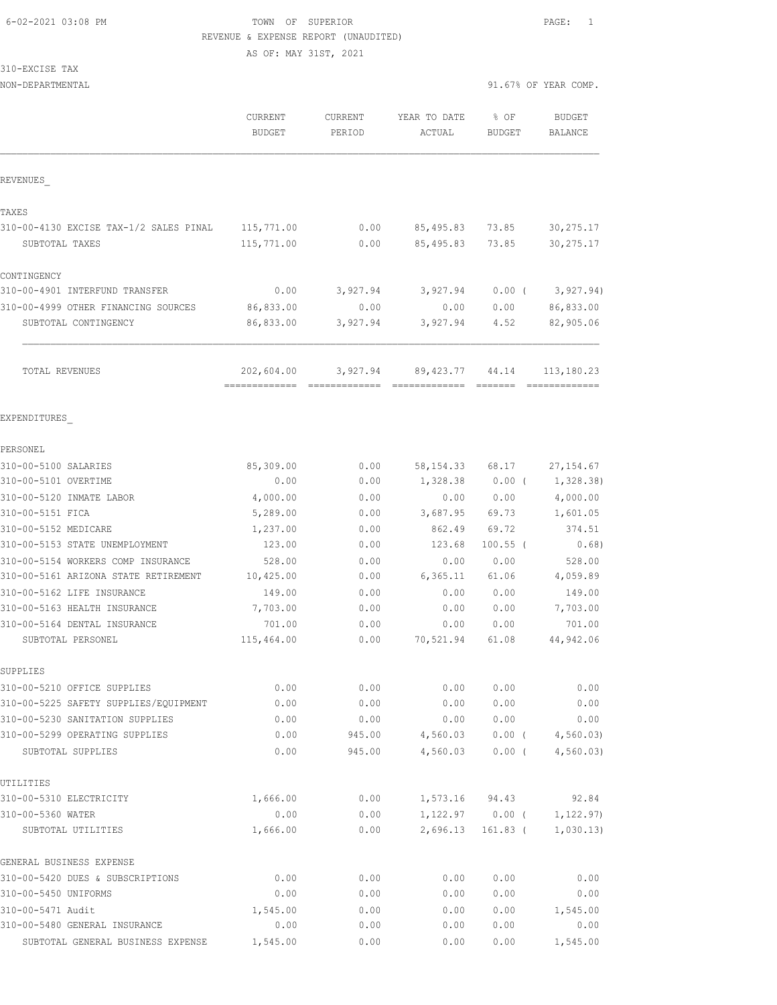AS OF: MAY 31ST, 2021

310-EXCISE TAX

|                                        | <b>CURRENT</b><br><b>BUDGET</b> | <b>CURRENT</b><br>PERIOD  | YEAR TO DATE<br>ACTUAL          | % OF<br>BUDGET | <b>BUDGET</b><br><b>BALANCE</b> |
|----------------------------------------|---------------------------------|---------------------------|---------------------------------|----------------|---------------------------------|
|                                        |                                 |                           |                                 |                |                                 |
| REVENUES                               |                                 |                           |                                 |                |                                 |
| TAXES                                  |                                 |                           |                                 |                |                                 |
| 310-00-4130 EXCISE TAX-1/2 SALES PINAL | 115,771.00                      | 0.00                      | 85,495.83                       | 73.85          | 30, 275.17                      |
| SUBTOTAL TAXES                         | 115,771.00                      | 0.00                      | 85,495.83                       | 73.85          | 30, 275.17                      |
| CONTINGENCY                            |                                 |                           |                                 |                |                                 |
| 310-00-4901 INTERFUND TRANSFER         | 0.00                            | 3,927.94                  | 3,927.94                        | $0.00$ (       | 3,927.94)                       |
| 310-00-4999 OTHER FINANCING SOURCES    | 86,833.00                       | 0.00                      | 0.00                            | 0.00           | 86,833.00                       |
| SUBTOTAL CONTINGENCY                   | 86,833.00                       | 3,927.94                  | 3,927.94                        | 4.52           | 82,905.06                       |
| TOTAL REVENUES                         | 202,604.00<br>--------------    | 3,927.94<br>============= | 89,423.77<br><b>CONSECTIONS</b> | 44.14          | 113,180.23<br>=============     |
| EXPENDITURES                           |                                 |                           |                                 |                |                                 |
|                                        |                                 |                           |                                 |                |                                 |
| PERSONEL<br>310-00-5100 SALARIES       | 85,309.00                       | 0.00                      | 58, 154. 33                     | 68.17          | 27, 154.67                      |
| 310-00-5101 OVERTIME                   | 0.00                            | 0.00                      | 1,328.38                        | $0.00$ (       | 1,328.38)                       |
| 310-00-5120 INMATE LABOR               | 4,000.00                        | 0.00                      | 0.00                            | 0.00           | 4,000.00                        |
| 310-00-5151 FICA                       | 5,289.00                        | 0.00                      | 3,687.95                        | 69.73          | 1,601.05                        |
| 310-00-5152 MEDICARE                   | 1,237.00                        | 0.00                      | 862.49                          | 69.72          | 374.51                          |
| 310-00-5153 STATE UNEMPLOYMENT         | 123.00                          | 0.00                      | 123.68                          | $100.55$ (     | 0.68)                           |
| 310-00-5154 WORKERS COMP INSURANCE     | 528.00                          | 0.00                      | 0.00                            | 0.00           | 528.00                          |
| 310-00-5161 ARIZONA STATE RETIREMENT   | 10,425.00                       | 0.00                      | 6, 365.11                       | 61.06          | 4,059.89                        |
| 310-00-5162 LIFE INSURANCE             | 149.00                          | 0.00                      | 0.00                            | 0.00           | 149.00                          |
| 310-00-5163 HEALTH INSURANCE           | 7,703.00                        | 0.00                      | 0.00                            | 0.00           | 7,703.00                        |
| 310-00-5164 DENTAL INSURANCE           | 701.00                          | 0.00                      | 0.00                            | 0.00           | 701.00                          |
| SUBTOTAL PERSONEL                      | 115,464.00                      | 0.00                      | 70,521.94                       | 61.08          | 44,942.06                       |
| SUPPLIES                               |                                 |                           |                                 |                |                                 |
| 310-00-5210 OFFICE SUPPLIES            | 0.00                            | 0.00                      | 0.00                            | 0.00           | 0.00                            |
| 310-00-5225 SAFETY SUPPLIES/EQUIPMENT  | 0.00                            | 0.00                      | 0.00                            | 0.00           | 0.00                            |
| 310-00-5230 SANITATION SUPPLIES        | 0.00                            | 0.00                      | 0.00                            | 0.00           | 0.00                            |
| 310-00-5299 OPERATING SUPPLIES         | 0.00                            | 945.00                    | 4,560.03                        | $0.00$ (       | 4,560.03                        |
| SUBTOTAL SUPPLIES                      | 0.00                            | 945.00                    | 4,560.03                        | $0.00$ (       | 4,560.03                        |
| UTILITIES                              |                                 |                           |                                 |                |                                 |
| 310-00-5310 ELECTRICITY                | 1,666.00                        | 0.00                      | 1,573.16                        | 94.43          | 92.84                           |
| 310-00-5360 WATER                      | 0.00                            | 0.00                      | 1,122.97                        | $0.00$ (       | 1, 122.97)                      |
| SUBTOTAL UTILITIES                     | 1,666.00                        | 0.00                      | 2,696.13                        | $161.83$ (     | 1,030.13)                       |
| GENERAL BUSINESS EXPENSE               |                                 |                           |                                 |                |                                 |
| 310-00-5420 DUES & SUBSCRIPTIONS       | 0.00                            | 0.00                      | 0.00                            | 0.00           | 0.00                            |
| 310-00-5450 UNIFORMS                   | 0.00                            | 0.00                      | 0.00                            | 0.00           | 0.00                            |
| 310-00-5471 Audit                      | 1,545.00                        | 0.00                      | 0.00                            | 0.00           | 1,545.00                        |
| 310-00-5480 GENERAL INSURANCE          | 0.00                            | 0.00                      | 0.00                            | 0.00           | 0.00                            |
| SUBTOTAL GENERAL BUSINESS EXPENSE      | 1,545.00                        | 0.00                      | 0.00                            | 0.00           | 1,545.00                        |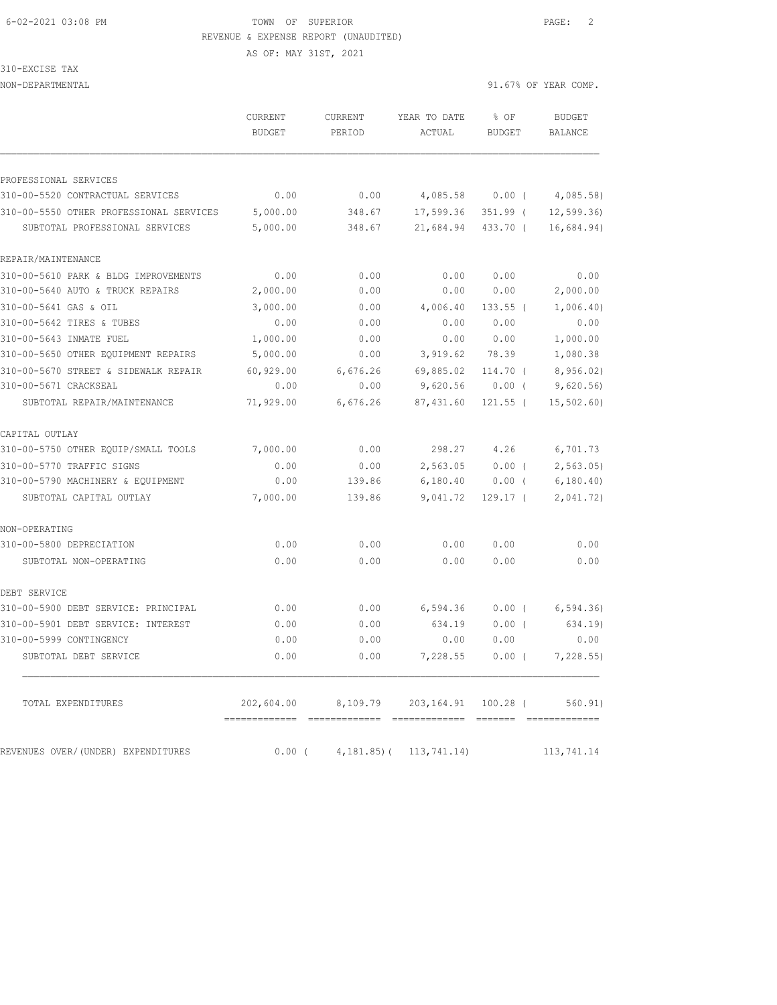AS OF: MAY 31ST, 2021

310-EXCISE TAX

|                                         | CURRENT<br><b>BUDGET</b>      | <b>CURRENT</b><br>PERIOD                       | YEAR TO DATE<br>ACTUAL | % OF<br>BUDGET | <b>BUDGET</b><br>BALANCE |
|-----------------------------------------|-------------------------------|------------------------------------------------|------------------------|----------------|--------------------------|
|                                         |                               |                                                |                        |                |                          |
| PROFESSIONAL SERVICES                   |                               |                                                |                        |                |                          |
| 310-00-5520 CONTRACTUAL SERVICES        | 0.00                          | 0.00                                           | 4,085.58               | $0.00$ (       | 4,085.58)                |
| 310-00-5550 OTHER PROFESSIONAL SERVICES | 5,000.00                      | 348.67                                         | 17,599.36              | $351.99$ (     | 12, 599.36               |
| SUBTOTAL PROFESSIONAL SERVICES          | 5,000.00                      | 348.67                                         | 21,684.94              | 433.70 (       | 16,684.94)               |
| REPAIR/MAINTENANCE                      |                               |                                                |                        |                |                          |
| 310-00-5610 PARK & BLDG IMPROVEMENTS    | 0.00                          | 0.00                                           | 0.00                   | 0.00           | 0.00                     |
| 310-00-5640 AUTO & TRUCK REPAIRS        | 2,000.00                      | 0.00                                           | 0.00                   | 0.00           | 2,000.00                 |
| 310-00-5641 GAS & OIL                   | 3,000.00                      | 0.00                                           | 4,006.40               | $133.55$ (     | 1,006.40)                |
| 310-00-5642 TIRES & TUBES               | 0.00                          | 0.00                                           | 0.00                   | 0.00           | 0.00                     |
| 310-00-5643 INMATE FUEL                 | 1,000.00                      | 0.00                                           | 0.00                   | 0.00           | 1,000.00                 |
| 310-00-5650 OTHER EQUIPMENT REPAIRS     | 5,000.00                      | 0.00                                           | 3,919.62               | 78.39          | 1,080.38                 |
| 310-00-5670 STREET & SIDEWALK REPAIR    | 60,929.00                     | 6,676.26                                       | 69,885.02              | $114.70$ $($   | 8,956.02)                |
| 310-00-5671 CRACKSEAL                   | 0.00                          | 0.00                                           | 9,620.56               | $0.00$ (       | 9,620.56                 |
| SUBTOTAL REPAIR/MAINTENANCE             | 71,929.00                     | 6,676.26                                       | 87,431.60              | $121.55$ (     | 15, 502.60               |
| CAPITAL OUTLAY                          |                               |                                                |                        |                |                          |
| 310-00-5750 OTHER EQUIP/SMALL TOOLS     | 7,000.00                      | 0.00                                           | 298.27                 | 4.26           | 6,701.73                 |
| 310-00-5770 TRAFFIC SIGNS               | 0.00                          | 0.00                                           | 2,563.05               | 0.00(          | 2, 563.05                |
| 310-00-5790 MACHINERY & EQUIPMENT       | 0.00                          | 139.86                                         | 6,180.40               | $0.00$ (       | 6, 180.40                |
| SUBTOTAL CAPITAL OUTLAY                 | 7,000.00                      | 139.86                                         | 9,041.72               | $129.17-$      | 2,041.72)                |
| NON-OPERATING                           |                               |                                                |                        |                |                          |
| 310-00-5800 DEPRECIATION                | 0.00                          | 0.00                                           | 0.00                   | 0.00           | 0.00                     |
| SUBTOTAL NON-OPERATING                  | 0.00                          | 0.00                                           | 0.00                   | 0.00           | 0.00                     |
| DEBT SERVICE                            |                               |                                                |                        |                |                          |
| 310-00-5900 DEBT SERVICE: PRINCIPAL     | 0.00                          | 0.00                                           | 6,594.36               | $0.00$ (       | 6, 594.36)               |
| 310-00-5901 DEBT SERVICE: INTEREST      | 0.00                          | 0.00                                           | 634.19                 | $0.00$ (       | 634.19)                  |
| 310-00-5999 CONTINGENCY                 | 0.00                          | 0.00                                           | 0.00                   | 0.00           | 0.00                     |
| SUBTOTAL DEBT SERVICE                   | 0.00                          | 0.00                                           | 7,228.55               | 0.00(          | 7,228.55                 |
| TOTAL EXPENDITURES                      | ============================= | 202,604.00 8,109.79 203,164.91 100.28 (560.91) |                        |                |                          |
| REVENUES OVER/(UNDER) EXPENDITURES      |                               | $0.00$ ( $4,181.85$ ) ( $113,741.14$ )         |                        |                | 113,741.14               |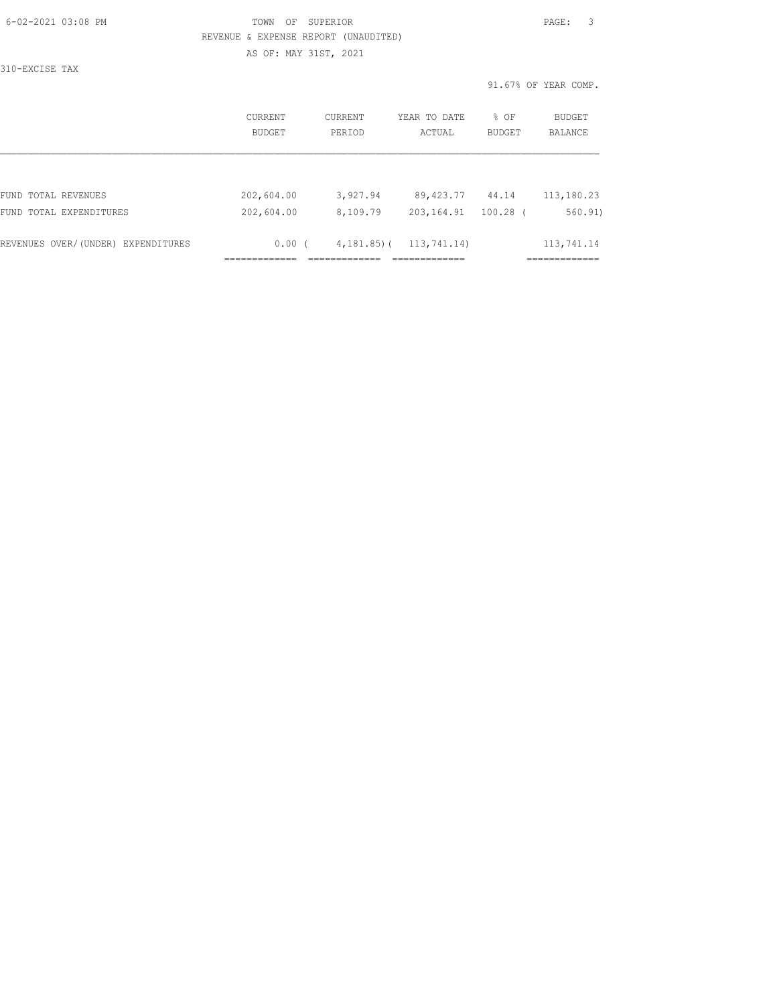| 6-02-2021 03:08 PM |  |
|--------------------|--|

## FOWN OF SUPERIOR **Example 20:08 PAGE:** 3 REVENUE & EXPENSE REPORT (UNAUDITED) AS OF: MAY 31ST, 2021

310-EXCISE TAX

|                                    | CURRENT<br><b>BUDGET</b> | CURRENT<br>PERIOD | YEAR TO DATE<br>ACTUAL | $8$ OF<br>BUDGET | BUDGET<br><b>BALANCE</b> |
|------------------------------------|--------------------------|-------------------|------------------------|------------------|--------------------------|
|                                    |                          |                   |                        |                  |                          |
| FUND TOTAL REVENUES                | 202,604.00               | 3,927.94          | 89,423.77              | 44.14            | 113,180.23               |
| FUND TOTAL EXPENDITURES            | 202,604.00               | 8,109.79          | 203, 164.91            | $100.28$ (       | 560.91                   |
| REVENUES OVER/(UNDER) EXPENDITURES | 0.00(                    | $4,181,85$ ) (    | 113,741.14)            |                  | 113,741.14               |
|                                    |                          |                   |                        |                  |                          |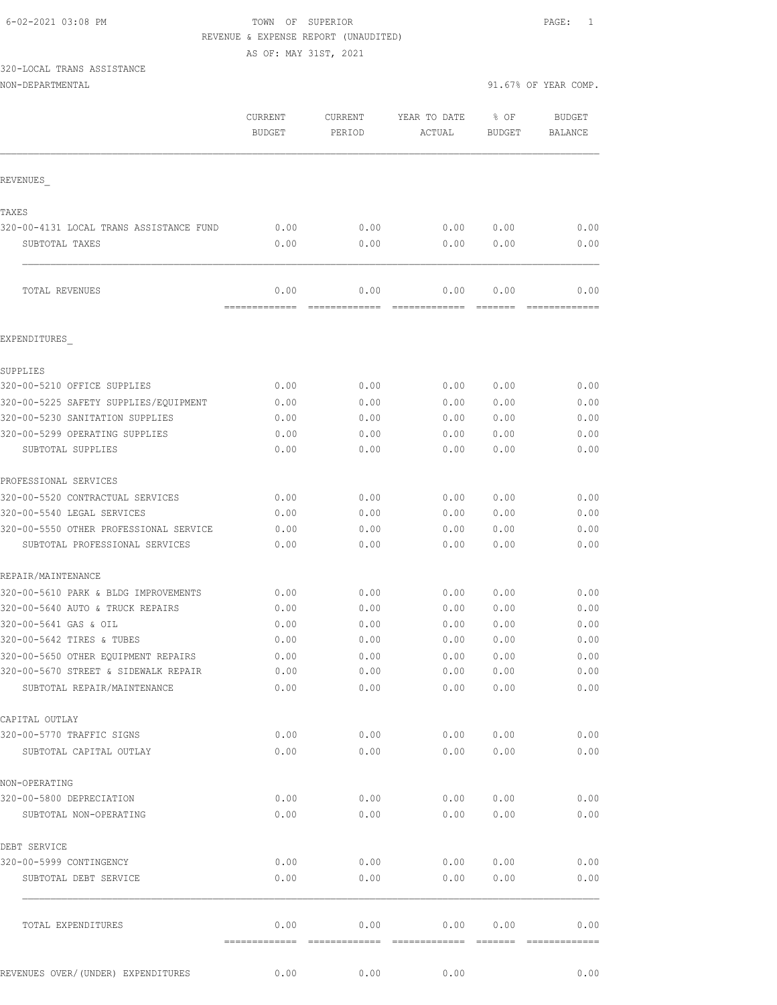AS OF: MAY 31ST, 2021

# 320-LOCAL TRANS ASSISTANCE

|                                         | CURRENT<br><b>BUDGET</b> | CURRENT<br>PERIOD | YEAR TO DATE<br>ACTUAL                                                                                                                                                                                                                                                                                                                                                                                                                                                                 | % OF<br><b>BUDGET</b> | <b>BUDGET</b><br>BALANCE |
|-----------------------------------------|--------------------------|-------------------|----------------------------------------------------------------------------------------------------------------------------------------------------------------------------------------------------------------------------------------------------------------------------------------------------------------------------------------------------------------------------------------------------------------------------------------------------------------------------------------|-----------------------|--------------------------|
| REVENUES                                |                          |                   |                                                                                                                                                                                                                                                                                                                                                                                                                                                                                        |                       |                          |
| TAXES                                   |                          |                   |                                                                                                                                                                                                                                                                                                                                                                                                                                                                                        |                       |                          |
| 320-00-4131 LOCAL TRANS ASSISTANCE FUND | 0.00                     | 0.00              | 0.00                                                                                                                                                                                                                                                                                                                                                                                                                                                                                   | 0.00                  | 0.00                     |
| SUBTOTAL TAXES                          | 0.00                     | 0.00              | 0.00                                                                                                                                                                                                                                                                                                                                                                                                                                                                                   | 0.00                  | 0.00                     |
| TOTAL REVENUES                          | 0.00                     | 0.00              | 0.00                                                                                                                                                                                                                                                                                                                                                                                                                                                                                   | 0.00                  | 0.00                     |
| EXPENDITURES                            | =============            | -------------     | $\begin{array}{cccccccccc} \multicolumn{2}{c}{} & \multicolumn{2}{c}{} & \multicolumn{2}{c}{} & \multicolumn{2}{c}{} & \multicolumn{2}{c}{} & \multicolumn{2}{c}{} & \multicolumn{2}{c}{} & \multicolumn{2}{c}{} & \multicolumn{2}{c}{} & \multicolumn{2}{c}{} & \multicolumn{2}{c}{} & \multicolumn{2}{c}{} & \multicolumn{2}{c}{} & \multicolumn{2}{c}{} & \multicolumn{2}{c}{} & \multicolumn{2}{c}{} & \multicolumn{2}{c}{} & \multicolumn{2}{c}{} & \multicolumn{2}{c}{} & \mult$ |                       |                          |
|                                         |                          |                   |                                                                                                                                                                                                                                                                                                                                                                                                                                                                                        |                       |                          |
| SUPPLIES                                |                          |                   |                                                                                                                                                                                                                                                                                                                                                                                                                                                                                        |                       |                          |
| 320-00-5210 OFFICE SUPPLIES             | 0.00                     | 0.00              | 0.00                                                                                                                                                                                                                                                                                                                                                                                                                                                                                   | 0.00                  | 0.00                     |
| 320-00-5225 SAFETY SUPPLIES/EQUIPMENT   | 0.00                     | 0.00              | 0.00                                                                                                                                                                                                                                                                                                                                                                                                                                                                                   | 0.00                  | 0.00                     |
| 320-00-5230 SANITATION SUPPLIES         | 0.00                     | 0.00              | 0.00                                                                                                                                                                                                                                                                                                                                                                                                                                                                                   | 0.00                  | 0.00                     |
| 320-00-5299 OPERATING SUPPLIES          | 0.00                     | 0.00              | 0.00                                                                                                                                                                                                                                                                                                                                                                                                                                                                                   | 0.00                  | 0.00                     |
| SUBTOTAL SUPPLIES                       | 0.00                     | 0.00              | 0.00                                                                                                                                                                                                                                                                                                                                                                                                                                                                                   | 0.00                  | 0.00                     |
| PROFESSIONAL SERVICES                   |                          |                   |                                                                                                                                                                                                                                                                                                                                                                                                                                                                                        |                       |                          |
| 320-00-5520 CONTRACTUAL SERVICES        | 0.00                     | 0.00              | 0.00                                                                                                                                                                                                                                                                                                                                                                                                                                                                                   | 0.00                  | 0.00                     |
| 320-00-5540 LEGAL SERVICES              | 0.00                     | 0.00              | 0.00                                                                                                                                                                                                                                                                                                                                                                                                                                                                                   | 0.00                  | 0.00                     |
| 320-00-5550 OTHER PROFESSIONAL SERVICE  | 0.00                     | 0.00              | 0.00                                                                                                                                                                                                                                                                                                                                                                                                                                                                                   | 0.00                  | 0.00                     |
| SUBTOTAL PROFESSIONAL SERVICES          | 0.00                     | 0.00              | 0.00                                                                                                                                                                                                                                                                                                                                                                                                                                                                                   | 0.00                  | 0.00                     |
| REPAIR/MAINTENANCE                      |                          |                   |                                                                                                                                                                                                                                                                                                                                                                                                                                                                                        |                       |                          |
| 320-00-5610 PARK & BLDG IMPROVEMENTS    | 0.00                     | 0.00              | 0.00                                                                                                                                                                                                                                                                                                                                                                                                                                                                                   | 0.00                  | 0.00                     |
| 320-00-5640 AUTO & TRUCK REPAIRS        | 0.00                     | 0.00              | 0.00                                                                                                                                                                                                                                                                                                                                                                                                                                                                                   | 0.00                  | 0.00                     |
| 320-00-5641 GAS & OIL                   | 0.00                     | 0.00              | 0.00                                                                                                                                                                                                                                                                                                                                                                                                                                                                                   | 0.00                  | 0.00                     |
| 320-00-5642 TIRES & TUBES               | 0.00                     | 0.00              | 0.00                                                                                                                                                                                                                                                                                                                                                                                                                                                                                   | 0.00                  | 0.00                     |
| 320-00-5650 OTHER EQUIPMENT REPAIRS     | 0.00                     | 0.00              | 0.00                                                                                                                                                                                                                                                                                                                                                                                                                                                                                   | 0.00                  | 0.00                     |
| 320-00-5670 STREET & SIDEWALK REPAIR    | 0.00                     | 0.00              |                                                                                                                                                                                                                                                                                                                                                                                                                                                                                        | 0.00 0.00             | 0.00                     |
| SUBTOTAL REPAIR/MAINTENANCE             | 0.00                     | 0.00              | 0.00                                                                                                                                                                                                                                                                                                                                                                                                                                                                                   | 0.00                  | 0.00                     |
| CAPITAL OUTLAY                          |                          |                   |                                                                                                                                                                                                                                                                                                                                                                                                                                                                                        |                       |                          |
| 320-00-5770 TRAFFIC SIGNS               | 0.00                     | 0.00              | 0.00                                                                                                                                                                                                                                                                                                                                                                                                                                                                                   | 0.00                  | 0.00                     |
| SUBTOTAL CAPITAL OUTLAY                 | 0.00                     | 0.00              | 0.00                                                                                                                                                                                                                                                                                                                                                                                                                                                                                   | 0.00                  | 0.00                     |
| NON-OPERATING                           |                          |                   |                                                                                                                                                                                                                                                                                                                                                                                                                                                                                        |                       |                          |
| 320-00-5800 DEPRECIATION                | 0.00                     | 0.00              | 0.00                                                                                                                                                                                                                                                                                                                                                                                                                                                                                   | 0.00                  | 0.00                     |
| SUBTOTAL NON-OPERATING                  | 0.00                     | 0.00              | 0.00                                                                                                                                                                                                                                                                                                                                                                                                                                                                                   | 0.00                  | 0.00                     |
|                                         |                          |                   |                                                                                                                                                                                                                                                                                                                                                                                                                                                                                        |                       |                          |
| DEBT SERVICE                            |                          |                   |                                                                                                                                                                                                                                                                                                                                                                                                                                                                                        |                       |                          |
| 320-00-5999 CONTINGENCY                 | 0.00                     | 0.00              | 0.00                                                                                                                                                                                                                                                                                                                                                                                                                                                                                   | 0.00                  | 0.00                     |
| SUBTOTAL DEBT SERVICE                   | 0.00                     | 0.00              | 0.00                                                                                                                                                                                                                                                                                                                                                                                                                                                                                   | 0.00                  | 0.00                     |
| TOTAL EXPENDITURES                      | 0.00                     | 0.00              | 0.00                                                                                                                                                                                                                                                                                                                                                                                                                                                                                   | 0.00                  | 0.00                     |
| REVENUES OVER/ (UNDER) EXPENDITURES     | 0.00                     | 0.00              | 0.00                                                                                                                                                                                                                                                                                                                                                                                                                                                                                   |                       | 0.00                     |
|                                         |                          |                   |                                                                                                                                                                                                                                                                                                                                                                                                                                                                                        |                       |                          |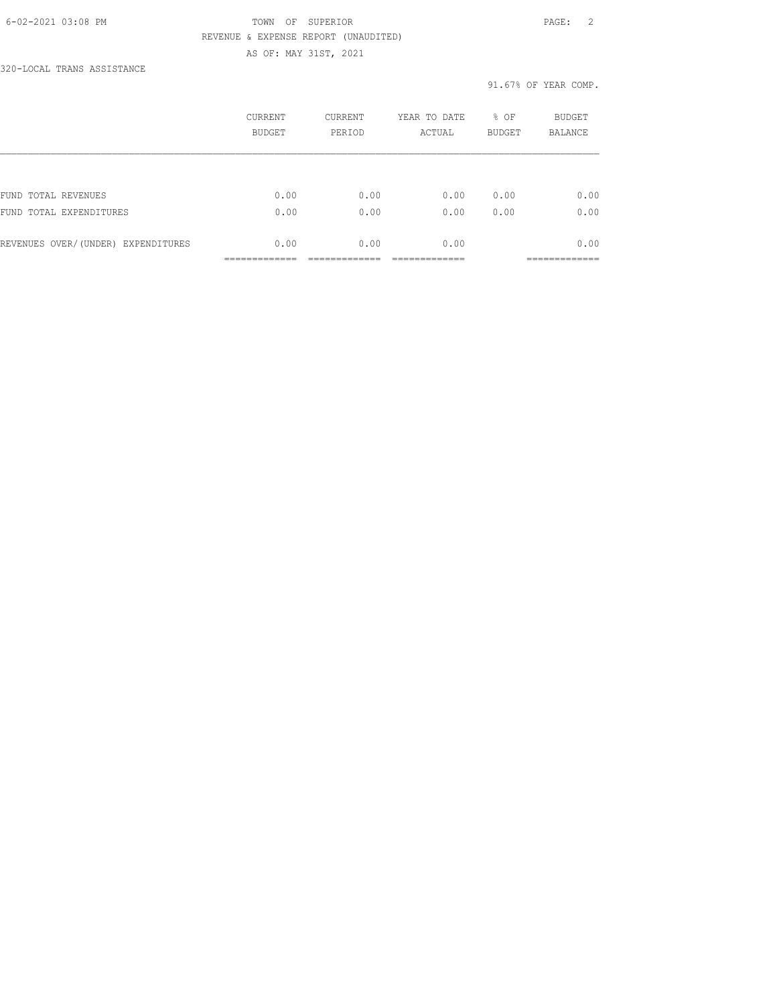#### 6-02-2021 03:08 PM TOWN OF SUPERIOR PAGE: 2 REVENUE & EXPENSE REPORT (UNAUDITED) AS OF: MAY 31ST, 2021

320-LOCAL TRANS ASSISTANCE

|                                    | CURRENT<br><b>BUDGET</b> | CURRENT<br>PERIOD | YEAR TO DATE<br>ACTUAL | % OF<br><b>BUDGET</b> | <b>BUDGET</b><br><b>BALANCE</b> |
|------------------------------------|--------------------------|-------------------|------------------------|-----------------------|---------------------------------|
|                                    |                          |                   |                        |                       |                                 |
| FUND TOTAL REVENUES                | 0.00                     | 0.00              | 0.00                   | 0.00                  | 0.00                            |
| FUND TOTAL EXPENDITURES            | 0.00                     | 0.00              | 0.00                   | 0.00                  | 0.00                            |
| REVENUES OVER/(UNDER) EXPENDITURES | 0.00                     | 0.00              | 0.00                   |                       | 0.00                            |
|                                    |                          |                   |                        |                       |                                 |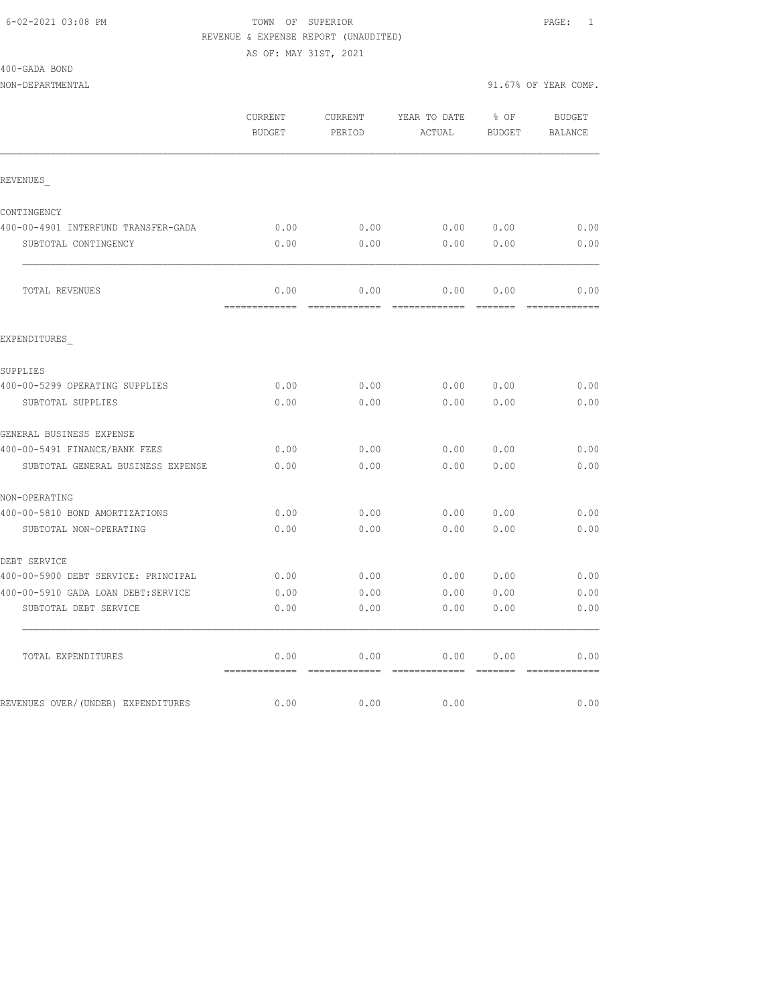AS OF: MAY 31ST, 2021

400-GADA BOND

NON-DEPARTMENTAL 91.67% OF YEAR COMP.

 CURRENT CURRENT YEAR TO DATE % OF BUDGET BUDGET PERIOD ACTUAL BUDGET BALANCE REVENUES\_ CONTINGENCY 400-00-4901 INTERFUND TRANSFER-GADA 0.00 0.00 0.00 0.00 0.00 SUBTOTAL CONTINGENCY  $0.00$  0.00 0.00 0.00 0.00 0.00 TOTAL REVENUES 0.00 0.00 0.00 0.00 0.00 ============= ============= ============= ======= ============= EXPENDITURES\_ SUPPLIES 400-00-5299 OPERATING SUPPLIES 0.00 0.00 0.00 0.00 0.00 SUBTOTAL SUPPLIES 0.00 0.00 0.00 0.00 0.00 GENERAL BUSINESS EXPENSE 400-00-5491 FINANCE/BANK FEES 0.00 0.00 0.00 0.00 0.00 SUBTOTAL GENERAL BUSINESS EXPENSE  $0.00$  0.00 0.00 0.00 0.00 0.00 NON-OPERATING 400-00-5810 BOND AMORTIZATIONS 0.00 0.00 0.00 0.00 0.00 SUBTOTAL NON-OPERATING  $0.00$  0.00 0.00 0.00 0.00 0.00 DEBT SERVICE 400-00-5900 DEBT SERVICE: PRINCIPAL 0.00 0.00 0.00 0.00 0.00 400-00-5910 GADA LOAN DEBT:SERVICE 0.00 0.00 0.00 0.00 0.00 SUBTOTAL DEBT SERVICE  $0.00$  0.00 0.00 0.00 0.00 0.00 TOTAL EXPENDITURES 0.00 0.00 0.00 0.00 0.00 ============= ============= ============= ======= =============

REVENUES OVER/(UNDER) EXPENDITURES  $0.00$  0.00 0.00 0.00 0.00 0.00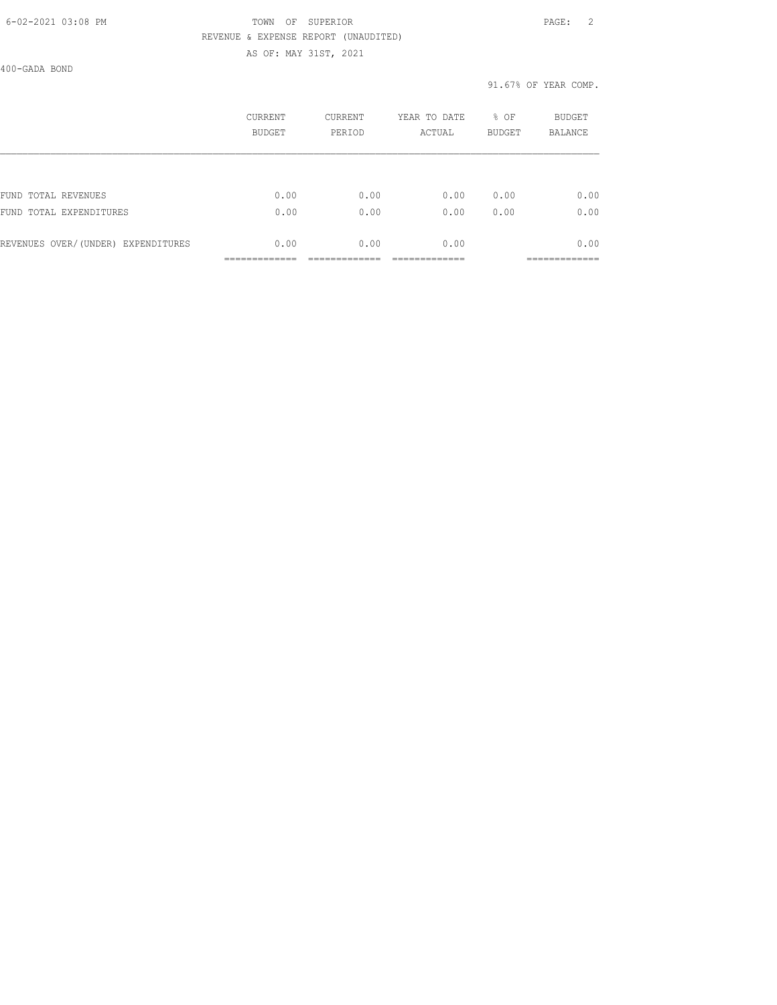#### 6-02-2021 03:08 PM TOWN OF SUPERIOR PAGE: 2 REVENUE & EXPENSE REPORT (UNAUDITED) AS OF: MAY 31ST, 2021

400-GADA BOND

|                                    | CURRENT<br><b>BUDGET</b> | CURRENT<br>PERIOD | YEAR TO DATE<br>ACTUAL | % OF<br><b>BUDGET</b> | <b>BUDGET</b><br><b>BALANCE</b> |
|------------------------------------|--------------------------|-------------------|------------------------|-----------------------|---------------------------------|
|                                    |                          |                   |                        |                       |                                 |
| FUND TOTAL REVENUES                | 0.00                     | 0.00              | 0.00                   | 0.00                  | 0.00                            |
| FUND TOTAL EXPENDITURES            | 0.00                     | 0.00              | 0.00                   | 0.00                  | 0.00                            |
| REVENUES OVER/(UNDER) EXPENDITURES | 0.00                     | 0.00              | 0.00                   |                       | 0.00                            |
|                                    |                          |                   |                        |                       |                                 |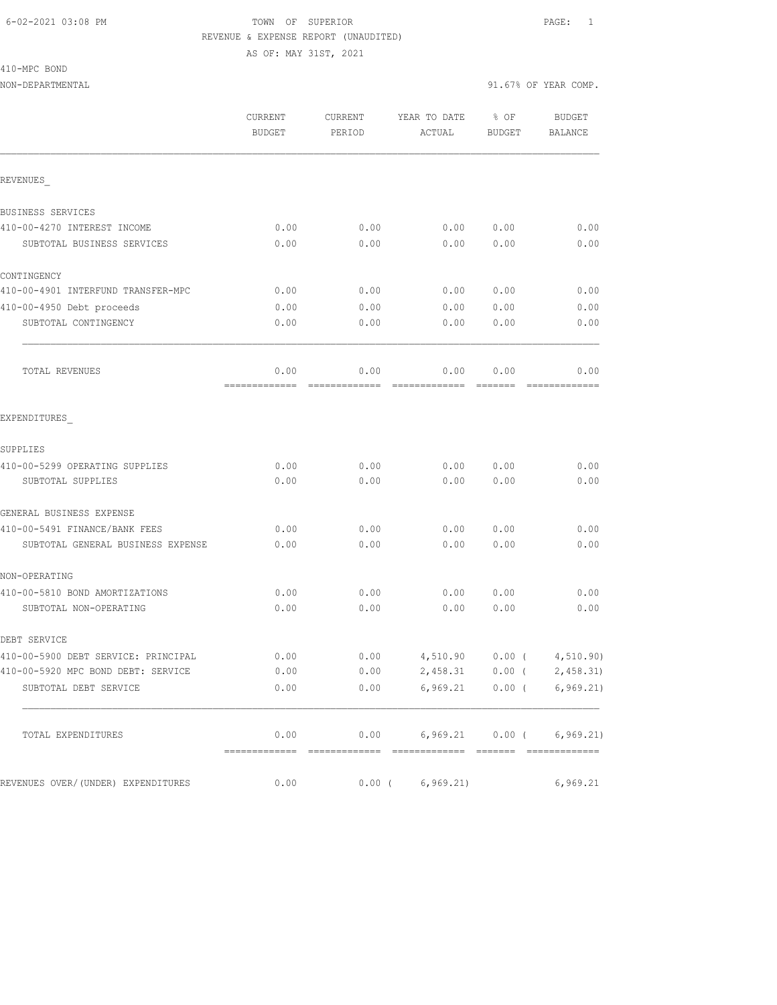410-MPC BOND

|                                     | CURRENT<br><b>BUDGET</b> | CURRENT<br>PERIOD | YEAR TO DATE<br>ACTUAL           | % OF<br><b>BUDGET</b> | <b>BUDGET</b><br><b>BALANCE</b> |
|-------------------------------------|--------------------------|-------------------|----------------------------------|-----------------------|---------------------------------|
| REVENUES                            |                          |                   |                                  |                       |                                 |
| BUSINESS SERVICES                   |                          |                   |                                  |                       |                                 |
| 410-00-4270 INTEREST INCOME         | 0.00                     | 0.00              | 0.00                             | 0.00                  | 0.00                            |
| SUBTOTAL BUSINESS SERVICES          | 0.00                     | 0.00              | 0.00                             | 0.00                  | 0.00                            |
| CONTINGENCY                         |                          |                   |                                  |                       |                                 |
| 410-00-4901 INTERFUND TRANSFER-MPC  | 0.00                     | 0.00              | 0.00                             | 0.00                  | 0.00                            |
| 410-00-4950 Debt proceeds           | 0.00                     | 0.00              | 0.00                             | 0.00                  | 0.00                            |
| SUBTOTAL CONTINGENCY                | 0.00                     | 0.00              | 0.00                             | 0.00                  | 0.00                            |
| TOTAL REVENUES                      | 0.00                     | 0.00              | 0.00                             | 0.00<br>--------      | 0.00                            |
| EXPENDITURES                        |                          |                   |                                  |                       |                                 |
| SUPPLIES                            |                          |                   |                                  |                       |                                 |
| 410-00-5299 OPERATING SUPPLIES      | 0.00                     | 0.00              | 0.00                             | 0.00                  | 0.00                            |
| SUBTOTAL SUPPLIES                   | 0.00                     | 0.00              | 0.00                             | 0.00                  | 0.00                            |
| GENERAL BUSINESS EXPENSE            |                          |                   |                                  |                       |                                 |
| 410-00-5491 FINANCE/BANK FEES       | 0.00                     | 0.00              | 0.00                             | 0.00                  | 0.00                            |
| SUBTOTAL GENERAL BUSINESS EXPENSE   | 0.00                     | 0.00              | 0.00                             | 0.00                  | 0.00                            |
| NON-OPERATING                       |                          |                   |                                  |                       |                                 |
| 410-00-5810 BOND AMORTIZATIONS      | 0.00                     | 0.00              | 0.00                             | 0.00                  | 0.00                            |
| SUBTOTAL NON-OPERATING              | 0.00                     | 0.00              | 0.00                             | 0.00                  | 0.00                            |
| DEBT SERVICE                        |                          |                   |                                  |                       |                                 |
| 410-00-5900 DEBT SERVICE: PRINCIPAL | 0.00                     | 0.00              | 4,510.90                         |                       | $0.00$ ( $4,510.90$ )           |
| 410-00-5920 MPC BOND DEBT: SERVICE  | 0.00                     | 0.00              | 2,458.31                         |                       | $0.00$ ( $2,458.31$ )           |
| SUBTOTAL DEBT SERVICE               | 0.00                     |                   | $0.00$ 6,969.21 0.00 ( 6,969.21) |                       |                                 |
| TOTAL EXPENDITURES                  | 0.00                     |                   | $0.00$ 6,969.21 0.00 ( 6,969.21) |                       |                                 |
| REVENUES OVER/(UNDER) EXPENDITURES  | 0.00                     | $0.00$ (          | 6, 969.21)                       |                       | 6,969.21                        |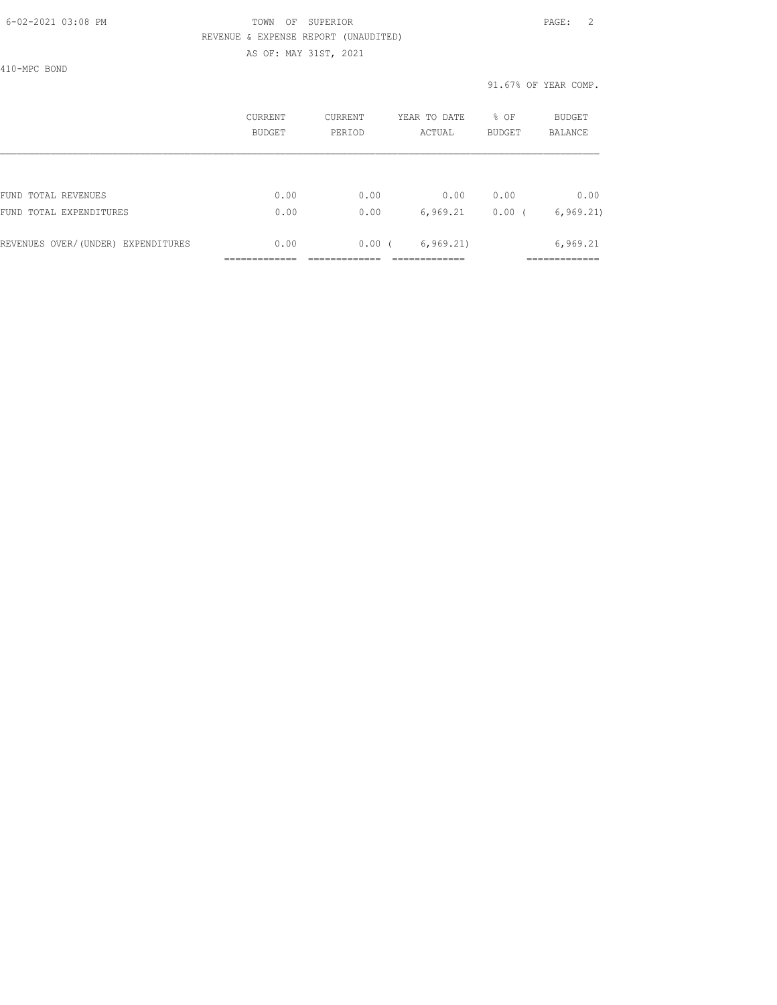#### 6-02-2021 03:08 PM TOWN OF SUPERIOR PAGE: 2 REVENUE & EXPENSE REPORT (UNAUDITED) AS OF: MAY 31ST, 2021

410-MPC BOND

|                                    | CURRENT<br><b>BUDGET</b> | CURRENT<br>PERIOD | YEAR TO DATE<br>ACTUAL | % OF<br><b>BUDGET</b> | BUDGET<br><b>BALANCE</b> |
|------------------------------------|--------------------------|-------------------|------------------------|-----------------------|--------------------------|
|                                    |                          |                   |                        |                       |                          |
| FUND TOTAL REVENUES                | 0.00                     | 0.00              | 0.00                   | 0.00                  | 0.00                     |
| FUND TOTAL EXPENDITURES            | 0.00                     | 0.00              | 6,969.21               | 0.00                  | 6, 969.21                |
| REVENUES OVER/(UNDER) EXPENDITURES | 0.00                     | 0.00(             | 6, 969.21)             |                       | 6,969.21                 |
|                                    |                          |                   |                        |                       |                          |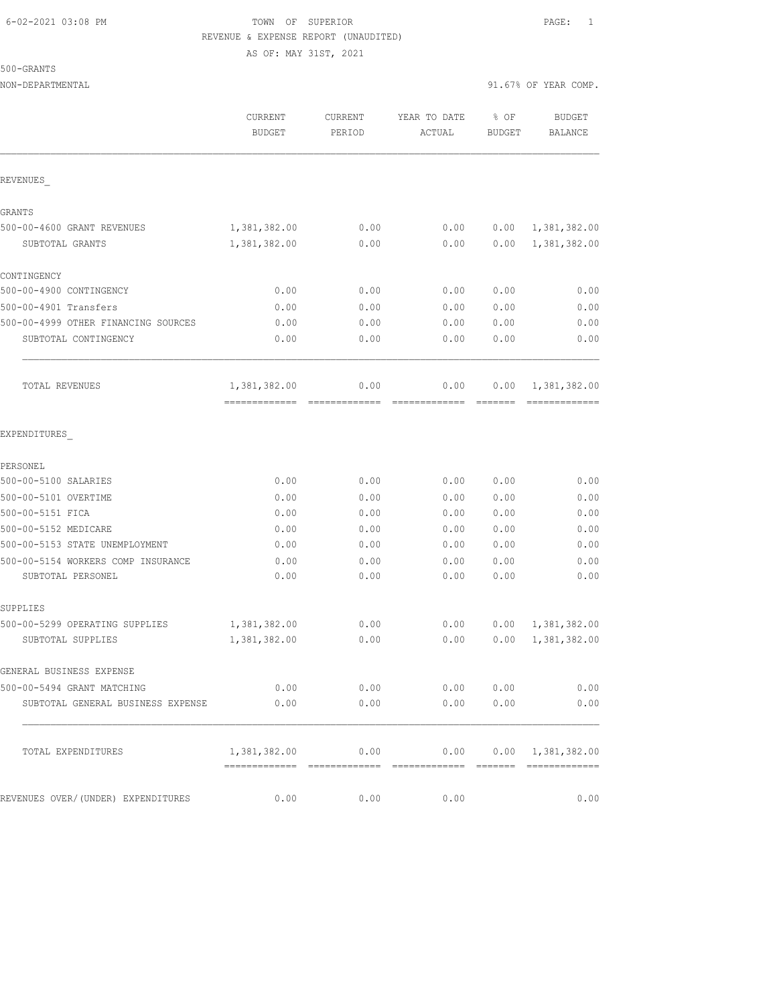AS OF: MAY 31ST, 2021

# 500-GRANTS

| OUU ULUILU                          |                               |                   |                        |                |                           |
|-------------------------------------|-------------------------------|-------------------|------------------------|----------------|---------------------------|
| NON-DEPARTMENTAL                    |                               |                   |                        |                | 91.67% OF YEAR COMP.      |
|                                     | CURRENT<br><b>BUDGET</b>      | CURRENT<br>PERIOD | YEAR TO DATE<br>ACTUAL | % OF<br>BUDGET | <b>BUDGET</b><br>BALANCE  |
| REVENUES                            |                               |                   |                        |                |                           |
| GRANTS                              |                               |                   |                        |                |                           |
| 500-00-4600 GRANT REVENUES          | 1,381,382.00                  | 0.00              | 0.00                   | 0.00           | 1,381,382.00              |
| SUBTOTAL GRANTS                     | 1,381,382.00                  | 0.00              | 0.00                   | 0.00           | 1,381,382.00              |
| CONTINGENCY                         |                               |                   |                        |                |                           |
| 500-00-4900 CONTINGENCY             | 0.00                          | 0.00              | 0.00                   | 0.00           | 0.00                      |
| 500-00-4901 Transfers               | 0.00                          | 0.00              | 0.00                   | 0.00           | 0.00                      |
| 500-00-4999 OTHER FINANCING SOURCES | 0.00                          | 0.00              | 0.00                   | 0.00           | 0.00                      |
| SUBTOTAL CONTINGENCY                | 0.00                          | 0.00              | 0.00                   | 0.00           | 0.00                      |
| TOTAL REVENUES                      | 1,381,382.00<br>============= | 0.00              | 0.00                   | 0.00           | 1,381,382.00              |
| EXPENDITURES                        |                               |                   |                        |                |                           |
| PERSONEL                            |                               |                   |                        |                |                           |
| 500-00-5100 SALARIES                | 0.00                          | 0.00              | 0.00                   | 0.00           | 0.00                      |
| 500-00-5101 OVERTIME                | 0.00                          | 0.00              | 0.00                   | 0.00           | 0.00                      |
| 500-00-5151 FICA                    | 0.00                          | 0.00              | 0.00                   | 0.00           | 0.00                      |
| 500-00-5152 MEDICARE                | 0.00                          | 0.00              | 0.00                   | 0.00           | 0.00                      |
| 500-00-5153 STATE UNEMPLOYMENT      | 0.00                          | 0.00              | 0.00                   | 0.00           | 0.00                      |
| 500-00-5154 WORKERS COMP INSURANCE  | 0.00                          | 0.00              | 0.00                   | 0.00           | 0.00                      |
| SUBTOTAL PERSONEL                   | 0.00                          | 0.00              | 0.00                   | 0.00           | 0.00                      |
| SUPPLIES                            |                               |                   |                        |                |                           |
| 500-00-5299 OPERATING SUPPLIES      | 1,381,382.00                  | 0.00              | 0.00                   |                | 0.00 1,381,382.00         |
| SUBTOTAL SUPPLIES                   | 1,381,382.00                  | 0.00              | 0.00                   |                | $0.00 \quad 1,381,382.00$ |
| GENERAL BUSINESS EXPENSE            |                               |                   |                        |                |                           |
| 500-00-5494 GRANT MATCHING          | 0.00                          | 0.00              | 0.00 0.00              |                | 0.00                      |
| SUBTOTAL GENERAL BUSINESS EXPENSE   | 0.00                          | 0.00              | 0.00                   | 0.00           | 0.00                      |
|                                     |                               |                   |                        |                |                           |

REVENUES OVER/(UNDER) EXPENDITURES  $0.00$  0.00 0.00 0.00 0.00 0.00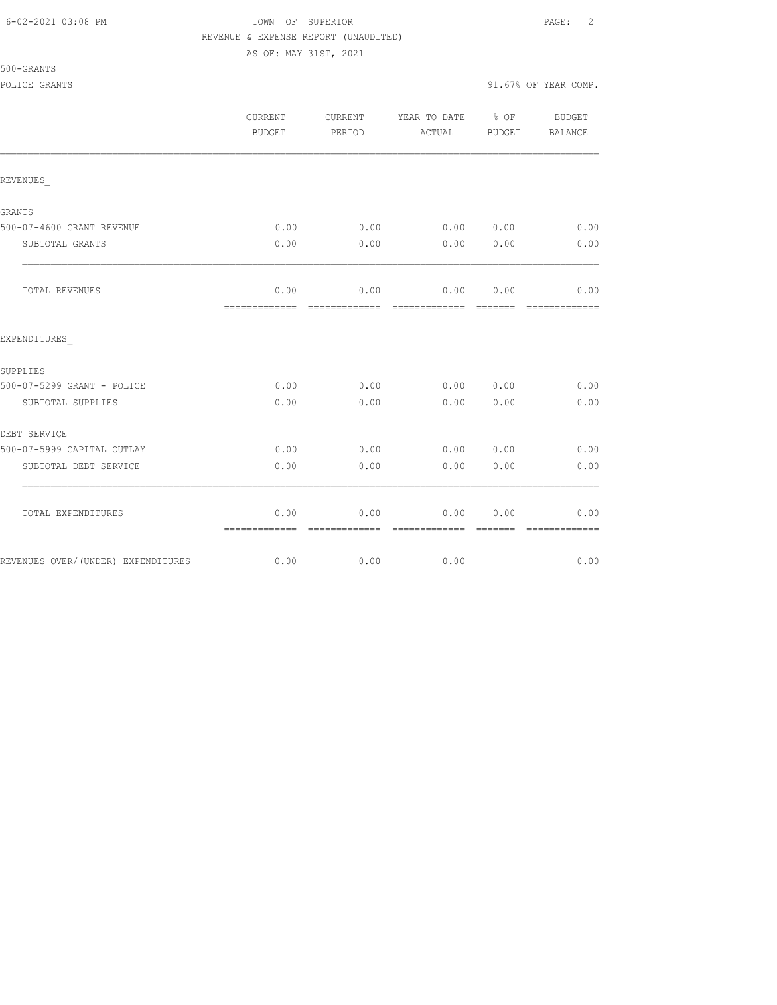## FOWN OF SUPERIOR **Example 2** PAGE: 2 REVENUE & EXPENSE REPORT (UNAUDITED)

AS OF: MAY 31ST, 2021

|                                    | CURRENT<br><b>BUDGET</b> | CURRENT<br>PERIOD                    | YEAR TO DATE<br>ACTUAL        | $\frac{1}{2}$ OF<br><b>BUDGET</b> | BUDGET<br>BALANCE                                                                                                                                                                                                                                                                                                                                                                                                                                                                              |
|------------------------------------|--------------------------|--------------------------------------|-------------------------------|-----------------------------------|------------------------------------------------------------------------------------------------------------------------------------------------------------------------------------------------------------------------------------------------------------------------------------------------------------------------------------------------------------------------------------------------------------------------------------------------------------------------------------------------|
| REVENUES                           |                          |                                      |                               |                                   |                                                                                                                                                                                                                                                                                                                                                                                                                                                                                                |
| GRANTS                             |                          |                                      |                               |                                   |                                                                                                                                                                                                                                                                                                                                                                                                                                                                                                |
| 500-07-4600 GRANT REVENUE          | 0.00                     | 0.00                                 | 0.00 0.00                     |                                   | 0.00                                                                                                                                                                                                                                                                                                                                                                                                                                                                                           |
| SUBTOTAL GRANTS                    | 0.00                     | 0.00                                 | 0.00                          | 0.00                              | 0.00                                                                                                                                                                                                                                                                                                                                                                                                                                                                                           |
| TOTAL REVENUES                     | 0.00<br>=============    | =============                        | $0.00$ 0.00<br>-------------- | 0.00<br>- =======                 | 0.00<br>=============                                                                                                                                                                                                                                                                                                                                                                                                                                                                          |
| EXPENDITURES                       |                          |                                      |                               |                                   |                                                                                                                                                                                                                                                                                                                                                                                                                                                                                                |
| SUPPLIES                           |                          |                                      |                               |                                   |                                                                                                                                                                                                                                                                                                                                                                                                                                                                                                |
| 500-07-5299 GRANT - POLICE         | 0.00                     | 0.00                                 | 0.00                          | 0.00                              | 0.00                                                                                                                                                                                                                                                                                                                                                                                                                                                                                           |
| SUBTOTAL SUPPLIES                  | 0.00                     | 0.00                                 | 0.00                          | 0.00                              | 0.00                                                                                                                                                                                                                                                                                                                                                                                                                                                                                           |
| DEBT SERVICE                       |                          |                                      |                               |                                   |                                                                                                                                                                                                                                                                                                                                                                                                                                                                                                |
| 500-07-5999 CAPITAL OUTLAY         | 0.00                     | 0.00                                 | 0.00                          | 0.00                              | 0.00                                                                                                                                                                                                                                                                                                                                                                                                                                                                                           |
| SUBTOTAL DEBT SERVICE              | 0.00                     | 0.00                                 | 0.00                          | 0.00                              | 0.00                                                                                                                                                                                                                                                                                                                                                                                                                                                                                           |
| TOTAL EXPENDITURES                 | 0.00<br>=============    | 0.00<br>-------------- ------------- | 0.00                          | 0.00<br>--------                  | 0.00<br>$\begin{array}{cccccccccccccc} \multicolumn{2}{c}{} & \multicolumn{2}{c}{} & \multicolumn{2}{c}{} & \multicolumn{2}{c}{} & \multicolumn{2}{c}{} & \multicolumn{2}{c}{} & \multicolumn{2}{c}{} & \multicolumn{2}{c}{} & \multicolumn{2}{c}{} & \multicolumn{2}{c}{} & \multicolumn{2}{c}{} & \multicolumn{2}{c}{} & \multicolumn{2}{c}{} & \multicolumn{2}{c}{} & \multicolumn{2}{c}{} & \multicolumn{2}{c}{} & \multicolumn{2}{c}{} & \multicolumn{2}{c}{} & \multicolumn{2}{c}{} & \$ |
| REVENUES OVER/(UNDER) EXPENDITURES | 0.00                     | 0.00                                 | 0.00                          |                                   | 0.00                                                                                                                                                                                                                                                                                                                                                                                                                                                                                           |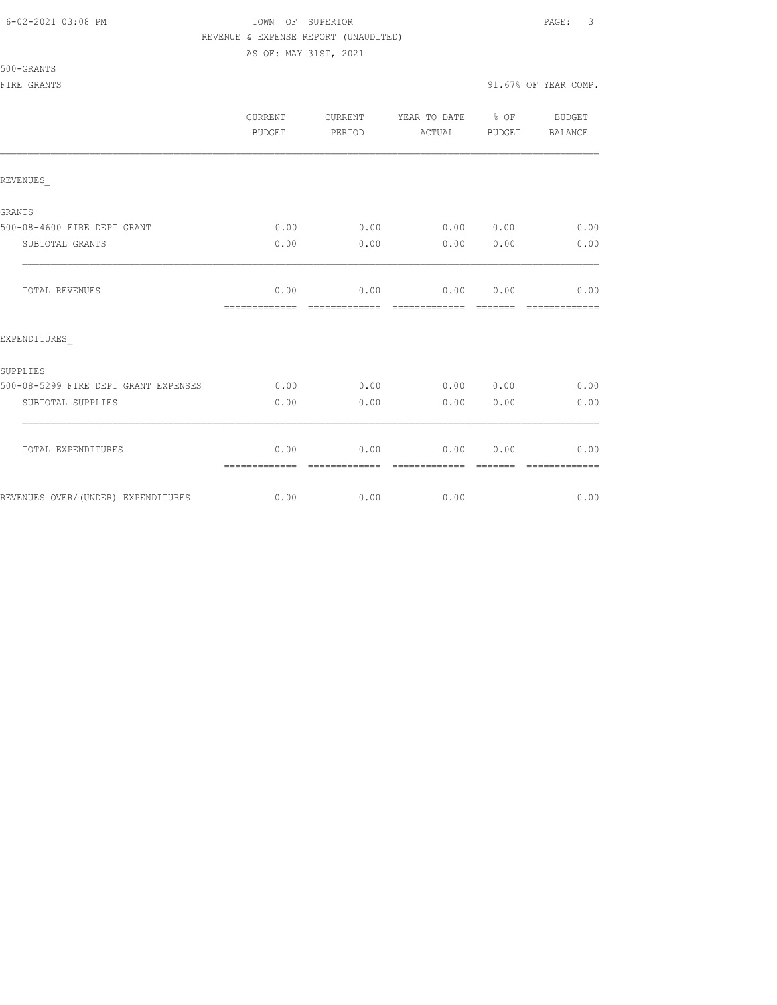AS OF: MAY 31ST, 2021

500-GRANTS

|                                      | CURRENT<br>BUDGET     | CURRENT<br>PERIOD      | YEAR TO DATE % OF<br>ACTUAL | BUDGET                | BUDGET<br>BALANCE      |
|--------------------------------------|-----------------------|------------------------|-----------------------------|-----------------------|------------------------|
| REVENUES                             |                       |                        |                             |                       |                        |
| GRANTS                               |                       |                        |                             |                       |                        |
| 500-08-4600 FIRE DEPT GRANT          | 0.00                  | 0.00                   | 0.00 0.00                   |                       | 0.00                   |
| SUBTOTAL GRANTS                      | 0.00                  | 0.00                   | 0.00                        | 0.00                  | 0.00                   |
| TOTAL REVENUES                       | 0.00<br>============= | 0.00<br>=============  | 0.00<br>-------------       | 0.00<br><b>BEBEER</b> | 0.00<br>=============  |
| EXPENDITURES                         |                       |                        |                             |                       |                        |
| SUPPLIES                             |                       |                        |                             |                       |                        |
| 500-08-5299 FIRE DEPT GRANT EXPENSES | 0.00                  | 0.00                   | 0.00 0.00                   |                       | 0.00                   |
| SUBTOTAL SUPPLIES                    | 0.00                  | 0.00                   | 0.00                        | 0.00                  | 0.00                   |
| TOTAL EXPENDITURES                   | 0.00<br>============= | 0.00<br>-------------- | 0.00<br>--------------      | 0.00                  | 0.00<br>-------------- |
| REVENUES OVER/(UNDER) EXPENDITURES   | 0.00                  | 0.00                   | 0.00                        |                       | 0.00                   |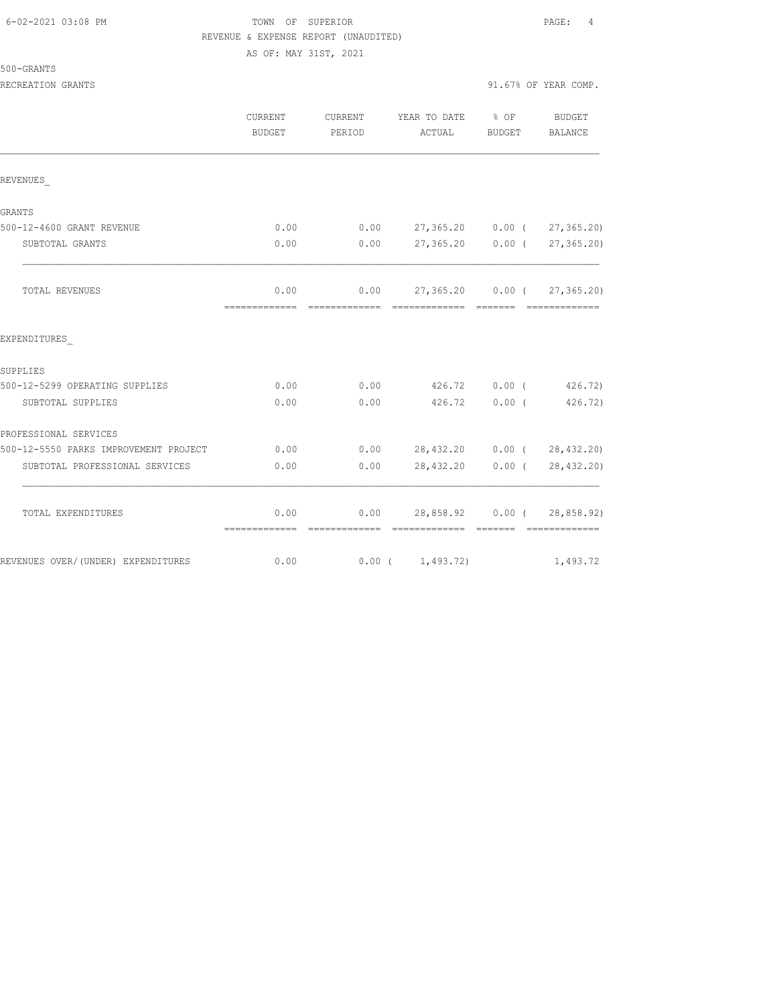# TOWN OF SUPERIOR **Example 2008** PAGE: 4 REVENUE & EXPENSE REPORT (UNAUDITED)

AS OF: MAY 31ST, 2021

500-GRANTS

|                                       | <b>CURRENT</b><br>BUDGET | CURRENT<br>PERIOD               | YEAR TO DATE % OF<br>ACTUAL          | BUDGET | <b>BUDGET</b><br>BALANCE   |
|---------------------------------------|--------------------------|---------------------------------|--------------------------------------|--------|----------------------------|
| REVENUES                              |                          |                                 |                                      |        |                            |
| GRANTS                                |                          |                                 |                                      |        |                            |
| 500-12-4600 GRANT REVENUE             | 0.00                     |                                 | $0.00$ 27,365.20 0.00 ( 27,365.20)   |        |                            |
| SUBTOTAL GRANTS                       | 0.00                     |                                 | $0.00$ 27,365.20 0.00 ( 27,365.20)   |        |                            |
| TOTAL REVENUES                        | 0.00                     |                                 | $0.00$ 27,365.20 0.00 ( 27,365.20)   |        |                            |
| EXPENDITURES                          |                          |                                 |                                      |        |                            |
| SUPPLIES                              |                          |                                 |                                      |        |                            |
| 500-12-5299 OPERATING SUPPLIES        | 0.00                     |                                 | $0.00$ $426.72$ $0.00$ (             |        | 426.72                     |
| SUBTOTAL SUPPLIES                     | 0.00                     | 0.00                            | 426.72 0.00 (                        |        | 426.72)                    |
| PROFESSIONAL SERVICES                 |                          |                                 |                                      |        |                            |
| 500-12-5550 PARKS IMPROVEMENT PROJECT | 0.00                     |                                 | $0.00$ 28,432.20 0.00 ( 28,432.20)   |        |                            |
| SUBTOTAL PROFESSIONAL SERVICES        | 0.00                     | 0.00                            |                                      |        | 28,432.20 0.00 (28,432.20) |
| TOTAL EXPENDITURES                    | 0.00<br>=============    | ------------------------------- | $0.00$ 28,858.92 $0.00$ ( 28,858.92) |        | - 2222222 - 22222222222222 |
| REVENUES OVER/(UNDER) EXPENDITURES    | 0.00                     |                                 | $0.00$ ( $1,493.72$ )                |        | 1,493.72                   |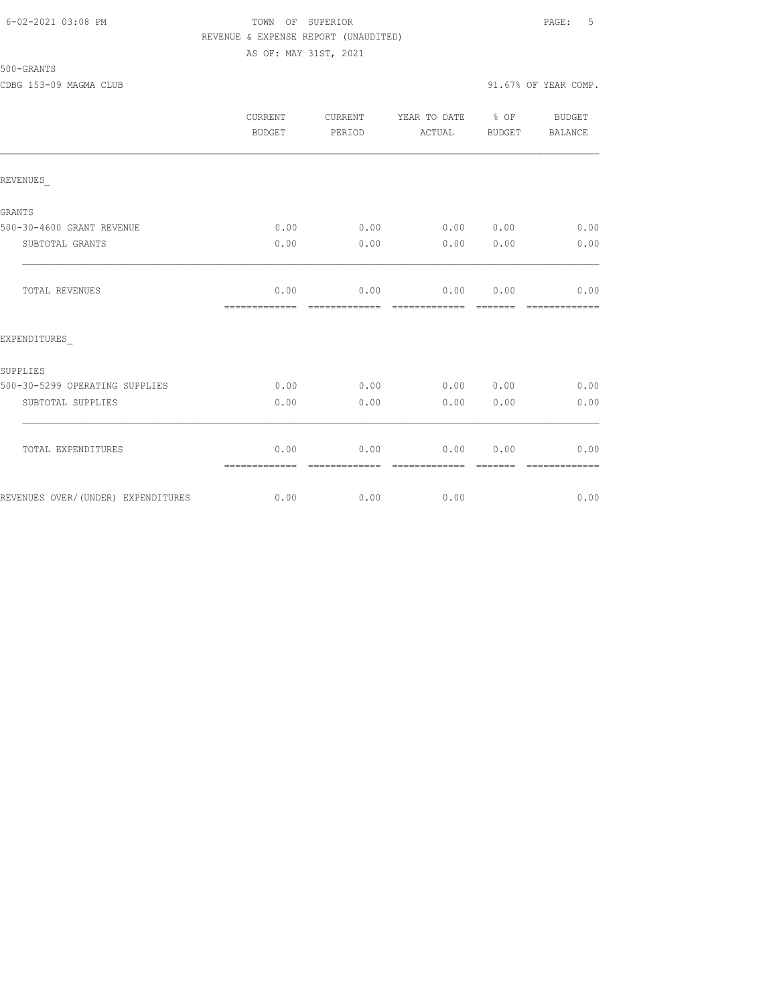#### 6-02-2021 03:08 PM TOWN OF SUPERIOR PAGE: 5 REVENUE & EXPENSE REPORT (UNAUDITED) AS OF: MAY 31ST, 2021

# 500-GRANTS

|                                    | CURRENT<br>BUDGET     | CURRENT<br>PERIOD      | YEAR TO DATE % OF<br>ACTUAL | BUDGET          | BUDGET<br>BALANCE      |
|------------------------------------|-----------------------|------------------------|-----------------------------|-----------------|------------------------|
| REVENUES                           |                       |                        |                             |                 |                        |
| GRANTS                             |                       |                        |                             |                 |                        |
| 500-30-4600 GRANT REVENUE          | 0.00                  | 0.00                   | 0.00 0.00                   |                 | 0.00                   |
| SUBTOTAL GRANTS                    | 0.00                  | 0.00                   | 0.00                        | 0.00            | 0.00                   |
| TOTAL REVENUES                     | 0.00<br>============= | 0.00<br>=============  | 0.00<br>=============       | 0.00<br>======= | 0.00<br>=============  |
| EXPENDITURES                       |                       |                        |                             |                 |                        |
| SUPPLIES                           |                       |                        |                             |                 |                        |
| 500-30-5299 OPERATING SUPPLIES     | 0.00                  | 0.00                   | 0.00 0.00                   |                 | 0.00                   |
| SUBTOTAL SUPPLIES                  | 0.00                  | 0.00                   | 0.00                        | 0.00            | 0.00                   |
| TOTAL EXPENDITURES                 | 0.00<br>============= | 0.00<br>-------------- | 0.00<br>--------------      | 0.00            | 0.00<br>-------------- |
| REVENUES OVER/(UNDER) EXPENDITURES | 0.00                  | 0.00                   | 0.00                        |                 | 0.00                   |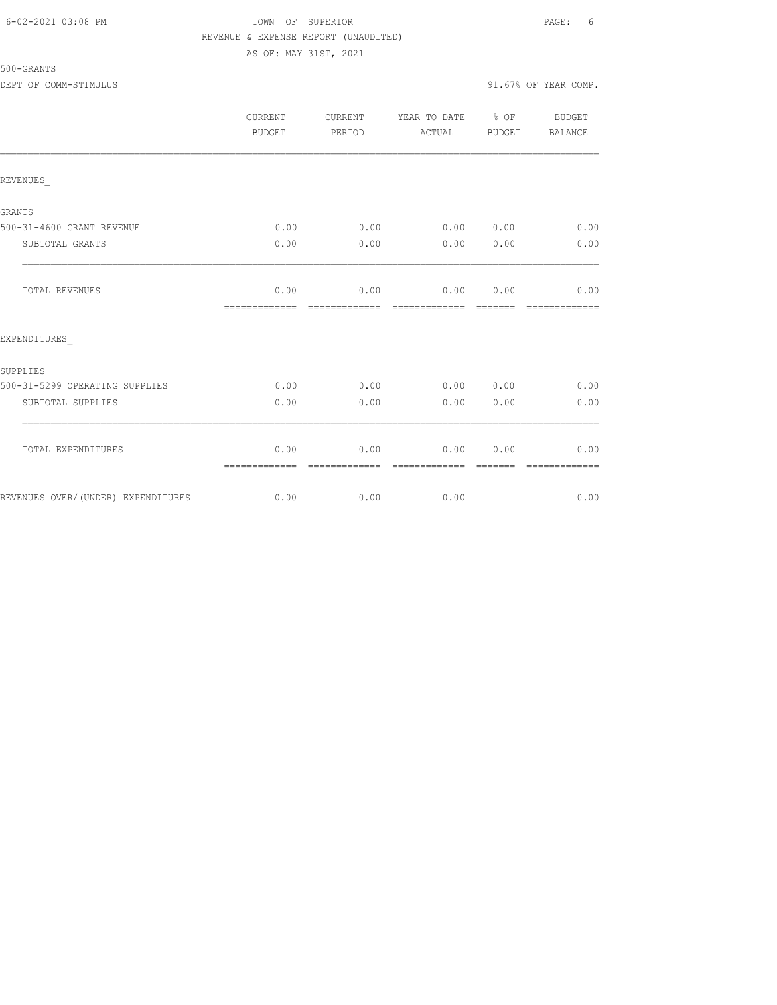### 6-02-2021 03:08 PM TOWN OF SUPERIOR PAGE: 6 REVENUE & EXPENSE REPORT (UNAUDITED) AS OF: MAY 31ST, 2021

|                                    | <b>CURRENT</b><br><b>BUDGET</b> | CURRENT<br>PERIOD | YEAR TO DATE<br>ACTUAL | $\frac{6}{6}$ OF<br><b>BUDGET</b> | <b>BUDGET</b><br>BALANCE |
|------------------------------------|---------------------------------|-------------------|------------------------|-----------------------------------|--------------------------|
| REVENUES                           |                                 |                   |                        |                                   |                          |
| GRANTS                             |                                 |                   |                        |                                   |                          |
| 500-31-4600 GRANT REVENUE          | 0.00                            | 0.00              | 0.00 0.00              |                                   | 0.00                     |
| SUBTOTAL GRANTS                    | 0.00                            | 0.00              | 0.00                   | 0.00                              | 0.00                     |
| TOTAL REVENUES                     | 0.00<br>=============           | 0.00              | 0.00<br>-------------  | 0.00                              | 0.00                     |
| EXPENDITURES                       |                                 |                   |                        |                                   |                          |
| SUPPLIES                           |                                 |                   |                        |                                   |                          |
| 500-31-5299 OPERATING SUPPLIES     | 0.00                            | 0.00              | 0.00                   | 0.00                              | 0.00                     |
| SUBTOTAL SUPPLIES                  | 0.00                            | 0.00              | 0.00                   | 0.00                              | 0.00                     |
| TOTAL EXPENDITURES                 | 0.00<br>=============           | 0.00              | 0.00<br>-------------- | 0.00                              | 0.00                     |
| REVENUES OVER/(UNDER) EXPENDITURES | 0.00                            | 0.00              | 0.00                   |                                   | 0.00                     |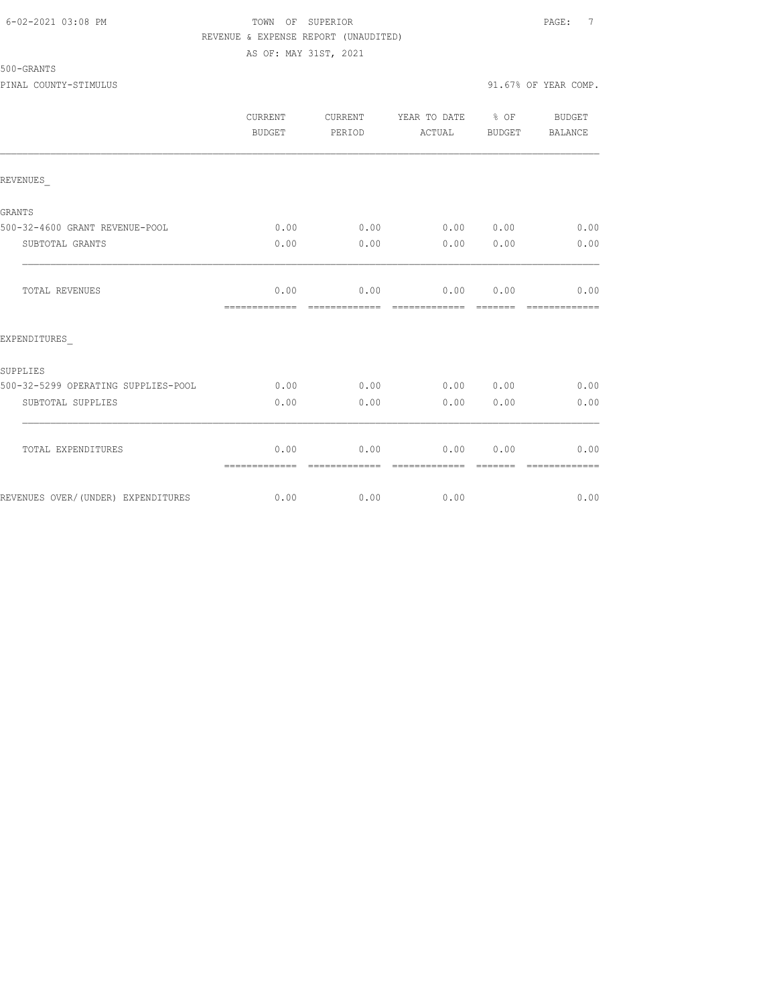### 6-02-2021 03:08 PM TOWN OF SUPERIOR PAGE: 7 REVENUE & EXPENSE REPORT (UNAUDITED) AS OF: MAY 31ST, 2021

|                                     | <b>CURRENT</b><br><b>BUDGET</b> | CURRENT<br>PERIOD | YEAR TO DATE % OF<br>ACTUAL | <b>BUDGET</b> | <b>BUDGET</b><br>BALANCE |
|-------------------------------------|---------------------------------|-------------------|-----------------------------|---------------|--------------------------|
| REVENUES                            |                                 |                   |                             |               |                          |
| GRANTS                              |                                 |                   |                             |               |                          |
| 500-32-4600 GRANT REVENUE-POOL      | 0.00                            | 0.00              | $0.00$ $0.00$               |               | 0.00                     |
| SUBTOTAL GRANTS                     | 0.00                            | 0.00              | 0.00                        | 0.00          | 0.00                     |
| <b>TOTAL REVENUES</b>               | 0.00<br>=============           | 0.00              | 0.00<br>-------------       | 0.00          | 0.00                     |
| EXPENDITURES                        |                                 |                   |                             |               |                          |
| SUPPLIES                            |                                 |                   |                             |               |                          |
| 500-32-5299 OPERATING SUPPLIES-POOL | 0.00                            | 0.00              | 0.00                        | 0.00          | 0.00                     |
| SUBTOTAL SUPPLIES                   | 0.00                            | 0.00              | 0.00                        | 0.00          | 0.00                     |
| TOTAL EXPENDITURES                  | 0.00<br>=============           | 0.00              | 0.00<br>--------------      | 0.00          | 0.00                     |
| REVENUES OVER/(UNDER) EXPENDITURES  | 0.00                            | 0.00              | 0.00                        |               | 0.00                     |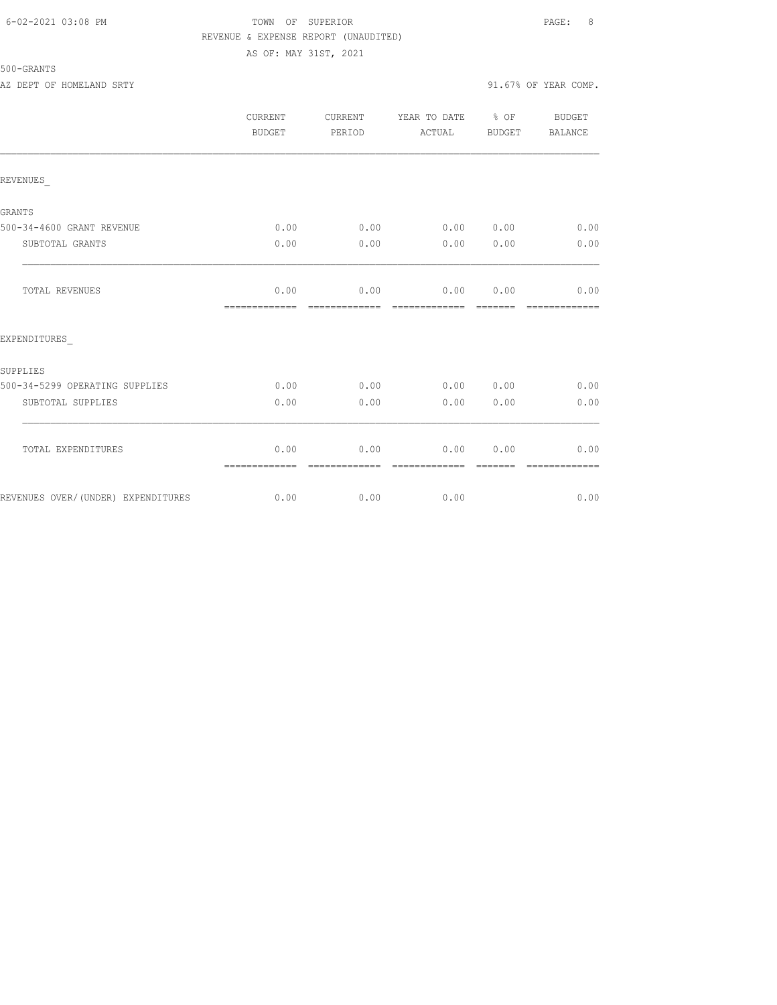### 6-02-2021 03:08 PM TOWN OF SUPERIOR PAGE: 8 REVENUE & EXPENSE REPORT (UNAUDITED) AS OF: MAY 31ST, 2021

500-GRANTS

AZ DEPT OF HOMELAND SRTY 91.67% OF YEAR COMP.

|                                    | <b>CURRENT</b><br>BUDGET                                                                                                                                                                                                                                                                                                                                                                                                                                                                       | <b>CURRENT</b><br>PERIOD | YEAR TO DATE<br>ACTUAL | $8$ OF<br>BUDGET | <b>BUDGET</b><br><b>BALANCE</b> |
|------------------------------------|------------------------------------------------------------------------------------------------------------------------------------------------------------------------------------------------------------------------------------------------------------------------------------------------------------------------------------------------------------------------------------------------------------------------------------------------------------------------------------------------|--------------------------|------------------------|------------------|---------------------------------|
| REVENUES                           |                                                                                                                                                                                                                                                                                                                                                                                                                                                                                                |                          |                        |                  |                                 |
| <b>GRANTS</b>                      |                                                                                                                                                                                                                                                                                                                                                                                                                                                                                                |                          |                        |                  |                                 |
| 500-34-4600 GRANT REVENUE          | 0.00                                                                                                                                                                                                                                                                                                                                                                                                                                                                                           | 0.00                     | 0.00                   | 0.00             | 0.00                            |
| SUBTOTAL GRANTS                    | 0.00                                                                                                                                                                                                                                                                                                                                                                                                                                                                                           | 0.00                     | 0.00                   | 0.00             | 0.00                            |
| TOTAL REVENUES                     | 0.00<br>=============                                                                                                                                                                                                                                                                                                                                                                                                                                                                          | 0.00<br>-------------    | 0.00<br>-------------- | 0.00<br>———      | 0.00                            |
| EXPENDITURES                       |                                                                                                                                                                                                                                                                                                                                                                                                                                                                                                |                          |                        |                  |                                 |
| SUPPLIES                           |                                                                                                                                                                                                                                                                                                                                                                                                                                                                                                |                          |                        |                  |                                 |
| 500-34-5299 OPERATING SUPPLIES     | 0.00                                                                                                                                                                                                                                                                                                                                                                                                                                                                                           | 0.00                     | 0.00                   | 0.00             | 0.00                            |
| SUBTOTAL SUPPLIES                  | 0.00                                                                                                                                                                                                                                                                                                                                                                                                                                                                                           | 0.00                     | 0.00                   | 0.00             | 0.00                            |
| TOTAL EXPENDITURES                 | 0.00<br>$\begin{array}{cccccccccccccc} \multicolumn{2}{c}{} & \multicolumn{2}{c}{} & \multicolumn{2}{c}{} & \multicolumn{2}{c}{} & \multicolumn{2}{c}{} & \multicolumn{2}{c}{} & \multicolumn{2}{c}{} & \multicolumn{2}{c}{} & \multicolumn{2}{c}{} & \multicolumn{2}{c}{} & \multicolumn{2}{c}{} & \multicolumn{2}{c}{} & \multicolumn{2}{c}{} & \multicolumn{2}{c}{} & \multicolumn{2}{c}{} & \multicolumn{2}{c}{} & \multicolumn{2}{c}{} & \multicolumn{2}{c}{} & \multicolumn{2}{c}{} & \$ | 0.00<br>-------------    | 0.00<br>-------------- | 0.00<br>-------  | 0.00<br>-------------           |
| REVENUES OVER/(UNDER) EXPENDITURES | 0.00                                                                                                                                                                                                                                                                                                                                                                                                                                                                                           | 0.00                     | 0.00                   |                  | 0.00                            |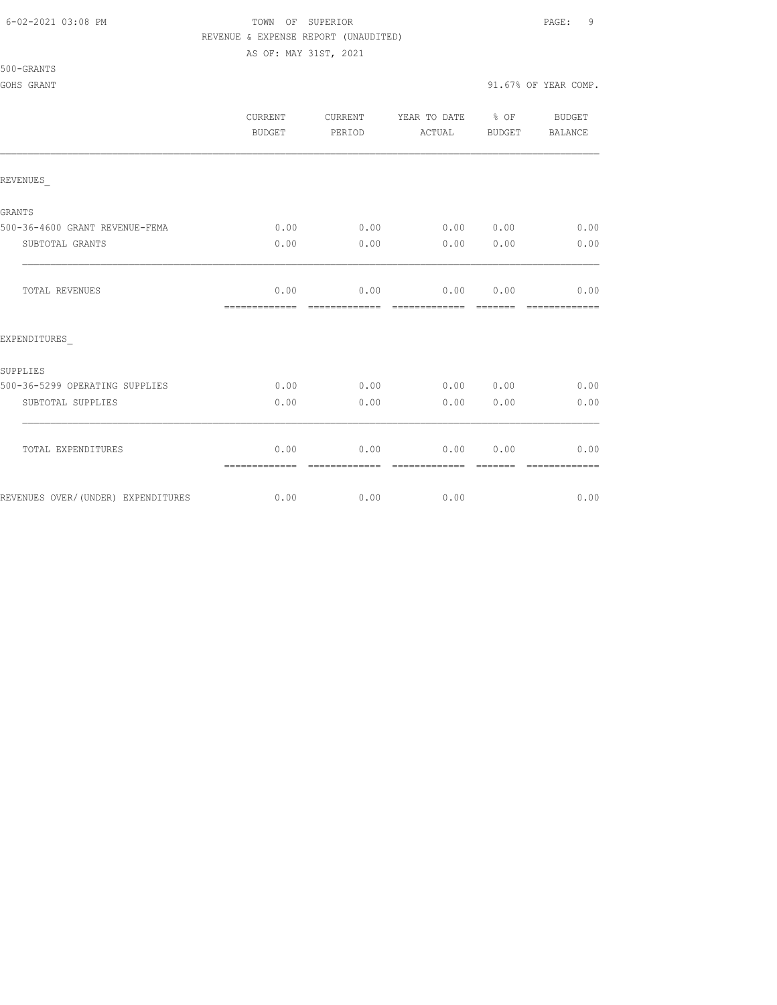#### 6-02-2021 03:08 PM TOWN OF SUPERIOR PAGE: 9 REVENUE & EXPENSE REPORT (UNAUDITED)

AS OF: MAY 31ST, 2021

|                                    | <b>CURRENT</b><br>BUDGET | <b>CURRENT</b><br>PERIOD | YEAR TO DATE % OF<br>ACTUAL | BUDGET           | <b>BUDGET</b><br>BALANCE |
|------------------------------------|--------------------------|--------------------------|-----------------------------|------------------|--------------------------|
| REVENUES                           |                          |                          |                             |                  |                          |
| GRANTS                             |                          |                          |                             |                  |                          |
| 500-36-4600 GRANT REVENUE-FEMA     | 0.00                     | 0.00                     | 0.00 0.00                   |                  | 0.00                     |
| SUBTOTAL GRANTS                    | 0.00                     | 0.00                     | 0.00                        | 0.00             | 0.00                     |
| TOTAL REVENUES                     | 0.00<br>=============    | 0.00                     | 0.00 0.00<br>-------------  |                  | 0.00                     |
| EXPENDITURES                       |                          |                          |                             |                  |                          |
| SUPPLIES                           |                          |                          |                             |                  |                          |
| 500-36-5299 OPERATING SUPPLIES     | 0.00                     | 0.00                     | $0.00$ $0.00$               |                  | 0.00                     |
| SUBTOTAL SUPPLIES                  | 0.00                     | 0.00                     | 0.00                        | 0.00             | 0.00                     |
| TOTAL EXPENDITURES                 | 0.00<br>=============    | 0.00<br>-------------    | 0.00<br>-------------       | 0.00<br>-------- | 0.00<br>-------------    |
| REVENUES OVER/(UNDER) EXPENDITURES | 0.00                     | 0.00                     | 0.00                        |                  | 0.00                     |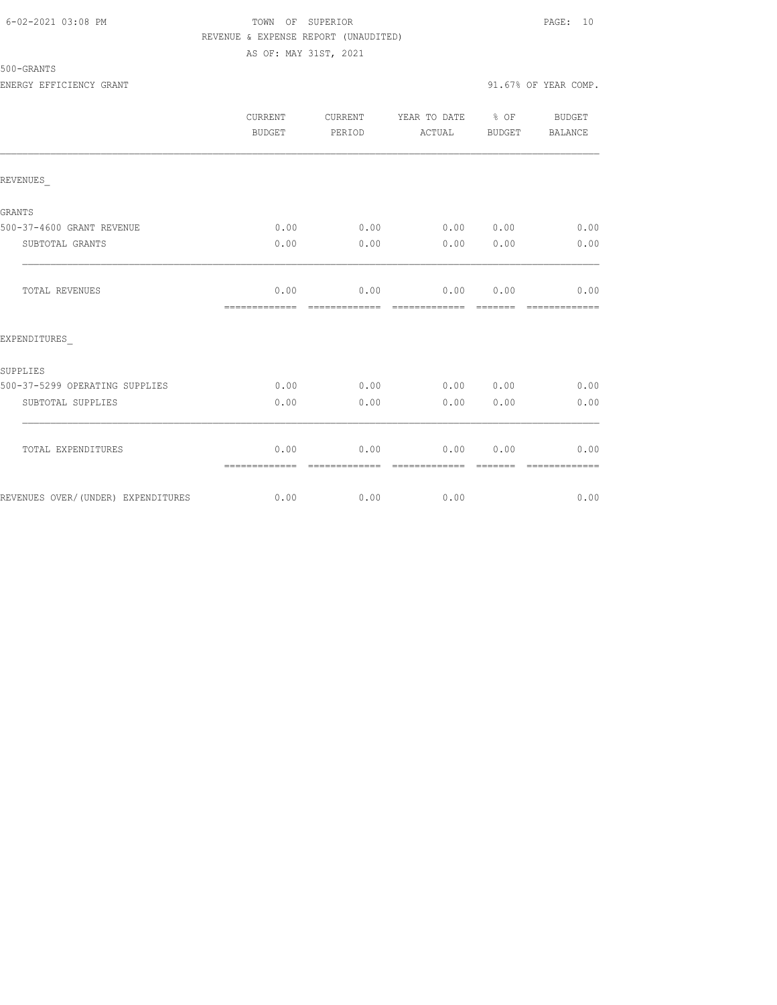### 6-02-2021 03:08 PM TOWN OF SUPERIOR PAGE: 10 REVENUE & EXPENSE REPORT (UNAUDITED) AS OF: MAY 31ST, 2021

# 500-GRANTS

ENERGY EFFICIENCY GRANT 91.67% OF YEAR COMP.

|                                    | CURRENT<br>BUDGET     | CURRENT<br>PERIOD | YEAR TO DATE % OF<br>ACTUAL    | BUDGET | <b>BUDGET</b><br><b>BALANCE</b> |
|------------------------------------|-----------------------|-------------------|--------------------------------|--------|---------------------------------|
| REVENUES                           |                       |                   |                                |        |                                 |
| <b>GRANTS</b>                      |                       |                   |                                |        |                                 |
| 500-37-4600 GRANT REVENUE          | 0.00                  |                   | $0.00$ 0.00 0.00               |        | 0.00                            |
| SUBTOTAL GRANTS                    | 0.00                  | 0.00              | 0.00                           | 0.00   | 0.00                            |
| <b>TOTAL REVENUES</b>              | 0.00<br>============= | 0.00              | $0.00$ $0.00$<br>============= |        | 0.00<br>-------------           |
| EXPENDITURES                       |                       |                   |                                |        |                                 |
| SUPPLIES                           |                       |                   |                                |        |                                 |
| 500-37-5299 OPERATING SUPPLIES     | 0.00                  | 0.00              | 0.00 0.00                      |        | 0.00                            |
| SUBTOTAL SUPPLIES                  | 0.00                  | 0.00              | 0.00                           | 0.00   | 0.00                            |
| TOTAL EXPENDITURES                 | 0.00<br>============= | 0.00              | 0.00<br>=============          | 0.00   | 0.00                            |
| REVENUES OVER/(UNDER) EXPENDITURES | 0.00                  | 0.00              | 0.00                           |        | 0.00                            |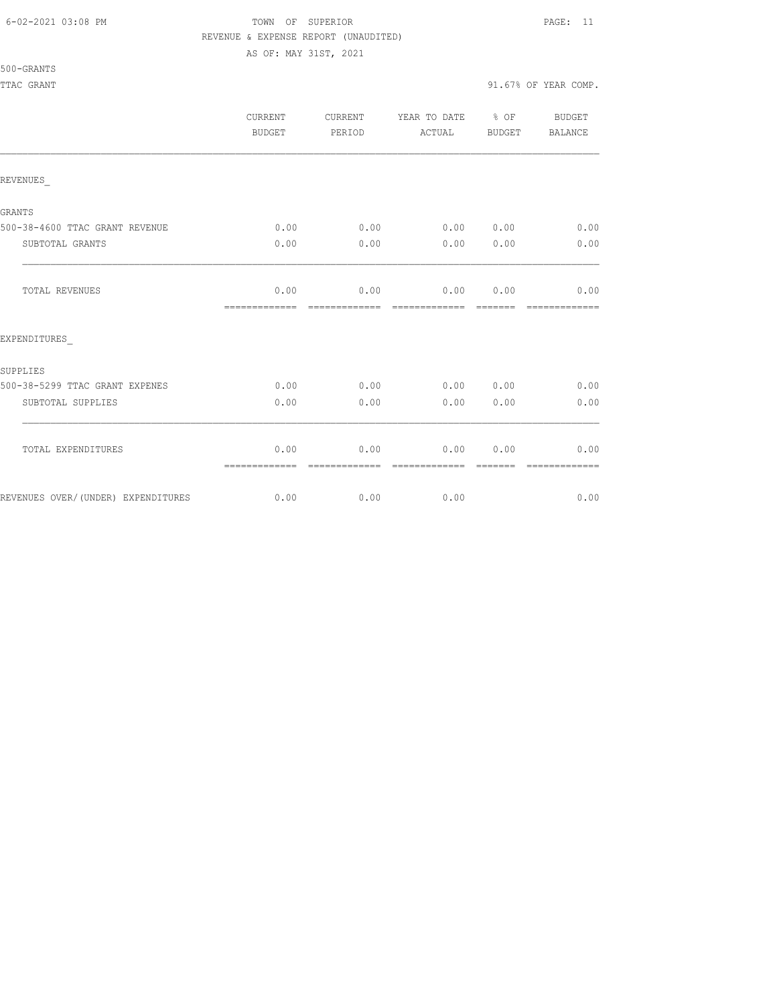#### 6-02-2021 03:08 PM TOWN OF SUPERIOR PAGE: 11 REVENUE & EXPENSE REPORT (UNAUDITED)

AS OF: MAY 31ST, 2021

500-GRANTS

TTAC GRANT 91.67% OF YEAR COMP.

|                                    | <b>CURRENT</b><br>BUDGET | <b>CURRENT</b><br>PERIOD | YEAR TO DATE<br>ACTUAL | $8$ OF<br>BUDGET | <b>BUDGET</b><br><b>BALANCE</b> |
|------------------------------------|--------------------------|--------------------------|------------------------|------------------|---------------------------------|
| REVENUES                           |                          |                          |                        |                  |                                 |
| GRANTS                             |                          |                          |                        |                  |                                 |
| 500-38-4600 TTAC GRANT REVENUE     | 0.00                     | 0.00                     | 0.00 0.00              |                  | 0.00                            |
| SUBTOTAL GRANTS                    | 0.00                     | 0.00                     | 0.00                   | 0.00             | 0.00                            |
| TOTAL REVENUES                     | 0.00<br>=============    | 0.00                     | 0.00                   | 0.00             | 0.00                            |
| EXPENDITURES                       |                          |                          |                        |                  |                                 |
| SUPPLIES                           |                          |                          |                        |                  |                                 |
| 500-38-5299 TTAC GRANT EXPENES     | 0.00                     | 0.00                     | 0.00 0.00              |                  | 0.00                            |
| SUBTOTAL SUPPLIES                  | 0.00                     | 0.00                     | 0.00                   | 0.00             | 0.00                            |
| TOTAL EXPENDITURES                 | 0.00<br>=============    | 0.00                     | 0.00                   | 0.00             | 0.00                            |
| REVENUES OVER/(UNDER) EXPENDITURES | 0.00                     | 0.00                     | 0.00                   |                  | 0.00                            |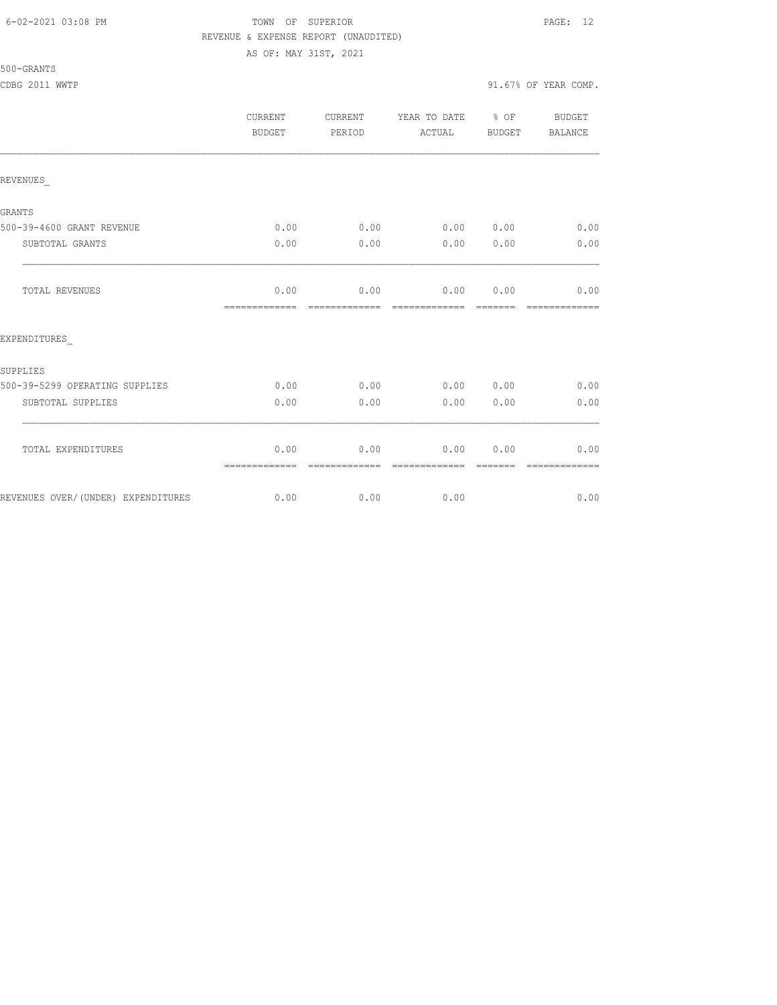### 6-02-2021 03:08 PM TOWN OF SUPERIOR PAGE: 12 REVENUE & EXPENSE REPORT (UNAUDITED) AS OF: MAY 31ST, 2021

### 500-GRANTS

CDBG 2011 WWTP 91.67% OF YEAR COMP.

|                                    | CURRENT<br><b>BUDGET</b> | <b>CURRENT</b><br>PERIOD | YEAR TO DATE % OF<br>ACTUAL | BUDGET   | <b>BUDGET</b><br><b>BALANCE</b> |
|------------------------------------|--------------------------|--------------------------|-----------------------------|----------|---------------------------------|
| REVENUES                           |                          |                          |                             |          |                                 |
| <b>GRANTS</b>                      |                          |                          |                             |          |                                 |
| 500-39-4600 GRANT REVENUE          | 0.00                     |                          | $0.00$ 0.00 0.00            |          | 0.00                            |
| SUBTOTAL GRANTS                    | 0.00                     | 0.00                     | 0.00                        | 0.00     | 0.00                            |
| TOTAL REVENUES                     | 0.00<br>-------------    | 0.00<br>-------------    | 0.00 0.00<br>-------------  | -------- | 0.00<br>-------------           |
| EXPENDITURES                       |                          |                          |                             |          |                                 |
| SUPPLIES                           |                          |                          |                             |          |                                 |
| 500-39-5299 OPERATING SUPPLIES     | 0.00                     | 0.00                     | 0.00 0.00                   |          | 0.00                            |
| SUBTOTAL SUPPLIES                  | 0.00                     | 0.00                     | 0.00                        | 0.00     | 0.00                            |
| TOTAL EXPENDITURES                 | 0.00<br>=============    | 0.00                     | 0.00                        | 0.00     | 0.00                            |
| REVENUES OVER/(UNDER) EXPENDITURES | 0.00                     | 0.00                     | 0.00                        |          | 0.00                            |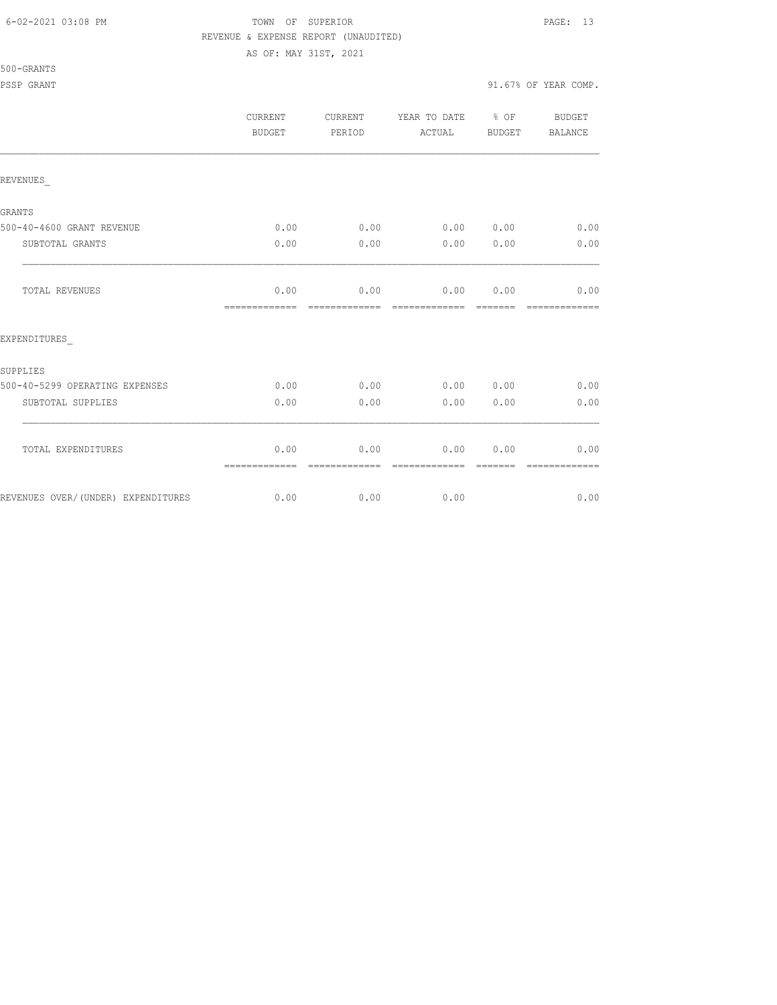#### 6-02-2021 03:08 PM TOWN OF SUPERIOR PAGE: 13 REVENUE & EXPENSE REPORT (UNAUDITED)

AS OF: MAY 31ST, 2021

|                                    | <b>CURRENT</b><br><b>BUDGET</b> | <b>CURRENT</b><br>PERIOD | YEAR TO DATE<br>ACTUAL      | $8$ OF<br><b>BUDGET</b> | <b>BUDGET</b><br>BALANCE |
|------------------------------------|---------------------------------|--------------------------|-----------------------------|-------------------------|--------------------------|
| REVENUES                           |                                 |                          |                             |                         |                          |
| GRANTS                             |                                 |                          |                             |                         |                          |
| 500-40-4600 GRANT REVENUE          | 0.00                            | 0.00                     | 0.00 0.00                   |                         | 0.00                     |
| SUBTOTAL GRANTS                    | 0.00                            | 0.00                     | 0.00                        | 0.00                    | 0.00                     |
| TOTAL REVENUES                     | 0.00<br>--------------          | 0.00<br>-------------    | 0.00 0.00<br>-------------- | --------                | 0.00<br>-------------    |
| EXPENDITURES                       |                                 |                          |                             |                         |                          |
| SUPPLIES                           |                                 |                          |                             |                         |                          |
| 500-40-5299 OPERATING EXPENSES     | 0.00                            | 0.00                     | 0.00 0.00                   |                         | 0.00                     |
| SUBTOTAL SUPPLIES                  | 0.00                            | 0.00                     | 0.00                        | 0.00                    | 0.00                     |
| TOTAL EXPENDITURES                 | 0.00<br>=============           | 0.00                     | 0.00                        | 0.00                    | 0.00                     |
| REVENUES OVER/(UNDER) EXPENDITURES | 0.00                            | 0.00                     | 0.00                        |                         | 0.00                     |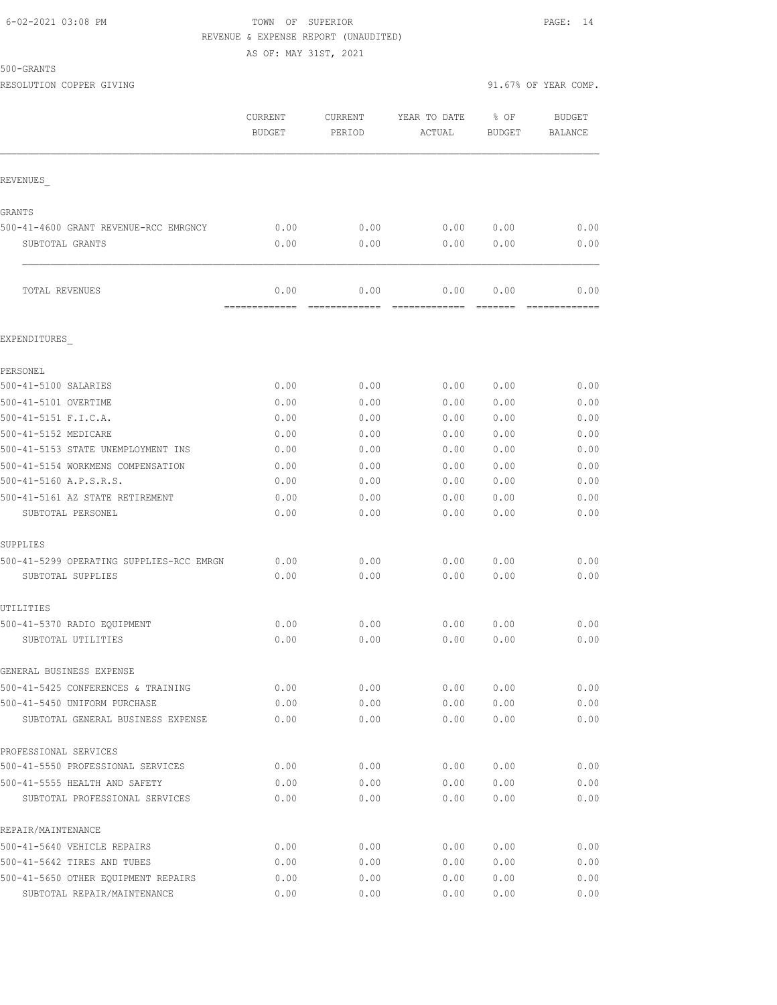#### 6-02-2021 03:08 PM TOWN OF SUPERIOR PAGE: 14 REVENUE & EXPENSE REPORT (UNAUDITED)

AS OF: MAY 31ST, 2021

500-GRANTS

RESOLUTION COPPER GIVING **EXECUTE A** SERVING **91.67%** OF YEAR COMP.

|                                                                   | CURRENT<br><b>BUDGET</b> | <b>CURRENT</b><br>PERIOD | YEAR TO DATE<br>ACTUAL | % OF<br><b>BUDGET</b> | <b>BUDGET</b><br><b>BALANCE</b> |
|-------------------------------------------------------------------|--------------------------|--------------------------|------------------------|-----------------------|---------------------------------|
| REVENUES                                                          |                          |                          |                        |                       |                                 |
| GRANTS                                                            |                          |                          |                        |                       |                                 |
| 500-41-4600 GRANT REVENUE-RCC EMRGNCY                             | 0.00                     | 0.00                     | 0.00                   | 0.00                  | 0.00                            |
| SUBTOTAL GRANTS                                                   | 0.00                     | 0.00                     | 0.00                   | 0.00                  | 0.00                            |
| TOTAL REVENUES                                                    | 0.00<br>=============    | 0.00<br>==========       | 0.00                   | 0.00<br>=======       | 0.00                            |
| EXPENDITURES                                                      |                          |                          |                        |                       |                                 |
| PERSONEL                                                          |                          |                          |                        |                       |                                 |
| 500-41-5100 SALARIES                                              | 0.00                     | 0.00                     | 0.00                   | 0.00                  | 0.00                            |
| 500-41-5101 OVERTIME                                              | 0.00                     | 0.00                     | 0.00                   | 0.00                  | 0.00                            |
| 500-41-5151 F.I.C.A.                                              | 0.00                     | 0.00                     | 0.00                   | 0.00                  | 0.00                            |
| 500-41-5152 MEDICARE                                              | 0.00                     | 0.00                     | 0.00                   | 0.00                  | 0.00                            |
| 500-41-5153 STATE UNEMPLOYMENT INS                                | 0.00                     | 0.00                     | 0.00                   | 0.00                  | 0.00                            |
| 500-41-5154 WORKMENS COMPENSATION                                 | 0.00                     | 0.00                     | 0.00                   | 0.00                  | 0.00                            |
| 500-41-5160 A.P.S.R.S.                                            | 0.00                     | 0.00                     | 0.00                   | 0.00                  | 0.00                            |
| 500-41-5161 AZ STATE RETIREMENT                                   | 0.00                     | 0.00                     | 0.00                   | 0.00                  | 0.00                            |
| SUBTOTAL PERSONEL                                                 | 0.00                     | 0.00                     | 0.00                   | 0.00                  | 0.00                            |
| SUPPLIES                                                          |                          |                          |                        |                       |                                 |
| 500-41-5299 OPERATING SUPPLIES-RCC EMRGN                          | 0.00                     | 0.00                     | 0.00                   | 0.00                  | 0.00                            |
| SUBTOTAL SUPPLIES                                                 | 0.00                     | 0.00                     | 0.00                   | 0.00                  | 0.00                            |
| UTILITIES                                                         |                          |                          |                        |                       |                                 |
| 500-41-5370 RADIO EQUIPMENT                                       | 0.00                     | 0.00                     | 0.00                   | 0.00                  | 0.00                            |
| SUBTOTAL UTILITIES                                                | 0.00                     | 0.00                     | 0.00                   | 0.00                  | 0.00                            |
| GENERAL BUSINESS EXPENSE                                          |                          |                          |                        |                       |                                 |
| 500-41-5425 CONFERENCES & TRAINING                                | 0.00                     | 0.00                     | 0.00                   | 0.00                  | 0.00                            |
| 500-41-5450 UNIFORM PURCHASE<br>SUBTOTAL GENERAL BUSINESS EXPENSE | 0.00<br>0.00             | 0.00<br>0.00             | 0.00<br>0.00           | 0.00<br>0.00          | 0.00<br>0.00                    |
|                                                                   |                          |                          |                        |                       |                                 |
| PROFESSIONAL SERVICES<br>500-41-5550 PROFESSIONAL SERVICES        | 0.00                     | 0.00                     | 0.00                   | 0.00                  | 0.00                            |
| 500-41-5555 HEALTH AND SAFETY                                     | 0.00                     | 0.00                     | 0.00                   | 0.00                  | 0.00                            |
| SUBTOTAL PROFESSIONAL SERVICES                                    | 0.00                     | 0.00                     | 0.00                   | 0.00                  | 0.00                            |
| REPAIR/MAINTENANCE                                                |                          |                          |                        |                       |                                 |
| 500-41-5640 VEHICLE REPAIRS                                       | 0.00                     | 0.00                     | 0.00                   | 0.00                  | 0.00                            |
| 500-41-5642 TIRES AND TUBES                                       | 0.00                     | 0.00                     | 0.00                   | 0.00                  | 0.00                            |
| 500-41-5650 OTHER EQUIPMENT REPAIRS                               | 0.00                     | 0.00                     | 0.00                   | 0.00                  | 0.00                            |
| SUBTOTAL REPAIR/MAINTENANCE                                       | 0.00                     | 0.00                     | 0.00                   | 0.00                  | 0.00                            |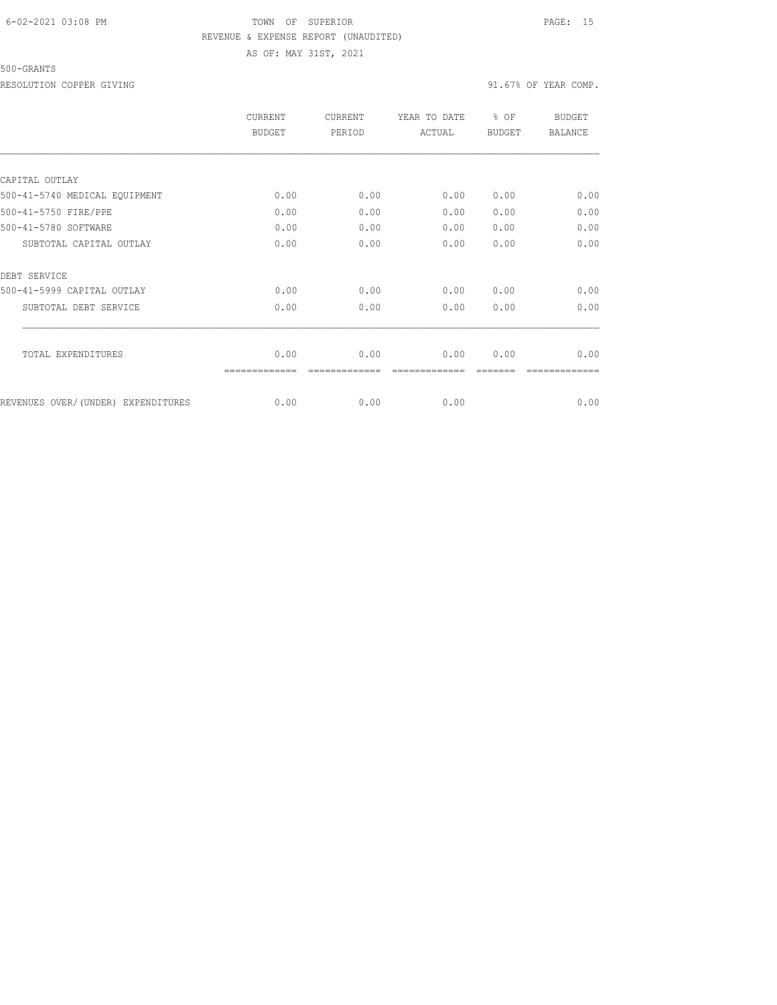### 6-02-2021 03:08 PM TOWN OF SUPERIOR PAGE: 15 REVENUE & EXPENSE REPORT (UNAUDITED) AS OF: MAY 31ST, 2021

#### 500-GRANTS

RESOLUTION COPPER GIVING  $91.67\%$  OF YEAR COMP.

|                                    | <b>CURRENT</b><br><b>BUDGET</b> | <b>CURRENT</b><br>PERIOD | YEAR TO DATE<br>ACTUAL | % OF<br><b>BUDGET</b> | <b>BUDGET</b><br><b>BALANCE</b> |
|------------------------------------|---------------------------------|--------------------------|------------------------|-----------------------|---------------------------------|
|                                    |                                 |                          |                        |                       |                                 |
| CAPITAL OUTLAY                     |                                 |                          |                        |                       |                                 |
| 500-41-5740 MEDICAL EQUIPMENT      | 0.00                            | 0.00                     | 0.00                   | 0.00                  | 0.00                            |
| 500-41-5750 FIRE/PPE               | 0.00                            | 0.00                     | 0.00                   | 0.00                  | 0.00                            |
| 500-41-5780 SOFTWARE               | 0.00                            | 0.00                     | 0.00                   | 0.00                  | 0.00                            |
| SUBTOTAL CAPITAL OUTLAY            | 0.00                            | 0.00                     | 0.00                   | 0.00                  | 0.00                            |
| DEBT SERVICE                       |                                 |                          |                        |                       |                                 |
| 500-41-5999 CAPITAL OUTLAY         | 0.00                            | 0.00                     | 0.00                   | 0.00                  | 0.00                            |
| SUBTOTAL DEBT SERVICE              | 0.00                            | 0.00                     | 0.00                   | 0.00                  | 0.00                            |
| TOTAL EXPENDITURES                 | 0.00                            | 0.00                     | 0.00                   | 0.00                  | 0.00                            |
|                                    |                                 |                          |                        |                       |                                 |
| REVENUES OVER/(UNDER) EXPENDITURES | 0.00                            | 0.00                     | 0.00                   |                       | 0.00                            |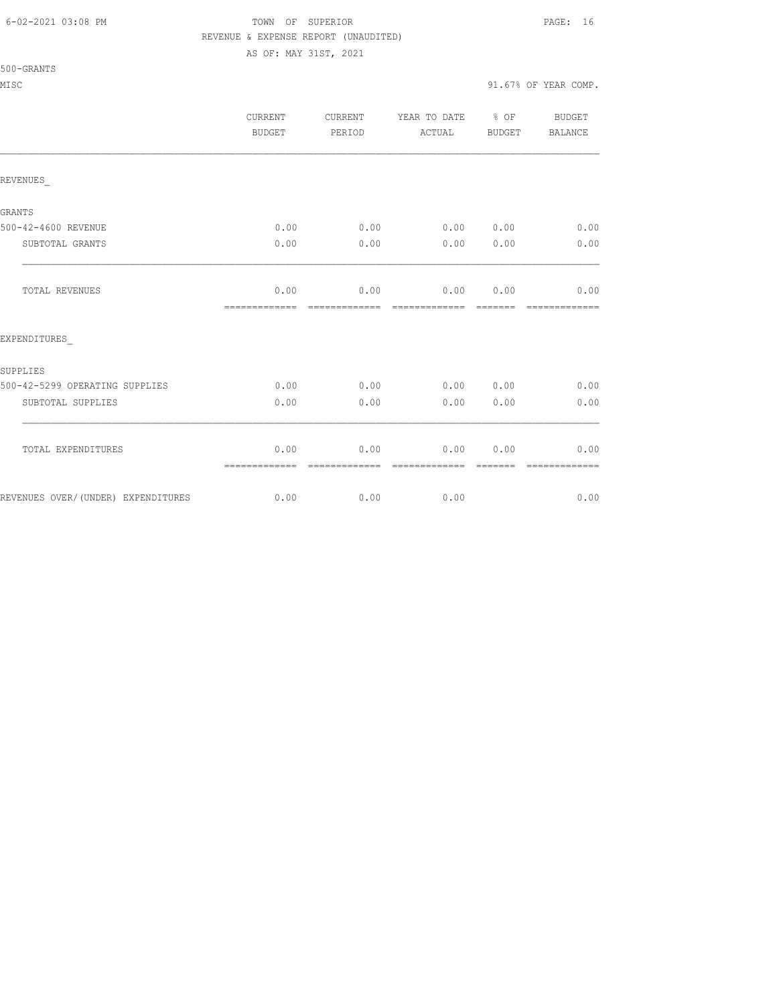#### 6-02-2021 03:08 PM TOWN OF SUPERIOR PAGE: 16 REVENUE & EXPENSE REPORT (UNAUDITED)

AS OF: MAY 31ST, 2021

|                                    | CURRENT<br><b>BUDGET</b>             | <b>CURRENT</b><br>PERIOD | YEAR TO DATE % OF<br>ACTUAL        | BUDGET | BUDGET<br>BALANCE      |
|------------------------------------|--------------------------------------|--------------------------|------------------------------------|--------|------------------------|
| REVENUES                           |                                      |                          |                                    |        |                        |
| GRANTS                             |                                      |                          |                                    |        |                        |
| 500-42-4600 REVENUE                | 0.00                                 |                          | $0.00$ $0.00$ $0.00$ $0.00$ $0.00$ |        |                        |
| SUBTOTAL GRANTS                    | 0.00                                 | 0.00                     | 0.00 0.00                          |        | 0.00                   |
| <b>TOTAL REVENUES</b>              | 0.00<br>============================ | 0.00                     | $0.00$ 0.00                        |        | 0.00<br>-------------- |
| EXPENDITURES                       |                                      |                          |                                    |        |                        |
| SUPPLIES                           |                                      |                          |                                    |        |                        |
| 500-42-5299 OPERATING SUPPLIES     | 0.00                                 | 0.00                     |                                    |        | $0.00$ $0.00$ $0.00$   |
| SUBTOTAL SUPPLIES                  | 0.00                                 | 0.00                     | 0.00                               | 0.00   | 0.00                   |
| TOTAL EXPENDITURES                 | 0.00<br>=============                | 0.00                     | 0.00<br>-------------              | 0.00   | 0.00<br>-------------  |
| REVENUES OVER/(UNDER) EXPENDITURES | 0.00                                 | 0.00                     | 0.00                               |        | 0.00                   |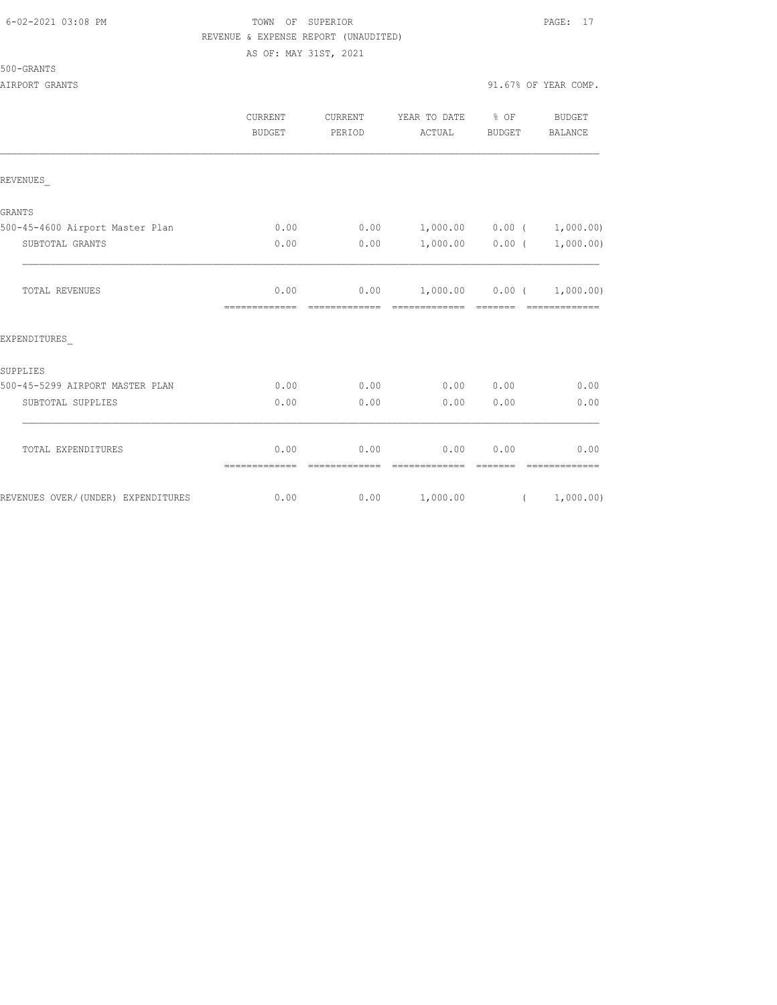|  | 6-02-2021 03:08 PM |  |
|--|--------------------|--|
|  |                    |  |

# FOWN OF SUPERIOR **Example 20:09 PAGE:** 17 REVENUE & EXPENSE REPORT (UNAUDITED)

AS OF: MAY 31ST, 2021

|                                     | <b>CURRENT</b><br><b>BUDGET</b> | CURRENT<br>PERIOD      | YEAR TO DATE % OF<br>ACTUAL                       | BUDGET            | BUDGET<br>BALANCE      |
|-------------------------------------|---------------------------------|------------------------|---------------------------------------------------|-------------------|------------------------|
| REVENUES                            |                                 |                        |                                                   |                   |                        |
| <b>GRANTS</b>                       |                                 |                        |                                                   |                   |                        |
| 500-45-4600 Airport Master Plan     | 0.00                            | 0.00                   | $1,000.00$ 0.00 ( 1,000.00)                       |                   |                        |
| SUBTOTAL GRANTS                     | 0.00                            | 0.00                   |                                                   | $1,000.00$ 0.00 ( | 1,000.00)              |
| TOTAL REVENUES                      | 0.00<br>=============           |                        | $0.00$ 1,000.00 0.00 ( 1,000.00)<br>------------- | _______           | <b>COOSSESSESSES</b>   |
| EXPENDITURES                        |                                 |                        |                                                   |                   |                        |
| SUPPLIES                            |                                 |                        |                                                   |                   |                        |
| 500-45-5299 AIRPORT MASTER PLAN     | 0.00                            | 0.00                   |                                                   | 0.00 0.00         | 0.00                   |
| SUBTOTAL SUPPLIES                   | 0.00                            | 0.00                   | 0.00                                              | 0.00              | 0.00                   |
| TOTAL EXPENDITURES                  | 0.00<br>--------------          | 0.00<br>-------------- | 0.00                                              | 0.00<br>--------  | 0.00<br>-------------- |
| REVENUES OVER/ (UNDER) EXPENDITURES | 0.00                            | 0.00                   | 1,000.00                                          |                   | (1,000.00)             |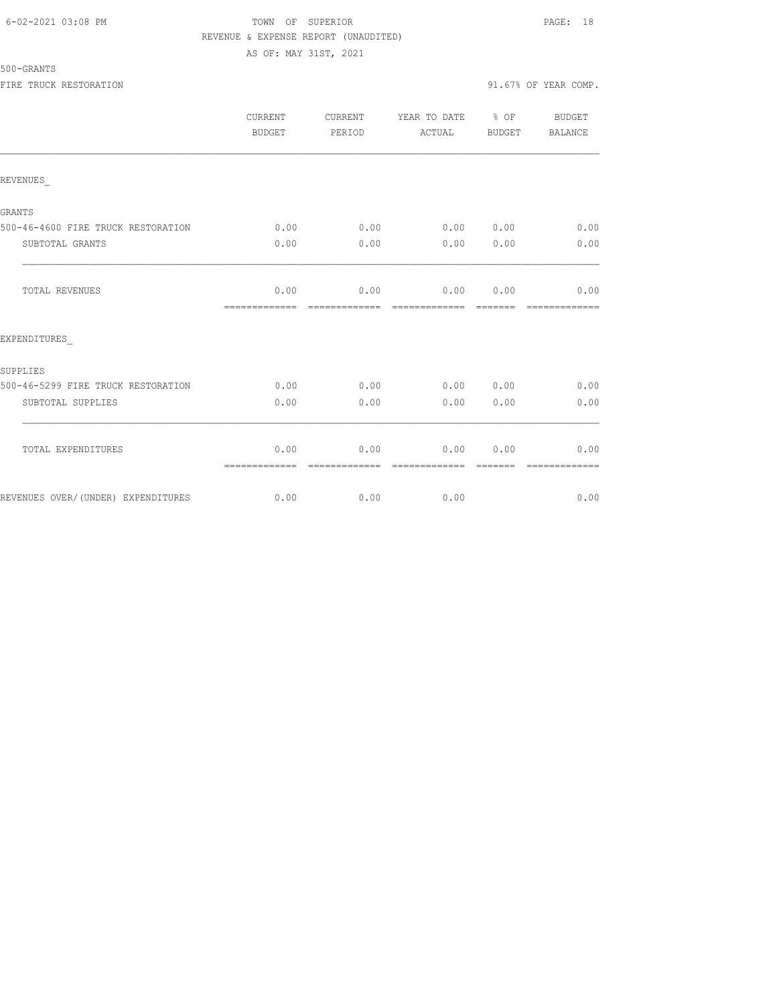### 6-02-2021 03:08 PM TOWN OF SUPERIOR PAGE: 18 REVENUE & EXPENSE REPORT (UNAUDITED) AS OF: MAY 31ST, 2021

|                                    | <b>CURRENT</b><br>BUDGET | CURRENT<br>PERIOD     | YEAR TO DATE % OF<br>ACTUAL  | BUDGET   | BUDGET<br><b>BALANCE</b> |
|------------------------------------|--------------------------|-----------------------|------------------------------|----------|--------------------------|
| REVENUES                           |                          |                       |                              |          |                          |
| <b>GRANTS</b>                      |                          |                       |                              |          |                          |
| 500-46-4600 FIRE TRUCK RESTORATION | 0.00                     | 0.00                  | 0.00 0.00                    |          | 0.00                     |
| SUBTOTAL GRANTS                    | 0.00                     | 0.00                  | 0.00                         | 0.00     | 0.00                     |
| <b>TOTAL REVENUES</b>              | 0.00<br>=============    | 0.00<br>------------- | 0.00000000<br>-------------- | -------- | 0.00                     |
| EXPENDITURES                       |                          |                       |                              |          |                          |
| SUPPLIES                           |                          |                       |                              |          |                          |
| 500-46-5299 FIRE TRUCK RESTORATION | 0.00                     | 0.00                  | 0.00 0.00                    |          | 0.00                     |
| SUBTOTAL SUPPLIES                  | 0.00                     | 0.00                  | 0.00                         | 0.00     | 0.00                     |
| TOTAL EXPENDITURES                 | 0.00<br>=============    | 0.00<br>------------- | 0.00<br>-------------        | 0.00     | 0.00                     |
| REVENUES OVER/(UNDER) EXPENDITURES | 0.00                     | 0.00                  | 0.00                         |          | 0.00                     |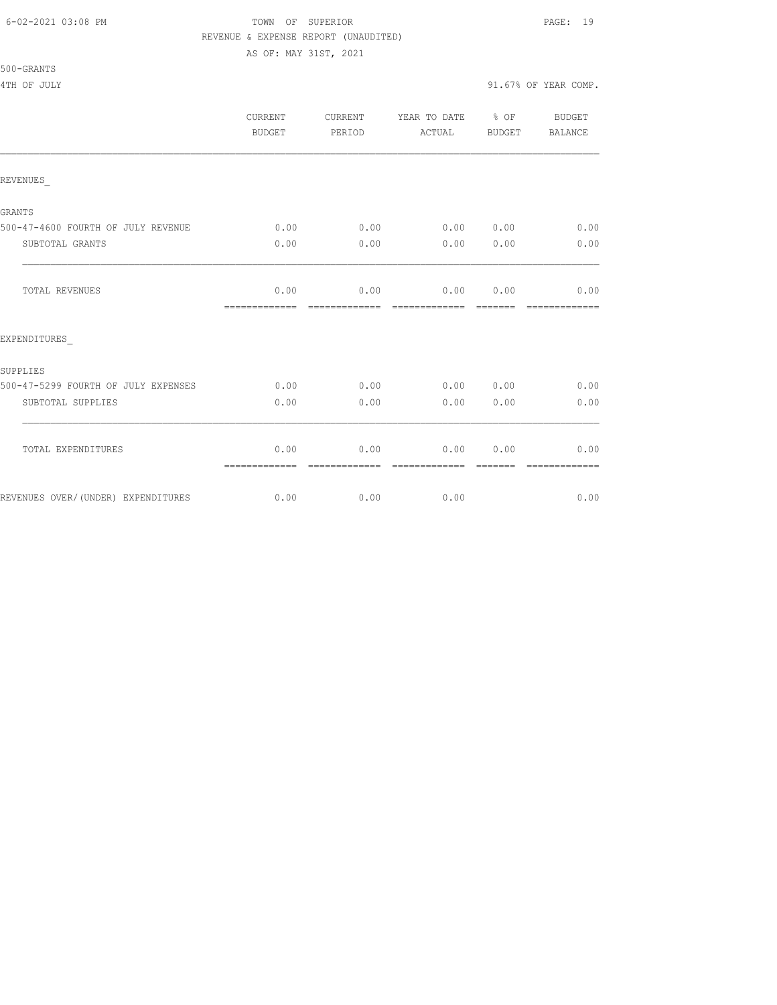#### 6-02-2021 03:08 PM TOWN OF SUPERIOR PAGE: 19 REVENUE & EXPENSE REPORT (UNAUDITED)

AS OF: MAY 31ST, 2021

| 500-GRANTS |  |
|------------|--|

|                                     | <b>CURRENT</b><br>BUDGET | <b>CURRENT</b><br>PERIOD | YEAR TO DATE % OF<br>ACTUAL | BUDGET           | <b>BUDGET</b><br><b>BALANCE</b> |
|-------------------------------------|--------------------------|--------------------------|-----------------------------|------------------|---------------------------------|
| REVENUES                            |                          |                          |                             |                  |                                 |
| GRANTS                              |                          |                          |                             |                  |                                 |
| 500-47-4600 FOURTH OF JULY REVENUE  | 0.00                     | 0.00                     | 0.00 0.00                   |                  | 0.00                            |
| SUBTOTAL GRANTS                     | 0.00                     | 0.00                     | 0.00                        | 0.00             | 0.00                            |
| TOTAL REVENUES                      | 0.00<br>=============    | 0.00                     | 0.00<br>-------------       | 0.00             | 0.00                            |
| EXPENDITURES                        |                          |                          |                             |                  |                                 |
| SUPPLIES                            |                          |                          |                             |                  |                                 |
| 500-47-5299 FOURTH OF JULY EXPENSES | 0.00                     | 0.00                     | 0.00 0.00                   |                  | 0.00                            |
| SUBTOTAL SUPPLIES                   | 0.00                     | 0.00                     | 0.00                        | 0.00             | 0.00                            |
| TOTAL EXPENDITURES                  | 0.00<br>=============    | 0.00<br>-------------    | 0.00<br>--------------      | 0.00<br>-------- | 0.00<br>-------------           |
| REVENUES OVER/(UNDER) EXPENDITURES  | 0.00                     | 0.00                     | 0.00                        |                  | 0.00                            |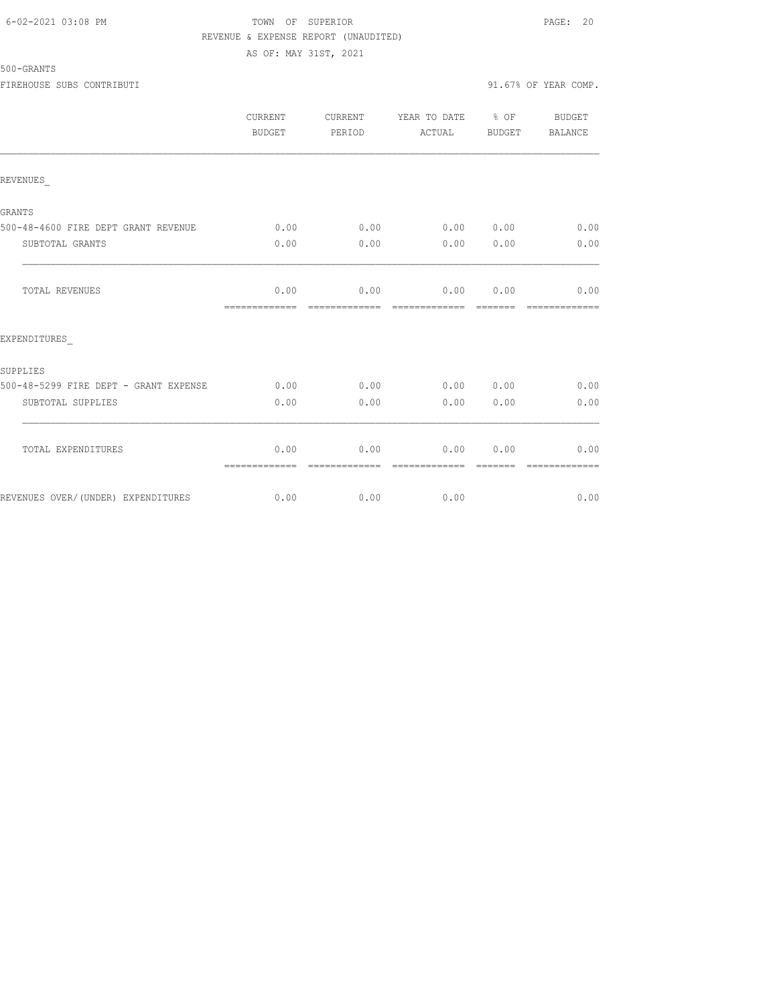### 6-02-2021 03:08 PM TOWN OF SUPERIOR PAGE: 20 REVENUE & EXPENSE REPORT (UNAUDITED) AS OF: MAY 31ST, 2021

|                                       | CURRENT<br><b>BUDGET</b> | CURRENT<br>PERIOD     | YEAR TO DATE % OF<br>ACTUAL | BUDGET   | <b>BUDGET</b><br>BALANCE |
|---------------------------------------|--------------------------|-----------------------|-----------------------------|----------|--------------------------|
| REVENUES                              |                          |                       |                             |          |                          |
| <b>GRANTS</b>                         |                          |                       |                             |          |                          |
| 500-48-4600 FIRE DEPT GRANT REVENUE   | 0.00                     | 0.00                  | 0.00                        | 0.00     | 0.00                     |
| SUBTOTAL GRANTS                       | 0.00                     | 0.00                  | 0.00                        | 0.00     | 0.00                     |
| TOTAL REVENUES                        | 0.00<br>=============    | 0.00<br>------------- | 0.00 0.00<br>-------------- | -------- | 0.00                     |
| EXPENDITURES                          |                          |                       |                             |          |                          |
| <b>SUPPLIES</b>                       |                          |                       |                             |          |                          |
| 500-48-5299 FIRE DEPT - GRANT EXPENSE | 0.00                     | 0.00                  | 0.00                        | 0.00     | 0.00                     |
| SUBTOTAL SUPPLIES                     | 0.00                     | 0.00                  | 0.00                        | 0.00     | 0.00                     |
| TOTAL EXPENDITURES                    | 0.00<br>=============    | 0.00<br>------------- | 0.00<br>-------------       | 0.00     | 0.00<br>=============    |
| REVENUES OVER/(UNDER) EXPENDITURES    | 0.00                     | 0.00                  | 0.00                        |          | 0.00                     |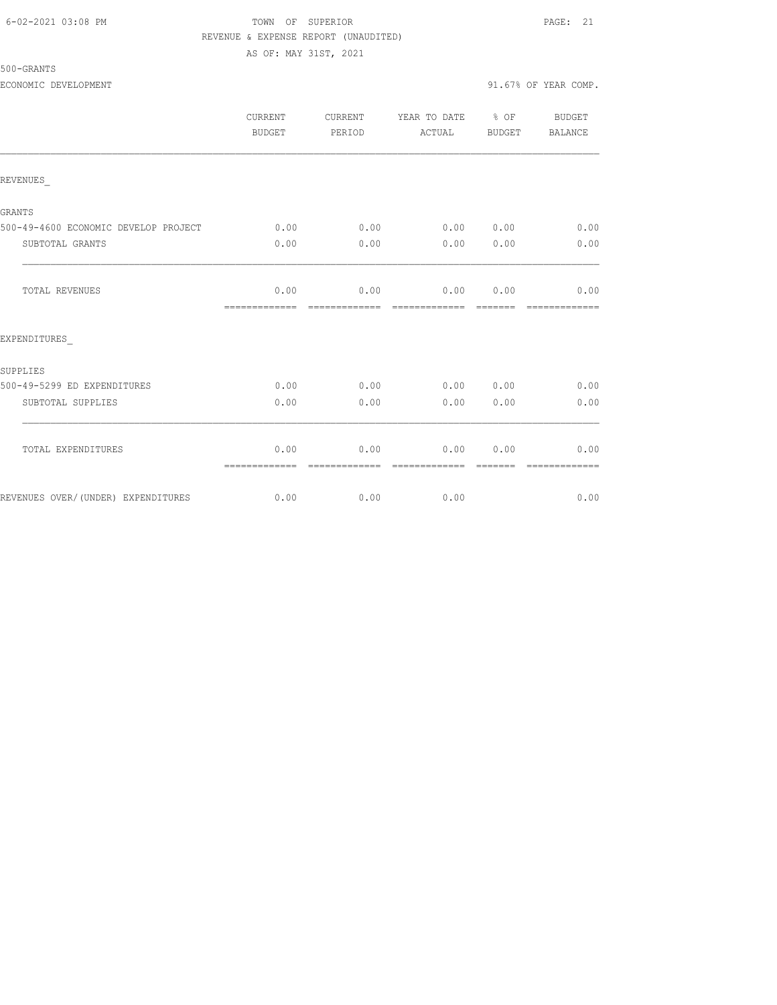#### 6-02-2021 03:08 PM TOWN OF SUPERIOR PAGE: 21 REVENUE & EXPENSE REPORT (UNAUDITED)

AS OF: MAY 31ST, 2021

| 500-GRANTS |  |
|------------|--|
|------------|--|

|                                      | CURRENT<br>BUDGET     | CURRENT<br>PERIOD     | YEAR TO DATE % OF<br>ACTUAL | BUDGET           | BUDGET<br>BALANCE     |
|--------------------------------------|-----------------------|-----------------------|-----------------------------|------------------|-----------------------|
| REVENUES                             |                       |                       |                             |                  |                       |
| GRANTS                               |                       |                       |                             |                  |                       |
| 500-49-4600 ECONOMIC DEVELOP PROJECT | 0.00                  | 0.00                  | 0.00 0.00                   |                  | 0.00                  |
| SUBTOTAL GRANTS                      | 0.00                  | 0.00                  | 0.00                        | 0.00             | 0.00                  |
| TOTAL REVENUES                       | 0.00<br>============= | 0.00<br>============= | 0.00 0.00<br>=============  |                  | 0.00<br>============= |
| EXPENDITURES                         |                       |                       |                             |                  |                       |
| SUPPLIES                             |                       |                       |                             |                  |                       |
| 500-49-5299 ED EXPENDITURES          | 0.00                  | 0.00                  | 0.00 0.00                   |                  | 0.00                  |
| SUBTOTAL SUPPLIES                    | 0.00                  | 0.00                  | 0.00                        | 0.00             | 0.00                  |
| TOTAL EXPENDITURES                   | 0.00<br>============= | 0.00<br>============= | 0.00<br>-------------       | 0.00<br>-------- | 0.00<br>============= |
| REVENUES OVER/(UNDER) EXPENDITURES   | 0.00                  | 0.00                  | 0.00                        |                  | 0.00                  |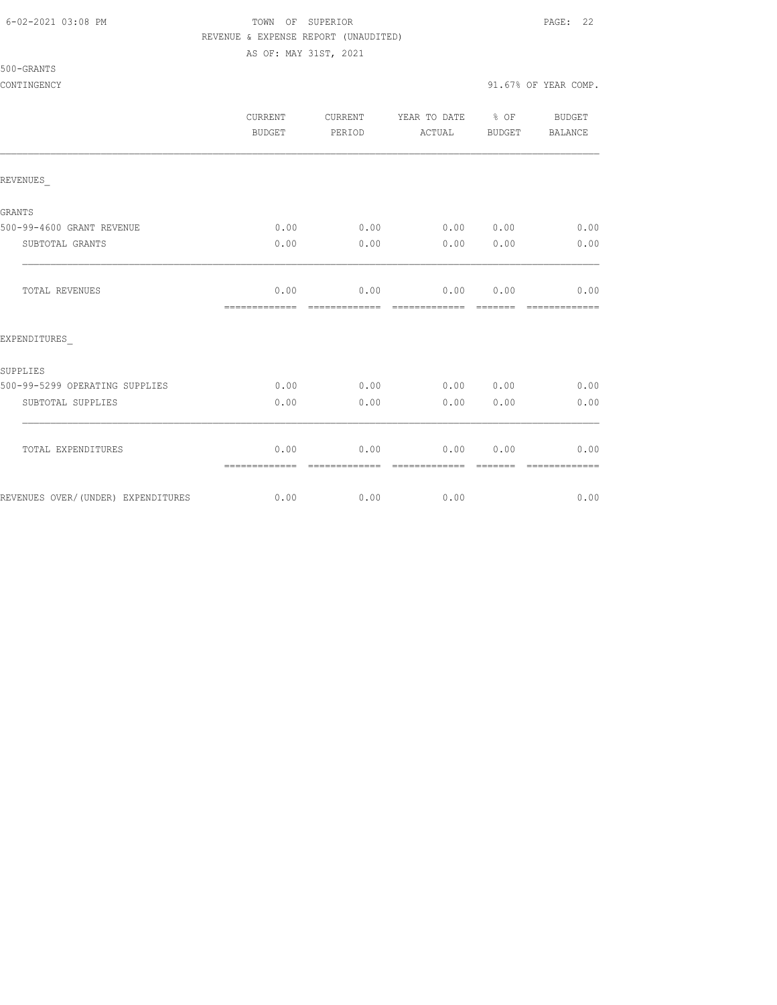#### 6-02-2021 03:08 PM TOWN OF SUPERIOR PAGE: 22 REVENUE & EXPENSE REPORT (UNAUDITED)

AS OF: MAY 31ST, 2021

|                                    | <b>CURRENT</b><br>BUDGET | CURRENT<br>PERIOD | YEAR TO DATE % OF<br>ACTUAL | BUDGET | <b>BUDGET</b><br>BALANCE |
|------------------------------------|--------------------------|-------------------|-----------------------------|--------|--------------------------|
| REVENUES                           |                          |                   |                             |        |                          |
| GRANTS                             |                          |                   |                             |        |                          |
| 500-99-4600 GRANT REVENUE          | 0.00                     | 0.00              | 0.00 0.00                   |        | 0.00                     |
| SUBTOTAL GRANTS                    | 0.00                     | 0.00              | 0.00                        | 0.00   | 0.00                     |
| TOTAL REVENUES                     | 0.00<br>=============    | =============     | $0.00$ $0.00$ $0.00$        |        | 0.00<br>=============    |
| EXPENDITURES                       |                          |                   |                             |        |                          |
| SUPPLIES                           |                          |                   |                             |        |                          |
| 500-99-5299 OPERATING SUPPLIES     | 0.00                     | 0.00              | 0.00                        | 0.00   | 0.00                     |
| SUBTOTAL SUPPLIES                  | 0.00                     | 0.00              | 0.00                        | 0.00   | 0.00                     |
| TOTAL EXPENDITURES                 | 0.00<br>=============    | 0.00              | 0.00<br>-------------       | 0.00   | 0.00<br>-------------    |
| REVENUES OVER/(UNDER) EXPENDITURES | 0.00                     | 0.00              | 0.00                        |        | 0.00                     |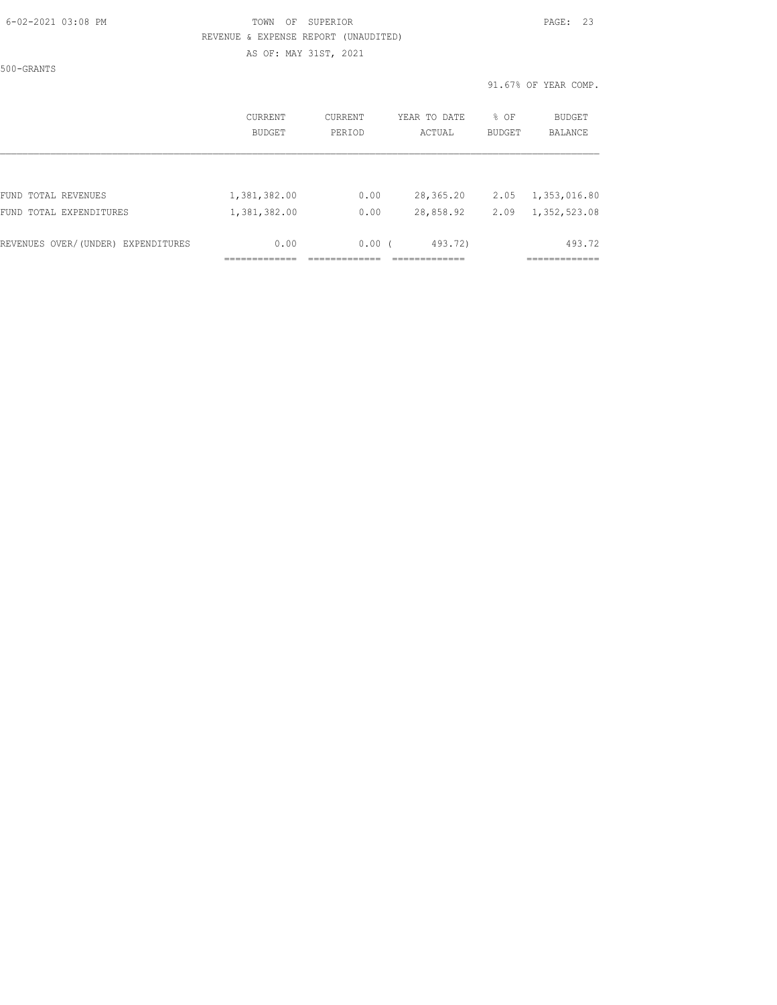### 6-02-2021 03:08 PM TOWN OF SUPERIOR PAGE: 23 REVENUE & EXPENSE REPORT (UNAUDITED) AS OF: MAY 31ST, 2021

500-GRANTS

91.67% OF YEAR COMP.

|                                    | CURRENT<br><b>BUDGET</b> | CURRENT<br>PERIOD | YEAR TO DATE<br>ACTUAL | % OF<br><b>BUDGET</b> | <b>BUDGET</b><br><b>BALANCE</b> |
|------------------------------------|--------------------------|-------------------|------------------------|-----------------------|---------------------------------|
| FUND TOTAL REVENUES                | 1,381,382.00             | 0.00              | 28,365.20              | 2.05                  | 1,353,016.80                    |
| FUND TOTAL EXPENDITURES            | 1,381,382.00             | 0.00              | 28,858.92              | 2.09                  | 1,352,523.08                    |
| REVENUES OVER/(UNDER) EXPENDITURES | 0.00                     | 0.00(             | 493.72)                |                       | 493.72                          |
|                                    |                          |                   |                        |                       |                                 |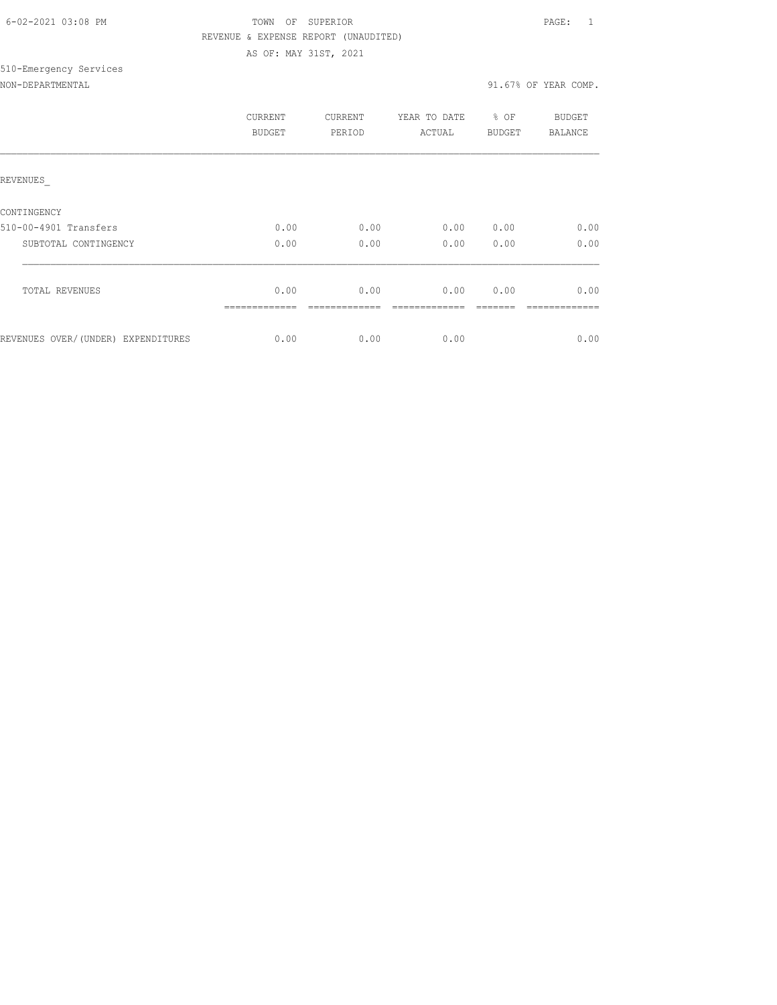| 6-02-2021 03:08 PM |  |  |
|--------------------|--|--|

510-Emergency Services

## TOWN OF SUPERIOR **Example 20:08 PAGE:** 1 REVENUE & EXPENSE REPORT (UNAUDITED) AS OF: MAY 31ST, 2021

NON-DEPARTMENTAL 31.67% OF YEAR COMP.

|                                     | <b>CURRENT</b><br><b>BUDGET</b> | CURRENT<br>PERIOD | YEAR TO DATE<br>ACTUAL | % OF<br><b>BUDGET</b> | BUDGET<br>BALANCE |
|-------------------------------------|---------------------------------|-------------------|------------------------|-----------------------|-------------------|
| REVENUES                            |                                 |                   |                        |                       |                   |
| CONTINGENCY                         |                                 |                   |                        |                       |                   |
| 510-00-4901 Transfers               | 0.00                            | 0.00              | 0.00                   | 0.00                  | 0.00              |
| SUBTOTAL CONTINGENCY                | 0.00                            | 0.00              | 0.00                   | 0.00                  | 0.00              |
| <b>TOTAL REVENUES</b>               | 0.00                            | 0.00              | 0.00                   | 0.00                  | 0.00              |
| REVENUES OVER/ (UNDER) EXPENDITURES | 0.00                            | 0.00              | 0.00                   |                       | 0.00              |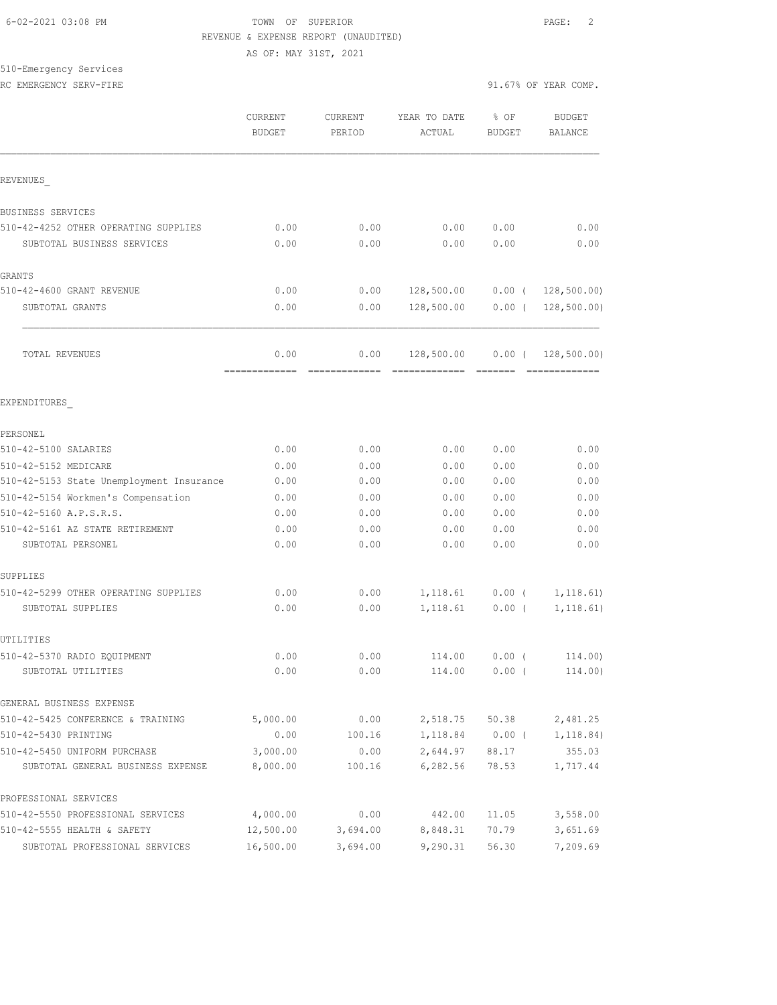### 6-02-2021 03:08 PM TOWN OF SUPERIOR PAGE: 2 REVENUE & EXPENSE REPORT (UNAUDITED)

AS OF: MAY 31ST, 2021

# 510-Emergency Services

|  | RC. | EMERGENCY SERV-FIRE |  |
|--|-----|---------------------|--|
|--|-----|---------------------|--|

|                                                   | CURRENT<br><b>BUDGET</b> | CURRENT<br>PERIOD | YEAR TO DATE<br><b>ACTUAL</b> | % OF<br><b>BUDGET</b> | <b>BUDGET</b><br><b>BALANCE</b> |
|---------------------------------------------------|--------------------------|-------------------|-------------------------------|-----------------------|---------------------------------|
| REVENUES                                          |                          |                   |                               |                       |                                 |
| BUSINESS SERVICES                                 |                          |                   |                               |                       |                                 |
| 510-42-4252 OTHER OPERATING SUPPLIES              | 0.00                     | 0.00              | 0.00                          | 0.00                  | 0.00                            |
| SUBTOTAL BUSINESS SERVICES                        | 0.00                     | 0.00              | 0.00                          | 0.00                  | 0.00                            |
| <b>GRANTS</b>                                     |                          |                   |                               |                       |                                 |
| 510-42-4600 GRANT REVENUE                         | 0.00                     | 0.00              | 128,500.00                    |                       | $0.00$ ( 128,500.00)            |
| SUBTOTAL GRANTS                                   | 0.00                     | 0.00              | 128,500.00                    | $0.00$ (              | 128, 500.00                     |
| TOTAL REVENUES                                    | 0.00                     | 0.00              | 128,500.00                    | $0.00$ (              | 128, 500.00)                    |
| EXPENDITURES                                      |                          |                   |                               |                       |                                 |
| PERSONEL                                          |                          |                   |                               |                       |                                 |
| 510-42-5100 SALARIES<br>510-42-5152 MEDICARE      | 0.00<br>0.00             | 0.00<br>0.00      | 0.00<br>0.00                  | 0.00<br>0.00          | 0.00<br>0.00                    |
| 510-42-5153 State Unemployment Insurance          | 0.00                     | 0.00              | 0.00                          | 0.00                  | 0.00                            |
| 510-42-5154 Workmen's Compensation                | 0.00                     | 0.00              | 0.00                          | 0.00                  | 0.00                            |
| 510-42-5160 A.P.S.R.S.                            | 0.00                     | 0.00              | 0.00                          | 0.00                  | 0.00                            |
| 510-42-5161 AZ STATE RETIREMENT                   | 0.00                     | 0.00              | 0.00                          | 0.00                  | 0.00                            |
| SUBTOTAL PERSONEL                                 | 0.00                     | 0.00              | 0.00                          | 0.00                  | 0.00                            |
| SUPPLIES                                          |                          |                   |                               |                       |                                 |
| 510-42-5299 OTHER OPERATING SUPPLIES              | 0.00                     | 0.00              | 1, 118.61                     | $0.00$ (              | 1, 118.61)                      |
| SUBTOTAL SUPPLIES                                 | 0.00                     | 0.00              | 1,118.61                      | $0.00$ (              | 1, 118.61)                      |
| UTILITIES                                         |                          |                   |                               |                       |                                 |
| 510-42-5370 RADIO EQUIPMENT<br>SUBTOTAL UTILITIES | 0.00<br>0.00             | 0.00<br>0.00      | 114.00<br>114.00              | $0.00$ (<br>$0.00$ (  | 114,00)<br>114.00)              |
| GENERAL BUSINESS EXPENSE                          |                          |                   |                               |                       |                                 |
| 510-42-5425 CONFERENCE & TRAINING                 | 5,000.00                 | 0.00              | 2,518.75                      | 50.38                 | 2,481.25                        |
| 510-42-5430 PRINTING                              | 0.00                     | 100.16            | 1,118.84                      | $0.00$ (              | 1, 118.84)                      |
| 510-42-5450 UNIFORM PURCHASE                      | 3,000.00                 | 0.00              | 2,644.97                      | 88.17                 | 355.03                          |
| SUBTOTAL GENERAL BUSINESS EXPENSE                 | 8,000.00                 | 100.16            | 6,282.56                      | 78.53                 | 1,717.44                        |
| PROFESSIONAL SERVICES                             |                          |                   |                               |                       |                                 |
| 510-42-5550 PROFESSIONAL SERVICES                 | 4,000.00                 | 0.00              | 442.00                        | 11.05                 | 3,558.00                        |
| 510-42-5555 HEALTH & SAFETY                       | 12,500.00                | 3,694.00          | 8,848.31                      | 70.79                 | 3,651.69                        |
| SUBTOTAL PROFESSIONAL SERVICES                    | 16,500.00                | 3,694.00          | 9,290.31                      | 56.30                 | 7,209.69                        |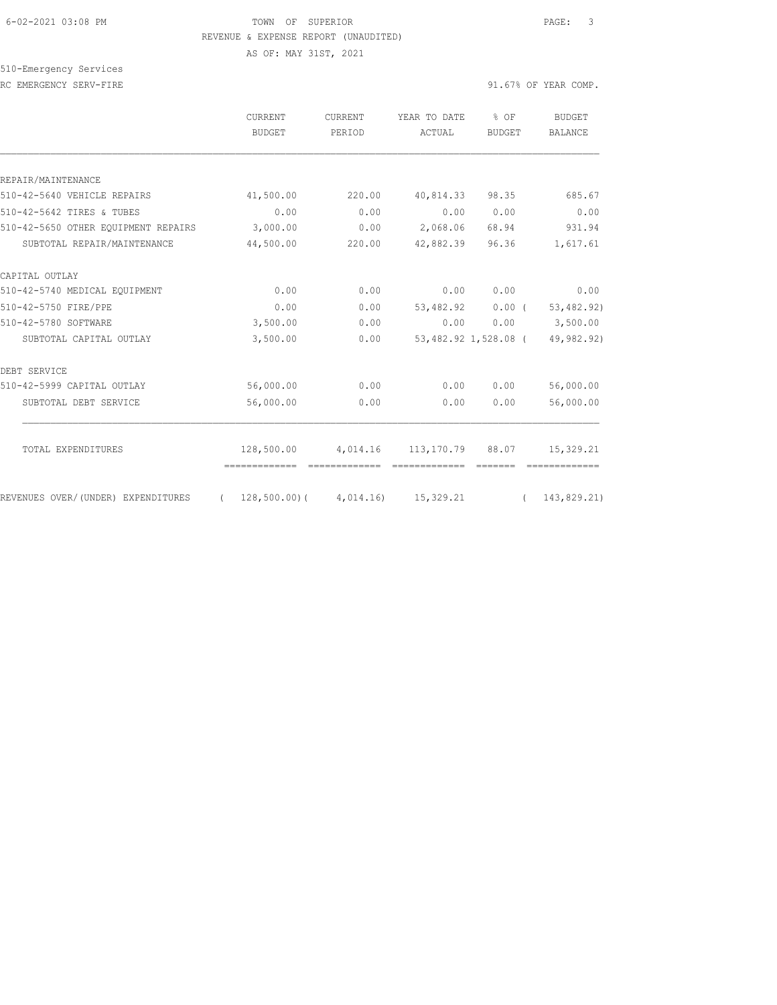#### 6-02-2021 03:08 PM TOWN OF SUPERIOR PAGE: 3 REVENUE & EXPENSE REPORT (UNAUDITED)

AS OF: MAY 31ST, 2021

510-Emergency Services

RC EMERGENCY SERV-FIRE **First** extending the series of the series of the series of the series of the series of the series of the series of the series of the series of the series of the series of the series of the series of

|                                     | <b>CURRENT</b><br>BUDGET                               | <b>CURRENT</b><br>PERIOD  | YEAR TO DATE<br>ACTUAL | % OF<br>BUDGET       | BUDGET<br><b>BALANCE</b> |
|-------------------------------------|--------------------------------------------------------|---------------------------|------------------------|----------------------|--------------------------|
| REPAIR/MAINTENANCE                  |                                                        |                           |                        |                      |                          |
| 510-42-5640 VEHICLE REPAIRS         | 41,500.00                                              | 220.00                    | 40,814.33 98.35        |                      | 685.67                   |
| 510-42-5642 TIRES & TUBES           | 0.00                                                   | 0.00                      | 0.00                   | 0.00                 | 0.00                     |
| 510-42-5650 OTHER EQUIPMENT REPAIRS | 3,000.00                                               |                           | $0.00$ 2,068.06        | 68.94                | 931.94                   |
| SUBTOTAL REPAIR/MAINTENANCE         | 44,500.00                                              | 220.00                    | 42,882.39              | 96.36                | 1,617.61                 |
| CAPITAL OUTLAY                      |                                                        |                           |                        |                      |                          |
| 510-42-5740 MEDICAL EQUIPMENT       | 0.00                                                   | 0.00                      | 0.00                   | 0.00                 | 0.00                     |
| 510-42-5750 FIRE/PPE                | 0.00                                                   | 0.00                      | 53,482.92              | $0.00$ (             | 53,482.92)               |
| 510-42-5780 SOFTWARE                | 3,500.00                                               | 0.00                      | 0.00                   | 0.00                 | 3,500.00                 |
| SUBTOTAL CAPITAL OUTLAY             | 3,500.00                                               | 0.00                      |                        | 53,482.92 1,528.08 ( | 49,982.92)               |
| DEBT SERVICE                        |                                                        |                           |                        |                      |                          |
| 510-42-5999 CAPITAL OUTLAY          | 56,000.00                                              | 0.00                      | 0.00                   | 0.00                 | 56,000.00                |
| SUBTOTAL DEBT SERVICE               | 56,000.00                                              | 0.00                      | 0.00                   | 0.00                 | 56,000.00                |
| TOTAL EXPENDITURES                  | 128,500.00                                             | 4,014.16 113,170.79 88.07 |                        |                      | 15,329.21                |
|                                     |                                                        |                           |                        |                      |                          |
| REVENUES OVER/(UNDER) EXPENDITURES  | $(128,500.00)$ $(4,014.16)$ $15,329.21$ $(143,829.21)$ |                           |                        |                      |                          |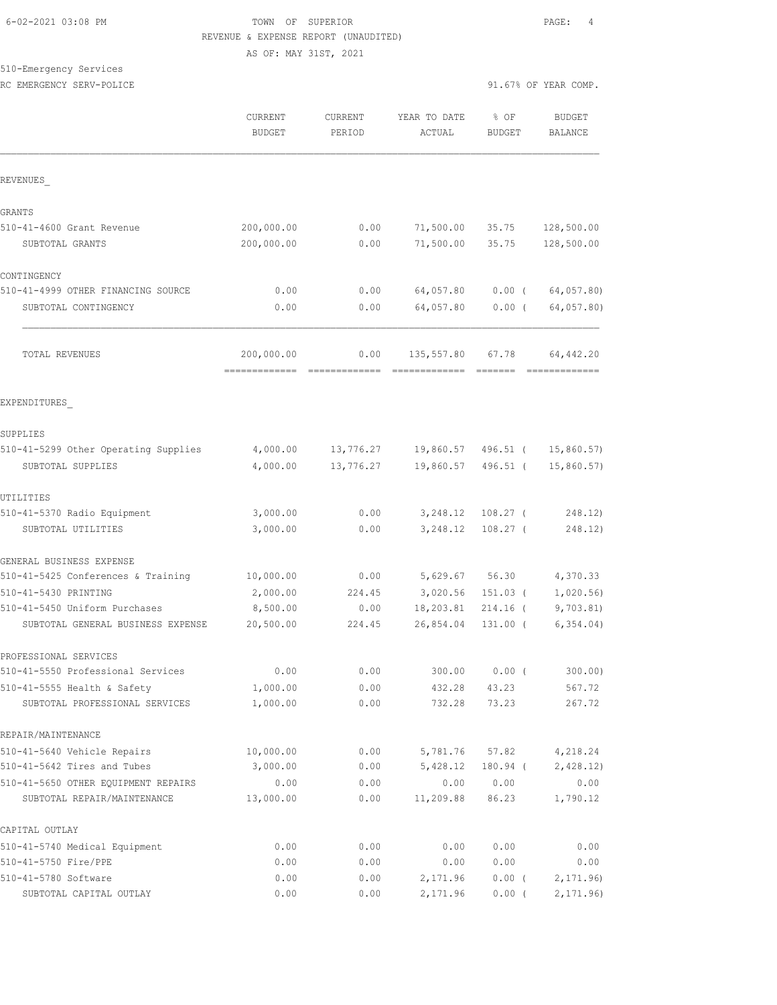### 6-02-2021 03:08 PM TOWN OF SUPERIOR PAGE: 4 REVENUE & EXPENSE REPORT (UNAUDITED) AS OF: MAY 31ST, 2021

510-Emergency Services

RC EMERGENCY SERV-POLICE **EXECUTE:** The series of the series of the series of the series of the series of the series of the series of the series of the series of the series of the series of the series of the series of the

|                                                               | CURRENT<br><b>BUDGET</b>    | CURRENT<br>PERIOD | YEAR TO DATE<br>ACTUAL      | % OF<br><b>BUDGET</b> | <b>BUDGET</b><br><b>BALANCE</b> |                  |
|---------------------------------------------------------------|-----------------------------|-------------------|-----------------------------|-----------------------|---------------------------------|------------------|
| REVENUES                                                      |                             |                   |                             |                       |                                 |                  |
| GRANTS                                                        |                             |                   |                             |                       |                                 |                  |
| 510-41-4600 Grant Revenue                                     | 200,000.00                  | 0.00              | 71,500.00                   | 35.75                 | 128,500.00                      |                  |
| SUBTOTAL GRANTS                                               | 200,000.00                  | 0.00              | 71,500.00                   | 35.75                 | 128,500.00                      |                  |
| CONTINGENCY                                                   |                             |                   |                             |                       |                                 |                  |
| 510-41-4999 OTHER FINANCING SOURCE                            | 0.00                        | 0.00              | 64,057.80                   | $0.00$ (              | 64,057.80                       |                  |
| SUBTOTAL CONTINGENCY                                          | 0.00                        | 0.00              | 64,057.80                   | $0.00$ (              | 64,057.80)                      |                  |
| TOTAL REVENUES                                                | 200,000.00<br>============= | 0.00              | 135,557.80<br>============= | 67.78                 | 64,442.20<br>=============      |                  |
| EXPENDITURES                                                  |                             |                   |                             |                       |                                 |                  |
| SUPPLIES                                                      |                             |                   |                             |                       |                                 |                  |
| 510-41-5299 Other Operating Supplies                          | 4,000.00                    | 13,776.27         | 19,860.57                   | 496.51 (              | 15,860.57                       |                  |
| SUBTOTAL SUPPLIES                                             | 4,000.00                    | 13,776.27         | 19,860.57                   | 496.51 (              | 15,860.57)                      |                  |
| UTILITIES                                                     |                             |                   |                             |                       |                                 |                  |
| 510-41-5370 Radio Equipment                                   | 3,000.00                    | 0.00              | 3,248.12                    | $108.27$ (            |                                 | 248.12)          |
| SUBTOTAL UTILITIES                                            | 3,000.00                    | 0.00              | 3,248.12                    | $108.27$ (            |                                 | 248.12)          |
| GENERAL BUSINESS EXPENSE                                      |                             |                   |                             |                       |                                 |                  |
| 510-41-5425 Conferences & Training                            | 10,000.00                   | 0.00              | 5,629.67                    | 56.30                 | 4,370.33                        |                  |
| 510-41-5430 PRINTING                                          | 2,000.00                    | 224.45            | 3,020.56                    | $151.03$ (            | 1,020.56                        |                  |
| 510-41-5450 Uniform Purchases                                 | 8,500.00                    | 0.00              | 18,203.81                   | 214.16 (              | 9,703.81                        |                  |
| SUBTOTAL GENERAL BUSINESS EXPENSE                             | 20,500.00                   | 224.45            | 26,854.04                   | $131.00$ (            | 6, 354.04)                      |                  |
| PROFESSIONAL SERVICES                                         |                             |                   |                             |                       |                                 |                  |
| 510-41-5550 Professional Services                             | 0.00                        | 0.00              | 300.00                      | $0.00$ (              |                                 | $300.00$ )       |
| 510-41-5555 Health & Safety<br>SUBTOTAL PROFESSIONAL SERVICES | 1,000.00<br>1,000.00        | 0.00<br>0.00      | 432.28<br>732.28            | 43.23<br>73.23        |                                 | 567.72<br>267.72 |
| REPAIR/MAINTENANCE                                            |                             |                   |                             |                       |                                 |                  |
| 510-41-5640 Vehicle Repairs                                   | 10,000.00                   | 0.00              | 5,781.76                    | 57.82                 | 4,218.24                        |                  |
| 510-41-5642 Tires and Tubes                                   | 3,000.00                    | 0.00              | 5,428.12                    | 180.94 (              | 2,428.12)                       |                  |
| 510-41-5650 OTHER EOUIPMENT REPAIRS                           | 0.00                        | 0.00              | 0.00                        | 0.00                  |                                 | 0.00             |
| SUBTOTAL REPAIR/MAINTENANCE                                   | 13,000.00                   | 0.00              | 11,209.88                   | 86.23                 | 1,790.12                        |                  |
| CAPITAL OUTLAY                                                |                             |                   |                             |                       |                                 |                  |
| 510-41-5740 Medical Equipment                                 | 0.00                        | 0.00              | 0.00                        | 0.00                  |                                 | 0.00             |
| 510-41-5750 Fire/PPE                                          | 0.00                        | 0.00              | 0.00                        | 0.00                  |                                 | 0.00             |
| 510-41-5780 Software                                          | 0.00                        | 0.00              | 2,171.96                    | $0.00$ (              | 2, 171.96                       |                  |
| SUBTOTAL CAPITAL OUTLAY                                       | 0.00                        | 0.00              | 2,171.96                    | $0.00$ (              | 2,171.96                        |                  |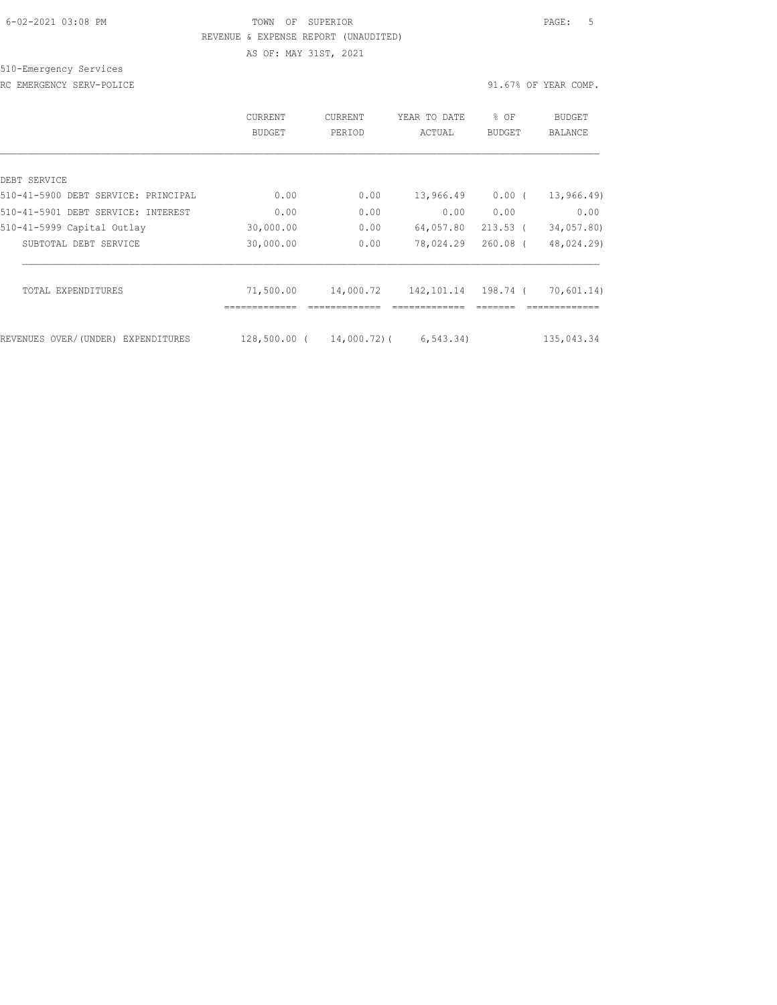### 6-02-2021 03:08 PM TOWN OF SUPERIOR PAGE: 5 REVENUE & EXPENSE REPORT (UNAUDITED) AS OF: MAY 31ST, 2021

510-Emergency Services

RC EMERGENCY SERV-POLICE **EXECUTE:** The series of the series of the series of the series of the series of the series of the series of the series of the series of the series of the series of the series of the series of the

|                                     | CURRENT<br>BUDGET           | CURRENT<br>PERIOD | YEAR TO DATE<br>ACTUAL | % OF<br><b>BUDGET</b> | BUDGET<br>BALANCE |
|-------------------------------------|-----------------------------|-------------------|------------------------|-----------------------|-------------------|
| DEBT SERVICE                        |                             |                   |                        |                       |                   |
| 510-41-5900 DEBT SERVICE: PRINCIPAL | 0.00                        | 0.00              | 13,966.49              | 0.00(                 | 13, 966.49        |
| 510-41-5901 DEBT SERVICE: INTEREST  | 0.00                        | 0.00              | 0.00                   | 0.00                  | 0.00              |
| 510-41-5999 Capital Outlay          | 30,000.00                   | 0.00              | 64,057.80              | $213.53$ (            | 34,057.80)        |
| SUBTOTAL DEBT SERVICE               | 30,000.00                   | 0.00              | 78,024.29              | $260.08$ (            | 48,024.29)        |
| TOTAL EXPENDITURES                  | 71,500.00                   | 14,000.72         | 142,101.14 198.74 (    |                       | 70,601.14)        |
| REVENUES OVER/(UNDER) EXPENDITURES  | -----------<br>128,500.00 ( | 14,000.72)(       | 6, 543.34)             |                       | 135,043.34        |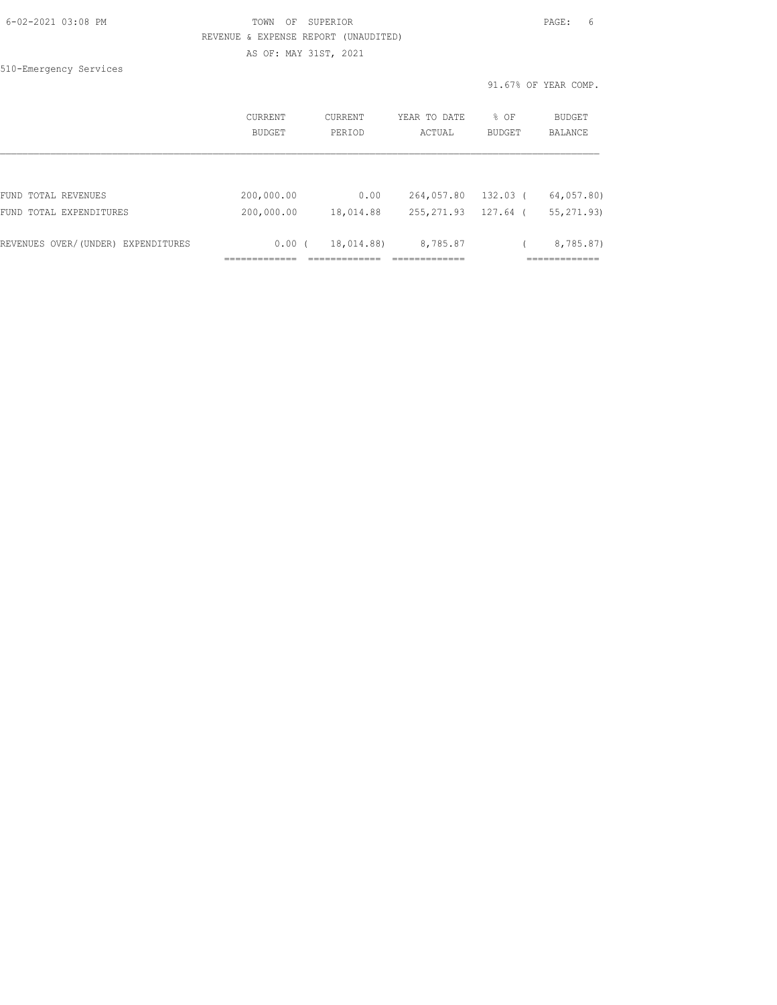| 6-02-2021 03:08 PM |  |
|--------------------|--|
|                    |  |

## FOWN OF SUPERIOR **Example 20:08 PAGE:** 6 REVENUE & EXPENSE REPORT (UNAUDITED) AS OF: MAY 31ST, 2021

510-Emergency Services

91.67% OF YEAR COMP.

|                                    | CURRENT<br>BUDGET | CURRENT<br>PERIOD | YEAR TO DATE<br>ACTUAL | % OF<br>BUDGET | <b>BUDGET</b><br>BALANCE |
|------------------------------------|-------------------|-------------------|------------------------|----------------|--------------------------|
|                                    |                   |                   |                        |                |                          |
| FUND TOTAL REVENUES                | 200,000.00        | 0.00              | 264,057.80             | 132.03 (       | 64,057.80)               |
| FUND TOTAL EXPENDITURES            | 200,000.00        | 18,014.88         | 255, 271.93            | 127.64 (       | 55, 271, 93)             |
| REVENUES OVER/(UNDER) EXPENDITURES | 0.00(             | 18,014.88)        | 8,785.87               |                | 8,785.87)                |
|                                    |                   |                   |                        |                |                          |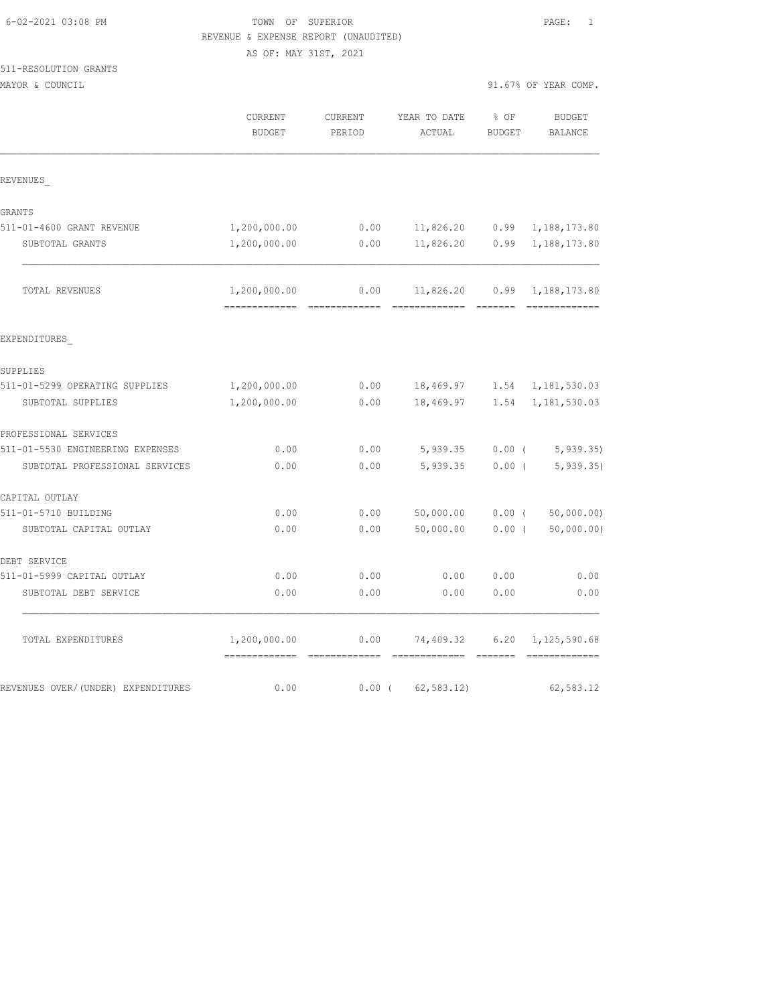|                                     | AS OF: MAY 31ST, 2021 |          |              |               |                              |
|-------------------------------------|-----------------------|----------|--------------|---------------|------------------------------|
| 511-RESOLUTION GRANTS               |                       |          |              |               |                              |
| MAYOR & COUNCIL                     |                       |          |              |               | 91.67% OF YEAR COMP.         |
|                                     | CURRENT               | CURRENT  | YEAR TO DATE | % OF          | <b>BUDGET</b>                |
|                                     | <b>BUDGET</b>         | PERIOD   | ACTUAL       | <b>BUDGET</b> | <b>BALANCE</b>               |
| REVENUES                            |                       |          |              |               |                              |
|                                     |                       |          |              |               |                              |
| GRANTS<br>511-01-4600 GRANT REVENUE | 1,200,000.00          | 0.00     | 11,826.20    | 0.99          |                              |
| SUBTOTAL GRANTS                     | 1,200,000.00          | 0.00     | 11,826.20    | 0.99          | 1,188,173.80<br>1,188,173.80 |
| TOTAL REVENUES                      | 1,200,000.00          | 0.00     | 11,826.20    | 0.99          | 1,188,173.80                 |
| EXPENDITURES                        |                       |          |              |               |                              |
| SUPPLIES                            |                       |          |              |               |                              |
| 511-01-5299 OPERATING SUPPLIES      | 1,200,000.00          | 0.00     | 18,469.97    | 1.54          | 1,181,530.03                 |
| SUBTOTAL SUPPLIES                   | 1,200,000.00          | 0.00     | 18,469.97    | 1.54          | 1,181,530.03                 |
| PROFESSIONAL SERVICES               |                       |          |              |               |                              |
| 511-01-5530 ENGINEERING EXPENSES    | 0.00                  | 0.00     | 5,939.35     | $0.00$ (      | 5, 939.35                    |
| SUBTOTAL PROFESSIONAL SERVICES      | 0.00                  | 0.00     | 5,939.35     | $0.00$ (      | 5, 939.35                    |
| CAPITAL OUTLAY                      |                       |          |              |               |                              |
| 511-01-5710 BUILDING                | 0.00                  | 0.00     | 50,000.00    | $0.00$ (      | 50,000.00)                   |
| SUBTOTAL CAPITAL OUTLAY             | 0.00                  | 0.00     | 50,000.00    | 0.00(         | 50,000.00)                   |
| DEBT SERVICE                        |                       |          |              |               |                              |
| 511-01-5999 CAPITAL OUTLAY          | 0.00                  | 0.00     | 0.00         | 0.00          | 0.00                         |
| SUBTOTAL DEBT SERVICE               | 0.00                  | 0.00     | 0.00         | 0.00          | 0.00                         |
| TOTAL EXPENDITURES                  | 1,200,000.00          | 0.00     | 74,409.32    | 6.20          | 1,125,590.68                 |
| REVENUES OVER/(UNDER) EXPENDITURES  | 0.00                  | $0.00$ ( | 62, 583.12)  |               | 62,583.12                    |

6-02-2021 03:08 PM TOWN OF SUPERIOR PAGE: 1

REVENUE & EXPENSE REPORT (UNAUDITED)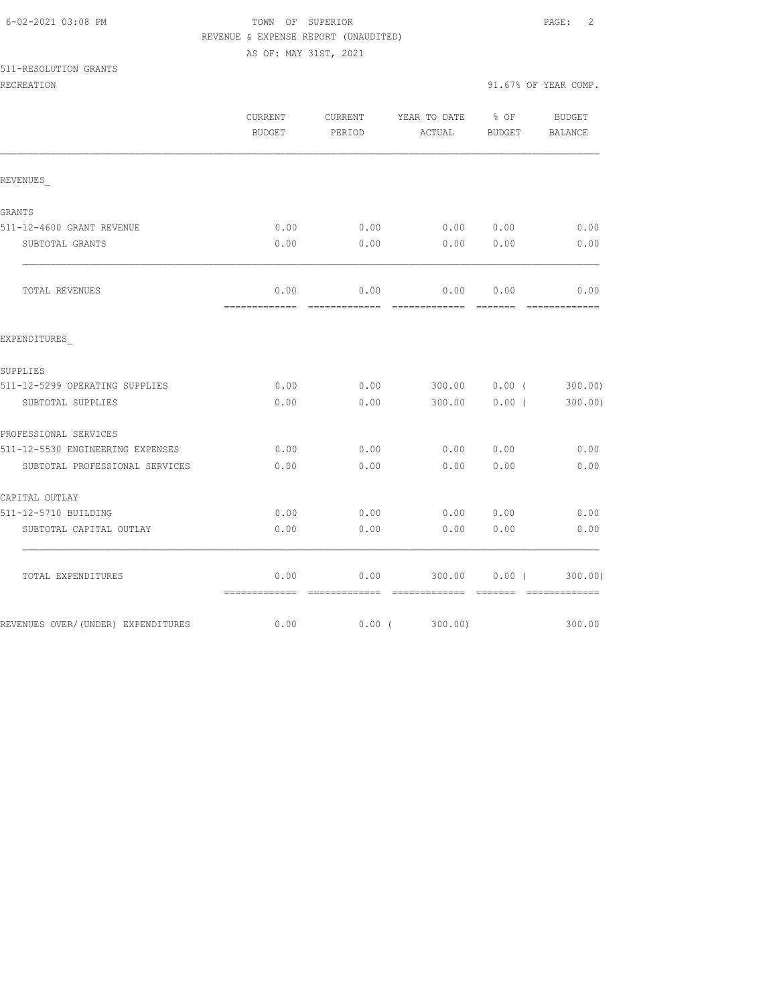# FOWN OF SUPERIOR **Example 2** PAGE: 2 REVENUE & EXPENSE REPORT (UNAUDITED)

AS OF: MAY 31ST, 2021

511-RESOLUTION GRANTS

| RECREATION |  |  |
|------------|--|--|
|            |  |  |
|            |  |  |
|            |  |  |

|                                    | CURRENT<br><b>BUDGET</b>                                                                                                                                                                                                                                                                                                                                                                                                                                                                           | CURRENT<br>PERIOD      | YEAR TO DATE<br>ACTUAL                                                                                                                                                                                                                                                                                                                                                                                                                                                                           | $8$ OF<br>BUDGET            | BUDGET<br>BALANCE                                                                                                                                                                                                                                                                                                                                                                                                                                                                                 |
|------------------------------------|----------------------------------------------------------------------------------------------------------------------------------------------------------------------------------------------------------------------------------------------------------------------------------------------------------------------------------------------------------------------------------------------------------------------------------------------------------------------------------------------------|------------------------|--------------------------------------------------------------------------------------------------------------------------------------------------------------------------------------------------------------------------------------------------------------------------------------------------------------------------------------------------------------------------------------------------------------------------------------------------------------------------------------------------|-----------------------------|---------------------------------------------------------------------------------------------------------------------------------------------------------------------------------------------------------------------------------------------------------------------------------------------------------------------------------------------------------------------------------------------------------------------------------------------------------------------------------------------------|
| REVENUES                           |                                                                                                                                                                                                                                                                                                                                                                                                                                                                                                    |                        |                                                                                                                                                                                                                                                                                                                                                                                                                                                                                                  |                             |                                                                                                                                                                                                                                                                                                                                                                                                                                                                                                   |
| GRANTS                             |                                                                                                                                                                                                                                                                                                                                                                                                                                                                                                    |                        |                                                                                                                                                                                                                                                                                                                                                                                                                                                                                                  |                             |                                                                                                                                                                                                                                                                                                                                                                                                                                                                                                   |
| 511-12-4600 GRANT REVENUE          | 0.00                                                                                                                                                                                                                                                                                                                                                                                                                                                                                               | 0.00                   | 0.000000                                                                                                                                                                                                                                                                                                                                                                                                                                                                                         |                             | 0.00                                                                                                                                                                                                                                                                                                                                                                                                                                                                                              |
| SUBTOTAL GRANTS                    | 0.00                                                                                                                                                                                                                                                                                                                                                                                                                                                                                               | 0.00                   | 0.00                                                                                                                                                                                                                                                                                                                                                                                                                                                                                             | 0.00                        | 0.00                                                                                                                                                                                                                                                                                                                                                                                                                                                                                              |
| TOTAL REVENUES                     | 0.00                                                                                                                                                                                                                                                                                                                                                                                                                                                                                               | 0.00                   | 0.00                                                                                                                                                                                                                                                                                                                                                                                                                                                                                             | 0.00                        | 0.00<br>- cocococococo                                                                                                                                                                                                                                                                                                                                                                                                                                                                            |
| EXPENDITURES                       |                                                                                                                                                                                                                                                                                                                                                                                                                                                                                                    |                        |                                                                                                                                                                                                                                                                                                                                                                                                                                                                                                  |                             |                                                                                                                                                                                                                                                                                                                                                                                                                                                                                                   |
| SUPPLIES                           |                                                                                                                                                                                                                                                                                                                                                                                                                                                                                                    |                        |                                                                                                                                                                                                                                                                                                                                                                                                                                                                                                  |                             |                                                                                                                                                                                                                                                                                                                                                                                                                                                                                                   |
| 511-12-5299 OPERATING SUPPLIES     | 0.00                                                                                                                                                                                                                                                                                                                                                                                                                                                                                               |                        | $0.00$ 300.00 0.00 (                                                                                                                                                                                                                                                                                                                                                                                                                                                                             |                             | 300.00)                                                                                                                                                                                                                                                                                                                                                                                                                                                                                           |
| SUBTOTAL SUPPLIES                  | 0.00                                                                                                                                                                                                                                                                                                                                                                                                                                                                                               |                        | $0.00$ 300.00                                                                                                                                                                                                                                                                                                                                                                                                                                                                                    | 0.00(                       | 300.00)                                                                                                                                                                                                                                                                                                                                                                                                                                                                                           |
| PROFESSIONAL SERVICES              |                                                                                                                                                                                                                                                                                                                                                                                                                                                                                                    |                        |                                                                                                                                                                                                                                                                                                                                                                                                                                                                                                  |                             |                                                                                                                                                                                                                                                                                                                                                                                                                                                                                                   |
| 511-12-5530 ENGINEERING EXPENSES   | 0.00                                                                                                                                                                                                                                                                                                                                                                                                                                                                                               | 0.00                   | 0.00                                                                                                                                                                                                                                                                                                                                                                                                                                                                                             | 0.00                        | 0.00                                                                                                                                                                                                                                                                                                                                                                                                                                                                                              |
| SUBTOTAL PROFESSIONAL SERVICES     | 0.00                                                                                                                                                                                                                                                                                                                                                                                                                                                                                               | 0.00                   | 0.00                                                                                                                                                                                                                                                                                                                                                                                                                                                                                             | 0.00                        | 0.00                                                                                                                                                                                                                                                                                                                                                                                                                                                                                              |
| CAPITAL OUTLAY                     |                                                                                                                                                                                                                                                                                                                                                                                                                                                                                                    |                        |                                                                                                                                                                                                                                                                                                                                                                                                                                                                                                  |                             |                                                                                                                                                                                                                                                                                                                                                                                                                                                                                                   |
| 511-12-5710 BUILDING               | 0.00                                                                                                                                                                                                                                                                                                                                                                                                                                                                                               | 0.00                   | 0.00                                                                                                                                                                                                                                                                                                                                                                                                                                                                                             | 0.00                        | 0.00                                                                                                                                                                                                                                                                                                                                                                                                                                                                                              |
| SUBTOTAL CAPITAL OUTLAY            | 0.00                                                                                                                                                                                                                                                                                                                                                                                                                                                                                               | 0.00                   | 0.00                                                                                                                                                                                                                                                                                                                                                                                                                                                                                             | 0.00                        | 0.00                                                                                                                                                                                                                                                                                                                                                                                                                                                                                              |
| TOTAL EXPENDITURES                 | 0.00<br>$\begin{minipage}{0.9\linewidth} \begin{tabular}{l} \multicolumn{2}{l}{} & \multicolumn{2}{l}{} & \multicolumn{2}{l}{} \\ \multicolumn{2}{l}{} & \multicolumn{2}{l}{} & \multicolumn{2}{l}{} \\ \multicolumn{2}{l}{} & \multicolumn{2}{l}{} & \multicolumn{2}{l}{} \\ \multicolumn{2}{l}{} & \multicolumn{2}{l}{} & \multicolumn{2}{l}{} \\ \multicolumn{2}{l}{} & \multicolumn{2}{l}{} & \multicolumn{2}{l}{} \\ \multicolumn{2}{l}{} & \multicolumn{2}{l}{} & \multicolumn{2}{l}{} \\ \$ | 0.00<br>- cooccooccooc | 300.00<br>$\begin{array}{cccccccccc} \multicolumn{2}{c}{} & \multicolumn{2}{c}{} & \multicolumn{2}{c}{} & \multicolumn{2}{c}{} & \multicolumn{2}{c}{} & \multicolumn{2}{c}{} & \multicolumn{2}{c}{} & \multicolumn{2}{c}{} & \multicolumn{2}{c}{} & \multicolumn{2}{c}{} & \multicolumn{2}{c}{} & \multicolumn{2}{c}{} & \multicolumn{2}{c}{} & \multicolumn{2}{c}{} & \multicolumn{2}{c}{} & \multicolumn{2}{c}{} & \multicolumn{2}{c}{} & \multicolumn{2}{c}{} & \multicolumn{2}{c}{} & \mult$ | $0.00$ (<br><b>CONSIDER</b> | 300.00)<br>$\begin{array}{cccccccccc} \multicolumn{2}{c}{} & \multicolumn{2}{c}{} & \multicolumn{2}{c}{} & \multicolumn{2}{c}{} & \multicolumn{2}{c}{} & \multicolumn{2}{c}{} & \multicolumn{2}{c}{} & \multicolumn{2}{c}{} & \multicolumn{2}{c}{} & \multicolumn{2}{c}{} & \multicolumn{2}{c}{} & \multicolumn{2}{c}{} & \multicolumn{2}{c}{} & \multicolumn{2}{c}{} & \multicolumn{2}{c}{} & \multicolumn{2}{c}{} & \multicolumn{2}{c}{} & \multicolumn{2}{c}{} & \multicolumn{2}{c}{} & \mult$ |
| REVENUES OVER/(UNDER) EXPENDITURES | 0.00                                                                                                                                                                                                                                                                                                                                                                                                                                                                                               |                        | $0.00$ ( 300.00)                                                                                                                                                                                                                                                                                                                                                                                                                                                                                 |                             | 300.00                                                                                                                                                                                                                                                                                                                                                                                                                                                                                            |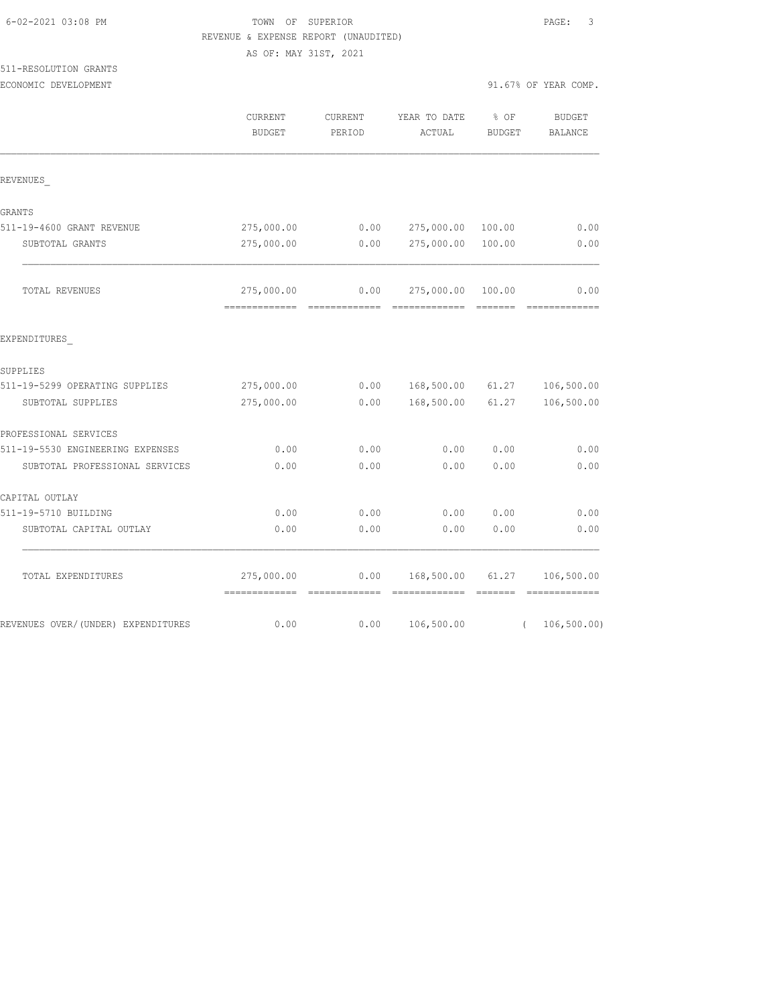| 6-02-2021 03:08 PM |  |
|--------------------|--|
|                    |  |

# FOWN OF SUPERIOR **Example 2021** PAGE: 3 REVENUE & EXPENSE REPORT (UNAUDITED)

AS OF: MAY 31ST, 2021

# 511-RESOLUTION GRANTS

|                                    | CURRENT<br><b>BUDGET</b>                                                                                                                                                                                                                                                                                                                                                                                                                                                                             | CURRENT<br>PERIOD     | YEAR TO DATE<br>ACTUAL                                                                                                                                                                                                                                                                                                                                                                                                                                                                               | % OF<br><b>BUDGET</b>                                                                                                                                                                                                                                                                                                                                                                                                                                                                           | <b>BUDGET</b><br><b>BALANCE</b> |
|------------------------------------|------------------------------------------------------------------------------------------------------------------------------------------------------------------------------------------------------------------------------------------------------------------------------------------------------------------------------------------------------------------------------------------------------------------------------------------------------------------------------------------------------|-----------------------|------------------------------------------------------------------------------------------------------------------------------------------------------------------------------------------------------------------------------------------------------------------------------------------------------------------------------------------------------------------------------------------------------------------------------------------------------------------------------------------------------|-------------------------------------------------------------------------------------------------------------------------------------------------------------------------------------------------------------------------------------------------------------------------------------------------------------------------------------------------------------------------------------------------------------------------------------------------------------------------------------------------|---------------------------------|
| REVENUES                           |                                                                                                                                                                                                                                                                                                                                                                                                                                                                                                      |                       |                                                                                                                                                                                                                                                                                                                                                                                                                                                                                                      |                                                                                                                                                                                                                                                                                                                                                                                                                                                                                                 |                                 |
| GRANTS                             |                                                                                                                                                                                                                                                                                                                                                                                                                                                                                                      |                       |                                                                                                                                                                                                                                                                                                                                                                                                                                                                                                      |                                                                                                                                                                                                                                                                                                                                                                                                                                                                                                 |                                 |
| 511-19-4600 GRANT REVENUE          | 275,000.00                                                                                                                                                                                                                                                                                                                                                                                                                                                                                           | 0.00                  | 275,000.00                                                                                                                                                                                                                                                                                                                                                                                                                                                                                           | 100.00                                                                                                                                                                                                                                                                                                                                                                                                                                                                                          | 0.00                            |
| SUBTOTAL GRANTS                    | 275,000.00                                                                                                                                                                                                                                                                                                                                                                                                                                                                                           | 0.00                  | 275,000.00                                                                                                                                                                                                                                                                                                                                                                                                                                                                                           | 100.00                                                                                                                                                                                                                                                                                                                                                                                                                                                                                          | 0.00                            |
| TOTAL REVENUES                     | 275,000.00<br>$\begin{array}{cccccccccc} \multicolumn{2}{c}{} & \multicolumn{2}{c}{} & \multicolumn{2}{c}{} & \multicolumn{2}{c}{} & \multicolumn{2}{c}{} & \multicolumn{2}{c}{} & \multicolumn{2}{c}{} & \multicolumn{2}{c}{} & \multicolumn{2}{c}{} & \multicolumn{2}{c}{} & \multicolumn{2}{c}{} & \multicolumn{2}{c}{} & \multicolumn{2}{c}{} & \multicolumn{2}{c}{} & \multicolumn{2}{c}{} & \multicolumn{2}{c}{} & \multicolumn{2}{c}{} & \multicolumn{2}{c}{} & \multicolumn{2}{c}{} & \mult$ | 0.00<br>============= | 275,000.00<br>$\begin{array}{cccccccccc} \multicolumn{2}{c}{} & \multicolumn{2}{c}{} & \multicolumn{2}{c}{} & \multicolumn{2}{c}{} & \multicolumn{2}{c}{} & \multicolumn{2}{c}{} & \multicolumn{2}{c}{} & \multicolumn{2}{c}{} & \multicolumn{2}{c}{} & \multicolumn{2}{c}{} & \multicolumn{2}{c}{} & \multicolumn{2}{c}{} & \multicolumn{2}{c}{} & \multicolumn{2}{c}{} & \multicolumn{2}{c}{} & \multicolumn{2}{c}{} & \multicolumn{2}{c}{} & \multicolumn{2}{c}{} & \multicolumn{2}{c}{} & \mult$ | 100.00                                                                                                                                                                                                                                                                                                                                                                                                                                                                                          | 0.00<br>=============           |
| EXPENDITURES                       |                                                                                                                                                                                                                                                                                                                                                                                                                                                                                                      |                       |                                                                                                                                                                                                                                                                                                                                                                                                                                                                                                      |                                                                                                                                                                                                                                                                                                                                                                                                                                                                                                 |                                 |
| SUPPLIES                           |                                                                                                                                                                                                                                                                                                                                                                                                                                                                                                      |                       |                                                                                                                                                                                                                                                                                                                                                                                                                                                                                                      |                                                                                                                                                                                                                                                                                                                                                                                                                                                                                                 |                                 |
| 511-19-5299 OPERATING SUPPLIES     | 275,000.00                                                                                                                                                                                                                                                                                                                                                                                                                                                                                           | 0.00                  | 168,500.00                                                                                                                                                                                                                                                                                                                                                                                                                                                                                           | 61.27                                                                                                                                                                                                                                                                                                                                                                                                                                                                                           | 106,500.00                      |
| SUBTOTAL SUPPLIES                  | 275,000.00                                                                                                                                                                                                                                                                                                                                                                                                                                                                                           | 0.00                  | 168,500.00                                                                                                                                                                                                                                                                                                                                                                                                                                                                                           | 61.27                                                                                                                                                                                                                                                                                                                                                                                                                                                                                           | 106,500.00                      |
| PROFESSIONAL SERVICES              |                                                                                                                                                                                                                                                                                                                                                                                                                                                                                                      |                       |                                                                                                                                                                                                                                                                                                                                                                                                                                                                                                      |                                                                                                                                                                                                                                                                                                                                                                                                                                                                                                 |                                 |
| 511-19-5530 ENGINEERING EXPENSES   | 0.00                                                                                                                                                                                                                                                                                                                                                                                                                                                                                                 | 0.00                  | 0.00                                                                                                                                                                                                                                                                                                                                                                                                                                                                                                 | 0.00                                                                                                                                                                                                                                                                                                                                                                                                                                                                                            | 0.00                            |
| SUBTOTAL PROFESSIONAL SERVICES     | 0.00                                                                                                                                                                                                                                                                                                                                                                                                                                                                                                 | 0.00                  | 0.00                                                                                                                                                                                                                                                                                                                                                                                                                                                                                                 | 0.00                                                                                                                                                                                                                                                                                                                                                                                                                                                                                            | 0.00                            |
| CAPITAL OUTLAY                     |                                                                                                                                                                                                                                                                                                                                                                                                                                                                                                      |                       |                                                                                                                                                                                                                                                                                                                                                                                                                                                                                                      |                                                                                                                                                                                                                                                                                                                                                                                                                                                                                                 |                                 |
| 511-19-5710 BUILDING               | 0.00                                                                                                                                                                                                                                                                                                                                                                                                                                                                                                 | 0.00                  | 0.00                                                                                                                                                                                                                                                                                                                                                                                                                                                                                                 | 0.00                                                                                                                                                                                                                                                                                                                                                                                                                                                                                            | 0.00                            |
| SUBTOTAL CAPITAL OUTLAY            | 0.00                                                                                                                                                                                                                                                                                                                                                                                                                                                                                                 | 0.00                  | 0.00                                                                                                                                                                                                                                                                                                                                                                                                                                                                                                 | 0.00                                                                                                                                                                                                                                                                                                                                                                                                                                                                                            | 0.00                            |
| TOTAL EXPENDITURES                 | 275,000.00<br>-------------                                                                                                                                                                                                                                                                                                                                                                                                                                                                          | 0.00                  | 168,500.00<br>=============                                                                                                                                                                                                                                                                                                                                                                                                                                                                          | 61.27<br>$\begin{array}{cccccccccc} \multicolumn{2}{c}{} & \multicolumn{2}{c}{} & \multicolumn{2}{c}{} & \multicolumn{2}{c}{} & \multicolumn{2}{c}{} & \multicolumn{2}{c}{} & \multicolumn{2}{c}{} & \multicolumn{2}{c}{} & \multicolumn{2}{c}{} & \multicolumn{2}{c}{} & \multicolumn{2}{c}{} & \multicolumn{2}{c}{} & \multicolumn{2}{c}{} & \multicolumn{2}{c}{} & \multicolumn{2}{c}{} & \multicolumn{2}{c}{} & \multicolumn{2}{c}{} & \multicolumn{2}{c}{} & \multicolumn{2}{c}{} & \mult$ | 106,500.00<br>=============     |
| REVENUES OVER/(UNDER) EXPENDITURES | 0.00                                                                                                                                                                                                                                                                                                                                                                                                                                                                                                 | 0.00                  | 106,500.00                                                                                                                                                                                                                                                                                                                                                                                                                                                                                           | $\left($                                                                                                                                                                                                                                                                                                                                                                                                                                                                                        | 106, 500.00)                    |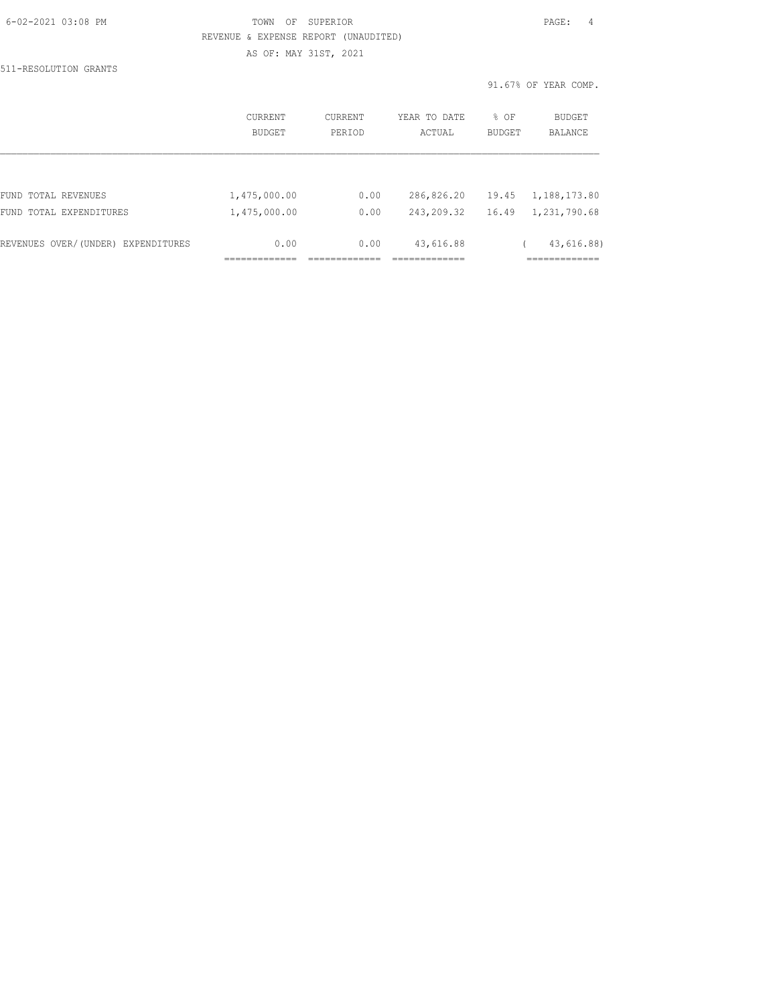| 6-02-2021 03:08 PM |  |  |
|--------------------|--|--|

## TOWN OF SUPERIOR **Example 20:08 PAGE:** 4 REVENUE & EXPENSE REPORT (UNAUDITED) AS OF: MAY 31ST, 2021

511-RESOLUTION GRANTS

91.67% OF YEAR COMP.

|                                    | <b>CURRENT</b><br>BUDGET | <b>CURRENT</b><br>PERIOD | YEAR TO DATE<br>ACTUAL | % OF<br><b>BUDGET</b> | <b>BUDGET</b><br><b>BALANCE</b> |
|------------------------------------|--------------------------|--------------------------|------------------------|-----------------------|---------------------------------|
|                                    |                          |                          |                        |                       |                                 |
| FUND TOTAL REVENUES                | 1,475,000.00             | 0.00                     | 286,826.20             | 19.45                 | 1,188,173.80                    |
| FUND TOTAL EXPENDITURES            | 1,475,000.00             | 0.00                     | 243,209.32             | 16.49                 | 1,231,790.68                    |
| REVENUES OVER/(UNDER) EXPENDITURES | 0.00                     | 0.00                     | 43,616.88              |                       | 43,616.88)                      |
|                                    |                          |                          |                        |                       |                                 |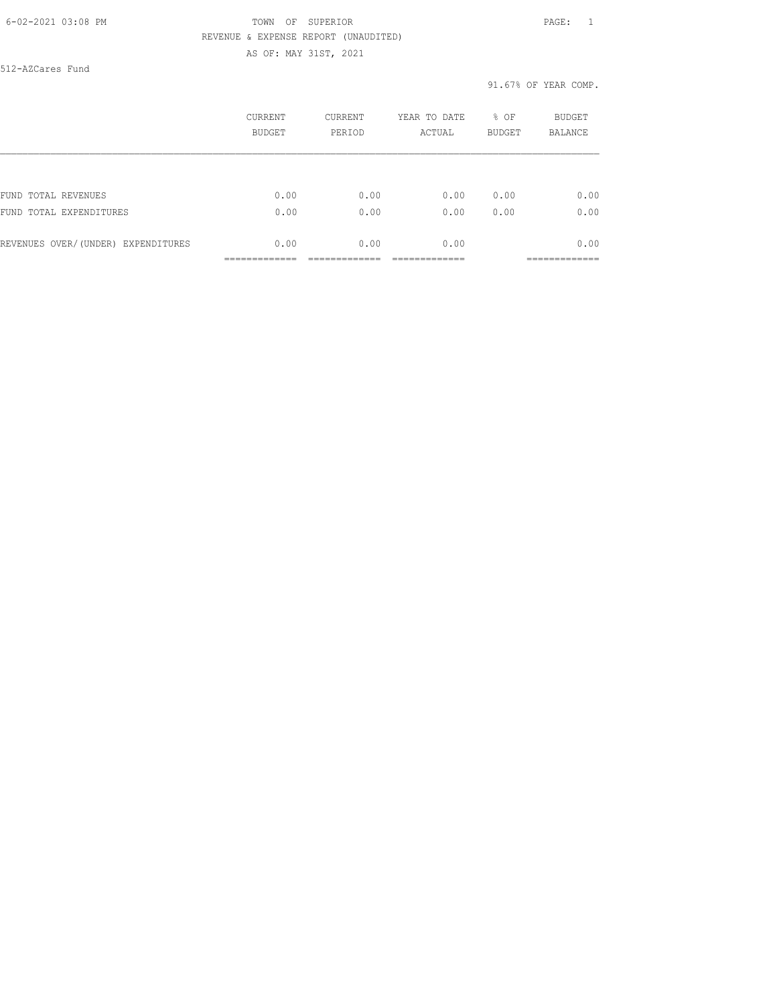### 6-02-2021 03:08 PM TOWN OF SUPERIOR PAGE: 1 REVENUE & EXPENSE REPORT (UNAUDITED) AS OF: MAY 31ST, 2021

512-AZCares Fund

#### 91.67% OF YEAR COMP.

|                                    | CURRENT | CURRENT | YEAR TO DATE | % OF          | BUDGET         |
|------------------------------------|---------|---------|--------------|---------------|----------------|
|                                    | BUDGET  | PERIOD  | ACTUAL       | <b>BUDGET</b> | <b>BALANCE</b> |
| FUND TOTAL REVENUES                | 0.00    | 0.00    | 0.00         | 0.00          | 0.00           |
| FUND TOTAL EXPENDITURES            | 0.00    | 0.00    | 0.00         | 0.00          | 0.00           |
| REVENUES OVER/(UNDER) EXPENDITURES | 0.00    | 0.00    | 0.00         |               | 0.00           |
|                                    |         |         |              |               | __________     |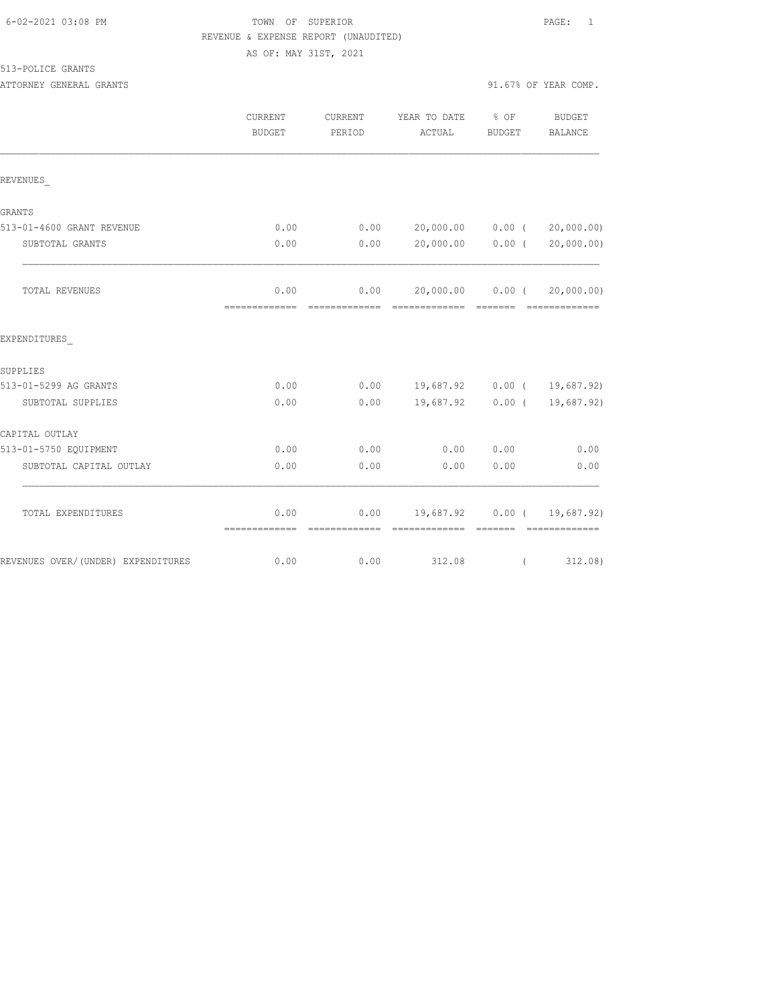## FOWN OF SUPERIOR **Example 20:08 PAGE:** 1 REVENUE & EXPENSE REPORT (UNAUDITED) AS OF: MAY 31ST, 2021

513-POLICE GRANTS

| ATTORNEY GENERAL GRANTS |  |  |  | 91.67% OF YEAR COMP. |
|-------------------------|--|--|--|----------------------|

|                                    | CURRENT<br><b>BUDGET</b> | CURRENT<br>PERIOD                                                                                                                                                                                                                                                                                                                                                                                                                                                                      | YEAR TO DATE % OF<br>ACTUAL        | BUDGET   | <b>BUDGET</b><br><b>BALANCE</b> |
|------------------------------------|--------------------------|----------------------------------------------------------------------------------------------------------------------------------------------------------------------------------------------------------------------------------------------------------------------------------------------------------------------------------------------------------------------------------------------------------------------------------------------------------------------------------------|------------------------------------|----------|---------------------------------|
| REVENUES                           |                          |                                                                                                                                                                                                                                                                                                                                                                                                                                                                                        |                                    |          |                                 |
| GRANTS                             |                          |                                                                                                                                                                                                                                                                                                                                                                                                                                                                                        |                                    |          |                                 |
| 513-01-4600 GRANT REVENUE          | 0.00                     | 0.00                                                                                                                                                                                                                                                                                                                                                                                                                                                                                   | 20,000.00 0.00 (                   |          | 20,000.00)                      |
| SUBTOTAL GRANTS                    | 0.00                     | 0.00                                                                                                                                                                                                                                                                                                                                                                                                                                                                                   | 20,000.00 0.00 (                   |          | 20,000.00)                      |
| TOTAL REVENUES                     | 0.00                     | 0.00                                                                                                                                                                                                                                                                                                                                                                                                                                                                                   | 20,000.00 0.00 (                   |          | 20,000.00)                      |
| EXPENDITURES                       |                          |                                                                                                                                                                                                                                                                                                                                                                                                                                                                                        |                                    |          |                                 |
| SUPPLIES                           |                          |                                                                                                                                                                                                                                                                                                                                                                                                                                                                                        |                                    |          |                                 |
| 513-01-5299 AG GRANTS              | 0.00                     |                                                                                                                                                                                                                                                                                                                                                                                                                                                                                        | $0.00$ 19,687.92 0.00 ( 19,687.92) |          |                                 |
| SUBTOTAL SUPPLIES                  | 0.00                     | 0.00                                                                                                                                                                                                                                                                                                                                                                                                                                                                                   | 19,687.92 0.00 (                   |          | 19,687.92)                      |
| CAPITAL OUTLAY                     |                          |                                                                                                                                                                                                                                                                                                                                                                                                                                                                                        |                                    |          |                                 |
| 513-01-5750 EQUIPMENT              | 0.00                     | 0.00                                                                                                                                                                                                                                                                                                                                                                                                                                                                                   | 0.00                               | 0.00     | 0.00                            |
| SUBTOTAL CAPITAL OUTLAY            | 0.00                     | 0.00                                                                                                                                                                                                                                                                                                                                                                                                                                                                                   | 0.00                               | 0.00     | 0.00                            |
| TOTAL EXPENDITURES                 | 0.00<br>=============    | $\begin{array}{cccccccccc} \multicolumn{2}{c}{} & \multicolumn{2}{c}{} & \multicolumn{2}{c}{} & \multicolumn{2}{c}{} & \multicolumn{2}{c}{} & \multicolumn{2}{c}{} & \multicolumn{2}{c}{} & \multicolumn{2}{c}{} & \multicolumn{2}{c}{} & \multicolumn{2}{c}{} & \multicolumn{2}{c}{} & \multicolumn{2}{c}{} & \multicolumn{2}{c}{} & \multicolumn{2}{c}{} & \multicolumn{2}{c}{} & \multicolumn{2}{c}{} & \multicolumn{2}{c}{} & \multicolumn{2}{c}{} & \multicolumn{2}{c}{} & \mult$ | $0.00$ 19,687.92 0.00 ( 19,687.92) | -------- | --------------                  |
| REVENUES OVER/(UNDER) EXPENDITURES | 0.00                     | 0.00                                                                                                                                                                                                                                                                                                                                                                                                                                                                                   | 312.08                             | $\left($ | 312.08)                         |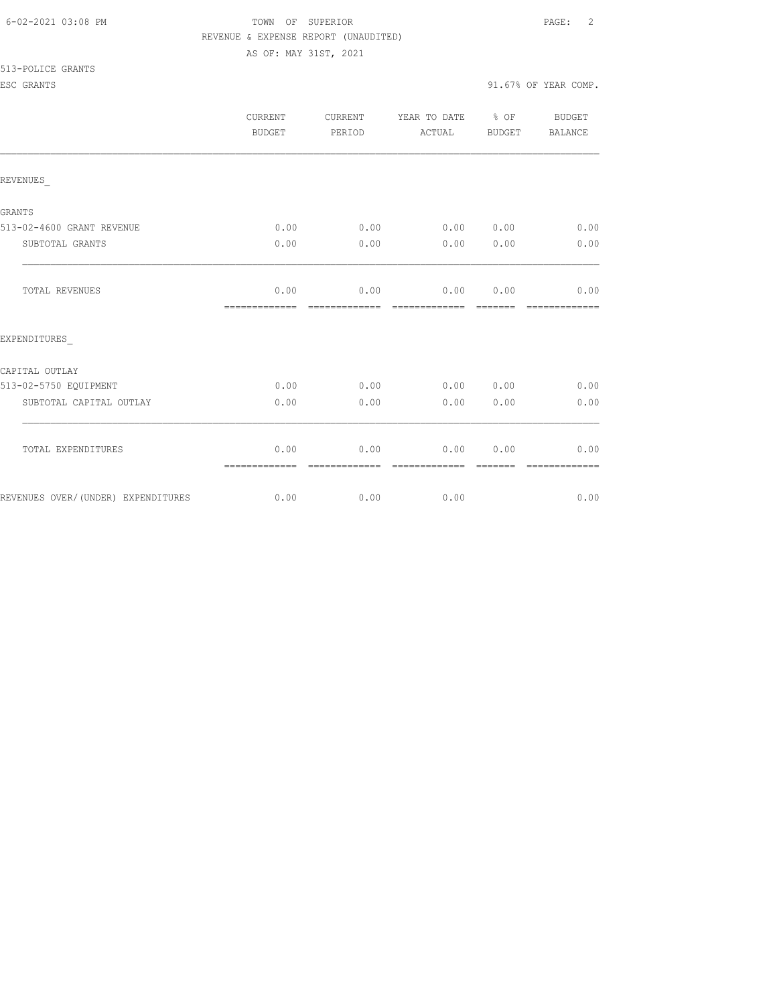| 6-02-2021 03:08 PM |  |
|--------------------|--|
|                    |  |

FOWN OF SUPERIOR **Example 2** PAGE: 2 REVENUE & EXPENSE REPORT (UNAUDITED) AS OF: MAY 31ST, 2021

513-POLICE GRANTS

|                                    | CURRENT<br><b>BUDGET</b> | CURRENT<br>PERIOD     | YEAR TO DATE % OF<br>ACTUAL | <b>BUDGET</b> | BUDGET<br><b>BALANCE</b> |
|------------------------------------|--------------------------|-----------------------|-----------------------------|---------------|--------------------------|
| REVENUES                           |                          |                       |                             |               |                          |
| <b>GRANTS</b>                      |                          |                       |                             |               |                          |
| 513-02-4600 GRANT REVENUE          | 0.00                     |                       | $0.00$ $0.00$ $0.00$ $0.00$ |               | 0.00                     |
| SUBTOTAL GRANTS                    | 0.00                     | 0.00                  | 0.00                        | 0.00          | 0.00                     |
| TOTAL REVENUES                     | 0.00                     |                       | $0.00$ $0.00$ $0.00$ $0.00$ |               | 0.00<br>--------------   |
| EXPENDITURES                       |                          |                       |                             |               |                          |
| CAPITAL OUTLAY                     |                          |                       |                             |               |                          |
| 513-02-5750 EQUIPMENT              | 0.00                     | 0.00                  | 0.00 0.00                   |               | 0.00                     |
| SUBTOTAL CAPITAL OUTLAY            | 0.00                     | 0.00                  | 0.00                        | 0.00          | 0.00                     |
| TOTAL EXPENDITURES                 | 0.00<br>-------------    | 0.00<br>------------- | 0.00<br>--------------      | 0.00          | 0.00<br>-------------    |
| REVENUES OVER/(UNDER) EXPENDITURES | 0.00                     |                       | 0.00<br>0.00                |               | 0.00                     |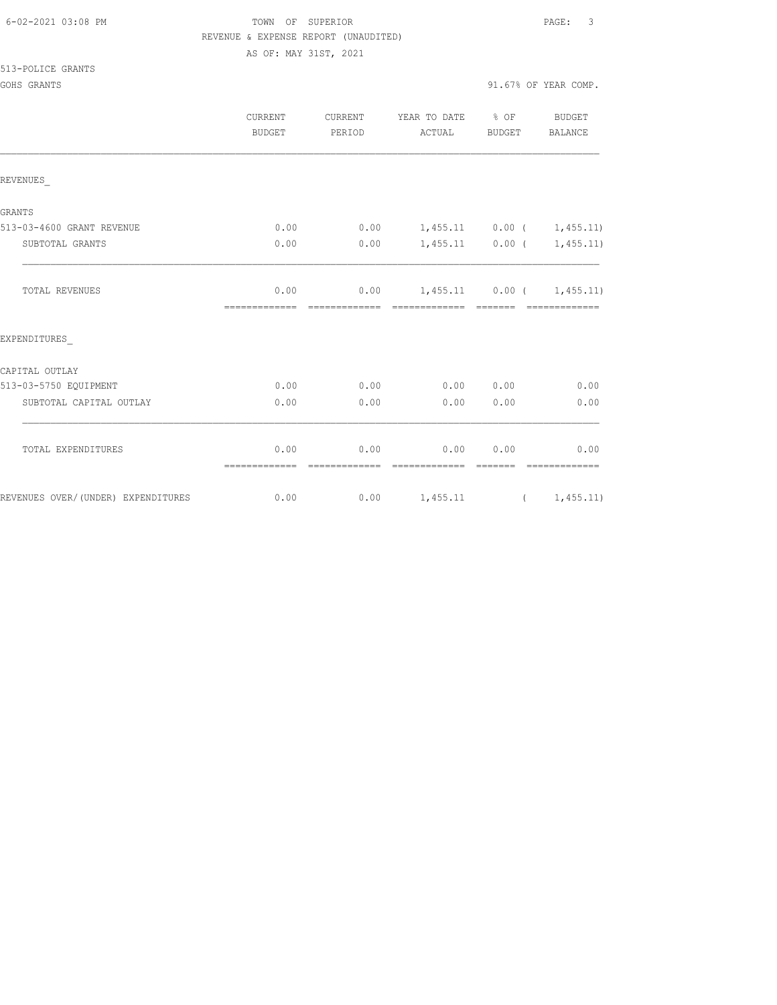| 6-02-2021 03:08 PM |  |
|--------------------|--|
|                    |  |

# FOWN OF SUPERIOR **Example 2021** PAGE: 3 REVENUE & EXPENSE REPORT (UNAUDITED)

AS OF: MAY 31ST, 2021

513-POLICE GRANTS

GOHS GRANTS 30 COMP. THE SERVICE OF STRAIN SERVICE SERVICE SERVICE SERVICE SERVICE SERVICE SERVICE SERVICE SERVICE SERVICE SERVICE SERVICE SERVICE SERVICE SERVICE SERVICE SERVICE SERVICE SERVICE SERVICE SERVICE SERVICE SER

|                                    | <b>CURRENT</b><br><b>BUDGET</b> | CURRENT<br>PERIOD | YEAR TO DATE % OF<br>ACTUAL      | BUDGET            | BUDGET<br>BALANCE     |
|------------------------------------|---------------------------------|-------------------|----------------------------------|-------------------|-----------------------|
| REVENUES                           |                                 |                   |                                  |                   |                       |
| <b>GRANTS</b>                      |                                 |                   |                                  |                   |                       |
| 513-03-4600 GRANT REVENUE          | 0.00                            | 0.00              | $1,455.11$ 0.00 ( 1,455.11)      |                   |                       |
| SUBTOTAL GRANTS                    | 0.00                            | 0.00              |                                  | $1,455.11$ 0.00 ( | 1,455.11)             |
| <b>TOTAL REVENUES</b>              | 0.00<br>-------------           | -------------     | $0.00$ 1,455.11 0.00 ( 1,455.11) |                   |                       |
| EXPENDITURES                       |                                 |                   |                                  |                   |                       |
| CAPITAL OUTLAY                     |                                 |                   |                                  |                   |                       |
| 513-03-5750 EQUIPMENT              | 0.00                            | 0.00              |                                  | 0.00 0.00         | 0.00                  |
| SUBTOTAL CAPITAL OUTLAY            | 0.00                            | 0.00              | 0.00                             | 0.00              | 0.00                  |
| TOTAL EXPENDITURES                 | 0.00<br>=============           | 0.00              | 0.00<br>=============            | 0.00              | 0.00<br>============= |
| REVENUES OVER/(UNDER) EXPENDITURES | 0.00                            |                   | $0.00$ 1,455.11 ( 1,455.11)      |                   |                       |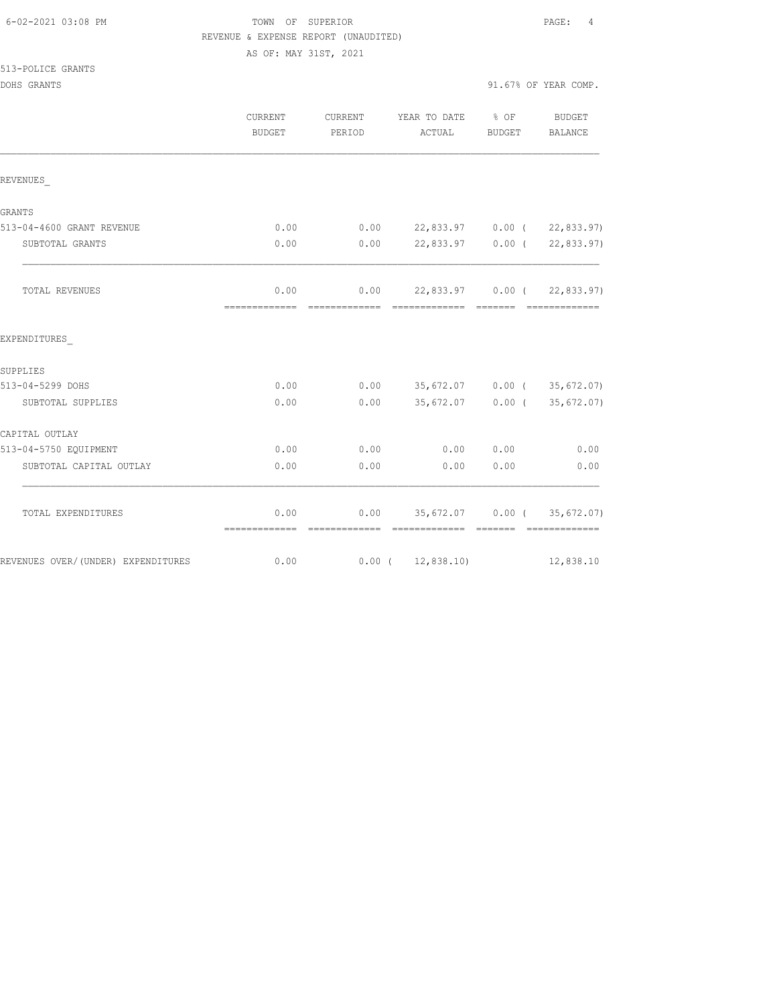| 6-02-2021 03:08 PM |  |
|--------------------|--|
|                    |  |

# TOWN OF SUPERIOR **Example 20:08 PAGE:** 4 REVENUE & EXPENSE REPORT (UNAUDITED)

AS OF: MAY 31ST, 2021

513-POLICE GRANTS

DOHS GRANTS 91.67% OF YEAR COMP.

|                                    | <b>CURRENT</b><br>BUDGET | CURRENT<br>PERIOD | YEAR TO DATE<br>ACTUAL            | $\frac{1}{2}$ OF<br>BUDGET | BUDGET<br>BALANCE           |
|------------------------------------|--------------------------|-------------------|-----------------------------------|----------------------------|-----------------------------|
| REVENUES                           |                          |                   |                                   |                            |                             |
| GRANTS                             |                          |                   |                                   |                            |                             |
| 513-04-4600 GRANT REVENUE          | 0.00                     | 0.00              |                                   |                            | 22,833.97 0.00 (22,833.97)  |
| SUBTOTAL GRANTS                    | 0.00                     | 0.00              |                                   |                            | 22,833.97 0.00 ( 22,833.97) |
| TOTAL REVENUES                     | 0.00                     | 0.00              | 22,833.97 0.00 (22,833.97)        |                            |                             |
| EXPENDITURES                       |                          |                   |                                   |                            |                             |
| SUPPLIES                           |                          |                   |                                   |                            |                             |
| 513-04-5299 DOHS                   | 0.00                     | 0.00              | 35,672.07 0.00 (35,672.07)        |                            |                             |
| SUBTOTAL SUPPLIES                  | 0.00                     | 0.00              | 35,672.07 0.00 (                  |                            | 35,672.07)                  |
| CAPITAL OUTLAY                     |                          |                   |                                   |                            |                             |
| 513-04-5750 EQUIPMENT              | 0.00                     | 0.00              | 0.00                              | 0.00                       | 0.00                        |
| SUBTOTAL CAPITAL OUTLAY            | 0.00                     | 0.00              | 0.00                              | 0.00                       | 0.00                        |
| TOTAL EXPENDITURES                 | 0.00<br>=============    |                   | $0.00$ 35,672.07 0.00 (35,672.07) | --------                   | --------------              |
| REVENUES OVER/(UNDER) EXPENDITURES | 0.00                     |                   | $0.00$ ( 12,838.10)               |                            | 12,838.10                   |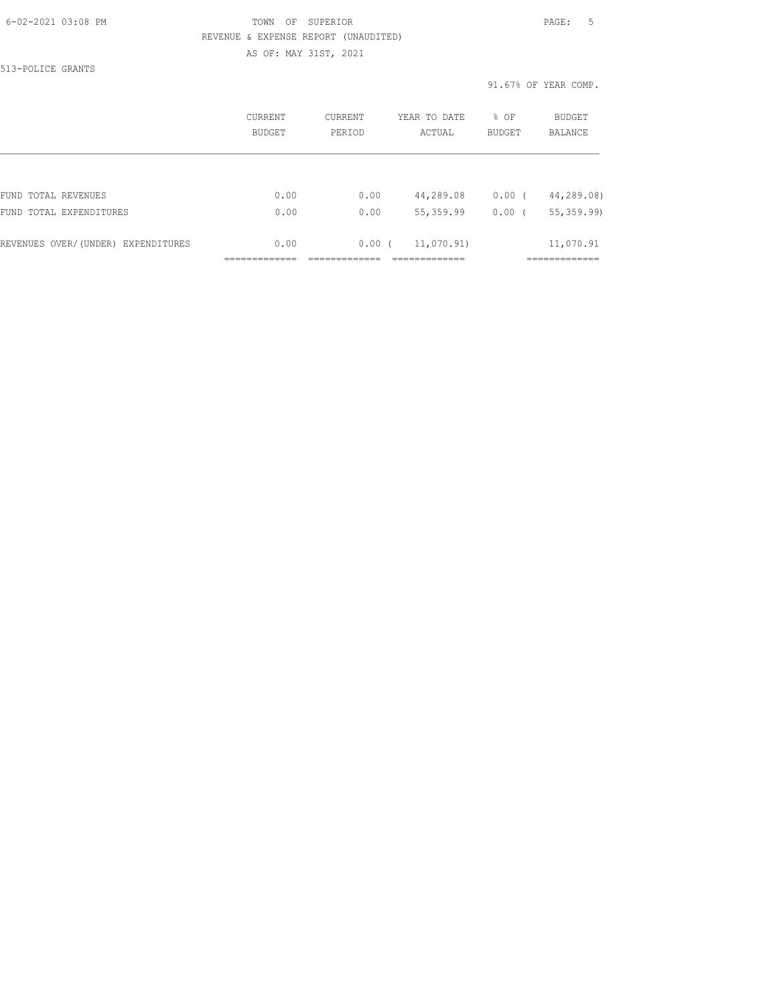### 6-02-2021 03:08 PM TOWN OF SUPERIOR PAGE: 5 REVENUE & EXPENSE REPORT (UNAUDITED) AS OF: MAY 31ST, 2021

513-POLICE GRANTS

91.67% OF YEAR COMP.

|                                    | CURRENT<br>BUDGET | CURRENT<br>PERIOD | YEAR TO DATE<br>ACTUAL | % OF<br><b>BUDGET</b> | <b>BUDGET</b><br>BALANCE |
|------------------------------------|-------------------|-------------------|------------------------|-----------------------|--------------------------|
|                                    |                   |                   |                        |                       |                          |
| FUND TOTAL REVENUES                | 0.00              | 0.00              | 44,289.08              | $0.00$ (              | 44,289.08)               |
| FUND TOTAL EXPENDITURES            | 0.00              | 0.00              | 55, 359.99             | $0.00$ (              | 55, 359.99)              |
| REVENUES OVER/(UNDER) EXPENDITURES | 0.00              | $0.00$ (          | 11,070.91)             |                       | 11,070.91                |
|                                    |                   |                   |                        |                       |                          |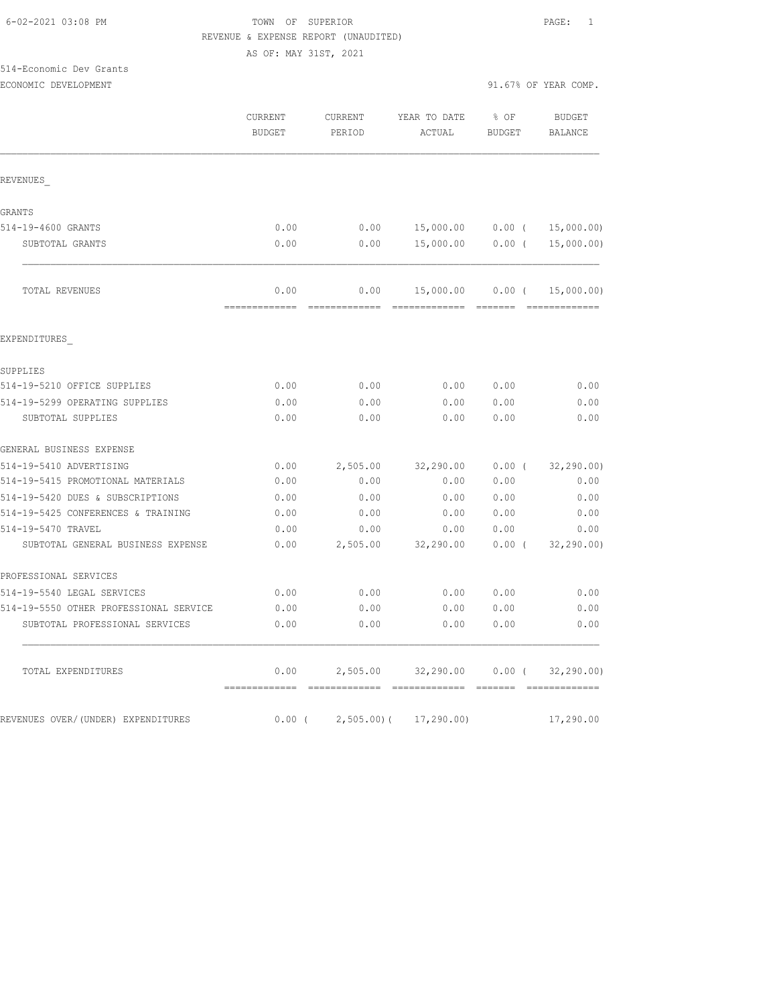### 6-02-2021 03:08 PM TOWN OF SUPERIOR PAGE: 1 REVENUE & EXPENSE REPORT (UNAUDITED) AS OF: MAY 31ST, 2021

514-Economic Dev Grants

ECONOMIC DEVELOPMENT 91.67% OF YEAR COMP.

|                                        | CURRENT<br><b>BUDGET</b> | CURRENT<br>PERIOD | YEAR TO DATE<br>ACTUAL | % OF<br><b>BUDGET</b> | <b>BUDGET</b><br>BALANCE        |
|----------------------------------------|--------------------------|-------------------|------------------------|-----------------------|---------------------------------|
| REVENUES                               |                          |                   |                        |                       |                                 |
| GRANTS                                 |                          |                   |                        |                       |                                 |
| 514-19-4600 GRANTS                     | 0.00                     | 0.00              |                        |                       | 15,000.00   0.00 $($ 15,000.00) |
| SUBTOTAL GRANTS                        | 0.00                     | 0.00              | 15,000.00 0.00 (       |                       | 15,000.00)                      |
| TOTAL REVENUES                         | 0.00                     | 0.00              | 15,000.00 0.00 (       |                       | 15,000.00)                      |
| EXPENDITURES                           |                          |                   |                        |                       |                                 |
| SUPPLIES                               |                          |                   |                        |                       |                                 |
| 514-19-5210 OFFICE SUPPLIES            | 0.00                     | 0.00              | 0.00                   | 0.00                  | 0.00                            |
| 514-19-5299 OPERATING SUPPLIES         | 0.00                     | 0.00              | 0.00                   | 0.00                  | 0.00                            |
| SUBTOTAL SUPPLIES                      | 0.00                     | 0.00              | 0.00                   | 0.00                  | 0.00                            |
| GENERAL BUSINESS EXPENSE               |                          |                   |                        |                       |                                 |
| 514-19-5410 ADVERTISING                | 0.00                     | 2,505.00          | 32,290.00              | $0.00$ (              | 32, 290.00                      |
| 514-19-5415 PROMOTIONAL MATERIALS      | 0.00                     | 0.00              | 0.00                   | 0.00                  | 0.00                            |
| 514-19-5420 DUES & SUBSCRIPTIONS       | 0.00                     | 0.00              | 0.00                   | 0.00                  | 0.00                            |
| 514-19-5425 CONFERENCES & TRAINING     | 0.00                     | 0.00              | 0.00                   | 0.00                  | 0.00                            |
| 514-19-5470 TRAVEL                     | 0.00                     | 0.00              | 0.00                   | 0.00                  | 0.00                            |
| SUBTOTAL GENERAL BUSINESS EXPENSE      | 0.00                     | 2,505.00          | 32,290.00              | $0.00$ (              | 32, 290.00                      |
| PROFESSIONAL SERVICES                  |                          |                   |                        |                       |                                 |
| 514-19-5540 LEGAL SERVICES             | 0.00                     | 0.00              | 0.00                   | 0.00                  | 0.00                            |
| 514-19-5550 OTHER PROFESSIONAL SERVICE | 0.00                     | 0.00              | 0.00                   | 0.00                  | 0.00                            |
| SUBTOTAL PROFESSIONAL SERVICES         | 0.00                     | 0.00              | 0.00                   | 0.00                  | 0.00                            |
| TOTAL EXPENDITURES                     | 0.00                     | 2,505.00          | 32,290.00              | 0.00(                 | 32, 290, 00)                    |
| REVENUES OVER/(UNDER) EXPENDITURES     | $0.00$ (                 | $2,505.00$ (      | 17,290.00)             |                       | 17,290.00                       |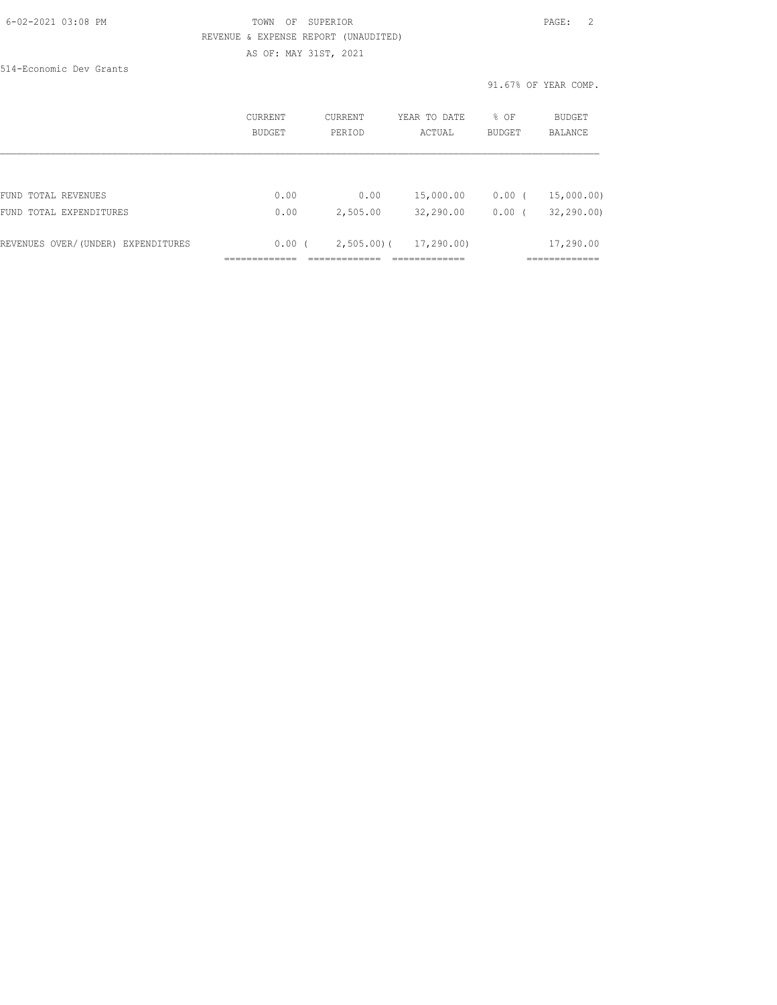### 6-02-2021 03:08 PM TOWN OF SUPERIOR PAGE: 2 REVENUE & EXPENSE REPORT (UNAUDITED) AS OF: MAY 31ST, 2021

514-Economic Dev Grants

91.67% OF YEAR COMP.

|                                    | CURRENT<br>BUDGET | CURRENT<br>PERIOD | YEAR TO DATE<br>ACTUAL | % OF<br><b>BUDGET</b> | <b>BUDGET</b><br>BALANCE |
|------------------------------------|-------------------|-------------------|------------------------|-----------------------|--------------------------|
|                                    |                   |                   |                        |                       |                          |
| FUND TOTAL REVENUES                | 0.00              | 0.00              | 15,000.00              | $0.00$ (              | 15,000.00)               |
| FUND TOTAL EXPENDITURES            | 0.00              | 2,505.00          | 32,290.00              | 0.00(                 | 32, 290, 00              |
| REVENUES OVER/(UNDER) EXPENDITURES | 0.00(             | $2,505.00$ (      | 17,290.00)             |                       | 17,290.00                |
|                                    |                   |                   |                        |                       |                          |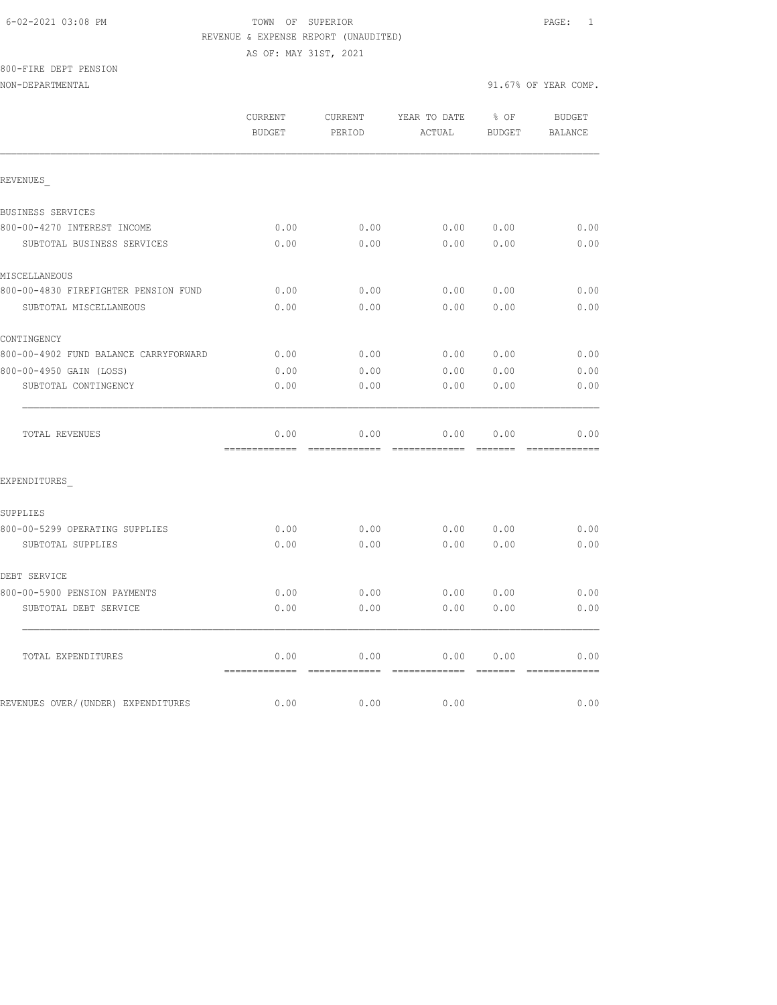# 6-02-2021 03:08 PM TOWN OF SUPERIOR PAGE: 1 REVENUE & EXPENSE REPORT (UNAUDITED)

AS OF: MAY 31ST, 2021

800-FIRE DEPT PENSION

NON-DEPARTMENTAL 91.67% OF YEAR COMP.

REVENUES\_

BUSINESS SERVICES

 CURRENT CURRENT YEAR TO DATE % OF BUDGET BUDGET PERIOD ACTUAL BUDGET BALANCE 800-00-4270 INTEREST INCOME 0.00 0.00 0.00 0.00 0.00 SUBTOTAL BUSINESS SERVICES 0.00 0.00 0.00 0.00 0.00

| MISCELLANEOUS                         |      |      |      |      |      |
|---------------------------------------|------|------|------|------|------|
| 800-00-4830 FIREFIGHTER PENSION FUND  | 0.00 | 0.00 | 0.00 | 0.00 | 0.00 |
| SUBTOTAL MISCELLANEOUS                | 0.00 | 0.00 | 0.00 | 0.00 | 0.00 |
| CONTINGENCY                           |      |      |      |      |      |
| 800-00-4902 FUND BALANCE CARRYFORWARD | 0.00 | 0.00 | 0.00 | 0.00 | 0.00 |
| 800-00-4950 GAIN (LOSS)               | 0.00 | 0.00 | 0.00 | 0.00 | 0.00 |
| SUBTOTAL CONTINGENCY                  | 0.00 | 0.00 | 0.00 | 0.00 | 0.00 |
| <b>TOTAL REVENUES</b>                 | 0.00 | 0.00 | 0.00 | 0.00 | 0.00 |
| EXPENDITURES                          |      |      |      |      |      |
| SUPPLIES                              |      |      |      |      |      |
| 800-00-5299 OPERATING SUPPLIES        | 0.00 | 0.00 | 0.00 | 0.00 | 0.00 |
| SUBTOTAL SUPPLIES                     | 0.00 | 0.00 | 0.00 | 0.00 | 0.00 |
| DEBT SERVICE                          |      |      |      |      |      |
| 800-00-5900 PENSION PAYMENTS          | 0.00 | 0.00 | 0.00 | 0.00 | 0.00 |
| SUBTOTAL DEBT SERVICE                 | 0.00 | 0.00 | 0.00 | 0.00 | 0.00 |
|                                       |      |      |      |      |      |

TOTAL EXPENDITURES 0.00 0.00 0.00 0.00 0.00

REVENUES OVER/(UNDER) EXPENDITURES 0.00 0.00 0.00 0.00 0.00 0.00

============= ============= ============= ======= =============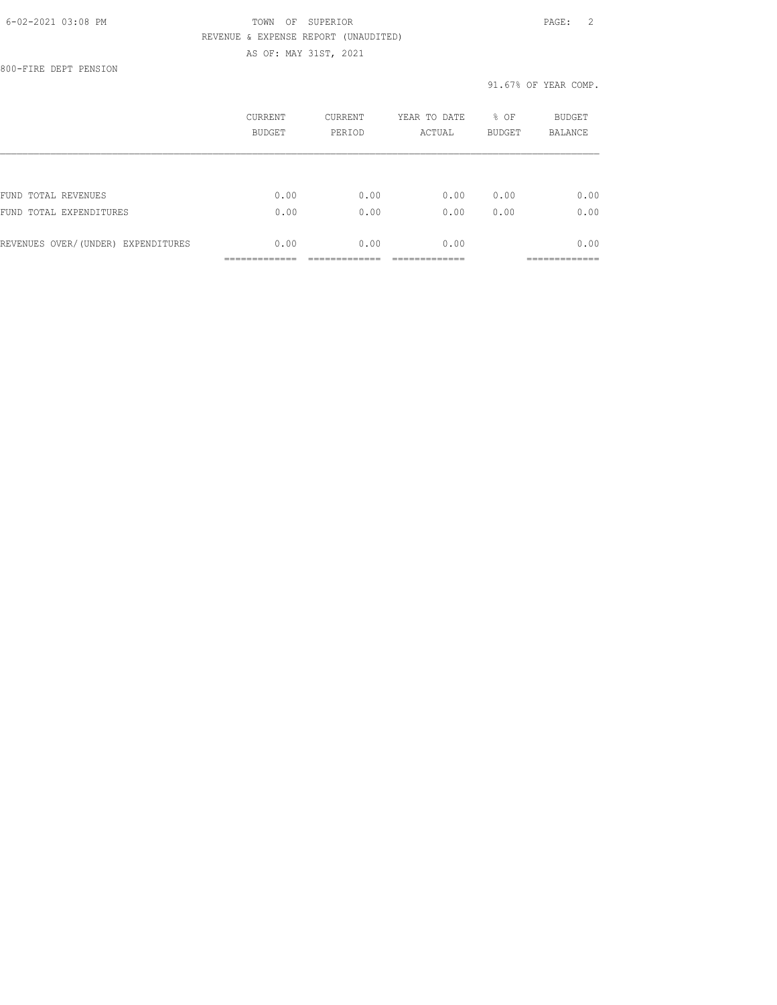800-FIRE DEPT PENSION

|                                    | CURRENT<br><b>BUDGET</b> | <b>CURRENT</b><br>PERIOD | YEAR TO DATE<br>ACTUAL | % OF<br><b>BUDGET</b> | <b>BUDGET</b><br><b>BALANCE</b> |
|------------------------------------|--------------------------|--------------------------|------------------------|-----------------------|---------------------------------|
|                                    |                          |                          |                        |                       |                                 |
| FUND TOTAL REVENUES                | 0.00                     | 0.00                     | 0.00                   | 0.00                  | 0.00                            |
| FUND TOTAL EXPENDITURES            | 0.00                     | 0.00                     | 0.00                   | 0.00                  | 0.00                            |
| REVENUES OVER/(UNDER) EXPENDITURES | 0.00                     | 0.00                     | 0.00                   |                       | 0.00                            |
|                                    |                          |                          |                        |                       |                                 |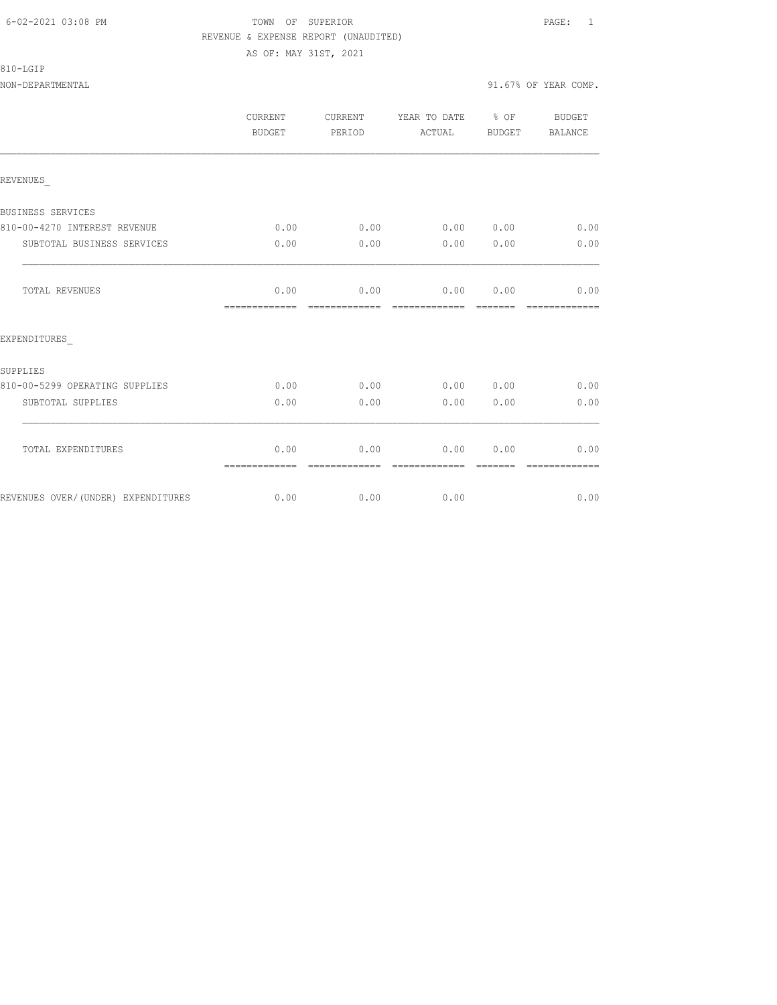| 810-LGIP |  |
|----------|--|
|          |  |

NON-DEPARTMENTAL 91.67% OF YEAR COMP.

|                                | CURRENT<br>BUDGET     | CURRENT<br>PERIOD | YEAR TO DATE<br>ACTUAL | % OF<br>BUDGET | BUDGET<br>BALANCE |
|--------------------------------|-----------------------|-------------------|------------------------|----------------|-------------------|
| REVENUES                       |                       |                   |                        |                |                   |
| BUSINESS SERVICES              |                       |                   |                        |                |                   |
| 810-00-4270 INTEREST REVENUE   | 0.00                  | 0.00              | 0.00 0.00              |                | 0.00              |
| SUBTOTAL BUSINESS SERVICES     | 0.00                  | 0.00              | 0.00                   | 0.00           | 0.00              |
| <b>TOTAL REVENUES</b>          | 0.00<br>============= | 0.00              | 0.00<br>=============  | 0.00           | 0.00              |
| EXPENDITURES                   |                       |                   |                        |                |                   |
| SUPPLIES                       |                       |                   |                        |                |                   |
| 810-00-5299 OPERATING SUPPLIES | 0.00                  | 0.00              | 0.00                   | 0.00           | 0.00              |
| SUBTOTAL SUPPLIES              | 0.00                  | 0.00              | 0.00                   | 0.00           | 0.00              |
| TOTAL EXPENDITURES             | 0.00                  | 0.00              | 0.00                   | 0.00           | 0.00              |
|                                | -------------         |                   |                        |                | ------------      |

REVENUES OVER/(UNDER) EXPENDITURES 0.00 0.00 0.00 0.00 0.00 0.00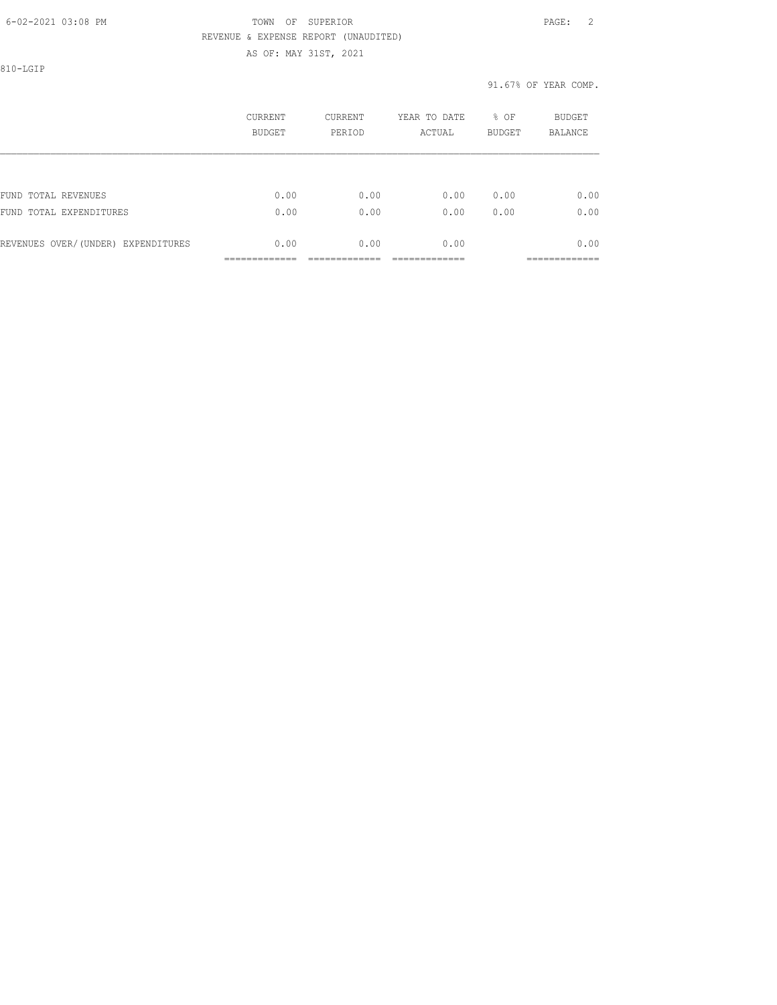810-LGIP

|                                    | CURRENT<br>BUDGET | CURRENT<br>PERIOD | YEAR TO DATE<br>ACTUAL | % OF<br><b>BUDGET</b> | <b>BUDGET</b><br><b>BALANCE</b> |
|------------------------------------|-------------------|-------------------|------------------------|-----------------------|---------------------------------|
|                                    |                   |                   |                        |                       |                                 |
| FUND TOTAL REVENUES                | 0.00              | 0.00              | 0.00                   | 0.00                  | 0.00                            |
| FUND TOTAL EXPENDITURES            | 0.00              | 0.00              | 0.00                   | 0.00                  | 0.00                            |
| REVENUES OVER/(UNDER) EXPENDITURES | 0.00              | 0.00              | 0.00                   |                       | 0.00                            |
|                                    |                   |                   |                        |                       |                                 |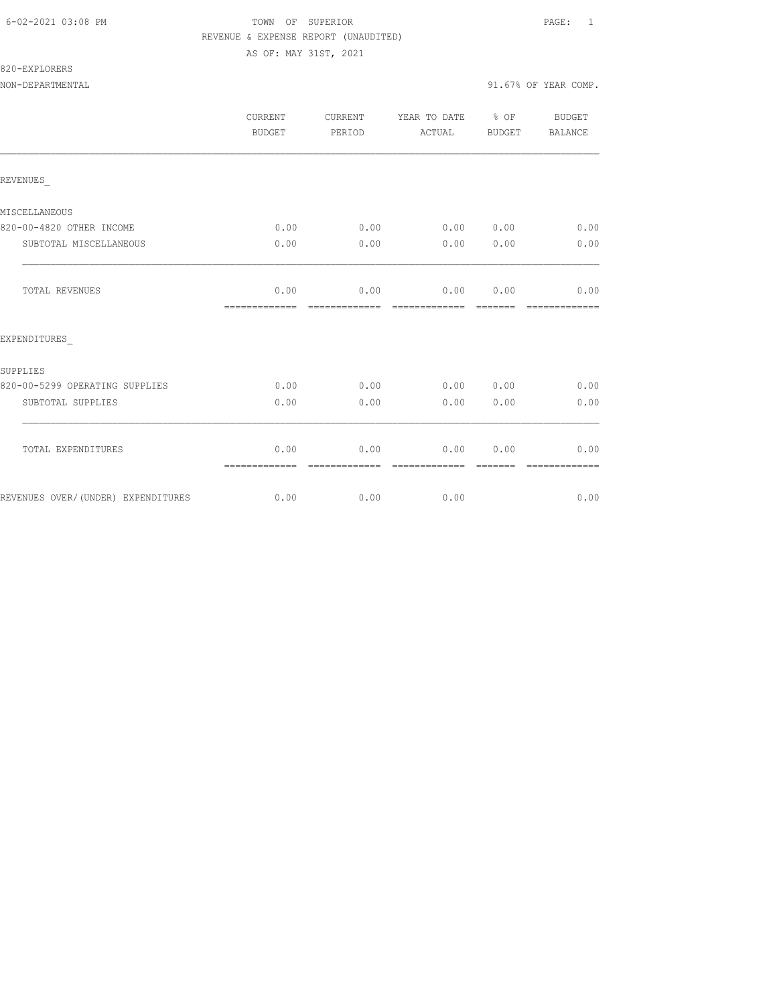# 820-EXPLORERS

|                                    | <b>CURRENT</b><br>BUDGET | CURRENT<br>PERIOD     | YEAR TO DATE % OF<br>ACTUAL | BUDGET           | BUDGET<br><b>BALANCE</b> |
|------------------------------------|--------------------------|-----------------------|-----------------------------|------------------|--------------------------|
| REVENUES                           |                          |                       |                             |                  |                          |
| MISCELLANEOUS                      |                          |                       |                             |                  |                          |
| 820-00-4820 OTHER INCOME           | 0.00                     | 0.00                  | 0.00 0.00                   |                  | 0.00                     |
| SUBTOTAL MISCELLANEOUS             | 0.00                     | 0.00                  | 0.00                        | 0.00             | 0.00                     |
| <b>TOTAL REVENUES</b>              | 0.00<br>=============    | 0.00<br>------------- | 0.00<br>--------------      | 0.00<br>-------- | 0.00<br>=============    |
| EXPENDITURES                       |                          |                       |                             |                  |                          |
| SUPPLIES                           |                          |                       |                             |                  |                          |
| 820-00-5299 OPERATING SUPPLIES     | 0.00                     | 0.00                  | 0.00 0.00                   |                  | 0.00                     |
| SUBTOTAL SUPPLIES                  | 0.00                     | 0.00                  | 0.00                        | 0.00             | 0.00                     |
| TOTAL EXPENDITURES                 | 0.00<br>=============    | 0.00<br>------------- | 0.00<br>--------------      | 0.00             | 0.00                     |
| REVENUES OVER/(UNDER) EXPENDITURES | 0.00                     | 0.00                  | 0.00                        |                  | 0.00                     |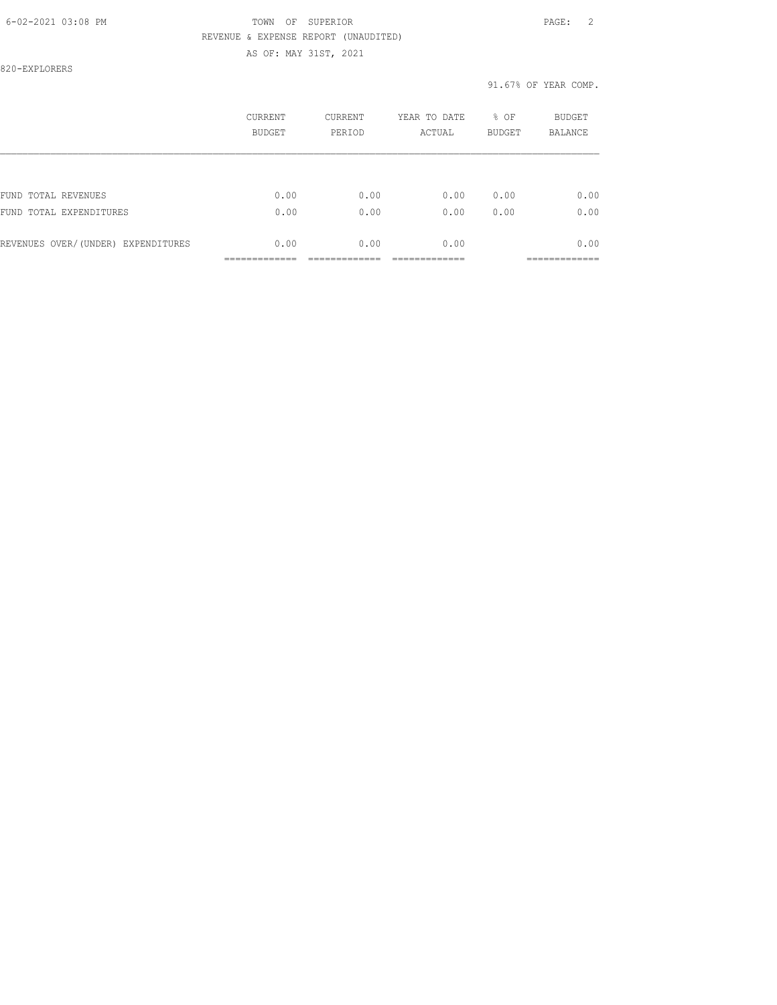AS OF: MAY 31ST, 2021

820-EXPLORERS

|                                    | CURRENT<br><b>BUDGET</b> | CURRENT<br>PERIOD | YEAR TO DATE<br>ACTUAL | % OF<br><b>BUDGET</b> | <b>BUDGET</b><br><b>BALANCE</b> |
|------------------------------------|--------------------------|-------------------|------------------------|-----------------------|---------------------------------|
|                                    |                          |                   |                        |                       |                                 |
| FUND TOTAL REVENUES                | 0.00                     | 0.00              | 0.00                   | 0.00                  | 0.00                            |
| FUND TOTAL EXPENDITURES            | 0.00                     | 0.00              | 0.00                   | 0.00                  | 0.00                            |
| REVENUES OVER/(UNDER) EXPENDITURES | 0.00                     | 0.00              | 0.00                   |                       | 0.00                            |
|                                    |                          |                   |                        |                       |                                 |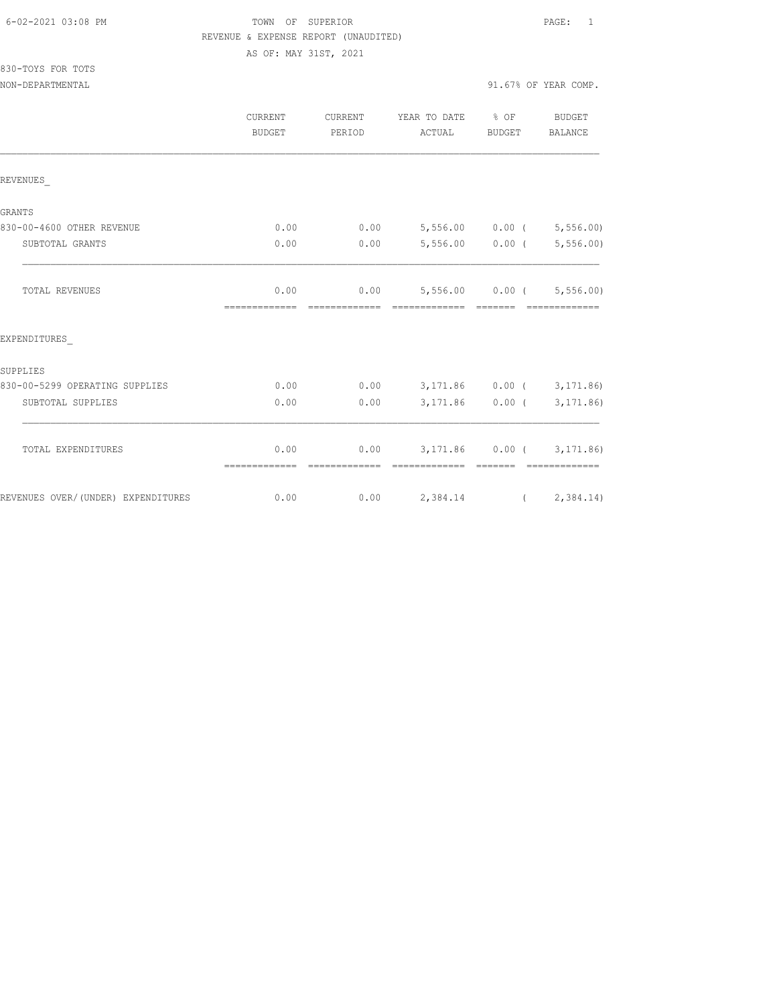| 6-02-2021 03:08 PM |  |
|--------------------|--|
|                    |  |

## FOWN OF SUPERIOR **Example 20:08 PAGE:** 1 REVENUE & EXPENSE REPORT (UNAUDITED) AS OF: MAY 31ST, 2021

830-TOYS FOR TOTS

|                                    | CURRENT<br><b>BUDGET</b> | CURRENT<br>PERIOD             | YEAR TO DATE % OF<br>ACTUAL                                      | BUDGET            | BUDGET<br>BALANCE |
|------------------------------------|--------------------------|-------------------------------|------------------------------------------------------------------|-------------------|-------------------|
| REVENUES                           |                          |                               |                                                                  |                   |                   |
| GRANTS                             |                          |                               |                                                                  |                   |                   |
| 830-00-4600 OTHER REVENUE          | 0.00                     | 0.00                          | 5,556.00 0.00 (5,556.00)                                         |                   |                   |
| SUBTOTAL GRANTS                    | 0.00                     | 0.00                          |                                                                  | 5,556.00 0.00 (   | 5,556.00          |
| TOTAL REVENUES                     | 0.00                     | ============================= | $0.00$ 5,556.00 0.00 ( 5,556.00)<br>- cooperatedrate - cooperate |                   | - =============   |
| EXPENDITURES                       |                          |                               |                                                                  |                   |                   |
| SUPPLIES                           |                          |                               |                                                                  |                   |                   |
| 830-00-5299 OPERATING SUPPLIES     | 0.00                     | 0.00                          | 3,171.86 0.00 (3,171.86)                                         |                   |                   |
| SUBTOTAL SUPPLIES                  | 0.00                     | 0.00                          |                                                                  | $3,171.86$ 0.00 ( | 3, 171.86)        |
| TOTAL EXPENDITURES                 | 0.00<br>=============    | 0.00<br>-------------         | 3, 171.86 0.00 (3, 171.86)<br>--------------                     |                   | -------------     |
| REVENUES OVER/(UNDER) EXPENDITURES | 0.00                     |                               | $0.00$ 2,384.14 (2,384.14)                                       |                   |                   |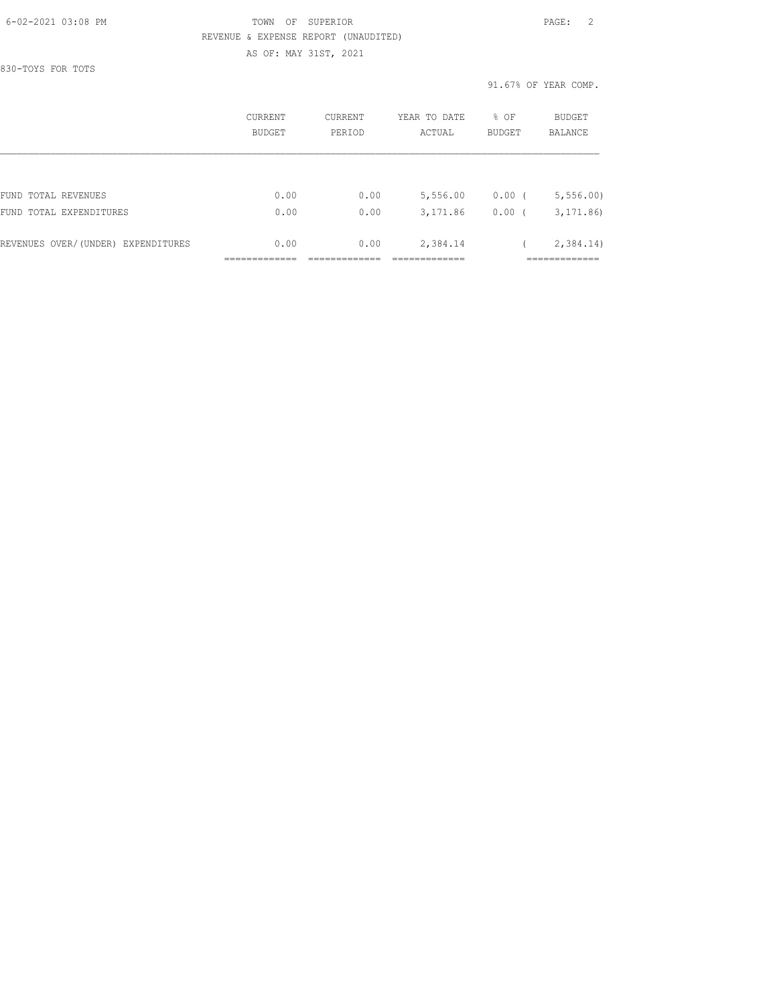830-TOYS FOR TOTS

|                                    | CURRENT<br>BUDGET | CURRENT<br>PERIOD | YEAR TO DATE<br>ACTUAL | % OF<br><b>BUDGET</b> | <b>BUDGET</b><br>BALANCE |
|------------------------------------|-------------------|-------------------|------------------------|-----------------------|--------------------------|
|                                    |                   |                   |                        |                       |                          |
| FUND TOTAL REVENUES                | 0.00              | 0.00              | 5,556.00               | $0.00$ (              | 5, 556.00                |
| FUND TOTAL EXPENDITURES            | 0.00              | 0.00              | 3,171.86               | 0.00(                 | 3, 171, 86               |
| REVENUES OVER/(UNDER) EXPENDITURES | 0.00              | 0.00              | 2,384.14               |                       | 2,384.14)                |
|                                    |                   |                   |                        |                       |                          |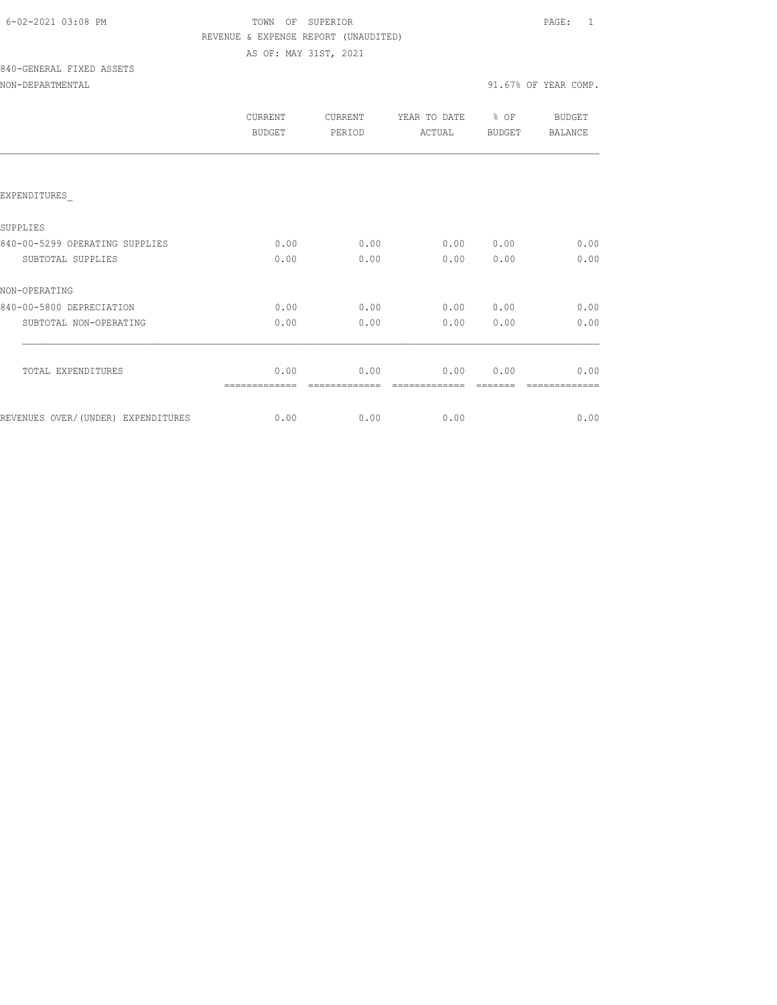| 6-02-2021 03:08 PM |  |
|--------------------|--|
|                    |  |

## FOWN OF SUPERIOR **Example 20:08 PAGE:** 1 REVENUE & EXPENSE REPORT (UNAUDITED) AS OF: MAY 31ST, 2021

840-GENERAL FIXED ASSETS

|                                    | CURRENT<br><b>BUDGET</b> | CURRENT<br>PERIOD | YEAR TO DATE<br>ACTUAL | % OF<br><b>BUDGET</b> | <b>BUDGET</b><br><b>BALANCE</b> |
|------------------------------------|--------------------------|-------------------|------------------------|-----------------------|---------------------------------|
|                                    |                          |                   |                        |                       |                                 |
| EXPENDITURES                       |                          |                   |                        |                       |                                 |
| SUPPLIES                           |                          |                   |                        |                       |                                 |
| 840-00-5299 OPERATING SUPPLIES     | 0.00                     | 0.00              | 0.00                   | 0.00                  | 0.00                            |
| SUBTOTAL SUPPLIES                  | 0.00                     | 0.00              | 0.00                   | 0.00                  | 0.00                            |
| NON-OPERATING                      |                          |                   |                        |                       |                                 |
| 840-00-5800 DEPRECIATION           | 0.00                     | 0.00              | 0.00                   | 0.00                  | 0.00                            |
| SUBTOTAL NON-OPERATING             | 0.00                     | 0.00              | 0.00                   | 0.00                  | 0.00                            |
| TOTAL EXPENDITURES                 | 0.00                     | 0.00              | 0.00                   | 0.00                  | 0.00                            |
|                                    |                          |                   |                        |                       |                                 |
| REVENUES OVER/(UNDER) EXPENDITURES | 0.00                     | 0.00              | 0.00                   |                       | 0.00                            |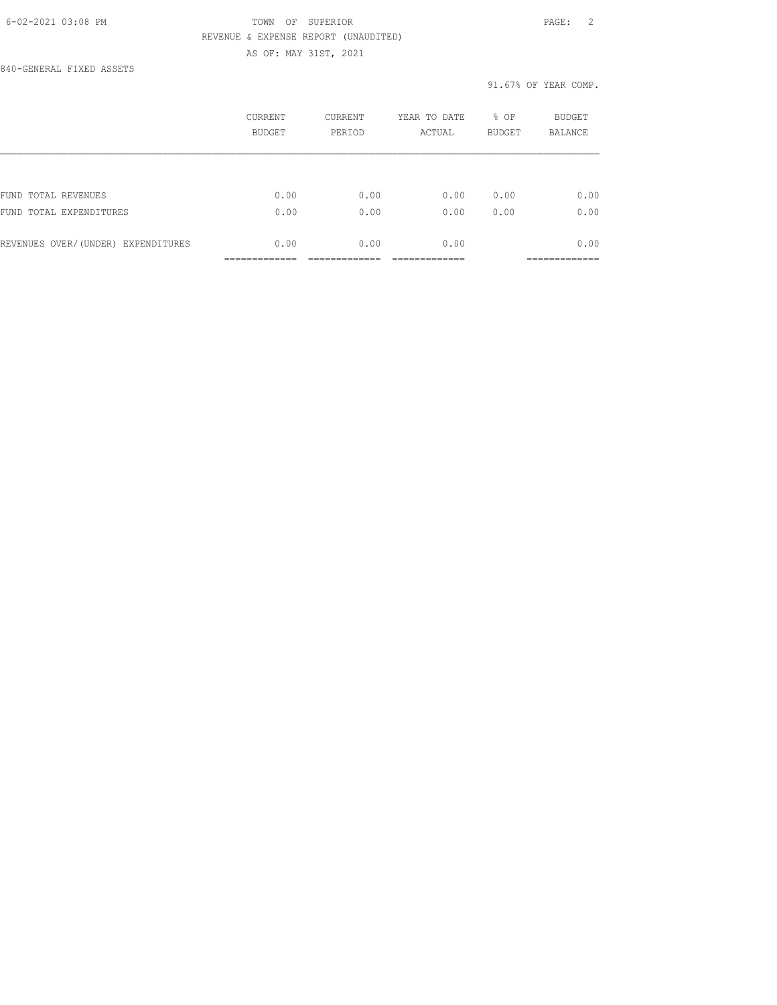840-GENERAL FIXED ASSETS

|                                    | CURRENT<br><b>BUDGET</b> | <b>CURRENT</b><br>PERIOD | YEAR TO DATE<br>ACTUAL | % OF<br><b>BUDGET</b> | <b>BUDGET</b><br><b>BALANCE</b> |
|------------------------------------|--------------------------|--------------------------|------------------------|-----------------------|---------------------------------|
|                                    |                          |                          |                        |                       |                                 |
| FUND TOTAL REVENUES                | 0.00                     | 0.00                     | 0.00                   | 0.00                  | 0.00                            |
| FUND TOTAL EXPENDITURES            | 0.00                     | 0.00                     | 0.00                   | 0.00                  | 0.00                            |
| REVENUES OVER/(UNDER) EXPENDITURES | 0.00                     | 0.00                     | 0.00                   |                       | 0.00                            |
|                                    |                          |                          |                        |                       |                                 |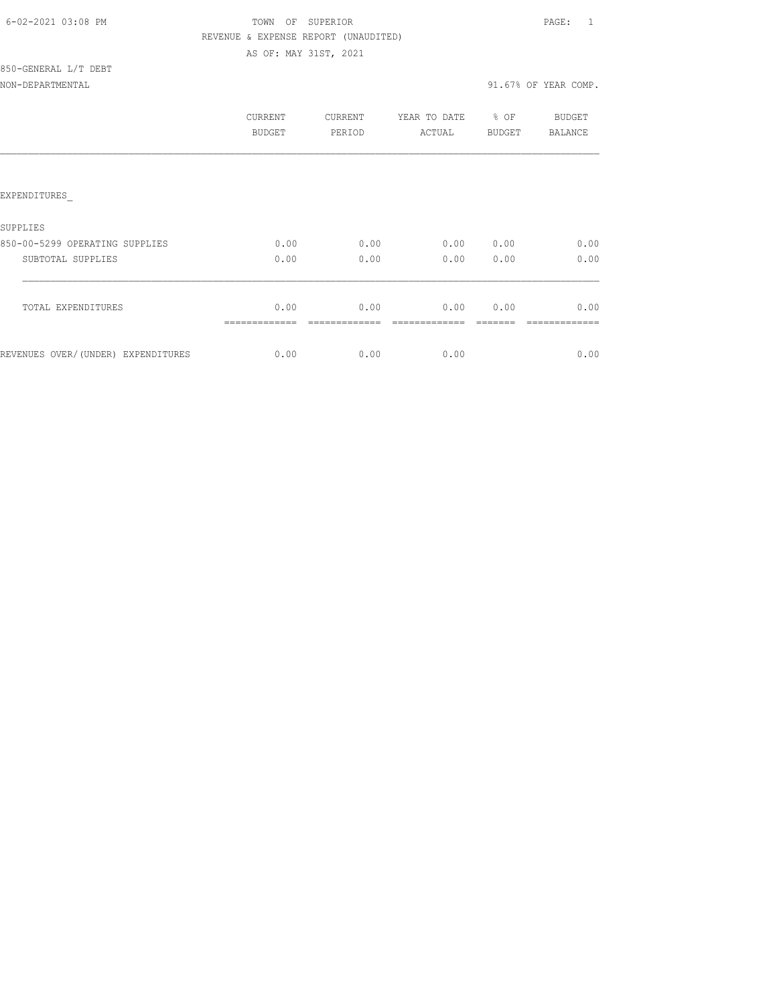## TOWN OF SUPERIOR **Example 20:08 PAGE:** 1 REVENUE & EXPENSE REPORT (UNAUDITED) AS OF: MAY 31ST, 2021

## 850-GENERAL L/T DEBT NON-DEPARTMENTAL

| 91.67% OF YEAR COMP. |  |
|----------------------|--|
|----------------------|--|

|                                    | CURRENT<br>BUDGET | <b>CURRENT</b><br>PERIOD | YEAR TO DATE<br>ACTUAL | % OF<br>BUDGET | BUDGET<br><b>BALANCE</b> |
|------------------------------------|-------------------|--------------------------|------------------------|----------------|--------------------------|
|                                    |                   |                          |                        |                |                          |
| EXPENDITURES                       |                   |                          |                        |                |                          |
| SUPPLIES                           |                   |                          |                        |                |                          |
| 850-00-5299 OPERATING SUPPLIES     | 0.00              | 0.00                     | 0.00                   | 0.00           | 0.00                     |
| SUBTOTAL SUPPLIES                  | 0.00              | 0.00                     | 0.00                   | 0.00           | 0.00                     |
|                                    |                   |                          |                        |                |                          |
| TOTAL EXPENDITURES                 | 0.00              | 0.00                     | 0.00                   | 0.00           | 0.00                     |
|                                    |                   |                          |                        |                |                          |
| REVENUES OVER/(UNDER) EXPENDITURES | 0.00              | 0.00                     | 0.00                   |                | 0.00                     |